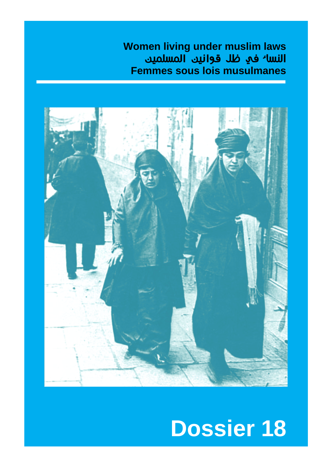**Women living under muslim laws Femmes sous lois musulmanes**



# **Dossier 18**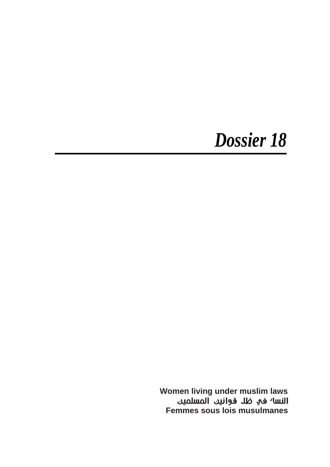## *Dossier 18*

**Women living under muslim laws Femmes sous lois musulmanes**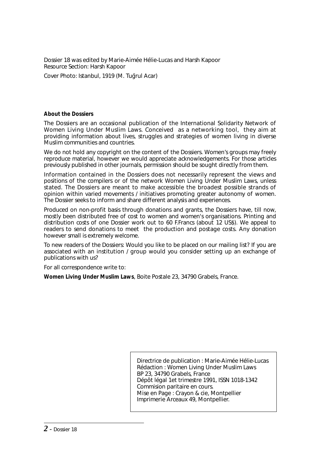Dossier 18 was edited by Marie-Aimée Hélie-Lucas and Harsh Kapoor Resource Section: Harsh Kapoor

Cover Photo: Istanbul, 1919 (M. Tuğrul Acar)

#### **About the Dossiers**

The Dossiers are an occasional publication of the International Solidarity Network of Women Living Under Muslim Laws. Conceived as a networking tool, they aim at providing information about lives, struggles and strategies of women living in diverse Muslim communities and countries.

We do not hold any copyright on the content of the Dossiers. Women's groups may freely reproduce material, however we would appreciate acknowledgements. For those articles previously published in other journals, permission should be sought directly from them.

Information contained in the Dossiers does not necessarily represent the views and positions of the compilers or of the network Women Living Under Muslim Laws, unless stated. The Dossiers are meant to make accessible the broadest possible strands of opinion within varied movements / initiatives promoting greater autonomy of women. The Dossier seeks to inform and share different analysis and experiences.

Produced on non-profit basis through donations and grants, the Dossiers have, till now, mostly been distributed free of cost to women and women's organisations. Printing and distribution costs of one Dossier work out to 60 F.Francs (about 12 US\$). We appeal to readers to send donations to meet the production and postage costs. Any donation however small is extremely welcome.

To new readers of the Dossiers: Would you like to be placed on our mailing list? If you are associated with an institution / group would you consider setting up an exchange of publications with us?

For all correspondence write to:

**Women Living Under Muslim Laws**, Boite Postale 23, 34790 Grabels, France.

Directrice de publication : Marie-Aimée Hélie-Lucas Rédaction : Women Living Under Muslim Laws BP 23, 34790 Grabels, France Dépôt légal 1et trimestre 1991, ISSN 1018-1342 Commision paritaire en cours. Mise en Page : Crayon & cie, Montpellier Imprimerie Arceaux 49, Montpellier.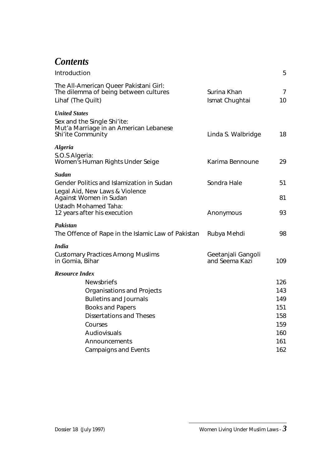### *Contents*

| Introduction                                                                                                       |                                      | 5          |
|--------------------------------------------------------------------------------------------------------------------|--------------------------------------|------------|
| The All-American Queer Pakistani Girl:<br>The dilemma of being between cultures<br>Lihaf (The Quilt)               | Surina Khan<br>Ismat Chughtai        | 7<br>10    |
| <b>United States</b><br>Sex and the Single Shi'ite:<br>Mut'a Marriage in an American Lebanese<br>Shi'ite Community | Linda S. Walbridge                   | 18         |
| <b>Algeria</b><br>S.O.S Algeria:<br>Women's Human Rights Under Seige                                               | Karima Bennoune                      | 29         |
| <b>Sudan</b><br>Gender Politics and Islamization in Sudan<br>Legal Aid, New Laws & Violence                        | Sondra Hale                          | 51         |
| Against Women in Sudan<br><b>Ustadh Mohamed Taha:</b><br>12 years after his execution                              | Anonymous                            | 81<br>93   |
| <b>Pakistan</b><br>The Offence of Rape in the Islamic Law of Pakistan                                              | Rubya Mehdi                          | 98         |
| <b>India</b><br><b>Customary Practices Among Muslims</b><br>in Gomia, Bihar                                        | Geetanjali Gangoli<br>and Seema Kazi | 109        |
| <b>Resource Index</b>                                                                                              |                                      |            |
| <b>Newsbriefs</b>                                                                                                  |                                      | 126        |
| Organisations and Projects                                                                                         |                                      | 143        |
| <b>Bulletins and Journals</b>                                                                                      |                                      | 149        |
| <b>Books and Papers</b><br><b>Dissertations and Theses</b>                                                         |                                      | 151<br>158 |
| Courses                                                                                                            |                                      | 159        |
| Audiovisuals                                                                                                       |                                      | 160        |
| Announcements                                                                                                      |                                      | 161        |
| <b>Campaigns and Events</b>                                                                                        |                                      | 162        |
|                                                                                                                    |                                      |            |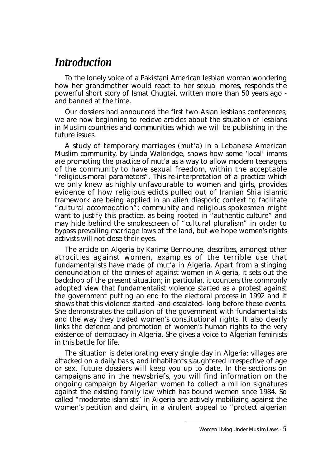### *Introduction*

To the lonely voice of a Pakistani American lesbian woman wondering how her grandmother would react to her sexual mores, responds the powerful short story of Ismat Chugtai, written more than 50 years ago and banned at the time.

Our dossiers had announced the first two Asian lesbians conferences; we are now beginning to recieve articles about the situation of lesbians in Muslim countries and communities which we will be publishing in the future issues.

A study of temporary marriages (mut'a) in a Lebanese American Muslim community, by Linda Walbridge, shows how some 'local' imams are promoting the practice of mut'a as a way to allow modern teenagers of the community to have sexual freedom, within the acceptable "religious-moral parameters". This re-interpretation of a practice which we only knew as highly unfavourable to women and girls, provides evidence of how religious edicts pulled out of Iranian Shia islamic framework are being applied in an alien diasporic context to facilitate "cultural accomodation"; community and religious spokesmen might want to justify this practice, as being rooted in "authentic culture" and may hide behind the smokescreen of "cultural pluralism" in order to bypass prevailing marriage laws of the land, but we hope women's rights activists will not close their eyes.

The article on Algeria by Karima Bennoune, describes, amongst other atrocities against women, examples of the terrible use that fundamentalists have made of mut'a in Algeria. Apart from a stinging denounciation of the crimes of against women in Algeria, it sets out the backdrop of the present situation; in particular, it counters the commonly adopted view that fundamentalist violence started as a protest against the government putting an end to the electoral process in 1992 and it shows that this violence started -and escalated- long before these events. She demonstrates the collusion of the government with fundamentalists and the way they traded women's constitutional rights. It also clearly links the defence and promotion of women's human rights to the very existence of democracy in Algeria. She gives a voice to Algerian feminists in this battle for life.

The situation is deteriorating every single day in Algeria: villages are attacked on a daily basis, and inhabitants slaughtered irrespective of age or sex. Future dossiers will keep you up to date. In the sections on campaigns and in the newsbriefs, you will find information on the ongoing campaign by Algerian women to collect a million signatures against the existing family law which has bound women since 1984. So called "moderate islamists" in Algeria are actively mobilizing against the women's petition and claim, in a virulent appeal to "protect algerian

Women Living Under Muslim Laws - *5*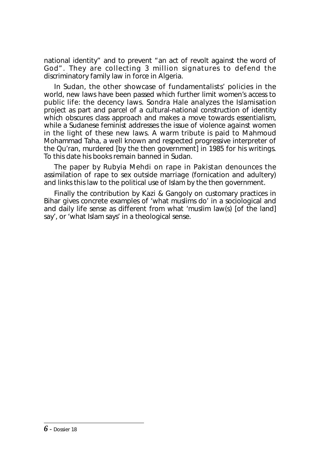national identity" and to prevent "an act of revolt against the word of God". They are collecting 3 million signatures to defend the discriminatory family law in force in Algeria.

In Sudan, the other showcase of fundamentalists' policies in the world, new laws have been passed which further limit women's access to public life: the decency laws. Sondra Hale analyzes the Islamisation project as part and parcel of a cultural-national construction of identity which obscures class approach and makes a move towards essentialism, while a Sudanese feminist addresses the issue of violence against women in the light of these new laws. A warm tribute is paid to Mahmoud Mohammad Taha, a well known and respected progressive interpreter of the Qu'ran, murdered [by the then government] in 1985 for his writings. To this date his books remain banned in Sudan.

The paper by Rubyia Mehdi on rape in Pakistan denounces the assimilation of rape to sex outside marriage (fornication and adultery) and links this law to the political use of Islam by the then government.

Finally the contribution by Kazi & Gangoly on customary practices in Bihar gives concrete examples of 'what muslims do' in a sociological and and daily life sense as different from what 'muslim law(s) [of the land] say', or 'what Islam says' in a theological sense.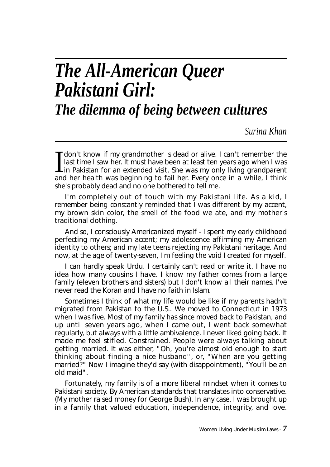## *The All-American Queer Pakistani Girl:*

*The dilemma of being between cultures*

*Surina Khan*

I don't know if my grandmother is dead or alive. I can't remember the last time I saw her. It must have been at least ten years ago when I was in Pakistan for an extended visit. She was my only living grandparent and her health was beginning to fail her. Every once in a while, I think she's probably dead and no one bothered to tell me.

I'm completely out of touch with my Pakistani life. As a kid, I remember being constantly reminded that I was different by my accent, my brown skin color, the smell of the food we ate, and my mother's traditional clothing.

And so, I consciously Americanized myself - I spent my early childhood perfecting my American accent; my adolescence affirming my American identity to others; and my late teens rejecting my Pakistani heritage. And now, at the age of twenty-seven, I'm feeling the void I created for myself.

I can hardly speak Urdu. I certainly can't read or write it. I have no idea how many cousins I have. I know my father comes from a large family (eleven brothers and sisters) but I don't know all their names. I've never read the Koran and I have no faith in Islam.

Sometimes I think of what my life would be like if my parents hadn't migrated from Pakistan to the U.S.. We moved to Connecticut in 1973 when I was five. Most of my family has since moved back to Pakistan, and up until seven years ago, when I came out, I went back somewhat regularly, but always with a little ambivalence. I never liked going back. It made me feel stifled. Constrained. People were always talking about getting married. It was either, "Oh, you're almost old enough to start thinking about finding a nice husband", or, "When are you getting married?" Now I imagine they'd say (with disappointment), "You'll be an old maid".

Fortunately, my family is of a more liberal mindset when it comes to Pakistani society. By American standards that translates into conservative. (My mother raised money for George Bush). In any case, I was brought up in a family that valued education, independence, integrity, and love.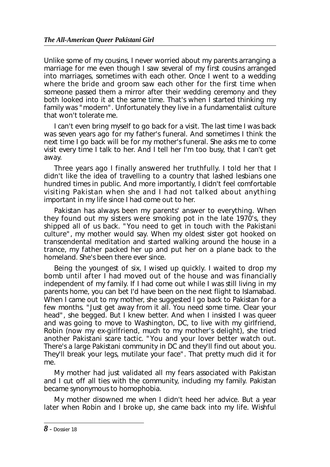Unlike some of my cousins, I never worried about my parents arranging a marriage for me even though I saw several of my first cousins arranged into marriages, sometimes with each other. Once I went to a wedding where the bride and groom saw each other for the first time when someone passed them a mirror after their wedding ceremony and they both looked into it at the same time. That's when I started thinking my family was "modern". Unfortunately they live in a fundamentalist culture that won't tolerate me.

I can't even bring myself to go back for a visit. The last time I was back was seven years ago for my father's funeral. And sometimes I think the next time I go back will be for my mother's funeral. She asks me to come visit every time I talk to her. And I tell her I'm too busy, that I can't get away.

Three years ago I finally answered her truthfully. I told her that I didn't like the idea of travelling to a country that lashed lesbians one hundred times in public. And more importantly, I didn't feel comfortable visiting Pakistan when she and I had not talked about anything important in my life since I had come out to her.

Pakistan has always been my parents' answer to everything. When they found out my sisters were smoking pot in the late 1970's, they shipped all of us back. "You need to get in touch with the Pakistani culture", my mother would say. When my oldest sister got hooked on transcendental meditation and started walking around the house in a trance, my father packed her up and put her on a plane back to the homeland. She's been there ever since.

Being the youngest of six, I wised up quickly. I waited to drop my bomb until after I had moved out of the house and was financially independent of my family. If I had come out while I was still living in my parents home, you can bet I'd have been on the next flight to Islamabad. When I came out to my mother, she suggested I go back to Pakistan for a few months. "Just get away from it all. You need some time. Clear your head", she begged. But I knew better. And when I insisted I was queer and was going to move to Washington, DC, to live with my girlfriend, Robin (now my ex-girlfriend, much to my mother's delight), she tried another Pakistani scare tactic. "You and your lover better watch out. There's a large Pakistani community in DC and they'll find out about you. They'll break your legs, mutilate your face". That pretty much did it for me.

My mother had just validated all my fears associated with Pakistan and I cut off all ties with the community, including my family. Pakistan became synonymous to homophobia.

My mother disowned me when I didn't heed her advice. But a year later when Robin and I broke up, she came back into my life. Wishful

*<sup>8</sup>* - Dossier 18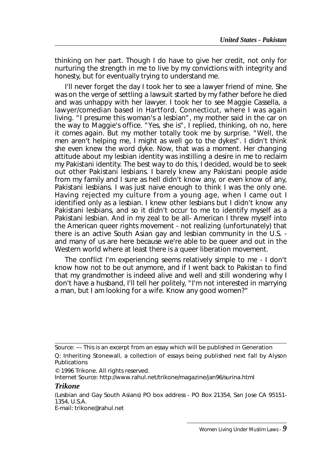thinking on her part. Though I do have to give her credit, not only for nurturing the strength in me to live by my convictions with integrity and honesty, but for eventually trying to understand me.

I'll never forget the day I took her to see a lawyer friend of mine. She was on the verge of settling a lawsuit started by my father before he died and was unhappy with her lawyer. I took her to see Maggie Cassella, a lawyer/comedian based in Hartford, Connecticut, where I was again living. "I presume this woman's a lesbian", my mother said in the car on the way to Maggie's office. "Yes, she is", I replied, thinking, oh no, here it comes again. But my mother totally took me by surprise. "Well, the men aren't helping me, I might as well go to the dykes". I didn't think she even knew the word dyke. Now, that was a moment. Her changing attitude about my lesbian identity was instilling a desire in me to reclaim my Pakistani identity. The best way to do this, I decided, would be to seek out other Pakistani lesbians. I barely knew any Pakistani people aside from my family and I sure as hell didn't know any, or even know of any, Pakistani lesbians. I was just naive enough to think I was the only one. Having rejected my culture from a young age, when I came out I identified only as a lesbian. I knew other lesbians but I didn't know any Pakistani lesbians, and so it didn't occur to me to identify myself as a Pakistani lesbian. And in my zeal to be all- American I threw myself into the American queer rights movement - not realizing (unfortunately) that there is an active South Asian gay and lesbian community in the U.S. and many of us are here because we're able to be queer and out in the Western world where at least there is a queer liberation movement.

The conflict I'm experiencing seems relatively simple to me - I don't know how not to be out anymore, and if I went back to Pakistan to find that my grandmother is indeed alive and well and still wondering why I don't have a husband, I'll tell her politely, "I'm not interested in marrying a man, but I am looking for a wife. Know any good women?"

Source: --- This is an excerpt from an essay which will be published in Generation Q: Inheriting Stonewall, a collection of essays being published next fall by Alyson Publications

© 1996 Trikone. All rights reserved.

Internet Source: http://www.rahul.net/trikone/magazine/jan96/surina.html

#### *Trikone*

(Lesbian and Gay South Asians) PO box address - PO Box 21354, San Jose CA 95151- 1354, U.S.A.

E-mail: trikone@rahul.net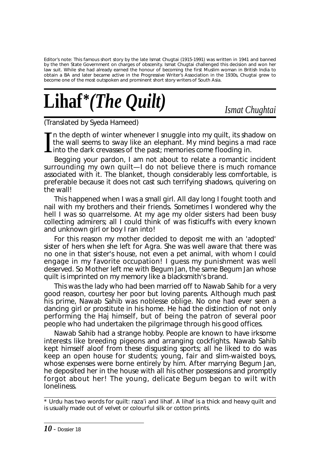Editor's note: This famous short story by the late Ismat Chugtai (1915-1991) was written in 1941 and banned by the then State Government on charges of obscenity. Ismat Chugtai challenged this decision and won her law suit. While she had already earned the honour of becoming the first Muslim woman in British India to obtain a BA and later became active in the Progressive Writer's Association in the 1930s, Chugtai grew to become one of the most outspoken and prominent short story writers of South Asia.

# **Lihaf\****(The Quilt) Ismat Chughtai*

(Translated by Syeda Hameed)

I n the depth of winter whenever I snuggle into my quilt, its shadow on the wall seems to sway like an elephant. My mind begins a mad race into the dark crevasses of the past; memories come flooding in.

Begging your pardon, I am not about to relate a romantic incident surrounding my own quilt—I do not believe there is much romance associated with it. The blanket, though considerably less comfortable, is preferable because it does not cast such terrifying shadows, quivering on the wall!

This happened when I was a small girl. All day long I fought tooth and nail with my brothers and their friends. Sometimes I wondered why the hell I was so quarrelsome. At my age my older sisters had been busy collecting admirers; all I could think of was fisticuffs with every known and unknown girl or boy I ran into!

For this reason my mother decided to deposit me with an 'adopted' sister of hers when she left for Agra. She was well aware that there was no one in that sister's house, not even a pet animal, with whom I could engage in my favorite occupation! I guess my punishment was well deserved. So Mother left me with Begum Jan, the same Begum Jan whose quilt is imprinted on my memory like a blacksmith's brand.

This was the lady who had been married off to Nawab Sahib for a very good reason, courtesy her poor but loving parents. Although much past his prime, Nawab Sahib was noblesse oblige. No one had ever seen a dancing girl or prostitute in his home. He had the distinction of not only performing the Haj himself, but of being the patron of several poor people who had undertaken the pilgrimage through his good offices.

Nawab Sahib had a strange hobby. People are known to have irksome interests like breeding pigeons and arranging cockfights. Nawab Sahib kept himself aloof from these disgusting sports; all he liked to do was keep an open house for students; young, fair and slim-waisted boys, whose expenses were borne entirely by him. After marrying Begum Jan, he deposited her in the house with all his other possessions and promptly forgot about her! The young, delicate Begum began to wilt with loneliness.

<sup>\*</sup> Urdu has two words for quilt: raza'i and lihaf. A lihaf is a thick and heavy quilt and is usually made out of velvet or colourful silk or cotton prints.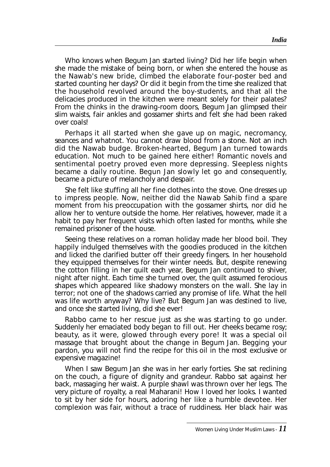Who knows when Begum Jan started living? Did her life begin when she made the mistake of being born, or when she entered the house as the Nawab's new bride, climbed the elaborate four-poster bed and started counting her days? Or did it begin from the time she realized that the household revolved around the boy-students, and that all the delicacies produced in the kitchen were meant solely for their palates? From the chinks in the drawing-room doors, Begum Jan glimpsed their slim waists, fair ankles and gossamer shirts and felt she had been raked over coals!

Perhaps it all started when she gave up on magic, necromancy, seances and whatnot. You cannot draw blood from a stone. Not an inch did the Nawab budge. Broken-hearted, Begum Jan turned towards education. Not much to be gained here either! Romantic novels and sentimental poetry proved even more depressing. Sleepless nights became a daily routine. Begun Jan slowly let go and consequently, became a picture of melancholy and despair.

She felt like stuffing all her fine clothes into the stove. One dresses up to impress people. Now, neither did the Nawab Sahib find a spare moment from his preoccupation with the gossamer shirts, nor did he allow her to venture outside the home. Her relatives, however, made it a habit to pay her frequent visits which often lasted for months, while she remained prisoner of the house.

Seeing these relatives on a roman holiday made her blood boil. They happily indulged themselves with the goodies produced in the kitchen and licked the clarified butter off their greedy fingers. In her household they equipped themselves for their winter needs. But, despite renewing the cotton filling in her quilt each year, Begum Jan continued to shiver, night after night. Each time she turned over, the quilt assumed ferocious shapes which appeared like shadowy monsters on the wall. She lay in terror; not one of the shadows carried any promise of life. What the hell was life worth anyway? Why live? But Begum Jan was destined to live, and once she started living, did she ever!

Rabbo came to her rescue just as she was starting to go under. Suddenly her emaciated body began to fill out. Her cheeks became rosy; beauty, as it were, glowed through every pore! It was a special oil massage that brought about the change in Begum Jan. Begging your pardon, you will not find the recipe for this oil in the most exclusive or expensive magazine!

When I saw Begum Jan she was in her early forties. She sat reclining on the couch, a figure of dignity and grandeur. Rabbo sat against her back, massaging her waist. A purple shawl was thrown over her legs. The very picture of royalty, a real Maharani! How I loved her looks. I wanted to sit by her side for hours, adoring her like a humble devotee. Her complexion was fair, without a trace of ruddiness. Her black hair was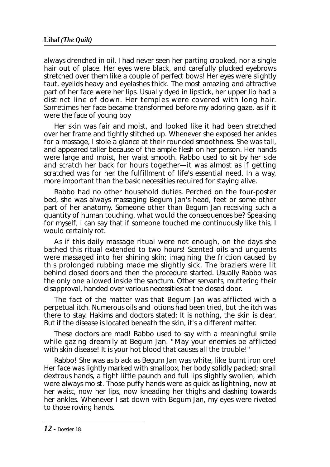always drenched in oil. I had never seen her parting crooked, nor a single hair out of place. Her eyes were black, and carefully plucked eyebrows stretched over them like a couple of perfect bows! Her eyes were slightly taut, eyelids heavy and eyelashes thick. The most amazing and attractive part of her face were her lips. Usually dyed in lipstick, her upper lip had a distinct line of down. Her temples were covered with long hair. Sometimes her face became transformed before my adoring gaze, as if it were the face of young boy

Her skin was fair and moist, and looked like it had been stretched over her frame and tightly stitched up. Whenever she exposed her ankles for a massage, I stole a glance at their rounded smoothness. She was tall, and appeared taller because of the ample flesh on her person. Her hands were large and moist, her waist smooth. Rabbo used to sit by her side and scratch her back for hours together—it was almost as if getting scratched was for her the fulfillment of life's essential need. In a way, more important than the basic necessities required for staying alive.

Rabbo had no other household duties. Perched on the four-poster bed, she was always massaging Begum Jan's head, feet or some other part of her anatomy. Someone other than Begum Jan receiving such a quantity of human touching, what would the consequences be? Speaking for myself, I can say that if someone touched me continuously like this, I would certainly rot.

As if this daily massage ritual were not enough, on the days she bathed this ritual extended to two hours! Scented oils and unguents were massaged into her shining skin; imagining the friction caused by this prolonged rubbing made me slightly sick. The braziers were lit behind closed doors and then the procedure started. Usually Rabbo was the only one allowed inside the sanctum. Other servants, muttering their disapproval, handed over various necessities at the closed door.

The fact of the matter was that Begum Jan was afflicted with a perpetual itch. Numerous oils and lotions had been tried, but the itch was there to stay. Hakims and doctors stated: It is nothing, the skin is clear. But if the disease is located beneath the skin, it's a different matter.

These doctors are mad! Rabbo used to say with a meaningful smile while gazing dreamily at Begum Jan. "May your enemies be afflicted with skin disease! It is your hot blood that causes all the trouble!"

Rabbo! She was as black as Begum Jan was white, like burnt iron ore! Her face was lightly marked with smallpox, her body solidly packed; small dextrous hands, a tight little paunch and full lips slightly swollen, which were always moist. Those puffy hands were as quick as lightning, now at her waist, now her lips, now kneading her thighs and dashing towards her ankles. Whenever I sat down with Begum Jan, my eyes were riveted to those roving hands.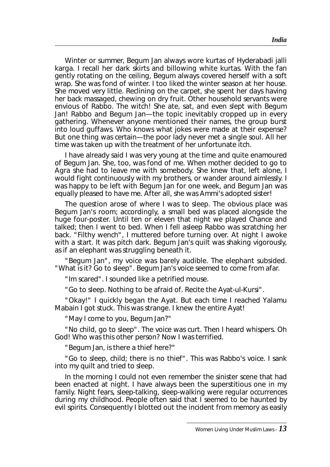Winter or summer, Begum Jan always wore kurtas of Hyderabadi jalli karga. I recall her dark skirts and billowing white kurtas. With the fan gently rotating on the ceiling, Begum always covered herself with a soft wrap. She was fond of winter. I too liked the winter season at her house. She moved very little. Reclining on the carpet, she spent her days having her back massaged, chewing on dry fruit. Other household servants were envious of Rabbo. The witch! She ate, sat, and even slept with Begum Jan! Rabbo and Begum Jan—the topic inevitably cropped up in every gathering. Whenever anyone mentioned their names, the group burst into loud guffaws. Who knows what jokes were made at their expense? But one thing was certain—the poor lady never met a single soul. All her time was taken up with the treatment of her unfortunate itch.

I have already said I was very young at the time and quite enamoured of Begum Jan. She, too, was fond of me. When mother decided to go to Agra she had to leave me with somebody. She knew that, left alone, I would fight continuously with my brothers, or wander around aimlessly. I was happy to be left with Begum Jan for one week, and Begum Jan was equally pleased to have me. After all, she was Ammi's adopted sister!

The question arose of where I was to sleep. The obvious place was Begum Jan's room; accordingly, a small bed was placed alongside the huge four-poster. Until ten or eleven that night we played Chance and talked; then I went to bed. When I fell asleep Rabbo was scratching her back. "Filthy wench", I muttered before turning over. At night I awoke with a start. It was pitch dark. Begum Jan's quilt was shaking vigorously, as if an elephant was struggling beneath it.

"Begum Jan", my voice was barely audible. The elephant subsided. "What is it? Go to sleep". Begum Jan's voice seemed to come from afar.

"Im scared". I sounded like a petrified mouse.

"Go to sleep. Nothing to be afraid of. Recite the Ayat-ul-Kursi".

"Okay!" I quickly began the Ayat. But each time I reached Yalamu Mabain I got stuck. This was strange. I knew the entire Ayat!

"May I come to you, Begum Jan?"

"No child, go to sleep". The voice was curt. Then I heard whispers. Oh God! Who was this other person? Now I was terrified.

"Begum Jan, is there a thief here?"

"Go to sleep, child; there is no thief". This was Rabbo's voice. I sank into my quilt and tried to sleep.

In the morning I could not even remember the sinister scene that had been enacted at night. I have always been the superstitious one in my family. Night fears, sleep-talking, sleep-walking were regular occurrences during my childhood. People often said that I seemed to be haunted by evil spirits. Consequently I blotted out the incident from memory as easily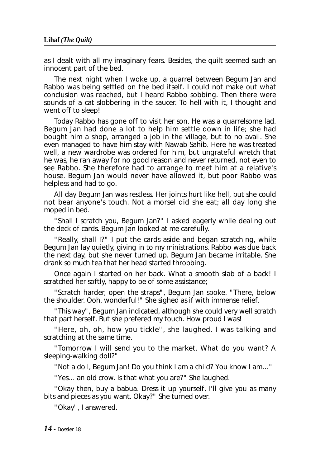as I dealt with all my imaginary fears. Besides, the quilt seemed such an innocent part of the bed.

The next night when I woke up, a quarrel between Begum Jan and Rabbo was being settled on the bed itself. I could not make out what conclusion was reached, but I heard Rabbo sobbing. Then there were sounds of a cat slobbering in the saucer. To hell with it, I thought and went off to sleep!

Today Rabbo has gone off to visit her son. He was a quarrelsome lad. Begum Jan had done a lot to help him settle down in life; she had bought him a shop, arranged a job in the village, but to no avail. She even managed to have him stay with Nawab Sahib. Here he was treated well, a new wardrobe was ordered for him, but ungrateful wretch that he was, he ran away for no good reason and never returned, not even to see Rabbo. She therefore had to arrange to meet him at a relative's house. Begum Jan would never have allowed it, but poor Rabbo was helpless and had to go.

All day Begum Jan was restless. Her joints hurt like hell, but she could not bear anyone's touch. Not a morsel did she eat; all day long she moped in bed.

"Shall I scratch you, Begum Jan?" I asked eagerly while dealing out the deck of cards. Begum Jan looked at me carefully.

"Really, shall I?" I put the cards aside and began scratching, while Begum Jan lay quietly, giving in to my ministrations. Rabbo was due back the next day, but she never turned up. Begum Jan became irritable. She drank so much tea that her head started throbbing.

Once again I started on her back. What a smooth slab of a back! I scratched her softly, happy to be of some assistance;

"Scratch harder, open the straps", Begum Jan spoke. "There, below the shoulder. Ooh, wonderful!" She sighed as if with immense relief.

"This way", Begum Jan indicated, although she could very well scratch that part herself. But she prefered my touch. How proud I was!

"Here, oh, oh, how you tickle", she laughed. I was talking and scratching at the same time.

"Tomorrow I will send you to the market. What do you want? A sleeping-walking doll?"

"Not a doll, Begum Jan! Do you think I am a child? You know I am…"

"Yes… an old crow. Is that what you are?" She laughed.

"Okay then, buy a babua. Dress it up yourself, I'll give you as many bits and pieces as you want. Okay?" She turned over.

"Okay", I answered.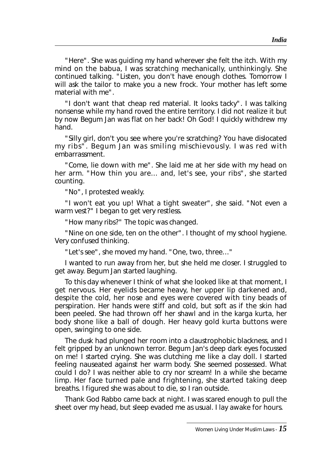"Here". She was guiding my hand wherever she felt the itch. With my mind on the babua, I was scratching mechanically, unthinkingly. She continued talking. "Listen, you don't have enough clothes. Tomorrow I will ask the tailor to make you a new frock. Your mother has left some material with me".

"I don't want that cheap red material. It looks tacky". I was talking nonsense while my hand roved the entire territory. I did not realize it but by now Begum Jan was flat on her back! Oh God! I quickly withdrew my hand.

"Silly girl, don't you see where you're scratching? You have dislocated my ribs". Begum Jan was smiling mischievously. I was red with embarrassment.

"Come, lie down with me". She laid me at her side with my head on her arm. "How thin you are… and, let's see, your ribs", she started counting.

"No", I protested weakly.

"I won't eat you up! What a tight sweater", she said. "Not even a warm vest?" I began to get very restless.

"How many ribs?" The topic was changed.

"Nine on one side, ten on the other". I thought of my school hygiene. Very confused thinking.

"Let's see", she moved my hand. "One, two, three…"

I wanted to run away from her, but she held me closer. I struggled to get away. Begum Jan started laughing.

To this day whenever I think of what she looked like at that moment, I get nervous. Her eyelids became heavy, her upper lip darkened and, despite the cold, her nose and eyes were covered with tiny beads of perspiration. Her hands were stiff and cold, but soft as if the skin had been peeled. She had thrown off her shawl and in the karga kurta, her body shone like a ball of dough. Her heavy gold kurta buttons were open, swinging to one side.

The dusk had plunged her room into a claustrophobic blackness, and I felt gripped by an unknown terror. Begum Jan's deep dark eyes focussed on me! I started crying. She was clutching me like a clay doll. I started feeling nauseated against her warm body. She seemed possessed. What could I do? I was neither able to cry nor scream! In a while she became limp. Her face turned pale and frightening, she started taking deep breaths. I figured she was about to die, so I ran outside.

Thank God Rabbo came back at night. I was scared enough to pull the sheet over my head, but sleep evaded me as usual. I lay awake for hours.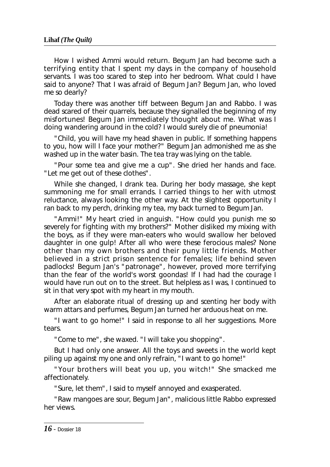How I wished Ammi would return. Begum Jan had become such a terrifying entity that I spent my days in the company of household servants. I was too scared to step into her bedroom. What could I have said to anyone? That I was afraid of Begum Jan? Begum Jan, who loved me so dearly?

Today there was another tiff between Begum Jan and Rabbo. I was dead scared of their quarrels, because they signalled the beginning of my misfortunes! Begum Jan immediately thought about me. What was I doing wandering around in the cold? I would surely die of pneumonia!

"Child, you will have my head shaven in public. If something happens to you, how will I face your mother?" Begum Jan admonished me as she washed up in the water basin. The tea tray was lying on the table.

"Pour some tea and give me a cup". She dried her hands and face. "Let me get out of these clothes".

While she changed, I drank tea. During her body massage, she kept summoning me for small errands. I carried things to her with utmost reluctance, always looking the other way. At the slightest opportunity I ran back to my perch, drinking my tea, my back turned to Begum Jan.

"Ammi!" My heart cried in anguish. "How could you punish me so severely for fighting with my brothers?" Mother disliked my mixing with the boys, as if they were man-eaters who would swallow her beloved daughter in one gulp! After all who were these ferocious males? None other than my own brothers and their puny little friends. Mother believed in a strict prison sentence for females; life behind seven padlocks! Begum Jan's "patronage", however, proved more terrifying than the fear of the world's worst goondas! If I had had the courage I would have run out on to the street. But helpless as I was, I continued to sit in that very spot with my heart in my mouth.

After an elaborate ritual of dressing up and scenting her body with warm attars and perfumes, Begum Jan turned her arduous heat on me.

"I want to go home!" I said in response to all her suggestions. More tears.

"Come to me", she waxed. "I will take you shopping".

But I had only one answer. All the toys and sweets in the world kept piling up against my one and only refrain, "I want to go home!"

"Your brothers will beat you up, you witch!" She smacked me affectionately.

"Sure, let them", I said to myself annoyed and exasperated.

"Raw mangoes are sour, Begum Jan", malicious little Rabbo expressed her views.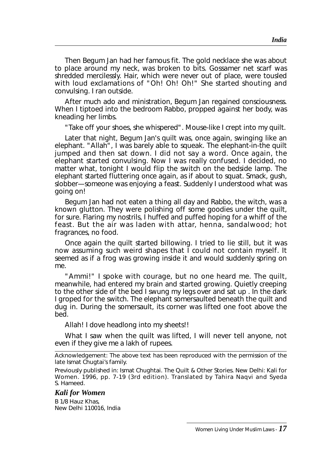Then Begum Jan had her famous fit. The gold necklace she was about to place around my neck, was broken to bits. Gossamer net scarf was shredded mercilessly. Hair, which were never out of place, were tousled with loud exclamations of "Oh! Oh! Oh!" She started shouting and convulsing. I ran outside.

After much ado and ministration, Begum Jan regained consciousness. When I tiptoed into the bedroom Rabbo, propped against her body, was kneading her limbs.

"Take off your shoes, she whispered". Mouse-like I crept into my quilt.

Later that night, Begum Jan's quilt was, once again, swinging like an elephant. "Allah", I was barely able to squeak. The elephant-in-the quilt jumped and then sat down. I did not say a word. Once again, the elephant started convulsing. Now I was really confused. I decided, no matter what, tonight I would flip the switch on the bedside lamp. The elephant started fluttering once again, as if about to squat. Smack, gush, slobber—someone was enjoying a feast. Suddenly I understood what was going on!

Begum Jan had not eaten a thing all day and Rabbo, the witch, was a known glutton. They were polishing off some goodies under the quilt, for sure. Flaring my nostrils, I huffed and puffed hoping for a whiff of the feast. But the air was laden with attar, henna, sandalwood; hot fragrances, no food.

Once again the quilt started billowing. I tried to lie still, but it was now assuming such weird shapes that I could not contain myself. It seemed as if a frog was growing inside it and would suddenly spring on me.

"Ammi!" I spoke with courage, but no one heard me. The quilt, meanwhile, had entered my brain and started growing. Quietly creeping to the other side of the bed I swung my legs over and sat up . In the dark I groped for the switch. The elephant somersaulted beneath the quilt and dug in. During the somersault, its corner was lifted one foot above the bed.

Allah! I dove headlong into my sheets!!

What I saw when the quilt was lifted, I will never tell anyone, not even if they give me a lakh of rupees.

#### *Kali for Women*

B 1/8 Hauz Khas, New Delhi 110016, India

Acknowledgement: The above text has been reproduced with the permission of the late Ismat Chugtai's family.

Previously published in: Ismat Chughtai. The Quilt & Other Stories. New Delhi: Kali for Women. 1996, pp. 7-19 (3rd edition). Translated by Tahira Naqvi and Syeda S. Hameed.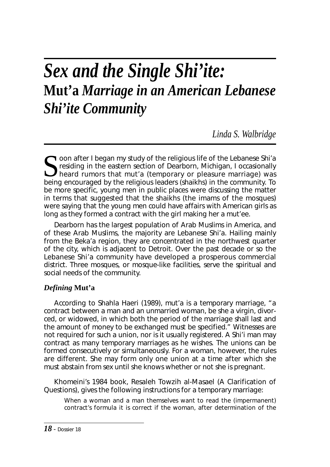## *Sex and the Single Shi'ite:*  **Mut'a** *Marriage in an American Lebanese Shi'ite Community*

*Linda S. Walbridge*

Oon after I began my study of the religious life of the Lebanese Shi'a residing in the eastern section of Dearborn, Michigan, I occasionally  $\blacktriangleright$  heard rumors that mut'a (temporary or pleasure marriage) was being encouraged by the religious leaders (shaikhs) in the community. To be more specific, young men in public places were discussing the matter in terms that suggested that the shaikhs (the imams of the mosques) were saying that the young men could have affairs with American girls as long as they formed a contract with the girl making her a mut'ee.

Dearborn has the largest population of Arab Muslims in America, and of these Arab Muslims, the majority are Lebanese Shi'a. Hailing mainly from the Beka'a region, they are concentrated in the northwest quarter of the city, which is adjacent to Detroit. Over the past decade or so the Lebanese Shi'a community have developed a prosperous commercial district. Three mosques, or mosque-like facilities, serve the spiritual and social needs of the community.

#### *Defining* **Mut'a**

According to Shahla Haeri (1989), mut'a is a temporary marriage, "a contract between a man and an unmarried woman, be she a virgin, divorced, or widowed, in which both the period of the marriage shall last and the amount of money to be exchanged must be specified." Witnesses are not required for such a union, nor is it usually registered. A Shi'i man may contract as many temporary marriages as he wishes. The unions can be formed consecutively or simultaneously. For a woman, however, the rules are different. She may form only one union at a time after which she must abstain from sex until she knows whether or not she is pregnant.

Khomeini's 1984 book, Resaleh Towzih al-Masael (A Clarification of Questions), gives the following instructions for a temporary marriage:

When a woman and a man themselves want to read the (impermanent) contract's formula it is correct if the woman, after determination of the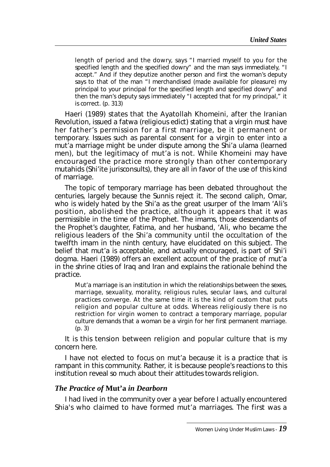length of period and the dowry, says "I married myself to you for the specified length and the specified dowry" and the man says immediately, "I accept." And if they deputize another person and first the woman's deputy says to that of the man "I merchandised (made available for pleasure) my principal to your principal for the specified length and specified dowry" and then the man's deputy says immediately "I accepted that for my principal," it is correct. (p. 313)

Haeri (1989) states that the Ayatollah Khomeini, after the Iranian Revolution, issued a fatwa (religious edict) stating that a virgin must have her father's permission for a first marriage, be it permanent or temporary. Issues such as parental consent for a virgin to enter into a mut'a marriage might be under dispute among the Shi'a ulama (learned men), but the legitimacy of mut'a is not. While Khomeini may have encouraged the practice more strongly than other contemporary mutahids (Shi'ite jurisconsults), they are all in favor of the use of this kind of marriage.

The topic of temporary marriage has been debated throughout the centuries, largely because the Sunnis reject it. The second caliph, Omar, who is widely hated by the Shi'a as the great usurper of the Imam 'Ali's position, abolished the practice, although it appears that it was permissible in the time of the Prophet. The imams, those descendants of the Prophet's daughter, Fatima, and her husband, 'Ali, who became the religious leaders of the Shi'a community until the occultation of the twelfth imam in the ninth century, have elucidated on this subject. The belief that mut'a is acceptable, and actually encouraged, is part of Shi'i dogma. Haeri (1989) offers an excellent account of the practice of mut'a in the shrine cities of Iraq and Iran and explains the rationale behind the practice.

Mut'a marriage is an institution in which the relationships between the sexes, marriage, sexuality, morality, religious rules, secular laws, and cultural practices converge. At the same time it is the kind of custom that puts religion and popular culture at odds. Whereas religiously there is no restriction for virgin women to contract a temporary marriage, popular culture demands that a woman be a virgin for her first permanent marriage. (p. 3)

It is this tension between religion and popular culture that is my concern here.

I have not elected to focus on mut'a because it is a practice that is rampant in this community. Rather, it is because people's reactions to this institution reveal so much about their attitudes towards religion.

#### *The Practice of* **Mut'a** *in Dearborn*

I had lived in the community over a year before I actually encountered Shia's who claimed to have formed mut'a marriages. The first was a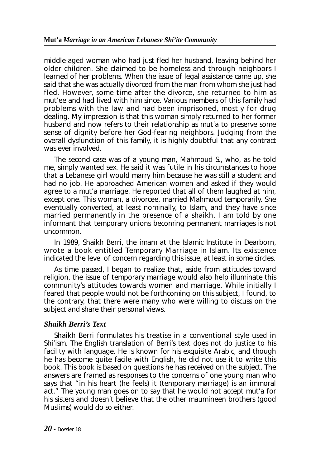middle-aged woman who had just fled her husband, leaving behind her older children. She claimed to be homeless and through neighbors I learned of her problems. When the issue of legal assistance came up, she said that she was actually divorced from the man from whom she just had fled. However, some time after the divorce, she returned to him as mut'ee and had lived with him since. Various members of this family had problems with the law and had been imprisoned, mostly for drug dealing. My impression is that this woman simply returned to her former husband and now refers to their relationship as mut'a to preserve some sense of dignity before her God-fearing neighbors. Judging from the overall dysfunction of this family, it is highly doubtful that any contract was ever involved.

The second case was of a young man, Mahmoud S., who, as he told me, simply wanted sex. He said it was futile in his circumstances to hope that a Lebanese girl would marry him because he was still a student and had no job. He approached American women and asked if they would agree to a mut'a marriage. He reported that all of them laughed at him, except one. This woman, a divorcee, married Mahmoud temporarily. She eventually converted, at least nominally, to Islam, and they have since married permanently in the presence of a shaikh. I am told by one informant that temporary unions becoming permanent marriages is not uncommon.

In 1989, Shaikh Berri, the imam at the Islamic Institute in Dearborn, wrote a book entitled Temporary Marriage in Islam. Its existence indicated the level of concern regarding this issue, at least in some circles.

As time passed, I began to realize that, aside from attitudes toward religion, the issue of temporary marriage would also help illuminate this community's attitudes towards women and marriage. While initially I feared that people would not be forthcoming on this subject, I found, to the contrary, that there were many who were willing to discuss on the subject and share their personal views.

#### *Shaikh Berri's Text*

Shaikh Berri formulates his treatise in a conventional style used in Shi'ism. The English translation of Berri's text does not do justice to his facility with language. He is known for his exquisite Arabic, and though he has become quite facile with English, he did not use it to write this book. This book is based on questions he has received on the subject. The answers are framed as responses to the concerns of one young man who says that "in his heart (he feels) it (temporary marriage) is an immoral act." The young man goes on to say that he would not accept mut'a for his sisters and doesn't believe that the other maumineen brothers (good Muslims) would do so either.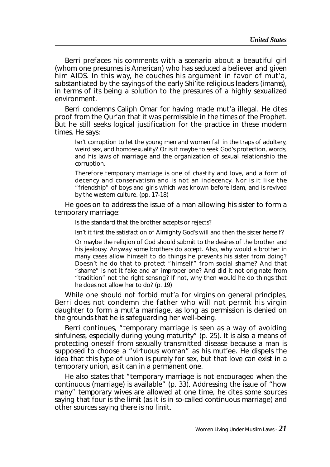Berri prefaces his comments with a scenario about a beautiful girl (whom one presumes is American) who has seduced a believer and given him AIDS. In this way, he couches his argument in favor of mut'a, substantiated by the sayings of the early Shi'ite religious leaders (imams), in terms of its being a solution to the pressures of a highly sexualized environment.

Berri condemns Caliph Omar for having made mut'a illegal. He cites proof from the Qur'an that it was permissible in the times of the Prophet. But he still seeks logical justification for the practice in these modern times. He says:

Isn't corruption to let the young men and women fall in the traps of adultery, weird sex, and homosexuality? Or is it maybe to seek God's protection, words, and his laws of marriage and the organization of sexual relationship the corruption.

Therefore temporary marriage is one of chastity and love, and a form of decency and conservatism and is not an indecency. Nor is it like the "friendship" of boys and girls which was known before Islam, and is revived by the western culture. (pp. 17-18)

He goes on to address the issue of a man allowing his sister to form a temporary marriage:

Is the standard that the brother accepts or rejects?

Isn't it first the satisfaction of Almighty God's will and then the sister herself?

Or maybe the religion of God should submit to the desires of the brother and his jealousy. Anyway some brothers do accept. Also, why would a brother in many cases allow himself to do things he prevents his sister from doing? Doesn't he do that to protect "himself" from social shame? And that "shame" is not it fake and an improper one? And did it not originate from "tradition" not the right sensing? If not, why then would he do things that he does not allow her to do? (p. 19)

While one should not forbid mut'a for virgins on general principles, Berri does not condemn the father who will not permit his virgin daughter to form a mut'a marriage, as long as permission is denied on the grounds that he is safeguarding her well-being.

Berri continues, "temporary marriage is seen as a way of avoiding sinfulness, especially during young maturity" (p. 25). It is also a means of protecting oneself from sexually transmitted disease because a man is supposed to choose a "virtuous woman" as his mut'ee. He dispels the idea that this type of union is purely for sex, but that love can exist in a temporary union, as it can in a permanent one.

He also states that "temporary marriage is not encouraged when the continuous (marriage) is available" (p. 33). Addressing the issue of "how many" temporary wives are allowed at one time, he cites some sources saying that four is the limit (as it is in so-called continuous marriage) and other sources saying there is no limit.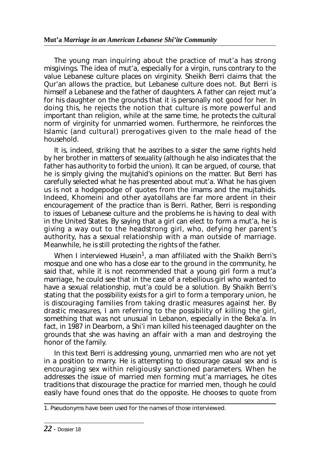The young man inquiring about the practice of mut'a has strong misgivings. The idea of mut'a, especially for a virgin, runs contrary to the value Lebanese culture places on virginity. Sheikh Berri claims that the Qur'an allows the practice, but Lebanese culture does not. But Berri is himself a Lebanese and the father of daughters. A father can reject mut'a for his daughter on the grounds that it is personally not good for her. In doing this, he rejects the notion that culture is more powerful and important than religion, while at the same time, he protects the cultural norm of virginity for unmarried women. Furthermore, he reinforces the Islamic (and cultural) prerogatives given to the male head of the household.

It is, indeed, striking that he ascribes to a sister the same rights held by her brother in matters of sexuality (although he also indicates that the father has authority to forbid the union). It can be argued, of course, that he is simply giving the mujtahid's opinions on the matter. But Berri has carefully selected what he has presented about mut'a. What he has given us is not a hodgepodge of quotes from the imams and the mujtahids. Indeed, Khomeini and other ayatollahs are far more ardent in their encouragement of the practice than is Berri. Rather, Berri is responding to issues of Lebanese culture and the problems he is having to deal with in the United States. By saying that a girl can elect to form a mut'a, he is giving a way out to the headstrong girl, who, defying her parent's authority, has a sexual relationship with a man outside of marriage. Meanwhile, he is still protecting the rights of the father.

When I interviewed Husein<sup>1</sup>, a man affiliated with the Shaikh Berri's mosque and one who has a close ear to the ground in the community, he said that, while it is not recommended that a young girl form a mut'a marriage, he could see that in the case of a rebellious girl who wanted to have a sexual relationship, mut'a could be a solution. By Shaikh Berri's stating that the possibility exists for a girl to form a temporary union, he is discouraging families from taking drastic measures against her. By drastic measures, I am referring to the possibility of killing the girl, something that was not unusual in Lebanon, especially in the Beka'a. In fact, in 1987 in Dearborn, a Shi'i man killed his teenaged daughter on the grounds that she was having an affair with a man and destroying the honor of the family.

In this text Berri is addressing young, unmarried men who are not yet in a position to marry. He is attempting to discourage casual sex and is encouraging sex within religiously sanctioned parameters. When he addresses the issue of married men forming mut'a marriages, he cites traditions that discourage the practice for married men, though he could easily have found ones that do the opposite. He chooses to quote from

<sup>1.</sup> Pseudonyms have been used for the names of those interviewed.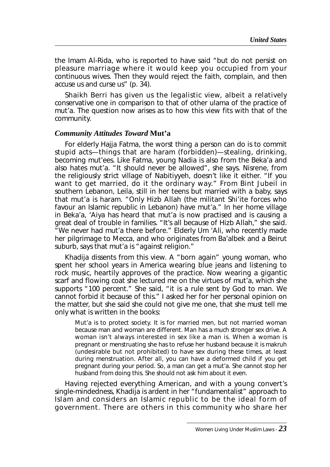the Imam Al-Rida, who is reported to have said "but do not persist on pleasure marriage where it would keep you occupied from your continuous wives. Then they would reject the faith, complain, and then accuse us and curse us" (p. 34).

Shaikh Berri has given us the legalistic view, albeit a relatively conservative one in comparison to that of other ulama of the practice of mut'a. The question now arises as to how this view fits with that of the community.

#### *Community Attitudes Toward* **Mut'a**

For elderly Hajja Fatma, the worst thing a person can do is to commit stupid acts—things that are haram (forbidden)—stealing, drinking, becoming mut'ees. Like Fatma, young Nadia is also from the Beka'a and also hates mut'a. "It should never be allowed", she says. Nisrene, from the religiously strict village of Nabitiyyeh, doesn't like it either. "If you want to get married, do it the ordinary way." From Bint Jubeil in southern Lebanon, Leila, still in her teens but married with a baby, says that mut'a is haram. "Only Hizb Allah (the militant Shi'ite forces who favour an Islamic republic in Lebanon) have mut'a." In her home village in Beka'a, 'Aiya has heard that mut'a is now practised and is causing a great deal of trouble in families. "It's all because of Hizb Allah," she said. "We never had mut'a there before." Elderly Um 'Ali, who recently made her pilgrimage to Mecca, and who originates from Ba'albek and a Beirut suburb, says that mut'a is "against religion."

Khadija dissents from this view. A "born again" young woman, who spent her school years in America wearing blue jeans and listening to rock music, heartily approves of the practice. Now wearing a gigantic scarf and flowing coat she lectured me on the virtues of mut'a, which she supports "100 percent." She said, "it is a rule sent by God to man. We cannot forbid it because of this." I asked her for her personal opinion on the matter, but she said she could not give me one, that she must tell me only what is written in the books:

Mut'a is to protect society. It is for married men, but not married woman because man and woman are different. Man has a much stronger sex drive. A woman isn't always interested in sex like a man is. When a woman is pregnant or menstruating she has to refuse her husband because it is makruh (undesirable but not prohibited) to have sex during these times, at least during menstruation. After all, you can have a deformed child if you get pregnant during your period. So, a man can get a mut'a. She cannot stop her husband from doing this. She should not ask him about it even.

Having rejected everything American, and with a young convert's single-mindedness, Khadija is ardent in her "fundamentalist" approach to Islam and considers an Islamic republic to be the ideal form of government. There are others in this community who share her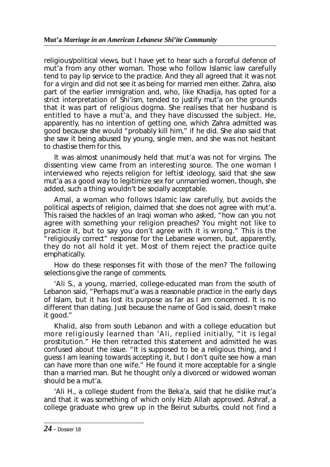religious/political views, but I have yet to hear such a forceful defence of mut'a from any other woman. Those who follow Islamic law carefully tend to pay lip service to the practice. And they all agreed that it was not for a virgin and did not see it as being for married men either. Zahra, also part of the earlier immigration and, who, like Khadija, has opted for a strict interpretation of Shi'ism, tended to justify mut'a on the grounds that it was part of religious dogma. She realises that her husband is entitled to have a mut'a, and they have discussed the subject. He, apparently, has no intention of getting one, which Zahra admitted was good because she would "probably kill him," if he did. She also said that she saw it being abused by young, single men, and she was not hesitant to chastise them for this.

It was almost unanimously held that mut'a was not for virgins. The dissenting view came from an interesting source. The one woman I interviewed who rejects religion for leftist ideology, said that she saw mut'a as a good way to legitimize sex for unmarried women, though, she added, such a thing wouldn't be socially acceptable.

Amal, a woman who follows Islamic law carefully, but avoids the political aspects of religion, claimed that she does not agree with mut'a. This raised the hackles of an Iraqi woman who asked, "how can you not agree with something your religion preaches? You might not like to practice it, but to say you don't agree with it is wrong." This is the "religiously correct" response for the Lebanese women, but, apparently, they do not all hold it yet. Most of them reject the practice quite emphatically.

How do these responses fit with those of the men? The following selections give the range of comments.

'Ali S., a young, married, college-educated man from the south of Lebanon said, "Perhaps mut'a was a reasonable practice in the early days of Islam, but it has lost its purpose as far as I am concerned. It is no different than dating. Just because the name of God is said, doesn't make it good."

Khalid, also from south Lebanon and with a college education but more religiously learned than 'Ali, replied initially, "it is legal prostitution." He then retracted this statement and admitted he was confused about the issue. "It is supposed to be a religious thing, and I guess I am leaning towards accepting it, but I don't quite see how a man can have more than one wife." He found it more acceptable for a single than a married man. But he thought only a divorced or widowed woman should be a mut'a.

'Ali H., a college student from the Beka'a, said that he dislike mut'a and that it was something of which only Hizb Allah approved. Ashraf, a college graduate who grew up in the Beirut suburbs, could not find a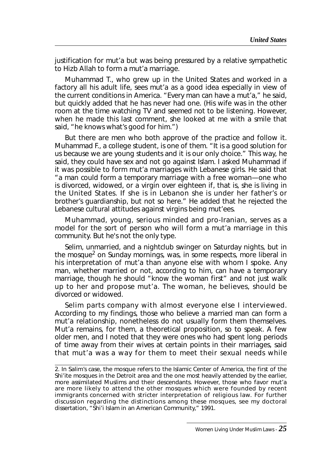justification for mut'a but was being pressured by a relative sympathetic to Hizb Allah to form a mut'a marriage.

Muhammad T., who grew up in the United States and worked in a factory all his adult life, sees mut'a as a good idea especially in view of the current conditions in America. "Every man can have a mut'a," he said, but quickly added that he has never had one. (His wife was in the other room at the time watching TV and seemed not to be listening. However, when he made this last comment, she looked at me with a smile that said, "he knows what's good for him.")

But there are men who both approve of the practice and follow it. Muhammad F., a college student, is one of them. "It is a good solution for us because we are young students and it is our only choice." This way, he said, they could have sex and not go against Islam. I asked Muhammad if it was possible to form mut'a marriages with Lebanese girls. He said that "a man could form a temporary marriage with a free woman—one who is divorced, widowed, or a virgin over eighteen if, that is, she is living in the United States. If she is in Lebanon she is under her father's or brother's guardianship, but not so here." He added that he rejected the Lebanese cultural attitudes against virgins being mut'ees.

Muhammad, young, serious minded and pro-Iranian, serves as a model for the sort of person who will form a mut'a marriage in this community. But he's not the only type.

Selim, unmarried, and a nightclub swinger on Saturday nights, but in the mosque<sup>2</sup> on Sunday mornings, was, in some respects, more liberal in his interpretation of mut'a than anyone else with whom I spoke. Any man, whether married or not, according to him, can have a temporary marriage, though he should "know the woman first" and not just walk up to her and propose mut'a. The woman, he believes, should be divorced or widowed.

Selim parts company with almost everyone else I interviewed. According to my findings, those who believe a married man can form a mut'a relationship, nonetheless do not usually form them themselves. Mut'a remains, for them, a theoretical proposition, so to speak. A few older men, and I noted that they were ones who had spent long periods of time away from their wives at certain points in their marriages, said that mut'a was a way for them to meet their sexual needs while

<sup>2.</sup> In Salim's case, the mosque refers to the Islamic Center of America, the first of the Shi'ite mosques in the Detroit area and the one most heavily attended by the earlier, more assimilated Muslims and their descendants. However, those who favor mut'a are more likely to attend the other mosques which were founded by recent immigrants concerned with stricter interpretation of religious law. For further discussion regarding the distinctions among these mosques, see my doctoral dissertation, "Shi'i Islam in an American Community," 1991.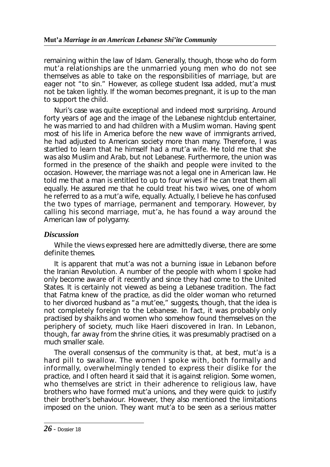remaining within the law of Islam. Generally, though, those who do form mut'a relationships are the unmarried young men who do not see themselves as able to take on the responsibilities of marriage, but are eager not "to sin." However, as college student Issa added, mut'a must not be taken lightly. If the woman becomes pregnant, it is up to the man to support the child.

Nuri's case was quite exceptional and indeed most surprising. Around forty years of age and the image of the Lebanese nightclub entertainer, he was married to and had children with a Muslim woman. Having spent most of his life in America before the new wave of immigrants arrived, he had adjusted to American society more than many. Therefore, I was startled to learn that he himself had a mut'a wife. He told me that she was also Muslim and Arab, but not Lebanese. Furthermore, the union was formed in the presence of the shaikh and people were invited to the occasion. However, the marriage was not a legal one in American law. He told me that a man is entitled to up to four wives if he can treat them all equally. He assured me that he could treat his two wives, one of whom he referred to as a mut'a wife, equally. Actually, I believe he has confused the two types of marriage, permanent and temporary. However, by calling his second marriage, mut'a, he has found a way around the American law of polygamy.

#### *Discussion*

While the views expressed here are admittedly diverse, there are some definite themes.

It is apparent that mut'a was not a burning issue in Lebanon before the Iranian Revolution. A number of the people with whom I spoke had only become aware of it recently and since they had come to the United States. It is certainly not viewed as being a Lebanese tradition. The fact that Fatma knew of the practice, as did the older woman who returned to her divorced husband as "a mut'ee," suggests, though, that the idea is not completely foreign to the Lebanese. In fact, it was probably only practised by shaikhs and women who somehow found themselves on the periphery of society, much like Haeri discovered in Iran. In Lebanon, though, far away from the shrine cities, it was presumably practised on a much smaller scale.

The overall consensus of the community is that, at best, mut'a is a hard pill to swallow. The women I spoke with, both formally and informally, overwhelmingly tended to express their dislike for the practice, and I often heard it said that it is against religion. Some women, who themselves are strict in their adherence to religious law, have brothers who have formed mut'a unions, and they were quick to justify their brother's behaviour. However, they also mentioned the limitations imposed on the union. They want mut'a to be seen as a serious matter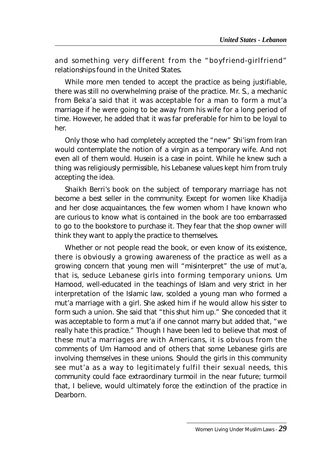and something very different from the "boyfriend-girlfriend" relationships found in the United States.

While more men tended to accept the practice as being justifiable, there was still no overwhelming praise of the practice. Mr. S., a mechanic from Beka'a said that it was acceptable for a man to form a mut'a marriage if he were going to be away from his wife for a long period of time. However, he added that it was far preferable for him to be loyal to her.

Only those who had completely accepted the "new" Shi'ism from Iran would contemplate the notion of a virgin as a temporary wife. And not even all of them would. Husein is a case in point. While he knew such a thing was religiously permissible, his Lebanese values kept him from truly accepting the idea.

Shaikh Berri's book on the subject of temporary marriage has not become a best seller in the community. Except for women like Khadija and her close acquaintances, the few women whom I have known who are curious to know what is contained in the book are too embarrassed to go to the bookstore to purchase it. They fear that the shop owner will think they want to apply the practice to themselves.

Whether or not people read the book, or even know of its existence, there is obviously a growing awareness of the practice as well as a growing concern that young men will "misinterpret" the use of mut'a, that is, seduce Lebanese girls into forming temporary unions. Um Hamood, well-educated in the teachings of Islam and very strict in her interpretation of the Islamic law, scolded a young man who formed a mut'a marriage with a girl. She asked him if he would allow his sister to form such a union. She said that "this shut him up." She conceded that it was acceptable to form a mut'a if one cannot marry but added that, "we really hate this practice." Though I have been led to believe that most of these mut'a marriages are with Americans, it is obvious from the comments of Um Hamood and of others that some Lebanese girls are involving themselves in these unions. Should the girls in this community see mut'a as a way to legitimately fulfil their sexual needs, this community could face extraordinary turmoil in the near future; turmoil that, I believe, would ultimately force the extinction of the practice in Dearborn.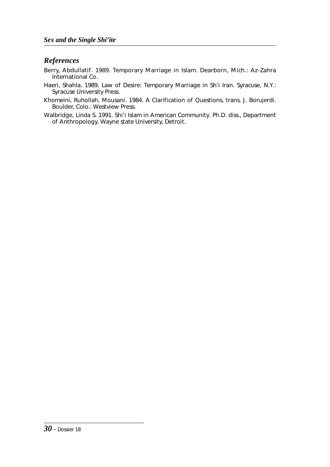#### *References*

Berry, Abdullatif. 1989. Temporary Marriage in Islam. Dearborn, Mich.: Az-Zahra International Co.

- Haeri, Shahla. 1989. Law of Desire: Temporary Marriage in Sh'i Iran. Syracuse, N.Y.: Syracuse University Press.
- Khomeini, Ruhollah, Mousani. 1984. A Clarification of Questions, trans. J. Borujerdi. Boulder, Colo.: Westview Press.

Walbridge, Linda S. 1991. Shi'i Islam in American Community. Ph.D. diss., Department of Anthropology, Wayne state University, Detroit.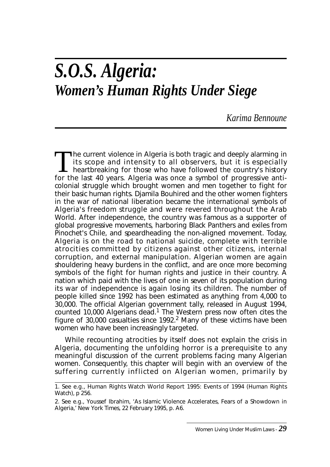## *S.O.S. Algeria: Women's Human Rights Under Siege*

*Karima Bennoune*

The current violence in Algeria is both tragic and deeply alarming in its scope and intensity to all observers, but it is especially heartbreaking for those who have followed the country's history for the last 40 years. Algeria was once a symbol of progressive anticolonial struggle which brought women and men together to fight for their basic human rights. Djamila Bouhired and the other women fighters in the war of national liberation became the international symbols of Algeria's freedom struggle and were revered throughout the Arab World. After independence, the country was famous as a supporter of global progressive movements, harboring Black Panthers and exiles from Pinochet's Chile, and speardheading the non-aligned movement. Today, Algeria is on the road to national suicide, complete with terrible atrocities committed by citizens against other citizens, internal corruption, and external manipulation. Algerian women are again shouldering heavy burdens in the conflict, and are once more becoming symbols of the fight for human rights and justice in their country. A nation which paid with the lives of one in seven of its population during its war of independence is again losing its children. The number of people killed since 1992 has been estimated as anything from 4,000 to 30,000. The official Algerian government tally, released in August 1994, counted 10,000 Algerians dead.<sup>1</sup> The Western press now often cites the figure of 30,000 casualties since 1992.<sup>2</sup> Many of these victims have been women who have been increasingly targeted.

While recounting atrocities by itself does not explain the crisis in Algeria, documenting the unfolding horror is a prerequisite to any meaningful discussion of the current problems facing many Algerian women. Consequently, this chapter will begin with an overview of the suffering currently inflicted on Algerian women, primarily by

<sup>1.</sup> See e.g., Human Rights Watch World Report 1995: Events of 1994 (Human Rights Watch), p 256.

<sup>2.</sup> See e.g., Youssef Ibrahim, 'As Islamic Violence Accelerates, Fears of a Showdown in Algeria,' New York Times, 22 February 1995, p. A6.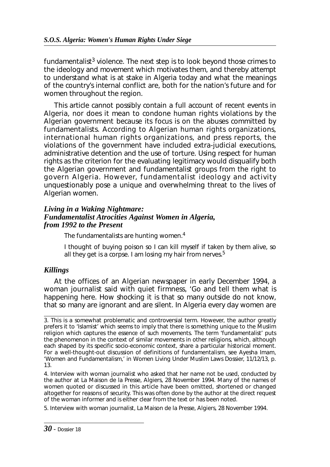fundamentalist<sup>3</sup> violence. The next step is to look beyond those crimes to the ideology and movement which motivates them, and thereby attempt to understand what is at stake in Algeria today and what the meanings of the country's internal conflict are, both for the nation's future and for women throughout the region.

This article cannot possibly contain a full account of recent events in Algeria, nor does it mean to condone human rights violations by the Algerian government because its focus is on the abuses committed by fundamentalists. According to Algerian human rights organizations, international human rights organizations, and press reports, the violations of the government have included extra-judicial executions, administrative detention and the use of torture. Using respect for human rights as the criterion for the evaluating legitimacy would disqualify both the Algerian government and fundamentalist groups from the right to govern Algeria. However, fundamentalist ideology and activity unquestionably pose a unique and overwhelming threat to the lives of Algerian women.

#### *Living in a Waking Nightmare: Fundamentalist Atrocities Against Women in Algeria, from 1992 to the Present*

The fundamentalists are hunting women.<sup>4</sup>

I thought of buying poison so I can kill myself if taken by them alive, so all they get is a corpse. I am losing my hair from nerves.<sup>5</sup>

#### *Killings*

At the offices of an Algerian newspaper in early December 1994, a woman journalist said with quiet firmness, 'Go and tell them what is happening here. How shocking it is that so many outside do not know, that so many are ignorant and are silent. In Algeria every day women are

4. Interview with woman journalist who asked that her name not be used, conducted by the author at La Maison de la Presse, Algiers, 28 November 1994. Many of the names of women quoted or discussed in this article have been omitted, shortened or changed altogether for reasons of security. This was often done by the author at the direct request of the woman informer and is either clear from the text or has been noted.

5. Interview with woman journalist, La Maison de la Presse, Algiers, 28 November 1994.

<sup>3.</sup> This is a somewhat problematic and controversial term. However, the author greatly prefers it to 'Islamist' which seems to imply that there is something unique to the Muslim religion which captures the essence of such movements. The term 'fundamentalist' puts the phenomenon in the context of similar movements in other religions, which, although each shaped by its specific socio-economic context, share a particular historical moment. For a well-thought-out discussion of definitions of fundamentalism, see Ayesha Imam, 'Women and Fundamentalism,' in Women Living Under Muslim Laws Dossier, 11/12/13, p. 13.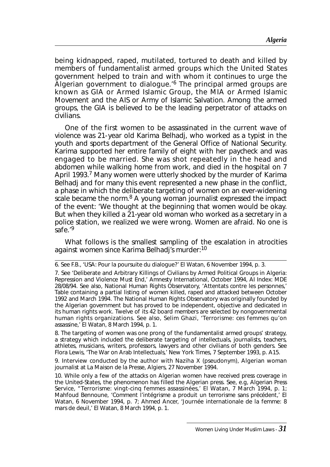being kidnapped, raped, mutilated, tortured to death and killed by members of fundamentalist armed groups which the United States government helped to train and with whom it continues to urge the Algerian government to dialogue.<sup>'6</sup> The principal armed groups are known as GIA or Armed Islamic Group, the MIA or Armed Islamic Movement and the AIS or Army of Islamic Salvation. Among the armed groups, the GIA is believed to be the leading perpetrator of attacks on civilians.

One of the first women to be assassinated in the current wave of violence was 21-year old Karima Belhadj, who worked as a typist in the youth and sports department of the General Office of National Security. Karima supported her entire family of eight with her paycheck and was engaged to be married. She was shot repeatedly in the head and abdomen while walking home from work, and died in the hospital on 7 April 1993.<sup>7</sup> Many women were utterly shocked by the murder of Karima Belhadj and for many this event represented a new phase in the conflict, a phase in which the deliberate targeting of women on an ever-widening scale became the norm. $8$  A young woman journalist expressed the impact of the event: 'We thought at the beginning that women would be okay. But when they killed a 21-year old woman who worked as a secretary in a police station, we realized we were wrong. Women are afraid. No one is safe.'<sup>9</sup>

What follows is the smallest sampling of the escalation in atrocities against women since Karima Belhadj's murder:<sup>10</sup>

8. The targeting of women was one prong of the fundamentalist armed groups' strategy, a strategy which included the deliberate targeting of intellectuals, journalists, teachers, athletes, musicians, writers, professors, lawyers and other civilians of both genders. See Flora Lewis, 'The War on Arab Intellectuals,' New York Times, 7 September 1993, p. A15.

9. Interview conducted by the author with Naziha X (pseudonym), Algerian woman journalist at La Maison de la Presse, Algiers, 27 November 1994.

10. While only a few of the attacks on Algerian women have received press coverage in the United-States, the phenomenon has filled the Algerian press. See, e.g, Algerian Press Service, "Terrorisme: vingt-cinq femmes assassinées,' El Watan, 7 March 1994, p. 1; Mahfoud Bennoune, 'Comment l'intégrisme a produit un terrorisme sans précédent,' El Watan, 6 November 1994, p. 7; Ahmed Ancer, 'Journée internationale de la femme: 8 mars de deuil,' El Watan, 8 March 1994, p. 1.

<sup>6.</sup> See F.B., 'USA: Pour la poursuite du dialogue?' El Watan, 6 November 1994, p. 3.

<sup>7.</sup> See 'Deliberate and Arbitrary Killings of Civilians by Armed Political Groups in Algeria: Repression and Violence Must End,' Amnesty International, October 1994, AI Index: MDE 28/08/94. See also, National Human Rights Observatory, 'Attentats contre les personnes,' Table containing a partial listing of women killed, raped and attacked between October 1992 and March 1994. The National Human Rights Observatory was originally founded by the Algerian government but has proved to be independent, objective and dedicated in its human rights work. Twelve of its 42 board members are selected by nongovernmental human rights organizations. See also, Selim Ghazi, 'Terrorisme: ces femmes qu'on assassine,' El Watan, 8 March 1994, p. 1.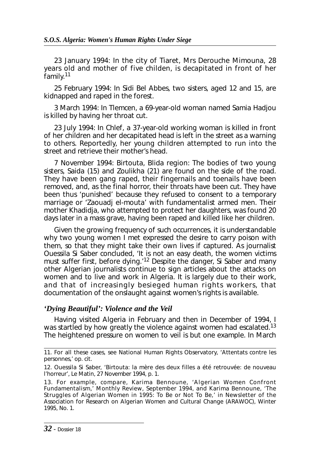23 January 1994: In the city of Tiaret, Mrs Derouche Mimouna, 28 years old and mother of five childen, is decapitated in front of her family.11

25 February 1994: In Sidi Bel Abbes, two sisters, aged 12 and 15, are kidnapped and raped in the forest.

3 March 1994: In Tlemcen, a 69-year-old woman named Samia Hadjou is killed by having her throat cut.

23 July 1994: In Chlef, a 37-year-old working woman is killed in front of her children and her decapitated head is left in the street as a warning to others. Reportedly, her young children attempted to run into the street and retrieve their mother's head.

7 November 1994: Birtouta, Blida region: The bodies of two young sisters, Saida (15) and Zoulikha (21) are found on the side of the road. They have been gang raped, their fingernails and toenails have been removed, and, as the final horror, their throats have been cut. They have been thus 'punished' because they refused to consent to a temporary marriage or 'Zaouadj el-mouta' with fundamentalist armed men. Their mother Khadidja, who attempted to protect her daughters, was found 20 days later in a mass grave, having been raped and killed like her children.

Given the growing frequency of such occurrences, it is understandable why two young women I met expressed the desire to carry poison with them, so that they might take their own lives if captured. As journalist Ouessila Si Saber concluded, 'It is not an easy death, the women victims must suffer first, before dying.<sup>12</sup> Despite the danger, Si Saber and many other Algerian journalists continue to sign articles about the attacks on women and to live and work in Algeria. It is largely due to their work, and that of increasingly besieged human rights workers, that documentation of the onslaught against women's rights is available.

#### *'Dying Beautiful': Violence and the Veil*

Having visited Algeria in February and then in December of 1994, I was startled by how greatly the violence against women had escalated.<sup>13</sup> The heightened pressure on women to veil is but one example. In March

<sup>11.</sup> For all these cases, see National Human Rights Observatory, 'Attentats contre les personnes,' op. cit.

<sup>12.</sup> Ouessila Si Saber, 'Birtouta: la mère des deux filles a été retrouvée: de nouveau l'horreur', Le Matin, 27 November 1994, p. 1.

<sup>13.</sup> For example, compare, Karima Bennoune, 'Algerian Women Confront Fundamentalism,' Monthly Review, September 1994, and Karima Bennoune, 'The Struggles of Algerian Women in 1995: To Be or Not To Be,' in Newsletter of the Association for Research on Algerian Women and Cultural Change (ARAWOC), Winter 1995, No. 1.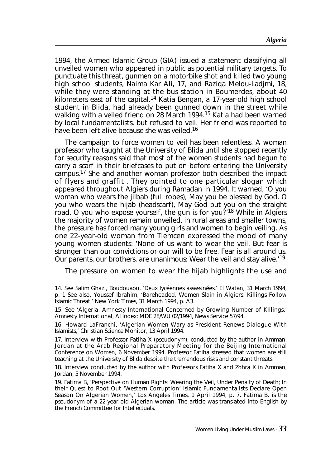1994, the Armed Islamic Group (GIA) issued a statement classifying all unveiled women who appeared in public as potential military targets. To punctuate this threat, gunmen on a motorbike shot and killed two young high school students, Naima Kar Ali, 17, and Raziqa Melou-Ladjmi, 18, while they were standing at the bus station in Boumerdes, about 40 kilometers east of the capital.<sup>14</sup> Katia Bengan, a 17-year-old high school student in Blida, had already been gunned down in the street while walking with a veiled friend on 28 March 1994.<sup>15</sup> Katia had been warned by local fundamentalists, but refused to veil. Her friend was reported to have been left alive because she was veiled.<sup>16</sup>

The campaign to force women to veil has been relentless. A woman professor who taught at the University of Blida until she stopped recently for security reasons said that most of the women students had begun to carry a scarf in their briefcases to put on before entering the University campus.17 She and another woman professor both described the impact of flyers and graffiti. They pointed to one particular slogan which appeared throughout Algiers during Ramadan in 1994. It warned, 'O you woman who wears the jilbab (full robes), May you be blessed by God. O you who wears the hijab (headscarf), May God put you on the straight road. O you who expose yourself, the gun is for you?'<sup>18</sup> While in Algiers the majority of women remain unveiled, in rural areas and smaller towns, the pressure has forced many young girls and women to begin veiling. As one 22-year-old woman from Tlemcen expressed the mood of many young women students: 'None of us want to wear the veil. But fear is stronger than our convictions or our will to be free. Fear is all around us. Our parents, our brothers, are unanimous: Wear the veil and stay alive.<sup>'19</sup>

The pressure on women to wear the hijab highlights the use and

15. See 'Algeria: Amnesty International Concerned by Growing Number of Killings,' Amnesty International, AI Index: MDE 28/WU 02/1994, News Service 57/94.

16. Howard LaFranchi, 'Algerian Women Wary as President Renews Dialogue With Islamists,' Christian Science Monitor, 13 April 1994.

17. Interview with Professor Fatiha X (pseudonym), conducted by the author in Amman, Jordan at the Arab Regional Preparatory Meeting for the Beijing International Conference on Women, 6 November 1994. Professor Fatiha stressed that women are still teaching at the University of Blida despite the tremendous risks and constant threats.

18. Interview conducted by the author with Professors Fatiha X and Zohra X in Amman, Jordan, 5 November 1994.

19. Fatima B, 'Perspective on Human Rights: Wearing the Veil, Under Penalty of Death; In their Quest to Root Out 'Western Corruption' Islamic Fundamentalists Declare Open Season On Algerian Women,' Los Angeles Times, 1 April 1994, p. 7. Fatima B. is the pseudonym of a 22-year old Algerian woman. The article was translated into English by the French Committee for Intellectuals.

<sup>14.</sup> See Salim Ghazi, Boudouaou, 'Deux lycéennes assassinées,' El Watan, 31 March 1994, p. 1 See also, Youssef Ibrahim, 'Bareheaded, Women Slain in Algiers: Killings Follow Islamic Threat,' New York Times, 31 March 1994, p. A3.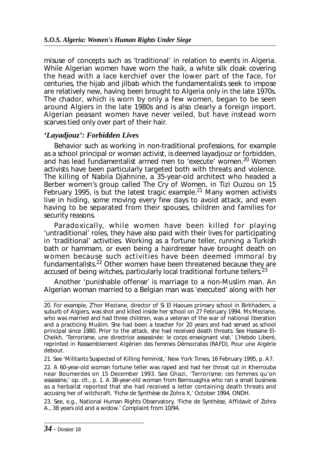misuse of concepts such as 'traditional' in relation to events in Algeria. While Algerian women have worn the haik, a white silk cloak covering the head with a lace kerchief over the lower part of the face, for centuries, the hijab and jilbab which the fundamentalists seek to impose are relatively new, having been brought to Algeria only in the late 1970s. The chador, which is worn by only a few women, began to be seen around Algiers in the late 1980s and is also clearly a foreign import. Algerian peasant women have never veiled, but have instead worn scarves tied only over part of their hair.

## *'Layadjouz': Forbidden Lives*

Behavior such as working in non-traditional professions, for example as a school principal or woman activist, is deemed layadjouz or forbidden, and has lead fundamentalist armed men to 'execute' women.<sup>20</sup> Women activists have been particularly targeted both with threats and violence. The killing of Nabila Djahnine, a 35-year-old architect who headed a Berber women's group called The Cry of Women, in Tizi Ouzou on 15 February 1995, is but the latest tragic example.<sup>21</sup> Many women activists live in hiding, some moving every few days to avoid attack, and even having to be separated from their spouses, children and families for security reasons.

Paradoxically, while women have been killed for playing 'untraditional' roles, they have also paid with their lives for participating in 'traditional' activities. Working as a fortune teller, running a Turkish bath or hammam, or even being a hairdresser have brought death on women because such activities have been deemed immoral by fundamentalists.<sup>22</sup> Other women have been threatened because they are accused of being witches, particularly local traditional fortune tellers.<sup>23</sup>

Another 'punishable offense' is marriage to a non-Muslim man. An Algerian woman married to a Belgian man was 'executed' along with her

21. See 'Militants Suspected of Killing Feminist,' New York Times, 16 February 1995, p. A7.

22. A 60-year-old woman fortune teller was raped and had her throat cut in Kherrouba near Boumerdes on 15 December 1993. See Ghazi, 'Terrorisme: ces femmes qu'on assassine,' op. cit., p. 1. A 38-year-old woman from Berrouaghia who ran a small business as a herbalist reported that she had received a letter containing death threats and accusing her of witchcraft. 'Fiche de Synthèse de Zohra X,' October 1994, ONDH.

23. See, e.g., National Human Rights Observatory, 'Fiche de Synthèse, Affidavit of Zohra A., 38 years old and a widow.' Complaint from 10/94.

<sup>20.</sup> For example, Z'hor Meziane, director of Si El Haoues primary school in Birkhadem, a suburb of Algiers, was shot and killed inside her school on 27 February 1994. Ms Meziane, who was married and had three children, was a veteran of the war of national liberation and a practicing Muslim. She had been a teacher for 20 years and had served as school principal since 1980. Prior to the attack, she had received death threats. See Hassane El-Cheikh, 'Terrorisme, une directrice assassinée: le corps enseignant visé,' L'Hebdo Liberé, reprinted in Rassemblement Algérien des femmes Démocrates (RAFD), Pour une Algérie debout.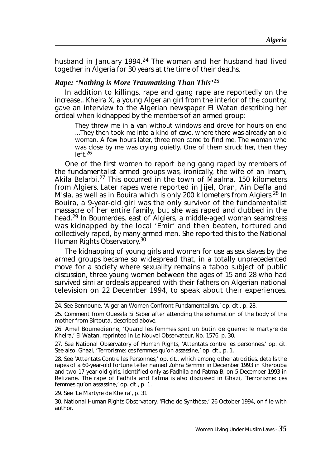husband in January 1994.<sup>24</sup> The woman and her husband had lived together in Algeria for 30 years at the time of their deaths.

## *Rape: 'Nothing is More Traumatizing Than This'*<sup>25</sup>

In addition to killings, rape and gang rape are reportedly on the increase,. Kheira X, a young Algerian girl from the interior of the country, gave an interview to the Algerian newspaper El Watan describing her ordeal when kidnapped by the members of an armed group:

They threw me in a van without windows and drove for hours on end ...They then took me into a kind of cave, where there was already an old woman. A few hours later, three men came to find me. The woman who was close by me was crying quietly. One of them struck her, then they  $left<sup>26</sup>$ 

One of the first women to report being gang raped by members of the fundamentalist armed groups was, ironically, the wife of an Imam, Akila Belarbi.<sup>27</sup> This occurred in the town of Maalma, 150 kilometers from Algiers. Later rapes were reported in Jijel, Oran, Ain Defla and M'sla, as well as in Bouira which is only 200 kilometers from Algiers.<sup>28</sup> In Bouira, a 9-year-old girl was the only survivor of the fundamentalist massacre of her entire family, but she was raped and clubbed in the head.<sup>29</sup> In Boumerdes, east of Algiers, a middle-aged woman seamstress was kidnapped by the local 'Emir' and then beaten, tortured and collectively raped, by many armed men. She reported this to the National Human Rights Observatory.<sup>30</sup>

The kidnapping of young girls and women for use as sex slaves by the armed groups became so widespread that, in a totally unprecedented move for a society where sexuality remains a taboo subject of public discussion, three young women between the ages of 15 and 28 who had survived similar ordeals appeared with their fathers on Algerian national television on 22 December 1994, to speak about their experiences.

29. See 'Le Martyre de Kheira', p. 31.

30. National Human Rights Observatory, 'Fiche de Synthèse,' 26 October 1994, on file with author.

<sup>24.</sup> See Bennoune, 'Algerian Women Confront Fundamentalism,' op. cit., p. 28.

<sup>25.</sup> Comment from Ouessila Si Saber after attending the exhumation of the body of the mother from Birtouta, described above.

<sup>26.</sup> Amel Boumedienne, 'Quand les femmes sont un butin de guerre: le martyre de Kheira,' El Watan, reprinted in Le Nouvel Observateur, No. 1576, p. 30.

<sup>27.</sup> See National Observatory of Human Rights, 'Attentats contre les personnes,' op. cit. See also, Ghazi, 'Terrorisme: ces femmes qu'on assassine,' op. cit., p. 1.

<sup>28.</sup> See 'Attentats Contre les Personnes,' op. cit., which among other atrocities, details the rapes of a 60-year-old fortune teller named Zohra Semmir in December 1993 in Kherouba and two 17-year-old girls, identified only as Fadhila and Fatma B, on 5 December 1993 in Relizane. The rape of Fadhila and Fatma is also discussed in Ghazi, 'Terrorisme: ces femmes qu'on assassine,' op. cit., p. 1.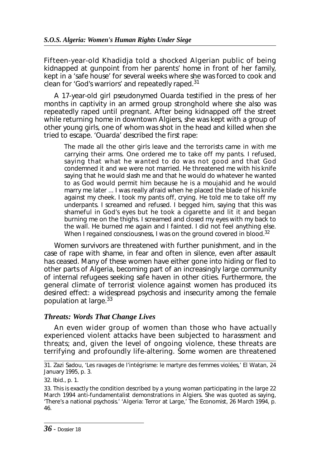Fifteen-year-old Khadidja told a shocked Algerian public of being kidnapped at gunpoint from her parents' home in front of her family, kept in a 'safe house' for several weeks where she was forced to cook and clean for 'God's warriors' and repeatedly raped.<sup>31</sup>

A 17-year-old girl pseudonymed Ouarda testified in the press of her months in captivity in an armed group stronghold where she also was repeatedly raped until pregnant. After being kidnapped off the street while returning home in downtown Algiers, she was kept with a group of other young girls, one of whom was shot in the head and killed when she tried to escape. 'Ouarda' described the first rape:

The made all the other girls leave and the terrorists came in with me carrying their arms. One ordered me to take off my pants. I refused, saying that what he wanted to do was not good and that God condemned it and we were not married. He threatened me with his knife saying that he would slash me and that he would do whatever he wanted to as God would permit him because he is a moujahid and he would marry me later ... I was really afraid when he placed the blade of his knife against my cheek. I took my pants off, crying. He told me to take off my underpants. I screamed and refused. I begged him, saying that this was shameful in God's eyes but he took a cigarette and lit it and began burning me on the thighs. I screamed and closed my eyes with my back to the wall. He burned me again and I fainted. I did not feel anything else. When I regained consciousness, I was on the ground covered in blood.<sup>32</sup>

Women survivors are threatened with further punishment, and in the case of rape with shame, in fear and often in silence, even after assault has ceased. Many of these women have either gone into hiding or fled to other parts of Algeria, becoming part of an increasingly large community of internal refugees seeking safe haven in other cities. Furthermore, the general climate of terrorist violence against women has produced its desired effect: a widespread psychosis and insecurity among the female population at large.<sup>33</sup>

# *Threats: Words That Change Lives*

An even wider group of women than those who have actually experienced violent attacks have been subjected to harassment and threats; and, given the level of ongoing violence, these threats are terrifying and profoundly life-altering. Some women are threatened

<sup>31.</sup> Zazi Sadou, 'Les ravages de l'intégrisme: le martyre des femmes violées,' El Watan, 24 January 1995, p. 3.

<sup>32.</sup> Ibid., p. 1.

<sup>33.</sup> This is exactly the condition described by a young woman participating in the large 22 March 1994 anti-fundamentalist demonstrations in Algiers. She was quoted as saying, 'There's a national psychosis.' 'Algeria: Terror at Large,' The Economist, 26 March 1994, p. 46.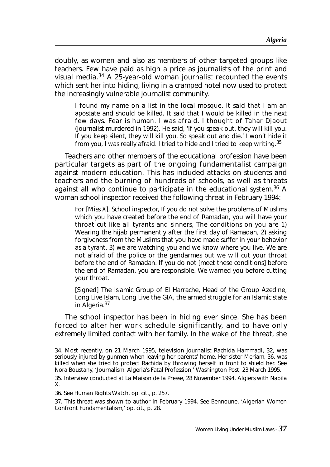doubly, as women and also as members of other targeted groups like teachers. Few have paid as high a price as journalists of the print and visual media. $34$  A 25-year-old woman journalist recounted the events which sent her into hiding, living in a cramped hotel now used to protect the increasingly vulnerable journalist community.

I found my name on a list in the local mosque. It said that I am an apostate and should be killed. It said that I would be killed in the next few days. Fear is human. I was afraid. I thought of Tahar Djaout (journalist murdered in 1992). He said, 'If you speak out, they will kill you. If you keep silent, they will kill you. So speak out and die.' I won't hide it from you, I was really afraid. I tried to hide and I tried to keep writing.35

Teachers and other members of the educational profession have been particular targets as part of the ongoing fundamentalist campaign against modern education. This has included attacks on students and teachers and the burning of hundreds of schools, as well as threats against all who continue to participate in the educational system.<sup>36</sup> A woman school inspector received the following threat in February 1994:

For [Miss X], School inspector, If you do not solve the problems of Muslims which you have created before the end of Ramadan, you will have your throat cut like all tyrants and sinners, The conditions on you are 1) Wearing the hijab permanently after the first day of Ramadan, 2) asking forgiveness from the Muslims that you have made suffer in your behavior as a tyrant, 3) we are watching you and we know where you live. We are not afraid of the police or the gendarmes but we will cut your throat before the end of Ramadan. If you do not [meet these conditions] before the end of Ramadan, you are responsible. We warned you before cutting your throat.

[Signed] The Islamic Group of El Harrache, Head of the Group Azedine, Long Live Islam, Long Live the GIA, the armed struggle for an Islamic state in Algeria.<sup>37</sup>

The school inspector has been in hiding ever since. She has been forced to alter her work schedule significantly, and to have only extremely limited contact with her family. In the wake of the threat, she

37. This threat was shown to author in February 1994. See Bennoune, 'Algerian Women Confront Fundamentalism,' op. cit., p. 28.

<sup>34.</sup> Most recently, on 21 March 1995, television journalist Rachida Hammadi, 32, was seriously injured by gunmen when leaving her parents' home. Her sister Meriam, 36, was killed when she tried to protect Rachida by throwing herself in front to shield her. See Nora Boustany, 'Journalism: Algeria's Fatal Profession,' Washington Post, 23 March 1995.

<sup>35.</sup> Interview conducted at La Maison de la Presse, 28 November 1994, Algiers with Nabila X.

<sup>36.</sup> See Human Rights Watch, op. cit., p. 257.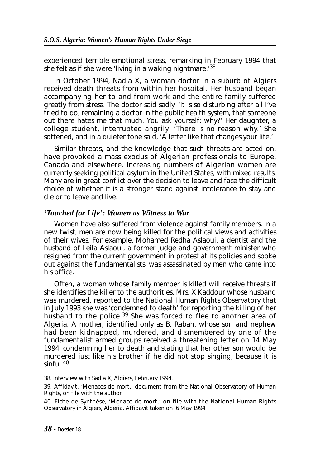experienced terrible emotional stress, remarking in February 1994 that she felt as if she were 'living in a waking nightmare.<sup>'38</sup>

In October 1994, Nadia X, a woman doctor in a suburb of Algiers received death threats from within her hospital. Her husband began accompanying her to and from work and the entire family suffered greatly from stress. The doctor said sadly, 'It is so disturbing after all I've tried to do, remaining a doctor in the public health system, that someone out there hates me that much. You ask yourself: why?' Her daughter, a college student, interrupted angrily: 'There is no reason why.' She softened, and in a quieter tone said, 'A letter like that changes your life.'

Similar threats, and the knowledge that such threats are acted on, have provoked a mass exodus of Algerian professionals to Europe, Canada and elsewhere. Increasing numbers of Algerian women are currently seeking political asylum in the United States, with mixed results. Many are in great conflict over the decision to leave and face the difficult choice of whether it is a stronger stand against intolerance to stay and die or to leave and live.

# *'Touched for Life': Women as Witness to War*

Women have also suffered from violence against family members. In a new twist, men are now being killed for the political views and activities of their wives. For example, Mohamed Redha Aslaoui, a dentist and the husband of Leila Aslaoui, a former judge and government minister who resigned from the current government in protest at its policies and spoke out against the fundamentalists, was assassinated by men who came into his office.

Often, a woman whose family member is killed will receive threats if she identifies the killer to the authorities. Mrs. X Kaddour whose husband was murdered, reported to the National Human Rights Observatory that in July 1993 she was 'condemned to death' for reporting the killing of her husband to the police.<sup>39</sup> She was forced to flee to another area of Algeria. A mother, identified only as B. Rabah, whose son and nephew had been kidnapped, murdered, and dismembered by one of the fundamentalist armed groups received a threatening letter on 14 May 1994, condemning her to death and stating that her other son would be murdered just like his brother if he did not stop singing, because it is  $sinful<sup>40</sup>$ 

<sup>38.</sup> Interview with Sadia X, Algiers, February 1994.

<sup>39.</sup> Affidavit, 'Menaces de mort,' document from the National Observatory of Human Rights, on file with the author.

<sup>40.</sup> Fiche de Synthèse, 'Menace de mort,' on file with the National Human Rights Observatory in Algiers, Algeria. Affidavit taken on l6 May 1994.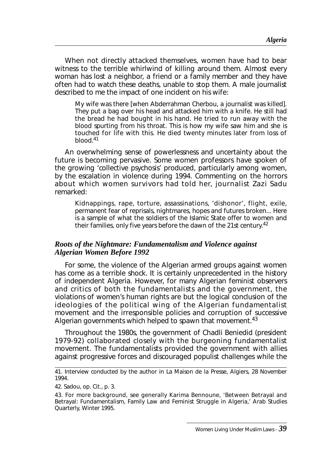When not directly attacked themselves, women have had to bear witness to the terrible whirlwind of killing around them. Almost every woman has lost a neighbor, a friend or a family member and they have often had to watch these deaths, unable to stop them. A male journalist described to me the impact of one incident on his wife:

My wife was there [when Abderrahman Cherbou, a journalist was killed]. They put a bag over his head and attacked him with a knife. He still had the bread he had bought in his hand. He tried to run away with the blood spurting from his throat. This is how my wife saw him and she is touched for life with this. He died twenty minutes later from loss of blood.41

An overwhelming sense of powerlessness and uncertainty about the future is becoming pervasive. Some women professors have spoken of the growing 'collective psychosis' produced, particularly among women, by the escalation in violence during 1994. Commenting on the horrors about which women survivors had told her, journalist Zazi Sadu remarked:

Kidnappings, rape, torture, assassinations, 'dishonor', flight, exile, permanent fear of reprisals, nightmares, hopes and futures broken... Here is a sample of what the soldiers of the Islamic State offer to women and their families, only five years before the dawn of the 21st century.<sup>42</sup>

#### *Roots of the Nightmare: Fundamentalism and Violence against Algerian Women Before 1992*

For some, the violence of the Algerian armed groups against women has come as a terrible shock. It is certainly unprecedented in the history of independent Algeria. However, for many Algerian feminist observers and critics of both the fundamentalists and the government, the violations of women's human rights are but the logical conclusion of the ideologies of the political wing of the Algerian fundamentalist movement and the irresponsible policies and corruption of successive Algerian governments which helped to spawn that movement.<sup>43</sup>

Throughout the 1980s, the government of Chadli Beniedid (president 1979-92) collaborated closely with the burgeoning fundamentalist movement. The fundamentalists provided the government with allies against progressive forces and discouraged populist challenges while the

<sup>41.</sup> Interview conducted by the author in La Maison de la Presse, Algiers, 28 November 1994.

<sup>42.</sup> Sadou, op. Cit., p. 3.

<sup>43.</sup> For more background, see generally Karima Bennoune, 'Between Betrayal and Betrayal: Fundamentalism, Family Law and Feminist Struggle in Algeria,' Arab Studies Quarterly, Winter 1995.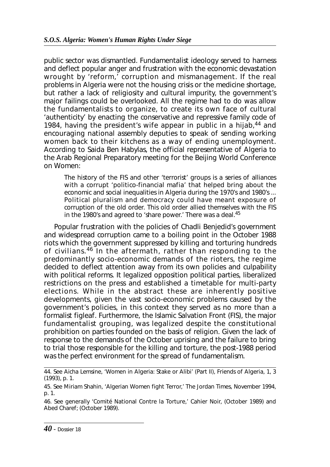public sector was dismantled. Fundamentalist ideology served to harness and deflect popular anger and frustration with the economic devastation wrought by 'reform,' corruption and mismanagement. If the real problems in Algeria were not the housing crisis or the medicine shortage, but rather a lack of religiosity and cultural impurity, the government's major failings could be overlooked. All the regime had to do was allow the fundamentalists to organize, to create its own face of cultural 'authenticity' by enacting the conservative and repressive family code of 1984, having the president's wife appear in public in a hijab, <sup>44</sup> and encouraging national assembly deputies to speak of sending working women back to their kitchens as a way of ending unemployment. According to Saida Ben Habylas, the official representative of Algeria to the Arab Regional Preparatory meeting for the Beijing World Conference on Women:

The history of the FIS and other 'terrorist' groups is a series of alliances with a corrupt 'politico-financial mafia' that helped bring about the economic and social inequalities in Algeria during the 1970's and 1980's ... Political pluralism and democracy could have meant exposure of corruption of the old order. This old order allied themselves with the FIS in the 1980's and agreed to 'share power.' There was a deal.<sup>45</sup>

Popular frustration with the policies of Chadli Benjedid's government and widespread corruption came to a boiling point in the October 1988 riots which the government suppressed by killing and torturing hundreds of civilians.<sup>46</sup> In the aftermath, rather than responding to the predominantly socio-economic demands of the rioters, the regime decided to deflect attention away from its own policies and culpability with political reforms. It legalized opposition political parties, liberalized restrictions on the press and established a timetable for multi-party elections. While in the abstract these are inherently positive developments, given the vast socio-economic problems caused by the government's policies, in this context they served as no more than a formalist figleaf. Furthermore, the Islamic Salvation Front (FIS), the major fundamentalist grouping, was legalized despite the constitutional prohibition on parties founded on the basis of religion. Given the lack of response to the demands of the October uprising and the failure to bring to trial those responsible for the killing and torture, the post-1988 period was the perfect environment for the spread of fundamentalism.

<sup>44.</sup> See Aicha Lemsine, 'Women in Algeria: Stake or Alibi' (Part II), Friends of Algeria, 1, 3 (1993), p. 1.

<sup>45.</sup> See Miriam Shahin, 'Algerian Women fight Terror,' The Jordan Times, November 1994, p. 1.

<sup>46.</sup> See generally 'Comité National Contre la Torture,' Cahier Noir, (October 1989) and Abed Charef; (October 1989).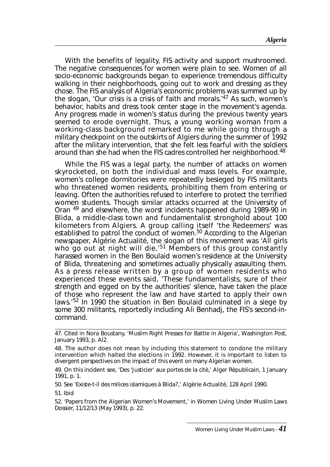With the benefits of legality, FIS activity and support mushroomed. The negative consequences for women were plain to see. Women of all socio-economic backgrounds began to experience tremendous difficulty walking in their neighborhoods, going out to work and dressing as they chose. The FIS analysis of Algeria's economic problems was summed up by the slogan, 'Our crisis is a crisis of faith and morals.'47 As such, women's behavior, habits and dress took center stage in the movement's agenda. Any progress made in women's status during the previous twenty years seemed to erode overnight. Thus, a young working woman from a working-class background remarked to me while going through a military checkpoint on the outskirts of Algiers during the summer of 1992 after the military intervention, that she felt less fearful with the soldiers around than she had when the FIS cadres controlled her neighborhood.<sup>48</sup>

While the FIS was a legal party, the number of attacks on women skyrocketed, on both the individual and mass levels. For example, women's college dormitories were repeatedly besieged by FIS militants who threatened women residents, prohibiting them from entering or leaving. Often the authorities refused to interfere to protect the terrified women students. Though similar attacks occurred at the University of Oran <sup>49</sup> and elsewhere, the worst incidents happened during 1989-90 in Blida, a middle-class town and fundamentalist stronghold about 100 kilometers from Algiers. A group calling itself 'the Redeemers' was established to patrol the conduct of women.<sup>50</sup> According to the Algerian newspaper, Algérie Actualité, the slogan of this movement was 'All girls who go out at night will die.<sup>'51</sup> Members of this group constantly harassed women in the Ben Boulaid women's residence at the University of Blida, threatening and sometimes actually physically assaulting them. As a press release written by a group of women residents who experienced these events said, 'These fundamentalists, sure of their strength and egged on by the authorities' silence, have taken the place of those who represent the law and have started to apply their own laws.'<sup>52</sup> In 1990 the situation in Ben Boulaid culminated in a siege by some 300 militants, reportedly including Ali Benhadj, the FIS's second-incommand.

47. Cited in Nora Boustany, 'Muslim Right Presses for Battle in Algeria', Washington Post, January 1993, p. Al2.

48. The author does not mean by including this statement to condone the military intervention which halted the elections in 1992. However, it is important to listen to divergent perspectives on the impact of this event on many Algerian women.

49. On this incident see, 'Des 'Justicier' aux portes de la citè,' Alger Rèpublicain, 1 January 1991, p. 1.

50. See 'Existe-t-il des milices islamiques à Blida?,' Algèrie Actualitè, 128 April 1990.

51. Ibid

52. 'Papers from the Algerian Women's Movement,' in Women Living Under Muslim Laws Dossier, 11/12/13 (May 1993), p. 22.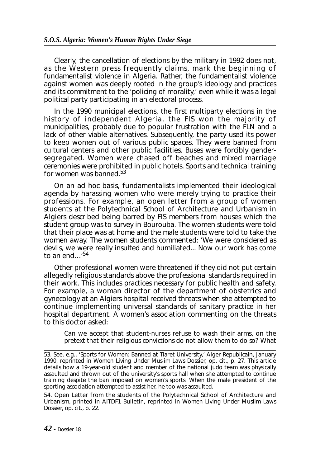Clearly, the cancellation of elections by the military in 1992 does not, as the Western press frequently claims, mark the beginning of fundamentalist violence in Algeria. Rather, the fundamentalist violence against women was deeply rooted in the group's ideology and practices and its commitment to the 'policing of morality,' even while it was a legal political party participating in an electoral process.

In the 1990 municipal elections, the first multiparty elections in the history of independent Algeria, the FIS won the majority of municipalities, probably due to popular frustration with the FLN and a lack of other viable alternatives. Subsequently, the party used its power to keep women out of various public spaces. They were banned from cultural centers and other public facilities. Buses were forcibly gendersegregated. Women were chased off beaches and mixed marriage ceremonies were prohibited in public hotels. Sports and technical training for women was banned.<sup>53</sup>

On an ad hoc basis, fundamentalists implemented their ideological agenda by harassing women who were merely trying to practice their professions. For example, an open letter from a group of women students at the Polytechnical School of Architecture and Urbanism in Algiers described being barred by FIS members from houses which the student group was to survey in Bourouba. The women students were told that their place was at home and the male students were told to take the women away. The women students commented: 'We were considered as devils, we were really insulted and humiliated... Now our work has come to an end...<sup>54</sup>

Other professional women were threatened if they did not put certain allegedly religious standards above the professional standards required in their work. This includes practices necessary for public health and safety. For example, a woman director of the department of obstetrics and gynecology at an Algiers hospital received threats when she attempted to continue implementing universal standards of sanitary practice in her hospital department. A women's association commenting on the threats to this doctor asked:

Can we accept that student-nurses refuse to wash their arms, on the pretext that their religious convictions do not allow them to do so? What

54. Open Letter from the students of the Polytechnical School of Architecture and Urbanism, printed in AITDF1 Bulletin, reprinted in Women Living Under Muslim Laws Dossier, op. cit., p. 22.

<sup>53.</sup> See, e.g., 'Sports for Women: Banned at Tiaret University,' Alger Republicain, January 1990, reprinted in Women Living Under Muslim Laws Dossier, op. cit., p. 27. This article details how a 19-year-old student and member of the national judo team was physically assaulted and thrown out of the university's sports hall when she attempted to continue training despite the ban imposed on women's sports. When the male president of the sporting association attempted to assist her, he too was assaulted.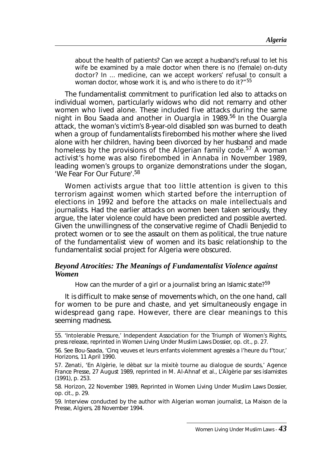about the health of patients? Can we accept a husband's refusal to let his wife be examined by a male doctor when there is no (female) on-duty doctor? In ... medicine, can we accept workers' refusal to consult a woman doctor, whose work it is, and who is there to do it?"<sup>55</sup>

The fundamentalist commitment to purification led also to attacks on individual women, particularly widows who did not remarry and other women who lived alone. These included five attacks during the same night in Bou Saada and another in Ouargla in 1989.<sup>56</sup> In the Ouargla attack, the woman's victim's 8-year-old disabled son was burned to death when a group of fundamentalists firebombed his mother where she lived alone with her children, having been divorced by her husband and made homeless by the provisions of the Algerian family code.<sup>57</sup> A woman activist's home was also firebombed in Annaba in November 1989, leading women's groups to organize demonstrations under the slogan, 'We Fear For Our Future'.<sup>58</sup>

Women activists argue that too little attention is given to this terrorism against women which started before the interruption of elections in 1992 and before the attacks on male intellectuals and journalists. Had the earlier attacks on women been taken seriously, they argue, the later violence could have been predicted and possible averted. Given the unwillingness of the conservative regime of Chadli Benjedid to protect women or to see the assault on them as political, the true nature of the fundamentalist view of women and its basic relationship to the fundamentalist social project for Algeria were obscured.

#### *Beyond Atrocities: The Meanings of Fundamentalist Violence against Women*

How can the murder of a girl or a journalist bring an Islamic state?<sup>59</sup>

It is difficult to make sense of movements which, on the one hand, call for women to be pure and chaste, and yet simultaneously engage in widespread gang rape. However, there are clear meanings to this seeming madness.

59. Interview conducted by the author with Algerian woman journalist, La Maison de la Presse, Algiers, 28 November 1994.

<sup>55. &#</sup>x27;Intolerable Pressure,' Independent Association for the Triumph of Women's Rights, press release, reprinted in Women Living Under Muslim Laws Dossier, op. cit., p. 27.

<sup>56.</sup> See Bou-Saada, 'Cinq veuves et leurs enfants violemment agressès a l'heure du f'tour,' Horizons, 11 April 1990.

<sup>57.</sup> Zenati, 'En Algèrie, le dèbat sur la mixitè tourne au dialogue de sourds,' Agence France Presse, 27 August 1989, reprinted in M. Al-Ahnaf et al., L'Algèrie par ses islamistes (1991), p. 253.

<sup>58.</sup> Horizon, 22 November 1989, Reprinted in Women Living Under Muslim Laws Dossier, op. cit., p. 29.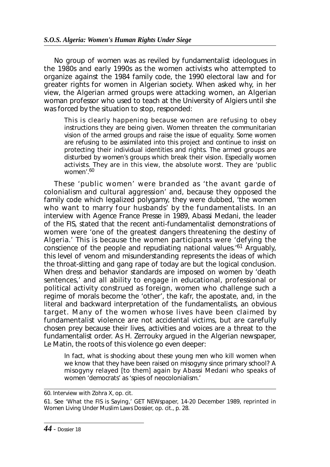No group of women was as reviled by fundamentalist ideologues in the 1980s and early 1990s as the women activists who attempted to organize against the 1984 family code, the 1990 electoral law and for greater rights for women in Algerian society. When asked why, in her view, the Algerian armed groups were attacking women, an Algerian woman professor who used to teach at the University of Algiers until she was forced by the situation to stop, responded:

This is clearly happening because women are refusing to obey instructions they are being given. Women threaten the communitarian vision of the armed groups and raise the issue of equality. Some women are refusing to be assimilated into this project and continue to insist on protecting their individual identities and rights. The armed groups are disturbed by women's groups which break their vision. Especially women activists. They are in this view, the absolute worst. They are 'public women'.<sup>60</sup>

These 'public women' were branded as 'the avant garde of colonialism and cultural aggression' and, because they opposed the family code which legalized polygamy, they were dubbed, 'the women who want to marry four husbands' by the fundamentalists. In an interview with Agence France Presse in 1989, Abassi Medani, the leader of the FIS, stated that the recent anti-fundamentalist demonstrations of women were 'one of the greatest dangers threatening the destiny of Algeria.' This is because the women participants were 'defying the conscience of the people and repudiating national values.<sup>'61</sup> Arguably, this level of venom and misunderstanding represents the ideas of which the throat-slitting and gang rape of today are but the logical conclusion. When dress and behavior standards are imposed on women by 'death sentences,' and all ability to engage in educational, professional or political activity construed as foreign, women who challenge such a regime of morals become the 'other', the kafr, the apostate, and, in the literal and backward interpretation of the fundamentalists, an obvious target. Many of the women whose lives have been claimed by fundamentalist violence are not accidental victims, but are carefully chosen prey because their lives, activities and voices are a threat to the fundamentalist order. As H. Zerrouky argued in the Algerian newspaper, Le Matin, the roots of this violence go even deeper:

In fact, what is shocking about these young men who kill women when we know that they have been raised on misogyny since primary school? A misogyny relayed [to them] again by Abassi Medani who speaks of women 'democrats' as 'spies of neocolonialism.'

<sup>60.</sup> Interview with Zohra X, op. cit.

<sup>61.</sup> See 'What the FIS is Saying,' GET NEWspaper, 14-20 December 1989, reprinted in Women Living Under Muslim Laws Dossier, op. cit., p. 28.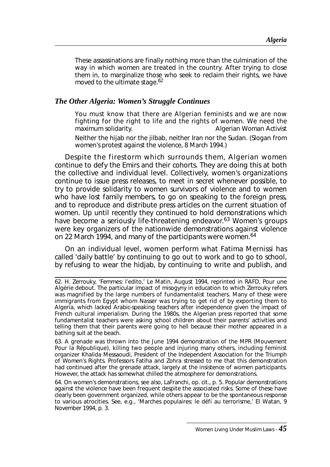These assassinations are finally nothing more than the culmination of the way in which women are treated in the country. After trying to close them in, to marginalize those who seek to reclaim their rights, we have moved to the ultimate stage.<sup>62</sup>

### *The Other Algeria: Women's Struggle Continues*

You must know that there are Algerian feminists and we are now fighting for the right to life and the rights of women. We need the maximum solidarity. The Control of the Control of Algerian Woman Activist Neither the hijab nor the jilbab, neither Iran nor the Sudan. (Slogan from women's protest against the violence, 8 March 1994.)

Despite the firestorm which surrounds them, Algerian women continue to defy the Emirs and their cohorts. They are doing this at both the collective and individual level. Collectively, women's organizations continue to issue press releases, to meet in secret whenever possible, to try to provide solidarity to women survivors of violence and to women who have lost family members, to go on speaking to the foreign press, and to reproduce and distribute press articles on the current situation of women. Up until recently they continued to hold demonstrations which have become a seriously life-threatening endeavor.<sup>63</sup> Women's groups were key organizers of the nationwide demonstrations against violence on 22 March 1994, and many of the participants were women.<sup>64</sup>

On an individual level, women perform what Fatima Mernissi has called 'daily battle' by continuing to go out to work and to go to school, by refusing to wear the hidjab, by continuing to write and publish, and

63. A grenade was thrown into the June 1994 demonstration of the MPR (Mouvement Pour la République), killing two people and injuring many others, including feminist organizer Khalida Messaoudi, President of the Independent Association for the Triumph of Women's Rights. Professors Fatiha and Zohra stressed to me that this demonstration had continued after the grenade attack, largely at the insistence of women participants. However, the attack has somewhat chilled the atmosphere for demonstrations.

64. On women's demonstrations, see also, LaFranchi, op. cit., p. 5. Popular demonstrations against the violence have been frequent despite the associated risks. Some of these have clearly been government organized, while others appear to be the spontaneous response to various atrocities. See, e.g., 'Marches populaires: le défi au terrorisme,' El Watan, 9 November 1994, p. 3.

<sup>62.</sup> H. Zerrouky, 'Femmes: l'edito,' Le Matin, August 1994, reprinted in RAFD, Pour une Algérie debout. The particular impact of misogyny in education to which Zerrouky refers was magnified by the large numbers of fundamentalist teachers. Many of these were immigrants from Egypt whom Nasser was trying to get rid of by exporting them to Algeria, which lacked Arabic-speaking teachers after independence given the impact of French cultural imperialism. During the 1980s, the Algerian press reported that some fundamentalist teachers were asking school children about their parents' activities and telling them that their parents were going to hell because their mother appeared in a bathing suit at the beach.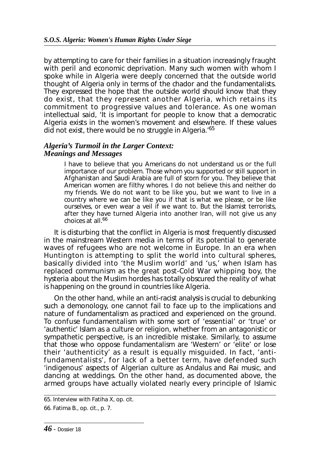by attempting to care for their families in a situation increasingly fraught with peril and economic deprivation. Many such women with whom I spoke while in Algeria were deeply concerned that the outside world thought of Algeria only in terms of the chador and the fundamentalists. They expressed the hope that the outside world should know that they do exist, that they represent another Algeria, which retains its commitment to progressive values and tolerance. As one woman intellectual said, 'It is important for people to know that a democratic Algeria exists in the women's movement and elsewhere. If these values did not exist, there would be no struggle in Algeria.<sup>'65</sup>

#### *Algeria's Turmoil in the Larger Context: Meanings and Messages*

I have to believe that you Americans do not understand us or the full importance of our problem. Those whom you supported or still support in Afghanistan and Saudi Arabia are full of scorn for you. They believe that American women are filthy whores. I do not believe this and neither do my friends. We do not want to be like you, but we want to live in a country where we can be like you if that is what we please, or be like ourselves, or even wear a veil if we want to. But the Islamist terrorists, after they have turned Algeria into another Iran, will not give us any choices at all.<sup>66</sup>

It is disturbing that the conflict in Algeria is most frequently discussed in the mainstream Western media in terms of its potential to generate waves of refugees who are not welcome in Europe. In an era when Huntington is attempting to split the world into cultural spheres, basically divided into 'the Muslim world' and 'us,' when Islam has replaced communism as the great post-Cold War whipping boy, the hysteria about the Muslim hordes has totally obscured the reality of what is happening on the ground in countries like Algeria.

On the other hand, while an anti-racist analysis is crucial to debunking such a demonology, one cannot fail to face up to the implications and nature of fundamentalism as practiced and experienced on the ground. To confuse fundamentalism with some sort of 'essential' or 'true' or 'authentic' Islam as a culture or religion, whether from an antagonistic or sympathetic perspective, is an incredible mistake. Similarly, to assume that those who oppose fundamentalism are 'Western' or 'elite' or lose their 'authenticity' as a result is equally misguided. In fact, 'antifundamentalists', for lack of a better term, have defended such 'indigenous' aspects of Algerian culture as Andalus and Rai music, and dancing at weddings. On the other hand, as documented above, the armed groups have actually violated nearly every principle of Islamic

<sup>65.</sup> Interview with Fatiha X, op. cit.

<sup>66.</sup> Fatima B., op. cit., p. 7.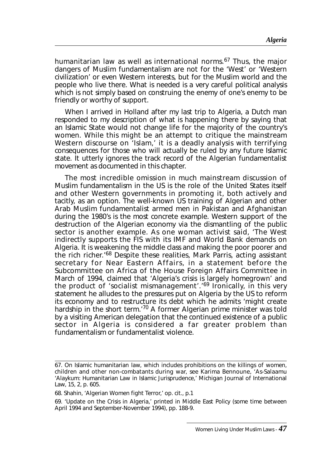humanitarian law as well as international norms.<sup>67</sup> Thus, the major dangers of Muslim fundamentalism are not for the 'West' or 'Western civilization' or even Western interests, but for the Muslim world and the people who live there. What is needed is a very careful political analysis which is not simply based on construing the enemy of one's enemy to be friendly or worthy of support.

When I arrived in Holland after my last trip to Algeria, a Dutch man responded to my description of what is happening there by saying that an Islamic State would not change life for the majority of the country's women. While this might be an attempt to critique the mainstream Western discourse on 'Islam,' it is a deadly analysis with terrifying consequences for those who will actually be ruled by any future Islamic state. It utterly ignores the track record of the Algerian fundamentalist movement as documented in this chapter.

The most incredible omission in much mainstream discussion of Muslim fundamentalism in the US is the role of the United States itself and other Western governments in promoting it, both actively and tacitly, as an option. The well-known US training of Algerian and other Arab Muslim fundamentalist armed men in Pakistan and Afghanistan during the 1980's is the most concrete example. Western support of the destruction of the Algerian economy via the dismantling of the public sector is another example. As one woman activist said, 'The West indirectly supports the FIS with its IMF and World Bank demands on Algeria. It is weakening the middle class and making the poor poorer and the rich richer.'<sup>68</sup> Despite these realities, Mark Parris, acting assistant secretary for Near Eastern Affairs, in a statement before the Subcommittee on Africa of the House Foreign Affairs Committee in March of 1994, claimed that 'Algeria's crisis is largely homegrown' and the product of 'socialist mismanagement'.<sup>'69</sup> Ironically, in this very statement he alludes to the pressures put on Algeria by the US to reform its economy and to restructure its debt which he admits 'might create hardship in the short term.<sup>'70</sup> A former Algerian prime minister was told by a visiting American delegation that the continued existence of a public sector in Algeria is considered a far greater problem than fundamentalism or fundamentalist violence.

<sup>67.</sup> On Islamic humanitarian law, which includes prohibitions on the killings of women, children and other non-combatants during war, see Karima Bennoune, 'As-Salaamu 'Alaykum: Humanitarian Law in Islamic Jurisprudence,' Michigan Journal of International Law, 15, 2, p. 605.

<sup>68.</sup> Shahin, 'Algerian Women fight Terror,' op. cit., p.1

<sup>69. &#</sup>x27;Update on the Crisis in Algeria,' printed in Middle East Policy (some time between April 1994 and September-November 1994), pp. 188-9.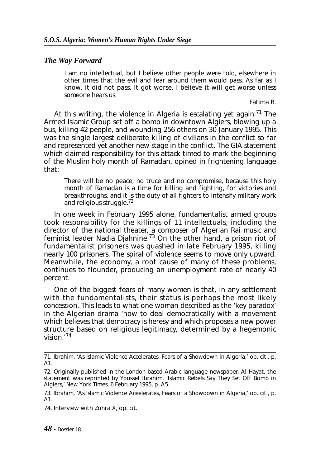#### *The Way Forward*

I am no intellectual, but I believe other people were told, elsewhere in other times that the evil and fear around them would pass. As far as I know, it did not pass. It got worse. I believe it will get worse unless someone hears us.

Fatima B.

At this writing, the violence in Algeria is escalating yet again.<sup>71</sup> The Armed Islamic Group set off a bomb in downtown Algiers, blowing up a bus, killing 42 people, and wounding 256 others on 30 January 1995. This was the single largest deliberate killing of civilians in the conflict so far and represented yet another new stage in the conflict. The GIA statement which claimed responsibility for this attack timed to mark the beginning of the Muslim holy month of Ramadan, opined in frightening language that:

There will be no peace, no truce and no compromise, because this holy month of Ramadan is a time for killing and fighting, for victories and breakthroughs, and it is the duty of all fighters to intensify military work and religious struggle.72

In one week in February 1995 alone, fundamentalist armed groups took responsibility for the killings of 11 intellectuals, including the director of the national theater, a composer of Algerian Rai music and feminist leader Nadia Djahnine.<sup>73</sup> On the other hand, a prison riot of fundamentalist prisoners was quashed in late February 1995, killing nearly 100 prisoners. The spiral of violence seems to move only upward. Meanwhile, the economy, a root cause of many of these problems, continues to flounder, producing an unemployment rate of nearly 40 percent.

One of the biggest fears of many women is that, in any settlement with the fundamentalists, their status is perhaps the most likely concession. This leads to what one woman described as the 'key paradox' in the Algerian drama 'how to deal democratically with a movement which believes that democracy is heresy and which proposes a new power structure based on religious legitimacy, determined by a hegemonic vision.'74

74. Interview with Zohra X, op. cit.

<sup>71.</sup> Ibrahim, 'As Islamic Violence Accelerates, Fears of a Showdown in Algeria,' op. cit., p. A1.

<sup>72.</sup> Originally published in the London-based Arabic language newspaper, Al Hayat, the statement was reprinted by Youssef Ibrahim, 'Islamic Rebels Say They Set Off Bomb in Algiers,' New York Times, 6 February 1995, p. A5.

<sup>73.</sup> Ibrahim, 'As Islamic Violence Aceelerates, Fears of a Showdown in Algeria,' op. cit., p. A1.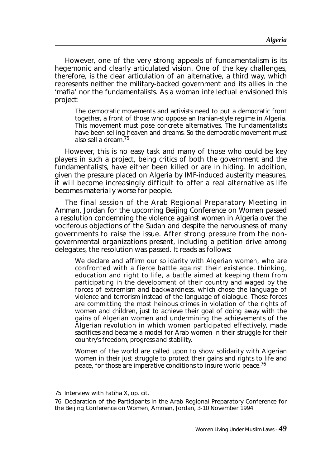However, one of the very strong appeals of fundamentalism is its hegemonic and clearly articulated vision. One of the key challenges, therefore, is the clear articulation of an alternative, a third way, which represents neither the military-backed government and its allies in the 'mafia' nor the fundamentalists. As a woman intellectual envisioned this project:

The democratic movements and activists need to put a democratic front together, a front of those who oppose an Iranian-style regime in Algeria. This movement must pose concrete alternatives. The fundamentalists have been selling heaven and dreams. So the democratic movement must also sell a dream.75

However, this is no easy task and many of those who could be key players in such a project, being critics of both the government and the fundamentalists, have either been killed or are in hiding. In addition, given the pressure placed on Algeria by IMF-induced austerity measures, it will become increasingly difficult to offer a real alternative as life becomes materially worse for people.

The final session of the Arab Regional Preparatory Meeting in Amman, Jordan for the upcoming Beijing Conference on Women passed a resolution condemning the violence against women in Algeria over the vociferous objections of the Sudan and despite the nervousness of many governments to raise the issue. After strong pressure from the nongovernmental organizations present, including a petition drive among delegates, the resolution was passed. It reads as follows:

We declare and affirm our solidarity with Algerian women, who are confronted with a fierce battle against their existence, thinking, education and right to life, a battle aimed at keeping them from participating in the development of their country and waged by the forces of extremism and backwardness, which chose the language of violence and terrorism instead of the language of dialogue. Those forces are committing the most heinous crimes in violation of the rights of women and children, just to achieve their goal of doing away with the gains of Algerian women and undermining the achievements of the Algerian revolution in which women participated effectively, made sacrifices and became a model for Arab women in their struggle for their country's freedom, progress and stability.

Women of the world are called upon to show solidarity with Algerian women in their just struggle to protect their gains and rights to life and peace, for those are imperative conditions to insure world peace.<sup>76</sup>

<sup>75.</sup> Interview with Fatiha X, op. cit.

<sup>76.</sup> Declaration of the Participants in the Arab Regional Preparatory Conference for the Beijing Conference on Women, Amman, Jordan, 3-10 November 1994.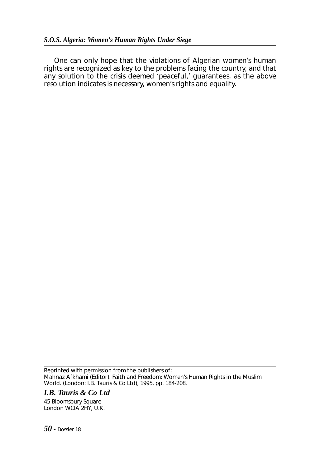One can only hope that the violations of Algerian women's human rights are recognized as key to the problems facing the country, and that any solution to the crisis deemed 'peaceful,' guarantees, as the above resolution indicates is necessary, women's rights and equality.

Reprinted with permission from the publishers of: Mahnaz Afkhami (Editor). Faith and Freedom: Women's Human Rights in the Muslim World. (London: I.B. Tauris & Co Ltd), 1995, pp. 184-208.

## *I.B. Tauris & Co Ltd*

45 Bloomsbury Square London WCIA 2HY, U.K.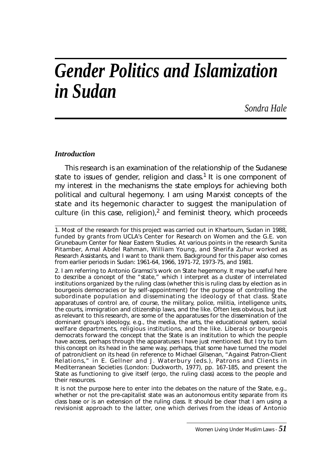# *Gender Politics and Islamization in Sudan*

*Sondra Hale*

#### *Introduction*

This research is an examination of the relationship of the Sudanese state to issues of gender, religion and class.<sup>1</sup> It is one component of my interest in the mechanisms the state employs for achieving both political and cultural hegemony. I am using Marxist concepts of the state and its hegemonic character to suggest the manipulation of culture (in this case, religion),<sup>2</sup> and feminist theory, which proceeds

It is not the purpose here to enter into the debates on the nature of the State, e.g., whether or not the pre-capitalist state was an autonomous entity separate from its class base or is an extension of the ruling class. It should be clear that I am using a revisionist approach to the latter, one which derives from the ideas of Antonio

<sup>1.</sup> Most of the research for this project was carried out in Khartoum, Sudan in 1988, funded by grants from UCLA's Center for Research on Women and the G.E. von Grunebaum Center for Near Eastern Studies. At various points in the research Sunita Pitamber, Amal Abdel Rahman, William Young, and Sherifa Zuhur worked as Research Assistants, and I want to thank them. Background for this paper also comes from earlier periods in Sudan: 1961-64, 1966, 1971-72, 1973-75, and 1981.

<sup>2.</sup> I am referring to Antonio Gramsci's work on State hegemony. It may be useful here to describe a concept of the "state," which I interpret as a cluster of interrelated institutions organized by the ruling class (whether this is ruling class by election as in bourgeois democracies or by self-appointment) for the purpose of controlling the subordinate population and disseminating the ideology of that class. State apparatuses of control are, of course, the military, police, militia, intelligence units, the courts, immigration and citizenship laws, and the like. Often less obvious, but just as relevant to this research, are some of the apparatuses for the dissemination of the dominant group's ideology, e.g., the media, the arts, the educational system, social welfare departments, religious institutions, and the like. Liberals or bourgeois democrats forward the concept that the State is an institution to which the people have access, perhaps through the apparatuses I have just mentioned. But I try to turn this concept on its head in the same way, perhaps, that some have turned the model of patron/client on its head (in reference to Michael Gilsenan, "Against Patron-Client Relations," in E. Gellner and J. Waterbury (eds.), Patrons and Clients in Mediterranean Societies (London: Duckworth, 1977), pp. 167-185, and present the State as functioning to give itself (ergo, the ruling class) access to the people and their resources.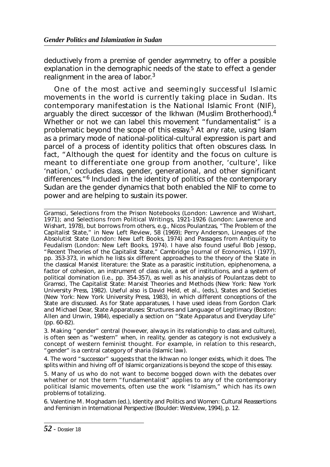deductively from a premise of gender asymmetry, to offer a possible explanation in the demographic needs of the state to effect a gender realignment in the area of labor. $3$ 

One of the most active and seemingly successful Islamic movements in the world is currently taking place in Sudan. Its contemporary manifestation is the National Islamic Front (NIF), arguably the direct successor of the Ikhwan (Muslim Brotherhood).4 Whether or not we can label this movement "fundamentalist" is a problematic beyond the scope of this essay.<sup>5</sup> At any rate, using Islam as a primary mode of national-political-cultural expression is part and parcel of a process of identity politics that often obscures class. In fact, "Although the quest for identity and the focus on culture is meant to differentiate one group from another, 'culture', like 'nation,' occludes class, gender, generational, and other significant differences.<sup>"6</sup> Included in the identity of politics of the contemporary Sudan are the gender dynamics that both enabled the NIF to come to power and are helping to sustain its power.

Gramsci, Selections from the Prison Notebooks (London: Lawrence and Wishart, 1971); and Selections from Political Writings, 1921-1926 (London: Lawrence and Wishart, 1978), but borrows from others, e.g., Nicos Poulantzas, "The Problem of the Capitalist State," in New Left Review, 58 (1969); Perry Anderson, Lineages of the Absolutist State (London: New Left Books, 1974) and Passages from Antiquiity to Feudalism (London: New Left Books, 1974). I have also found useful Bob Jessop, "Recent Theories of the Capitalist State," Cambridge Journal of Economics, I (1977), pp. 353-373, in which he lists six different approaches to the theory of the State in the classical Marxist literature: the State as a parasitic institution, epiphenomena, a factor of cohesion, an instrument of class rule, a set of institutions, and a system of political domination (i.e., pp. 354-357), as well as his analysis of Poulantzas debt to Gramsci, The Capitalist State: Marxist Theories and Methods (New York: New York University Press, 1982). Useful also is David Held, et al., (eds.), States and Societies (New York: New York University Press, 1983), in which different conceptions of the State are discussed. As for State apparatuses, I have used ideas from Gordon Clark and Michael Dear, State Apparatuses: Structures and Language of Legitimacy (Boston: Allen and Unwin, 1984), especially a section on "State Apparatus and Everyday Life" (pp. 60-82).

3. Making "gender" central (however, always in its relationship to class and culture), is often seen as "western" when, in reality, gender as category is not exclusively a concept of western feminist thought. For example, in relation to this research, "gender" is a central category of sharia (Islamic law).

4. The word "successor" suggests that the Ikhwan no longer exists, which it does. The splits within and hiving off of Islamic organizations is beyond the scope of this essay.

5. Many of us who do not want to become bogged down with the debates over whether or not the term "fundamentalist" applies to any of the contemporary political Islamic movements, often use the work "Islamism," which has its own problems of totalizing.

6. Valentine M. Moghadam (ed.), Identity and Politics and Women: Cultural Reassertions and Feminism in International Perspective (Boulder: Westview, 1994), p. 12.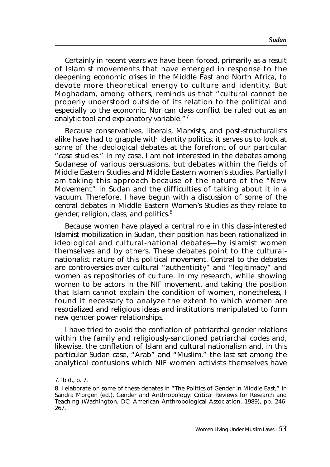Certainly in recent years we have been forced, primarily as a result of Islamist movements that have emerged in response to the deepening economic crises in the Middle East and North Africa, to devote more theoretical energy to culture and identity. But Moghadam, among others, reminds us that "cultural cannot be properly understood outside of its relation to the political and especially to the economic. Nor can class conflict be ruled out as an analytic tool and explanatory variable."<sup>7</sup>

Because conservatives, liberals, Marxists, and post-structuralists alike have had to grapple with identity politics, it serves us to look at some of the ideological debates at the forefront of our particular "case studies." In my case, I am not interested in the debates among Sudanese of various persuasions, but debates within the fields of Middle Eastern Studies and Middle Eastern women's studies. Partially I am taking this approach because of the nature of the "New Movement" in Sudan and the difficulties of talking about it in a vacuum. Therefore, I have begun with a discussion of some of the central debates in Middle Eastern Women's Studies as they relate to gender, religion, class, and politics.<sup>8</sup>

Because women have played a central role in this class-interested Islamist mobilization in Sudan, their position has been rationalized in ideological and cultural-national debates—by islamist women themselves and by others. These debates point to the culturalnationalist nature of this political movement. Central to the debates are controversies over cultural "authenticity" and "legitimacy" and women as repositories of culture. In my research, while showing women to be actors in the NIF movement, and taking the position that Islam cannot explain the condition of women, nonetheless, I found it necessary to analyze the extent to which women are resocialized and religious ideas and institutions manipulated to form new gender power relationships.

I have tried to avoid the conflation of patriarchal gender relations within the family and religiously-sanctioned patriarchal codes and, likewise, the conflation of Islam and cultural nationalism and, in this particular Sudan case, "Arab" and "Muslim," the last set among the analytical confusions which NIF women activists themselves have

<sup>7.</sup> Ibid., p. 7.

<sup>8.</sup> I elaborate on some of these debates in "The Politics of Gender in Middle East," in Sandra Morgen (ed.), Gender and Anthropology: Critical Reviews for Research and Teaching (Washington, DC: American Anthropological Association, 1989), pp. 246- 267.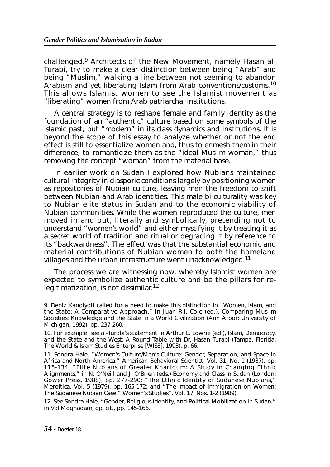challenged.<sup>9</sup> Architects of the New Movement, namely Hasan al-Turabi, try to make a clear distinction between being "Arab" and being "Muslim," walking a line between not seeming to abandon Arabism and yet liberating Islam from Arab conventions/customs.<sup>10</sup> This allows Islamist women to see the Islamist movement as "liberating" women from Arab patriarchal institutions.

A central strategy is to reshape female and family identity as the foundation of an "authentic" culture based on some symbols of the Islamic past, but "modern" in its class dynamics and institutions. It is beyond the scope of this essay to analyze whether or not the end effect is still to essentialize women and, thus to enmesh them in their difference, to romanticize them as the "ideal Muslim woman," thus removing the concept "woman" from the material base.

In earlier work on Sudan I explored how Nubians maintained cultural integrity in diasporic conditions largely by positioning women as repositories of Nubian culture, leaving men the freedom to shift between Nubian and Arab identities. This male bi-culturality was key to Nubian elite status in Sudan and to the economic viability of Nubian communities. While the women reproduced the culture, men moved in and out, literally and symbolically, pretending not to understand "women's world" and either mystifying it by treating it as a secret world of tradition and ritual or degrading it by reference to its "backwardness". The effect was that the substantial economic and material contributions of Nubian women to both the homeland villages and the urban infrastructure went unacknowledged.<sup>11</sup>

The process we are witnessing now, whereby Islamist women are expected to symbolize authentic culture and be the pillars for relegitimatization, is not dissimilar.<sup>12</sup>

11. Sondra Hale, "Women's Culture/Men's Culture: Gender, Separation, and Space in Africa and North America," American Behavioral Scientist, Vol. 31, No. 1 (1987), pp. 115-134; "Elite Nubians of Greater Khartoum: A Study in Changing Ethnic Alignments," in N. O'Neill and J. O'Brien (eds.) Economy and Class in Sudan (London: Gower Press, 1988), pp. 277-290; "The Ethnic Identity of Sudanese Nubians," Meroitica, Vol. 5 (1979), pp. 165-172; and "The Impact of Immigration on Women: The Sudanese Nubian Case," Women's Studies", Vol. 17, Nos. 1-2 (1989).

12. See Sondra Hale, "Gender, Religious Identity, and Political Mobilization in Sudan," in Val Moghadam, op. cit., pp. 145-166.

<sup>9.</sup> Deniz Kandiyoti called for a need to make this distinction in "Women, Islam, and the State: A Comparative Approach," in Juan R.I. Cole (ed.), Comparing Muslim Societies: Knowledge and the State in a World Civilization (Ann Arbor: University of Michigan, 1992), pp. 237-260.

<sup>10.</sup> For example, see al-Turabi's statement in Arthur L. Lowrie (ed.), Islam, Democracy, and the State and the West: A Round Table with Dr. Hasan Turabi (Tampa, Florida: The World & Islam Studies Enterprise [WISE], 1993), p. 66.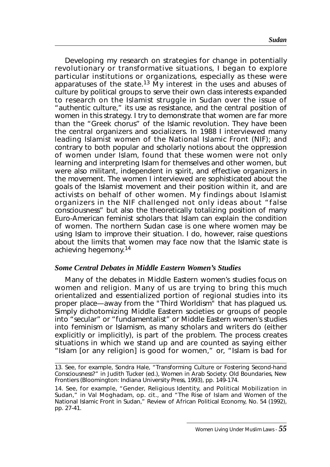Developing my research on strategies for change in potentially revolutionary or transformative situations, I began to explore particular institutions or organizations, especially as these were apparatuses of the state.<sup>13</sup> My interest in the uses and abuses of culture by political groups to serve their own class interests expanded to research on the Islamist struggle in Sudan over the issue of "authentic culture," its use as resistance, and the central position of women in this strategy. I try to demonstrate that women are far more than the "Greek chorus" of the Islamic revolution. They have been the central organizers and socializers. In 1988 I interviewed many leading Islamist women of the National Islamic Front (NIF); and contrary to both popular and scholarly notions about the oppression of women under Islam, found that these women were not only learning and interpreting Islam for themselves and other women, but were also militant, independent in spirit, and effective organizers in the movement. The women I interviewed are sophisticated about the goals of the Islamist movement and their position within it, and are activists on behalf of other women. My findings about Islamist organizers in the NIF challenged not only ideas about "false consciousness" but also the theoretically totalizing position of many Euro-American feminist scholars that Islam can explain the condition of women. The northern Sudan case is one where women may be using Islam to improve their situation. I do, however, raise questions about the limits that women may face now that the Islamic state is achieving hegemony.14

## *Some Central Debates in Middle Eastern Women's Studies*

Many of the debates in Middle Eastern women's studies focus on women and religion. Many of us are trying to bring this much orientalized and essentialized portion of regional studies into its proper place—away from the "Third Worldism" that has plagued us. Simply dichotomizing Middle Eastern societies or groups of people into "secular" or "fundamentalist" or Middle Eastern women's studies into feminism or Islamism, as many scholars and writers do (either explicitly or implicitly), is part of the problem. The process creates situations in which we stand up and are counted as saying either "Islam [or any religion] is good for women," or, "Islam is bad for

<sup>13.</sup> See, for example, Sondra Hale, "Transforming Culture or Fostering Second-hand Consciousness?" in Judith Tucker (ed.), Women in Arab Society: Old Boundaries, New Frontiers (Bloomington: Indiana University Press, 1993), pp. 149-174.

<sup>14.</sup> See, for example, "Gender, Religious Identity, and Political Mobilization in Sudan," in Val Moghadam, op. cit., and "The Rise of Islam and Women of the National Islamic Front in Sudan," Review of African Political Economy, No. 54 (1992), pp. 27-41.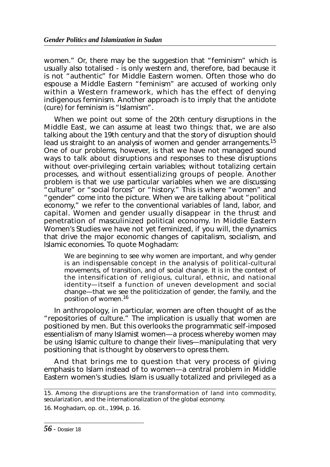women." Or, there may be the suggestion that "feminism" which is usually also totalised - is only western and, therefore, bad because it is not "authentic" for Middle Eastern women. Often those who do espouse a Middle Eastern "feminism" are accused of working only within a Western framework, which has the effect of denying indigenous feminism. Another approach is to imply that the antidote (cure) for feminism is "Islamism".

When we point out some of the 20th century disruptions in the Middle East, we can assume at least two things: that, we are also talking about the 19th century and that the story of disruption should lead us straight to an analysis of women and gender arrangements.<sup>15</sup> One of our problems, however, is that we have not managed sound ways to talk about disruptions and responses to these disruptions without over-privileging certain variables; without totalizing certain processes, and without essentializing groups of people. Another problem is that we use particular variables when we are discussing "culture" or "social forces" or "history." This is where "women" and "gender" come into the picture. When we are talking about "political economy," we refer to the conventional variables of land, labor, and capital. Women and gender usually disappear in the thrust and penetration of masculinized political economy. In Middle Eastern Women's Studies we have not yet feminized, if you will, the dynamics that drive the major economic changes of capitalism, socialism, and Islamic economies. To quote Moghadam:

We are beginning to see why women are important, and why gender is an indispensable concept in the analysis of political-cultural movements, of transition, and of social change. It is in the context of the intensification of religious, cultural, ethnic, and national identity—itself a function of uneven development and social change—that we see the politicization of gender, the family, and the position of women.<sup>16</sup>

In anthropology, in particular, women are often thought of as the "repositories of culture." The implication is usually that women are positioned by men. But this overlooks the programmatic self-imposed essentialism of many Islamist women—a process whereby women may be using Islamic culture to change their lives—manipulating that very positioning that is thought by observers to opress them.

And that brings me to question that very process of giving emphasis to Islam instead of to women—a central problem in Middle Eastern women's studies. Islam is usually totalized and privileged as a

<sup>15.</sup> Among the disruptions are the transformation of land into commodity, secularization, and the internationalization of the global economy. 16. Moghadam, op. cit., 1994, p. 16.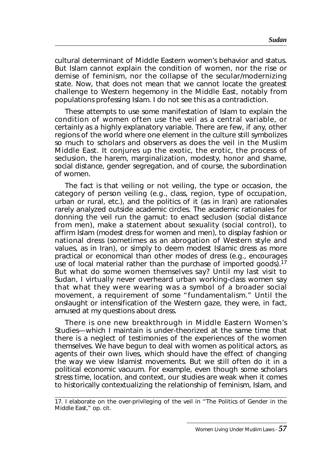cultural determinant of Middle Eastern women's behavior and status. But Islam cannot explain the condition of women, nor the rise or demise of feminism, nor the collapse of the secular/modernizing state. Now, that does not mean that we cannot locate the greatest challenge to Western hegemony in the Middle East, notably from populations professing Islam. I do not see this as a contradiction.

These attempts to use some manifestation of Islam to explain the condition of women often use the veil as a central variable, or certainly as a highly explanatory variable. There are few, if any, other regions of the world where one element in the culture still symbolizes so much to scholars and observers as does the veil in the Muslim Middle East. It conjures up the exotic, the erotic, the process of seclusion, the harem, marginalization, modesty, honor and shame, social distance, gender segregation, and of course, the subordination of women.

The fact is that veiling or not veiling, the type or occasion, the category of person veiling (e.g., class, region, type of occupation, urban or rural, etc.), and the politics of it (as in Iran) are rationales rarely analyzed outside academic circles. The academic rationales for donning the veil run the gamut: to enact seclusion (social distance from men), make a statement about sexuality (social control), to affirm Islam (modest dress for women and men), to display fashion or national dress (sometimes as an abrogation of Western style and values, as in Iran), or simply to deem modest Islamic dress as more practical or economical than other modes of dress (e.g., encourages use of local material rather than the purchase of imported goods).<sup>17</sup> But what do some women themselves say? Until my last visit to Sudan, I virtually never overheard urban working-class women say that what they were wearing was a symbol of a broader social movement, a requirement of some "fundamentalism." Until the onslaught or intensification of the Western gaze, they were, in fact, amused at my questions about dress.

There is one new breakthrough in Middle Eastern Women's Studies—which I maintain is under-theorized at the same time that there is a neglect of testimonies of the experiences of the women themselves. We have begun to deal with women as political actors, as agents of their own lives, which should have the effect of changing the way we view Islamist movements. But we still often do it in a political economic vacuum. For example, even though some scholars stress time, location, and context, our studies are weak when it comes to historically contextualizing the relationship of feminism, Islam, and

<sup>17.</sup> I elaborate on the over-privileging of the veil in "The Politics of Gender in the Middle East," op. cit.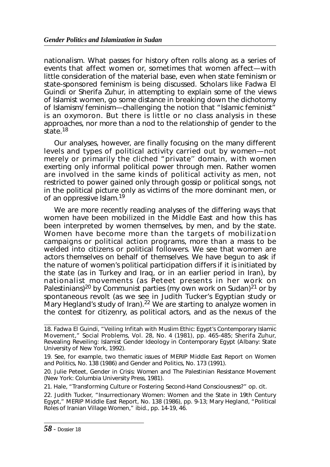nationalism. What passes for history often rolls along as a series of events that affect women or, sometimes that women affect—with little consideration of the material base, even when state feminism or state-sponsored feminism is being discussed. Scholars like Fadwa El Guindi or Sherifa Zuhur, in attempting to explain some of the views of Islamist women, go some distance in breaking down the dichotomy of Islamism/ feminism—challenging the notion that "Islamic feminist" is an oxymoron. But there is little or no class analysis in these approaches, nor more than a nod to the relationship of gender to the state.<sup>18</sup>

Our analyses, however, are finally focusing on the many different levels and types of political activity carried out by women—not merely or primarily the cliched "private'' domain, with women exerting only informal political power through men. Rather women are involved in the same kinds of political activity as men, not restricted to power gained only through gossip or political songs, not in the political picture only as victims of the more dominant men, or of an oppressive Islam.<sup>19</sup>

We are more recently reading analyses of the differing ways that women have been mobilized in the Middle East and how this has been interpreted by women themselves, by men, and by the state. Women have become more than the targets of mobilization campaigns or political action programs, more than a mass to be welded into citizens or political followers. We see that women are actors themselves on behalf of themselves. We have begun to ask if the nature of women's political participation differs if it is initiated by the state (as in Turkey and Iraq, or in an earlier period in Iran), by nationalist movements (as Peteet presents in her work on Palestinians)<sup>20</sup> by Communist parties (my own work on Sudan)<sup>21</sup> or by spontaneous revolt (as we see in Judith Tucker's Egyptian study or Mary Hegland's study of Iran).<sup>22</sup> We are starting to analyze women in the contest for citizenry, as political actors, and as the nexus of the

18. Fadwa El Guindi, "Veiling Infitah with Muslim Ethic: Egypt's Contemporary Islamic Movement," Social Problems, Vol. 28, No. 4 (1981), pp. 465-485; Sherifa Zuhur, Revealing Reveiling: Islamist Gender Ideology in Contemporary Egypt (Albany: State University of New York, 1992).

19. See, for example, two thematic issues of MERIP Middle East Report on Women and Politics, No. 138 (1986) and Gender and Politics, No. 173 (1991).

20. Julie Peteet, Gender in Crisis: Women and The Palestinian Resistance Movement (New York: Columbia University Press, 1981).

21. Hale, "Transforming Culture or Fostering Second-Hand Consciousness?" op. cit.

22. Judith Tucker, "Insurrectionary Women: Women and the State in 19th Century Egypt," MERIP Middle East Report, No. 138 (1986), pp. 9-13; Mary Hegland, "Political Roles of Iranian Village Women," ibid., pp. 14-19, 46.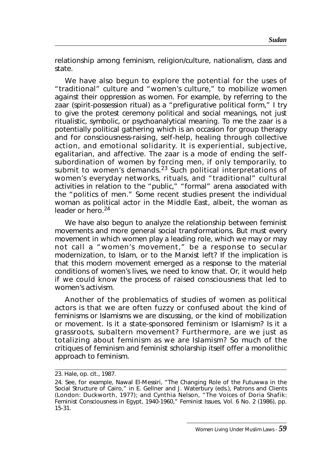relationship among feminism, religion/culture, nationalism, class and state.

We have also begun to explore the potential for the uses of "traditional" culture and "women's culture," to mobilize women against their oppression as women. For example, by referring to the zaar (spirit-possession ritual) as a "prefigurative political form," I try to give the protest ceremony political and social meanings, not just ritualistic, symbolic, or psychoanalytical meaning. To me the zaar is a potentially political gathering which is an occasion for group therapy and for consciousness-raising, self-help, healing through collective action, and emotional solidarity. It is experiential, subjective, egalitarian, and affective. The zaar is a mode of ending the selfsubordination of women by forcing men, if only temporarily, to submit to women's demands.<sup>23</sup> Such political interpretations of women's everyday networks, rituals, and "traditional" cultural activities in relation to the "public," "formal" arena associated with the "politics of men." Some recent studies present the individual woman as political actor in the Middle East, albeit, the woman as leader or hero.24

We have also begun to analyze the relationship between feminist movements and more general social transformations. But must every movement in which women play a leading role, which we may or may not call a "women's movement," be a response to secular modernization, to Islam, or to the Marxist left? If the implication is that this modern movement emerged as a response to the material conditions of women's lives, we need to know that. Or, it would help if we could know the process of raised consciousness that led to women's activism.

Another of the problematics of studies of women as political actors is that we are often fuzzy or confused about the kind of feminisms or Islamisms we are discussing, or the kind of mobilization or movement. Is it a state-sponsored feminism or Islamism? Is it a grassroots, subaltern movement? Furthermore, are we just as totalizing about feminism as we are Islamism? So much of the critiques of feminism and feminist scholarship itself offer a monolithic approach to feminism.

<sup>23.</sup> Hale, op. cit., 1987.

<sup>24.</sup> See, for example, Nawal El-Messiri, "The Changing Role of the Futuwwa in the Social Structure of Cairo," in E. Gellner and J. Waterbury (eds.), Patrons and Clients (London: Duckworth, 1977); and Cynthia Nelson, "The Voices of Doria Shafik: Feminist Consciousness in Egypt, 1940-1960," Feminist Issues, Vol. 6 No. 2 (1986), pp. 15-31.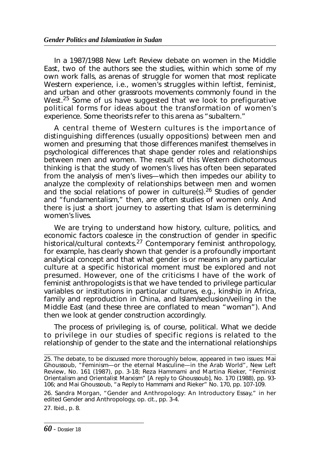In a 1987/1988 New Left Review debate on women in the Middle East, two of the authors see the studies, within which some of my own work falls, as arenas of struggle for women that most replicate Western experience, i.e., women's struggles within leftist, feminist, and urban and other grassroots movements commonly found in the West.<sup>25</sup> Some of us have suggested that we look to prefigurative political forms for ideas about the transformation of women's experience. Some theorists refer to this arena as "subaltern."

A central theme of Western cultures is the importance of distinguishing differences (usually oppositions) between men and women and presuming that those differences manifest themselves in psychological differences that shape gender roles and relationships between men and women. The result of this Western dichotomous thinking is that the study of women's lives has often been separated from the analysis of men's lives—which then impedes our ability to analyze the complexity of relationships between men and women and the social relations of power in culture(s).<sup>26</sup> Studies of gender and "fundamentalism," then, are often studies of women only. And there is just a short journey to asserting that Islam is determining women's lives.

We are trying to understand how history, culture, politics, and economic factors coalesce in the construction of gender in specific historical/cultural contexts.<sup>27</sup> Contemporary feminist anthropology, for example, has clearly shown that gender is a profoundly important analytical concept and that what gender is or means in any particular culture at a specific historical moment must be explored and not presumed. However, one of the criticisms I have of the work of feminist anthropologists is that we have tended to privilege particular variables or institutions in particular cultures, e.g., kinship in Africa, family and reproduction in China, and Islam/seclusion/veiling in the Middle East (and these three are conflated to mean "woman"). And then we look at gender construction accordingly.

The process of privileging is, of course, political. What we decide to privilege in our studies of specific regions is related to the relationship of gender to the state and the international relationships

26. Sandra Morgan, "Gender and Anthropology: An Introductory Essay," in her edited Gender and Anthropology, op. cit., pp. 3-4.

27. Ibid., p. 8.

<sup>25.</sup> The debate, to be discussed more thoroughly below, appeared in two issues: Mai Ghoussoub, "Feminism—or the eternal Masculine—in the Arab World", New Left Review, No. 161 (1987), pp. 3-18; Reza Hammami and Martina Rieker, "Feminist Orientalism and Orientalist Marxism" [A reply to Ghoussoub], No. 170 (1988), pp. 93- 106; and Mai Ghoussoub, "a Reply to Hammami and Rieker" No. 170, pp. 107-109.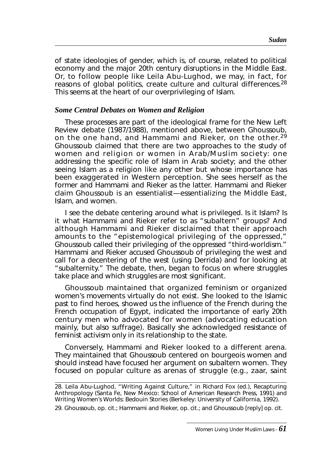of state ideologies of gender, which is, of course, related to political economy and the major 20th century disruptions in the Middle East. Or, to follow people like Leila Abu-Lughod, we may, in fact, for reasons of global politics, create culture and cultural differences.<sup>28</sup> This seems at the heart of our overprivileging of Islam.

#### *Some Central Debates on Women and Religion*

These processes are part of the ideological frame for the New Left Review debate (1987/1988), mentioned above, between Ghoussoub, on the one hand, and Hammami and Rieker, on the other.<sup>29</sup> Ghoussoub claimed that there are two approaches to the study of women and religion or women in Arab/Muslim society: one addressing the specific role of Islam in Arab society; and the other seeing Islam as a religion like any other but whose importance has been exaggerated in Western perception. She sees herself as the former and Hammami and Rieker as the latter. Hammami and Rieker claim Ghoussoub is an essentialist—essentializing the Middle East, Islam, and women.

I see the debate centering around what is privileged. Is it Islam? Is it what Hammami and Rieker refer to as "subaltern" groups? And although Hammami and Rieker disclaimed that their approach amounts to the "epistemological privileging of the oppressed," Ghoussoub called their privileging of the oppressed "third-worldism." Hammami and Rieker accused Ghoussoub of privileging the west and call for a decentering of the west (using Derrida) and for looking at "subalternity." The debate, then, began to focus on where struggles take place and which struggles are most significant.

Ghoussoub maintained that organized feminism or organized women's movements virtually do not exist. She looked to the Islamic past to find heroes, showed us the influence of the French during the French occupation of Egypt, indicated the importance of early 20th century men who advocated for women (advocating education mainly, but also suffrage). Basically she acknowledged resistance of feminist activism only in its relationship to the state.

Conversely, Hammami and Rieker looked to a different arena. They maintained that Ghoussoub centered on bourgeois women and should instead have focused her argument on subaltern women. They focused on popular culture as arenas of struggle (e.g., zaar, saint

<sup>28.</sup> Leila Abu-Lughod, "Writing Against Culture," in Richard Fox (ed.), Recapturing Anthropology (Santa Fe, New Mexico: School of American Research Press, 1991) and Writing Women's Worlds: Bedouin Stories (Berkeley: University of California, 1992). 29. Ghoussoub, op. cit.; Hammami and Rieker, op. cit.; and Ghoussoub [reply] op. cit.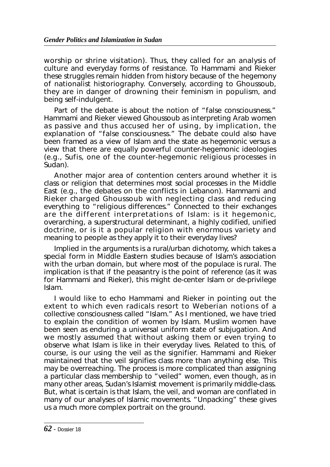worship or shrine visitation). Thus, they called for an analysis of culture and everyday forms of resistance. To Hammami and Rieker these struggles remain hidden from history because of the hegemony of nationalist historiography. Conversely, according to Ghoussoub, they are in danger of drowning their feminism in populism, and being self-indulgent.

Part of the debate is about the notion of "false consciousness." Hammami and Rieker viewed Ghoussoub as interpreting Arab women as passive and thus accused her of using, by implication, the explanation of "false consciousness." The debate could also have been framed as a view of Islam and the state as hegemonic versus a view that there are equally powerful counter-hegemonic ideologies (e.g., Sufis, one of the counter-hegemonic religious processes in Sudan).

Another major area of contention centers around whether it is class or religion that determines most social processes in the Middle East (e.g., the debates on the conflicts in Lebanon). Hammami and Rieker charged Ghoussoub with neglecting class and reducing everything to "religious differences." Connected to their exchanges are the different interpretations of Islam: is it hegemonic, overarching, a superstructural determinant, a highly codified, unified doctrine, or is it a popular religion with enormous variety and meaning to people as they apply it to their everyday lives?

Implied in the arguments is a rural/urban dichotomy, which takes a special form in Middle Eastern studies because of Islam's association with the urban domain, but where most of the populace is rural. The implication is that if the peasantry is the point of reference (as it was for Hammami and Rieker), this might de-center Islam or de-privilege Islam.

I would like to echo Hammami and Rieker in pointing out the extent to which even radicals resort to Weberian notions of a collective consciousness called "Islam." As I mentioned, we have tried to explain the condition of women by Islam. Muslim women have been seen as enduring a universal uniform state of subjugation. And we mostly assumed that without asking them or even trying to observe what Islam is like in their everyday lives. Related to this, of course, is our using the veil as the signifier. Hammami and Rieker maintained that the veil signifies class more than anything else. This may be overreaching. The process is more complicated than assigning a particular class membership to "veiled" women, even though, as in many other areas, Sudan's Islamist movement is primarily middle-class. But, what is certain is that Islam, the veil, and woman are conflated in many of our analyses of Islamic movements. "Unpacking" these gives us a much more complex portrait on the ground.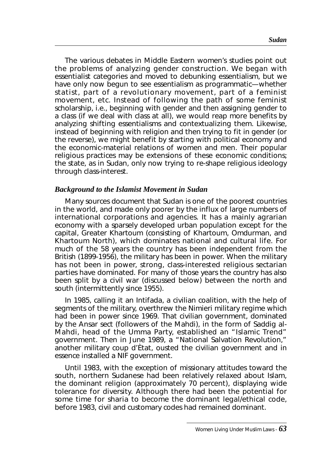The various debates in Middle Eastern women's studies point out the problems of analyzing gender construction. We began with essentialist categories and moved to debunking essentialism, but we have only now begun to see essentialism as programmatic—whether statist, part of a revolutionary movement, part of a feminist movement, etc. Instead of following the path of some feminist scholarship, i.e., beginning with gender and then assigning gender to a class (if we deal with class at all), we would reap more benefits by analyzing shifting essentialisms and contextualizing them. Likewise, instead of beginning with religion and then trying to fit in gender (or the reverse), we might benefit by starting with political economy and the economic-material relations of women and men. Their popular religious practices may be extensions of these economic conditions; the state, as in Sudan, only now trying to re-shape religious ideology through class-interest.

#### *Background to the Islamist Movement in Sudan*

Many sources document that Sudan is one of the poorest countries in the world, and made only poorer by the influx of large numbers of international corporations and agencies. It has a mainly agrarian economy with a sparsely developed urban population except for the capital, Greater Khartoum (consisting of Khartoum, Omdurman, and Khartoum North), which dominates national and cultural life. For much of the 58 years the country has been independent from the British (1899-1956), the military has been in power. When the military has not been in power, strong, class-interested religious sectarian parties have dominated. For many of those years the country has also been split by a civil war (discussed below) between the north and south (intermittently since 1955).

In 1985, calling it an Intifada, a civilian coalition, with the help of segments of the military, overthrew the Nimieri military regime which had been in power since 1969. That civilian government, dominated by the Ansar sect (followers of the Mahdi), in the form of Saddig al-Mahdi, head of the Umma Party, established an "Islamic Trend" government. Then in June 1989, a "National Salvation Revolution," another military coup d'Ètat, ousted the civilian government and in essence installed a NIF government.

Until 1983, with the exception of missionary attitudes toward the south, northern Sudanese had been relatively relaxed about Islam, the dominant religion (approximately 70 percent), displaying wide tolerance for diversity. Although there had been the potential for some time for sharia to become the dominant legal/ethical code, before 1983, civil and customary codes had remained dominant.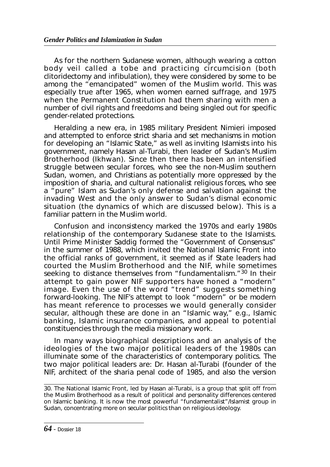As for the northern Sudanese women, although wearing a cotton body veil called a tobe and practicing circumcision (both clitoridectomy and infibulation), they were considered by some to be among the "emancipated" women of the Muslim world. This was especially true after 1965, when women earned suffrage, and 1975 when the Permanent Constitution had them sharing with men a number of civil rights and freedoms and being singled out for specific gender-related protections.

Heralding a new era, in 1985 military President Nimieri imposed and attempted to enforce strict sharia and set mechanisms in motion for developing an "Islamic State," as well as inviting Islamists into his government, namely Hasan al-Turabi, then leader of Sudan's Muslim Brotherhood (Ikhwan). Since then there has been an intensified struggle between secular forces, who see the non-Muslim southern Sudan, women, and Christians as potentially more oppressed by the imposition of sharia, and cultural nationalist religious forces, who see a "pure" Islam as Sudan's only defense and salvation against the invading West and the only answer to Sudan's dismal economic situation (the dynamics of which are discussed below). This is a familiar pattern in the Muslim world.

Confusion and inconsistency marked the 1970s and early 1980s relationship of the contemporary Sudanese state to the Islamists. Until Prime Minister Saddig formed the "Government of Consensus" in the summer of 1988, which invited the National Islamic Front into the official ranks of government, it seemed as if State leaders had courted the Muslim Brotherhood and the NIF, while sometimes seeking to distance themselves from "fundamentalism."<sup>30</sup> In their attempt to gain power NIF supporters have honed a "modern" image. Even the use of the word "trend" suggests something forward-looking. The NIF's attempt to look "modern" or be modern has meant reference to processes we would generally consider secular, although these are done in an "Islamic way," e.g., Islamic banking, Islamic insurance companies, and appeal to potential constituencies through the media missionary work.

In many ways biographical descriptions and an analysis of the ideologies of the two major political leaders of the 1980s can illuminate some of the characteristics of contemporary politics. The two major political leaders are: Dr. Hasan al-Turabi (founder of the NIF, architect of the sharia penal code of 1985, and also the version

<sup>30.</sup> The National Islamic Front, led by Hasan al-Turabi, is a group that split off from the Muslim Brotherhood as a result of political and personality differences centered on Islamic banking. It is now the most powerful "fundamentalist"/Islamist group in Sudan, concentrating more on secular politics than on religious ideology.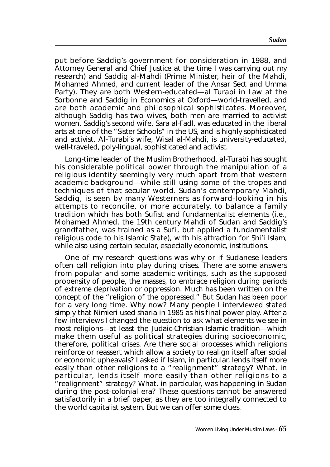put before Saddig's government for consideration in 1988, and Attorney General and Chief Justice at the time I was carrying out my research) and Saddig al-Mahdi (Prime Minister, heir of the Mahdi, Mohamed Ahmed, and current leader of the Ansar Sect and Umma Party). They are both Western-educated—al Turabi in Law at the Sorbonne and Saddig in Economics at Oxford—world-travelled, and are both academic and philosophical sophisticates. Moreover, although Saddig has two wives, both men are married to activist women. Saddig's second wife, Sara al-Fadl, was educated in the liberal arts at one of the "Sister Schools" in the US, and is highly sophisticated and activist. Al-Turabi's wife, Wisal al-Mahdi, is university-educated, well-traveled, poly-lingual, sophisticated and activist.

Long-time leader of the Muslim Brotherhood, al-Turabi has sought his considerable political power through the manipulation of a religious identity seemingly very much apart from that western academic background—while still using some of the tropes and techniques of that secular world. Sudan's contemporary Mahdi, Saddig, is seen by many Westerners as forward-looking in his attempts to reconcile, or more accurately, to balance a family tradition which has both Sufist and fundamentalist elements (i.e., Mohamed Ahmed, the 19th century Mahdi of Sudan and Saddig's grandfather, was trained as a Sufi, but applied a fundamentalist religious code to his Islamic State), with his attraction for Shi'i Islam, while also using certain secular, especially economic, institutions.

One of my research questions was why or if Sudanese leaders often call religion into play during crises. There are some answers from popular and some academic writings, such as the supposed propensity of people, the masses, to embrace religion during periods of extreme deprivation or oppression. Much has been written on the concept of the "religion of the oppressed." But Sudan has been poor for a very long time. Why now? Many people I interviewed stated simply that Nimieri used sharia in 1985 as his final power play. After a few interviews I changed the question to ask what elements we see in most religions—at least the Judaic-Christian-Islamic tradition—which make them useful as political strategies during socioeconomic, therefore, political crises. Are there social processes which religions reinforce or reassert which allow a society to realign itself after social or economic upheavals? I asked if Islam, in particular, lends itself more easily than other religions to a "realignment" strategy? What, in particular, lends itself more easily than other religions to a "realignment" strategy? What, in particular, was happening in Sudan during the post-colonial era? These questions cannot be answered satisfactorily in a brief paper, as they are too integrally connected to the world capitalist system. But we can offer some clues.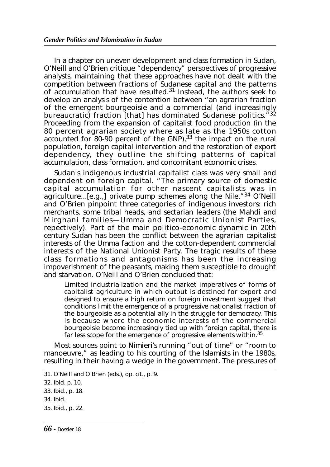In a chapter on uneven development and class formation in Sudan, O'Neill and O'Brien critique "dependency" perspectives of progressive analysts, maintaining that these approaches have not dealt with the competition between fractions of Sudanese capital and the patterns of accumulation that have resulted.<sup>31</sup> Instead, the authors seek to develop an analysis of the contention between "an agrarian fraction of the emergent bourgeoisie and a commercial (and increasingly bureaucratic) fraction [that] has dominated Sudanese politics."<sup>32</sup> Proceeding from the expansion of capitalist food production (in the 80 percent agrarian society where as late as the 1950s cotton accounted for 80-90 percent of the GNP),  $33$  the impact on the rural population, foreign capital intervention and the restoration of export dependency, they outline the shifting patterns of capital accumulation, class formation, and concomitant economic crises.

Sudan's indigenous industrial capitalist class was very small and dependent on foreign capital. "The primary source of domestic capital accumulation for other nascent capitalists was in agriculture...[e.g.] private pump schemes along the Nile." $34$  O'Neill and O'Brien pinpoint three categories of indigenous investors: rich merchants, some tribal heads, and sectarian leaders (the Mahdi and Mirghani families—Umma and Democratic Unionist Parties, repectively). Part of the main politico-economic dynamic in 20th century Sudan has been the conflict between the agrarian capitalist interests of the Umma faction and the cotton-dependent commercial interests of the National Unionist Party. The tragic results of these class formations and antagonisms has been the increasing impoverishment of the peasants, making them susceptible to drought and starvation. O'Neill and O'Brien concluded that:

Limited industrialization and the market imperatives of forms of capitalist agriculture in which output is destined for export and designed to ensure a high return on foreign investment suggest that conditions limit the emergence of a progressive nationalist fraction of the bourgeoisie as a potential ally in the struggle for democracy. This is because where the economic interests of the commercial bourgeoisie become increasingly tied up with foreign capital, there is far less scope for the emergence of progressive elements within.<sup>35</sup>

Most sources point to Nimieri's running "out of time" or "room to manoeuvre," as leading to his courting of the Islamists in the 1980s, resulting in their having a wedge in the government. The pressures of

35. Ibid., p. 22.

<sup>31.</sup> O'Neill and O'Brien (eds.), op. cit., p. 9.

<sup>32.</sup> Ibid. p. 10.

<sup>33.</sup> Ibid., p. 18.

<sup>34.</sup> Ibid.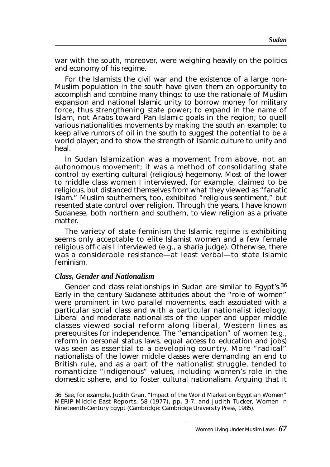war with the south, moreover, were weighing heavily on the politics and economy of his regime.

For the Islamists the civil war and the existence of a large non-Muslim population in the south have given them an opportunity to accomplish and combine many things: to use the rationale of Muslim expansion and national Islamic unity to borrow money for military force, thus strengthening state power; to expand in the name of Islam, not Arabs toward Pan-Islamic goals in the region; to quell various nationalities movements by making the south an example; to keep alive rumors of oil in the south to suggest the potential to be a world player; and to show the strength of Islamic culture to unify and heal.

In Sudan Islamization was a movement from above, not an autonomous movement; it was a method of consolidating state control by exerting cultural (religious) hegemony. Most of the lower to middle class women I interviewed, for example, claimed to be religious, but distanced themselves from what they viewed as "fanatic Islam." Muslim southerners, too, exhibited "religious sentiment," but resented state control over religion. Through the years, I have known Sudanese, both northern and southern, to view religion as a private matter.

The variety of state feminism the Islamic regime is exhibiting seems only acceptable to elite Islamist women and a few female religious officials I interviewed (e.g., a sharia judge). Otherwise, there was a considerable resistance—at least verbal—to state Islamic feminism.

#### *Class, Gender and Nationalism*

Gender and class relationships in Sudan are similar to Egypt's.<sup>36</sup> Early in the century Sudanese attitudes about the "role of women" were prominent in two parallel movements, each associated with a particular social class and with a particular nationalist ideology. Liberal and moderate nationalists of the upper and upper middle classes viewed social reform along liberal, Western lines as prerequisites for independence. The "emancipation" of women (e.g., reform in personal status laws, equal access to education and jobs) was seen as essential to a developing country. More "radical" nationalists of the lower middle classes were demanding an end to British rule, and as a part of the nationalist struggle, tended to romanticize "indigenous" values, including women's role in the domestic sphere, and to foster cultural nationalism. Arguing that it

<sup>36.</sup> See, for example, Judith Gran, "Impact of the World Market on Egyptian Women" MERIP Middle East Reports, 58 (1977), pp. 3-7; and Judith Tucker, Women in Nineteenth-Century Egypt (Cambridge: Cambridge University Press, 1985).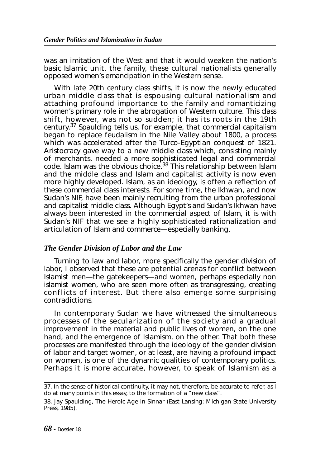was an imitation of the West and that it would weaken the nation's basic Islamic unit, the family, these cultural nationalists generally opposed women's emancipation in the Western sense.

With late 20th century class shifts, it is now the newly educated urban middle class that is espousing cultural nationalism and attaching profound importance to the family and romanticizing women's primary role in the abrogation of Western culture. This class shift, however, was not so sudden; it has its roots in the 19th century.<sup>37</sup> Spaulding tells us, for example, that commercial capitalism began to replace feudalism in the Nile Valley about 1800, a process which was accelerated after the Turco-Egyptian conquest of 1821. Aristocracy gave way to a new middle class which, consisting mainly of merchants, needed a more sophisticated legal and commercial code. Islam was the obvious choice.<sup>38</sup> This relationship between Islam and the middle class and Islam and capitalist activity is now even more highly developed. Islam, as an ideology, is often a reflection of these commercial class interests. For some time, the Ikhwan, and now Sudan's NIF, have been mainly recruiting from the urban professional and capitalist middle class. Although Egypt's and Sudan's Ikhwan have always been interested in the commercial aspect of Islam, it is with Sudan's NIF that we see a highly sophisticated rationalization and articulation of Islam and commerce—especially banking.

## *The Gender Division of Labor and the Law*

Turning to law and labor, more specifically the gender division of labor, I observed that these are potential arenas for conflict between Islamist men—the gatekeepers—and women, perhaps especially non islamist women, who are seen more often as transgressing, creating conflicts of interest. But there also emerge some surprising contradictions.

In contemporary Sudan we have witnessed the simultaneous processes of the secularization of the society and a gradual improvement in the material and public lives of women, on the one hand, and the emergence of Islamism, on the other. That both these processes are manifested through the ideology of the gender division of labor and target women, or at least, are having a profound impact on women, is one of the dynamic qualities of contemporary politics. Perhaps it is more accurate, however, to speak of Islamism as a

<sup>37.</sup> In the sense of historical continuity, it may not, therefore, be accurate to refer, as I do at many points in this essay, to the formation of a "new class".

<sup>38.</sup> Jay Spaulding, The Heroic Age in Sinnar (East Lansing: Michigan State University Press, 1985).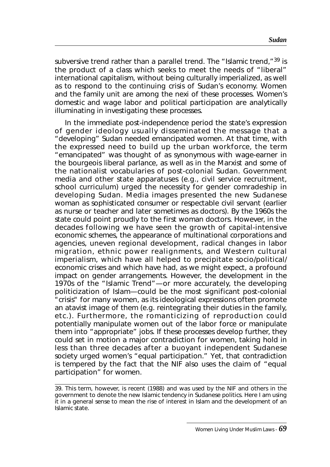subversive trend rather than a parallel trend. The "Islamic trend,"<sup>39</sup> is the product of a class which seeks to meet the needs of "liberal" international capitalism, without being culturally imperialized, as well as to respond to the continuing crisis of Sudan's economy. Women and the family unit are among the nexi of these processes. Women's domestic and wage labor and political participation are analytically illuminating in investigating these processes.

In the immediate post-independence period the state's expression of gender ideology usually disseminated the message that a "developing" Sudan needed emancipated women. At that time, with the expressed need to build up the urban workforce, the term "emancipated" was thought of as synonymous with wage-earner in the bourgeois liberal parlance, as well as in the Marxist and some of the nationalist vocabularies of post-colonial Sudan. Government media and other state apparatuses (e.g., civil service recruitment, school curriculum) urged the necessity for gender comradeship in developing Sudan. Media images presented the new Sudanese woman as sophisticated consumer or respectable civil servant (earlier as nurse or teacher and later sometimes as doctors). By the 1960s the state could point proudly to the first woman doctors. However, in the decades following we have seen the growth of capital-intensive economic schemes, the appearance of multinational corporations and agencies, uneven regional development, radical changes in labor migration, ethnic power realignments, and Western cultural imperialism, which have all helped to precipitate socio/political/ economic crises and which have had, as we might expect, a profound impact on gender arrangements. However, the development in the 1970s of the "Islamic Trend"—or more accurately, the developing politicization of Islam—could be the most significant post-colonial "crisis" for many women, as its ideological expressions often promote an atavist image of them (e.g. reintegrating their duties in the family, etc.). Furthermore, the romanticizing of reproduction could potentially manipulate women out of the labor force or manipulate them into "appropriate" jobs. If these processes develop further, they could set in motion a major contradiction for women, taking hold in less than three decades after a buoyant independent Sudanese society urged women's "equal participation." Yet, that contradiction is tempered by the fact that the NIF also uses the claim of "equal participation" for women.

<sup>39.</sup> This term, however, is recent (1988) and was used by the NIF and others in the government to denote the new Islamic tendency in Sudanese politics. Here I am using it in a general sense to mean the rise of interest in Islam and the development of an Islamic state.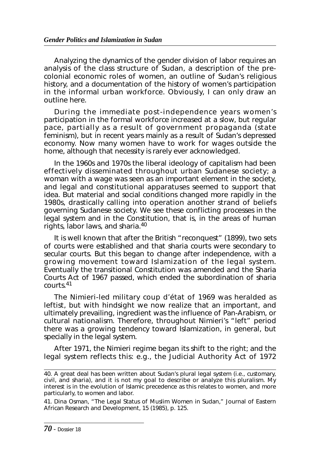Analyzing the dynamics of the gender division of labor requires an analysis of the class structure of Sudan, a description of the precolonial economic roles of women, an outline of Sudan's religious history, and a documentation of the history of women's participation in the informal urban workforce. Obviously, I can only draw an outline here.

During the immediate post-independence years women's participation in the formal workforce increased at a slow, but regular pace, partially as a result of government propaganda (state feminism), but in recent years mainly as a result of Sudan's depressed economy. Now many women have to work for wages outside the home, although that necessity is rarely ever acknowledged.

In the 1960s and 1970s the liberal ideology of capitalism had been effectively disseminated throughout urban Sudanese society; a woman with a wage was seen as an important element in the society, and legal and constitutional apparatuses seemed to support that idea. But material and social conditions changed more rapidly in the 1980s, drastically calling into operation another strand of beliefs governing Sudanese society. We see these conflicting processes in the legal system and in the Constitution, that is, in the areas of human rights, labor laws, and sharia.<sup>40</sup>

It is well known that after the British "reconquest" (1899), two sets of courts were established and that sharia courts were secondary to secular courts. But this began to change after independence, with a growing movement toward Islamization of the legal system. Eventually the transitional Constitution was amended and the Sharia Courts Act of 1967 passed, which ended the subordination of sharia courts.<sup>41</sup>

The Nimieri-led military coup d'état of 1969 was heralded as leftist, but with hindsight we now realize that an important, and ultimately prevailing, ingredient was the influence of Pan-Arabism, or cultural nationalism. Therefore, throughout Nimieri's "left" period there was a growing tendency toward Islamization, in general, but specially in the legal system.

After 1971, the Nimieri regime began its shift to the right; and the legal system reflects this: e.g., the Judicial Authority Act of 1972

<sup>40.</sup> A great deal has been written about Sudan's plural legal system (i.e., customary, civil, and sharia), and it is not my goal to describe or analyze this pluralism. My interest is in the evolution of Islamic precedence as this relates to women, and more particularly, to women and labor.

<sup>41.</sup> Dina Osman, "The Legal Status of Muslim Women in Sudan," Journal of Eastern African Research and Development, 15 (1985), p. 125.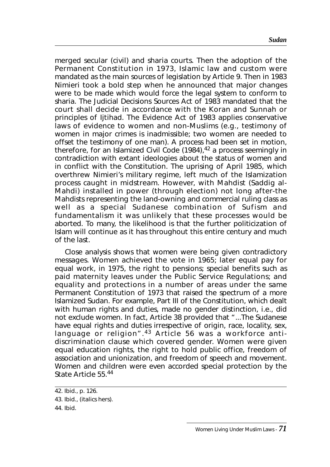merged secular (civil) and sharia courts. Then the adoption of the Permanent Constitution in 1973, Islamic law and custom were mandated as the main sources of legislation by Article 9. Then in 1983 Nimieri took a bold step when he announced that major changes were to be made which would force the legal system to conform to sharia. The Judicial Decisions Sources Act of 1983 mandated that the court shall decide in accordance with the Koran and Sunnah or principles of Ijtihad. The Evidence Act of 1983 applies conservative laws of evidence to women and non-Muslims (e.g., testimony of women in major crimes is inadmissible; two women are needed to offset the testimony of one man). A process had been set in motion, therefore, for an Islamized Civil Code  $(1984)$ ,  $42$  a process seemingly in contradiction with extant ideologies about the status of women and in conflict with the Constitution. The uprising of April 1985, which overthrew Nimieri's military regime, left much of the Islamization process caught in midstream. However, with Mahdist (Saddig al-Mahdi) installed in power (through election) not long after-the Mahdists representing the land-owning and commercial ruling class as well as a special Sudanese combination of Sufism and fundamentalism it was unlikely that these processes would be aborted. To many, the likelihood is that the further politicization of Islam will continue as it has throughout this entire century and much of the last.

Close analysis shows that women were being given contradictory messages. Women achieved the vote in 1965; later equal pay for equal work, in 1975, the right to pensions; special benefits such as paid maternity leaves under the Public Service Regulations; and equality and protections in a number of areas under the same Permanent Constitution of 1973 that raised the spectrum of a more Islamized Sudan. For example, Part III of the Constitution, which dealt with human rights and duties, made no gender distinction, i.e., did not exclude women. In fact, Article 38 provided that "...The Sudanese have equal rights and duties irrespective of origin, race, locality, sex, language or religion".<sup>43</sup> Article 56 was a workforce antidiscrimination clause which covered gender. Women were given equal education rights, the right to hold public office, freedom of association and unionization, and freedom of speech and movement. Women and children were even accorded special protection by the State Article 55 44

<sup>42.</sup> Ibid., p. 126.

<sup>43.</sup> Ibid., (italics hers).

<sup>44.</sup> Ibid.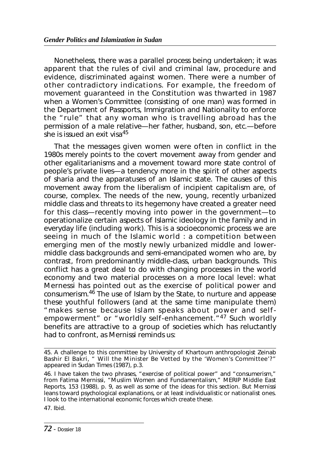Nonetheless, there was a parallel process being undertaken; it was apparent that the rules of civil and criminal law, procedure and evidence, discriminated against women. There were a number of other contradictory indications. For example, the freedom of movement guaranteed in the Constitution was thwarted in 1987 when a Women's Committee (consisting of one man) was formed in the Department of Passports, Immigration and Nationality to enforce the "rule" that any woman who is travelling abroad has the permission of a male relative—her father, husband, son, etc.—before she is issued an exit visa $45$ 

That the messages given women were often in conflict in the 1980s merely points to the covert movement away from gender and other egalitarianisms and a movement toward more state control of people's private lives—a tendency more in the spirit of other aspects of sharia and the apparatuses of an Islamic state. The causes of this movement away from the liberalism of incipient capitalism are, of course, complex. The needs of the new, young, recently urbanized middle class and threats to its hegemony have created a greater need for this class—recently moving into power in the government—to operationalize certain aspects of Islamic ideology in the family and in everyday life (including work). This is a socioeconomic process we are seeing in much of the Islamic world : a competition between emerging men of the mostly newly urbanized middle and lowermiddle class backgrounds and semi-emancipated women who are, by contrast, from predominantly middle-class, urban backgrounds. This conflict has a great deal to do with changing processes in the world economy and two material processes on a more local level: what Mernessi has pointed out as the exercise of political power and consumerism.46 The use of Islam by the State, to nurture and appease these youthful followers (and at the same time manipulate them) "makes sense because Islam speaks about power and selfempowerment" or "worldly self-enhancement."<sup>47</sup> Such worldly benefits are attractive to a group of societies which has reluctantly had to confront, as Mernissi reminds us:

47. Ibid.

<sup>45.</sup> A challenge to this committee by University of Khartoum anthropologist Zeinab Bashir El Bakri, " Will the Minister Be Vetted by the 'Women's Committee'?" appeared in Sudan Times (1987), p.3.

<sup>46.</sup> I have taken the two phrases, "exercise of political power" and "consumerism," from Fatima Mernissi, "Muslim Women and Fundamentalism," MERIP Middle East Reports, 153 (1988), p. 9, as well as some of the ideas for this section. But Mernissi leans toward psychological explanations, or at least individualistic or nationalist ones. I look to the international economic forces which create these.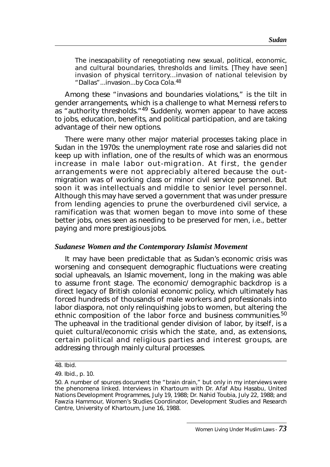The inescapability of renegotiating new sexual, political, economic, and cultural boundaries, thresholds and limits. [They have seen] invasion of physical territory...invasion of national television by "Dallas"...invasion...by Coca Cola.48

Among these "invasions and boundaries violations," is the tilt in gender arrangements, which is a challenge to what Mernessi refers to as "authority thresholds."<sup>49</sup> Suddenly, women appear to have access to jobs, education, benefits, and political participation, and are taking advantage of their new options.

There were many other major material processes taking place in Sudan in the 1970s: the unemployment rate rose and salaries did not keep up with inflation, one of the results of which was an enormous increase in male labor out-migration. At first, the gender arrangements were not appreciably altered because the outmigration was of working class or minor civil service personnel. But soon it was intellectuals and middle to senior level personnel. Although this may have served a government that was under pressure from lending agencies to prune the overburdened civil service, a ramification was that women began to move into some of these better jobs, ones seen as needing to be preserved for men, i.e., better paying and more prestigious jobs.

#### *Sudanese Women and the Contemporary Islamist Movement*

It may have been predictable that as Sudan's economic crisis was worsening and consequent demographic fluctuations were creating social upheavals, an Islamic movement, long in the making was able to assume front stage. The economic/ demographic backdrop is a direct legacy of British colonial economic policy, which ultimately has forced hundreds of thousands of male workers and professionals into labor diaspora, not only relinquishing jobs to women, but altering the ethnic composition of the labor force and business communities.<sup>50</sup> The upheaval in the traditional gender division of labor, by itself, is a quiet cultural/economic crisis which the state, and, as extensions, certain political and religious parties and interest groups, are addressing through mainly cultural processes.

<sup>48.</sup> Ibid.

<sup>49.</sup> Ibid., p. 10.

<sup>50.</sup> A number of sources document the "brain drain," but only in my interviews were the phenomena linked. Interviews in Khartoum with Dr. Afaf Abu Hasabu, United Nations Development Programmes, July 19, 1988; Dr. Nahid Toubia, July 22, 1988; and Fawzia Hammour, Women's Studies Coordinator, Development Studies and Research Centre, University of Khartoum, June 16, 1988.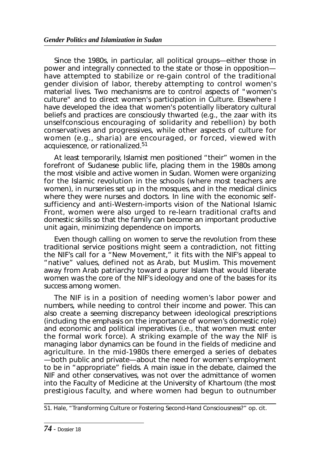Since the 1980s, in particular, all political groups—either those in power and integrally connected to the state or those in opposition have attempted to stabilize or re-gain control of the traditional gender division of labor, thereby attempting to control women's material lives. Two mechanisms are to control aspects of "women's culture" and to direct women's participation in Culture. Elsewhere I have developed the idea that women's potentially liberatory cultural beliefs and practices are consciously thwarted (e.g., the zaar with its unselfconscious encouraging of solidarity and rebellion) by both conservatives and progressives, while other aspects of culture for women (e.g., sharia) are encouraged, or forced, viewed with acquiescence, or rationalized.<sup>51</sup>

At least temporarily, Islamist men positioned "their" women in the forefront of Sudanese public life, placing them in the 1980s among the most visible and active women in Sudan. Women were organizing for the Islamic revolution in the schools (where most teachers are women), in nurseries set up in the mosques, and in the medical clinics where they were nurses and doctors. In line with the economic selfsufficiency and anti-Western-imports vision of the National Islamic Front, women were also urged to re-learn traditional crafts and domestic skills so that the family can become an important productive unit again, minimizing dependence on imports.

Even though calling on women to serve the revolution from these traditional service positions might seem a contradiction, not fitting the NIF's call for a "New Movement," it fits with the NIF's appeal to "native" values, defined not as Arab, but Muslim. This movement away from Arab patriarchy toward a purer Islam that would liberate women was the core of the NIF's ideology and one of the bases for its success among women.

The NIF is in a position of needing women's labor power and numbers, while needing to control their income and power. This can also create a seeming discrepancy between ideological prescriptions (including the emphasis on the importance of women's domestic role) and economic and political imperatives (i.e., that women must enter the formal work force). A striking example of the way the NIF is managing labor dynamics can be found in the fields of medicine and agriculture. In the mid-1980s there emerged a series of debates —both public and private—about the need for women's employment to be in "appropriate" fields. A main issue in the debate, claimed the NIF and other conservatives, was not over the admittance of women into the Faculty of Medicine at the University of Khartoum (the most prestigious faculty, and where women had begun to outnumber

<sup>51.</sup> Hale, "Transforming Culture or Fostering Second-Hand Consciousness?" op. cit.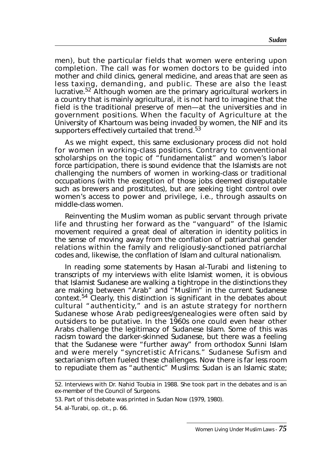men), but the particular fields that women were entering upon completion. The call was for women doctors to be guided into mother and child clinics, general medicine, and areas that are seen as less taxing, demanding, and public. These are also the least lucrative.52 Although women are the primary agricultural workers in a country that is mainly agricultural, it is not hard to imagine that the field is the traditional preserve of men—at the universities and in government positions. When the faculty of Agriculture at the University of Khartoum was being invaded by women, the NIF and its supporters effectively curtailed that trend.<sup>53</sup>

As we might expect, this same exclusionary process did not hold for women in working-class positions. Contrary to conventional scholarships on the topic of "fundamentalist" and women's labor force participation, there is sound evidence that the Islamists are not challenging the numbers of women in working-class or traditional occupations (with the exception of those jobs deemed disreputable such as brewers and prostitutes), but are seeking tight control over women's access to power and privilege, i.e., through assaults on middle-class women.

Reinventing the Muslim woman as public servant through private life and thrusting her forward as the "vanguard" of the Islamic movement required a great deal of alteration in identity politics in the sense of moving away from the conflation of patriarchal gender relations within the family and religiously-sanctioned patriarchal codes and, likewise, the conflation of Islam and cultural nationalism.

In reading some statements by Hasan al-Turabi and listening to transcripts of my interviews with elite Islamist women, it is obvious that Islamist Sudanese are walking a tightrope in the distinctions they are making between "Arab" and "Muslim" in the current Sudanese context.<sup>54</sup> Clearly, this distinction is significant in the debates about cultural "authenticity," and is an astute strategy for northern Sudanese whose Arab pedigrees/genealogies were often said by outsiders to be putative. In the 1960s one could even hear other Arabs challenge the legitimacy of Sudanese Islam. Some of this was racism toward the darker-skinned Sudanese, but there was a feeling that the Sudanese were "further away" from orthodox Sunni Islam and were merely "syncretistic Africans." Sudanese Sufism and sectarianism often fueled these challenges. Now there is far less room to repudiate them as "authentic" Muslims: Sudan is an Islamic state;

<sup>52.</sup> Interviews with Dr. Nahid Toubia in 1988. She took part in the debates and is an ex-member of the Council of Surgeons.

<sup>53.</sup> Part of this debate was printed in Sudan Now (1979, 1980).

<sup>54.</sup> al-Turabi, op. cit., p. 66.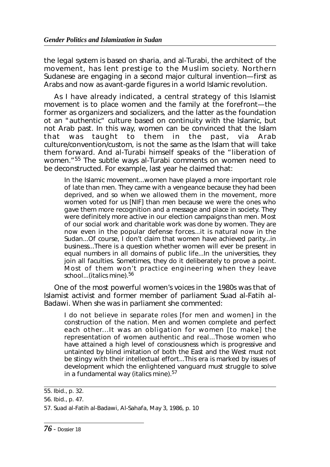the legal system is based on sharia, and al-Turabi, the architect of the movement, has lent prestige to the Muslim society. Northern Sudanese are engaging in a second major cultural invention—first as Arabs and now as avant-garde figures in a world Islamic revolution.

As I have already indicated, a central strategy of this Islamist movement is to place women and the family at the forefront—the former as organizers and socializers, and the latter as the foundation ot an "authentic" culture based on continuity with the Islamic, but not Arab past. In this way, women can be convinced that the Islam that was taught to them in the past, via Arab culture/convention/custom, is not the same as the Islam that will take them forward. And al-Turabi himself speaks of the "liberation of women.<sup>"55</sup> The subtle ways al-Turabi comments on women need to be deconstructed. For example, last year he claimed that:

In the Islamic movement...women have played a more important role of late than men. They came with a vengeance because they had been deprived, and so when we allowed them in the movement, more women voted for us [NIF] than men because we were the ones who gave them more recognition and a message and place in society. They were definitely more active in our election campaigns than men. Most of our social work and charitable work was done by women. They are now even in the popular defense forces...it is natural now in the Sudan...Of course, I don't claim that women have achieved parity...in business...There is a question whether women will ever be present in equal numbers in all domains of public life...In the universities, they join all faculties. Sometimes, they do it deliberately to prove a point. Most of them won't practice engineering when they leave school...(italics mine).<sup>56</sup>

One of the most powerful women's voices in the 1980s was that of Islamist activist and former member of parliament Suad al-Fatih al-Badawi. When she was in parliament she commented:

I do not believe in separate roles [for men and women] in the construction of the nation. Men and women complete and perfect each other...It was an obligation for women [to make] the representation of women authentic and real...Those women who have attained a high level of consciousness which is progressive and untainted by blind imitation of both the East and the West must not be stingy with their intellectual effort...This era is marked by issues of development which the enlightened vanguard must struggle to solve in a fundamental way (italics mine). $57$ 

<sup>55.</sup> Ibid., p. 32.

<sup>56.</sup> Ibid., p. 47.

<sup>57.</sup> Suad al-Fatih al-Badawi, Al-Sahafa, May 3, 1986, p. 10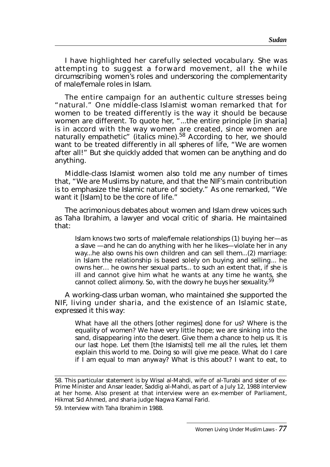I have highlighted her carefully selected vocabulary. She was attempting to suggest a forward movement, all the while circumscribing women's roles and underscoring the complementarity of male/female roles in Islam.

The entire campaign for an authentic culture stresses being "natural." One middle-class Islamist woman remarked that for women to be treated differently is the way it should be because women are different. To quote her, "...the entire principle [in sharia] is in accord with the way women are created, since women are naturally empathetic" (italics mine).<sup>58</sup> According to her, we should want to be treated differently in all spheres of life, "We are women after all!" But she quickly added that women can be anything and do anything.

Middle-class Islamist women also told me any number of times that, "We are Muslims by nature, and that the NIF's main contribution is to emphasize the Islamic nature of society." As one remarked, "We want it [Islam] to be the core of life."

The acrimonious debates about women and Islam drew voices such as Taha Ibrahim, a lawyer and vocal critic of sharia. He maintained that:

Islam knows two sorts of male/female relationships (1) buying her—as a slave —and he can do anything with her he likes—violate her in any way...he also owns his own children and can sell them...(2) marriage: in Islam the relationship is based solely on buying and selling... he owns her… he owns her sexual parts... to such an extent that, if she is ill and cannot give him what he wants at any time he wants, she cannot collect alimony. So, with the dowry he buys her sexuality.<sup>59</sup>

A working-class urban woman, who maintained she supported the NIF, living under sharia, and the existence of an Islamic state, expressed it this way:

What have all the others [other regimes] done for us? Where is the equality of women? We have very little hope; we are sinking into the sand, disappearing into the desert. Give them a chance to help us. It is our last hope. Let them [the Islamists] tell me all the rules, let them explain this world to me. Doing so will give me peace. What do I care if I am equal to man anyway? What is this about? I want to eat, to

59. Interview with Taha Ibrahim in 1988.

<sup>58.</sup> This particular statement is by Wisal al-Mahdi, wife of al-Turabi and sister of ex-Prime Minister and Ansar leader, Saddig al-Mahdi, as part of a July 12, 1988 interview at her home. Also present at that interview were an ex-member of Parliament, Hikmat Sid Ahmed, and sharia judge Nagwa Kamal Farid.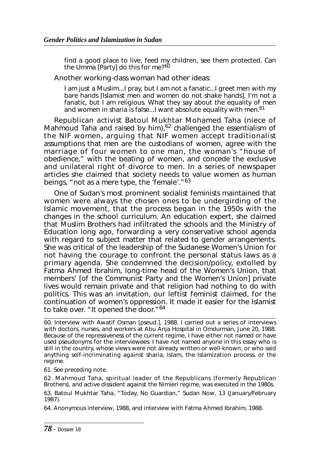find a good place to live, feed my children, see them protected. Can the Umma [Party] do this for me? $60$ 

Another working-class woman had other ideas:

I am just a Muslim...I pray, but I am not a fanatic...I greet men with my bare hands [Islamist men and women do not shake hands]. I'm not a fanatic, but I am religious. What they say about the equality of men and women in sharia is false...I want absolute equality with men.<sup>61</sup>

Republican activist Batoul Mukhtar Mohamed Taha (niece of Mahmoud Taha and raised by him), $62$  challenged the essentialism of the NIF women, arguing that NIF women accept traditionalist assumptions that men are the custodians of women, agree with the marriage of four women to one man, the woman's "house of obedience," with the beating of women, and concede the exclusive and unilateral right of divorce to men. In a series of newspaper articles she claimed that society needs to value women as human beings, "not as a mere type, the 'female'."<sup>63</sup>

One of Sudan's most prominent socialist feminists maintained that women were always the chosen ones to be undergirding of the Islamic movement, that the process began in the 1950s with the changes in the school curriculum. An education expert, she claimed that Muslim Brothers had infiltrated the schools and the Ministry of Education long ago, forwarding a very conservative school agenda with regard to subject matter that related to gender arrangements. She was critical of the leadership of the Sudanese Women's Union for not having the courage to confront the personal status laws as a primary agenda. She condemned the decision/policy, extolled by Fatma Ahmed Ibrahim, long-time head of the Women's Union, that members' [of the Communist Party and the Women's Union] private lives would remain private and that religion had nothing to do with politics. This was an invitation, our leftist feminist claimed, for the continuation of women's oppression. It made it easier for the Islamist to take over. "It opened the door."<sup>64</sup>

60. Interview with Awatif Osman [pseud.], 1988. I carried out a series of interviews with doctors, nurses, and workers at Abu Anja Hospital in Omdurman, June 20, 1988. Because of the repressiveness of the current regime, I have either not named or have used pseudonyms for the interviewees. I have not named anyone in this essay who is still in the country, whose views were not already written or well-known, or who said anything self-incriminating against sharia, Islam, the Islamization process, or the regime.

61. See preceding note.

62. Mahmoud Taha, spiritual leader of the Republicans (formerly Republican Brothers), and active dissident against the Nimieri regime, was executed in the 1980s.

63. Batoul Mukhtar Taha, "Today, No Guardian," Sudan Now, 13 (January/February 1987).

64. Anonymous interview, 1988, and interview with Fatma Ahmed Ibrahim, 1988.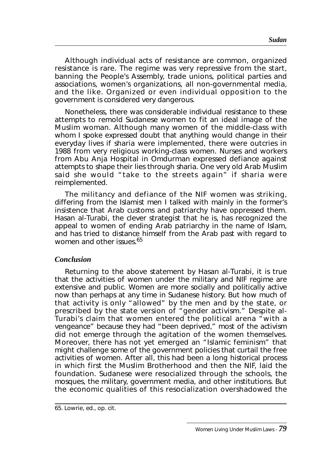Although individual acts of resistance are common, organized resistance is rare. The regime was very repressive from the start, banning the People's Assembly, trade unions, political parties and associations, women's organizations, all non-governmental media, and the like. Organized or even individual opposition to the government is considered very dangerous.

Nonetheless, there was considerable individual resistance to these attempts to remold Sudanese women to fit an ideal image of the Muslim woman. Although many women of the middle-class with whom I spoke expressed doubt that anything would change in their everyday lives if sharia were implemented, there were outcries in 1988 from very religious working-class women. Nurses and workers from Abu Anja Hospital in Omdurman expressed defiance against attempts to shape their lies through sharia. One very old Arab Muslim said she would "take to the streets again" if sharia were reimplemented.

The militancy and defiance of the NIF women was striking, differing from the Islamist men I talked with mainly in the former's insistence that Arab customs and patriarchy have oppressed them. Hasan al-Turabi, the clever strategist that he is, has recognized the appeal to women of ending Arab patriarchy in the name of Islam, and has tried to distance himself from the Arab past with regard to women and other issues  $65$ 

#### *Conclusion*

Returning to the above statement by Hasan al-Turabi, it is true that the activities of women under the military and NIF regime are extensive and public. Women are more socially and politically active now than perhaps at any time in Sudanese history. But how much of that activity is only "allowed" by the men and by the state, or prescribed by the state version of "gender activism." Despite al-Turabi's claim that women entered the political arena "with a vengeance" because they had "been deprived," most of the activism did not emerge through the agitation of the women themselves. Moreover, there has not yet emerged an "Islamic feminism" that might challenge some of the government policies that curtail the free activities of women. After all, this had been a long historical process in which first the Muslim Brotherhood and then the NIF, laid the foundation. Sudanese were resocialized through the schools, the mosques, the military, government media, and other institutions. But the economic qualities of this resocialization overshadowed the

<sup>65.</sup> Lowrie, ed., op. cit.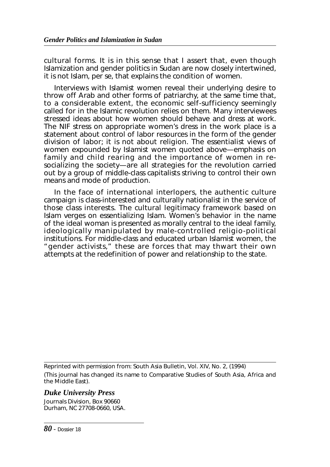cultural forms. It is in this sense that I assert that, even though Islamization and gender politics in Sudan are now closely intertwined, it is not Islam, per se, that explains the condition of women.

Interviews with Islamist women reveal their underlying desire to throw off Arab and other forms of patriarchy, at the same time that, to a considerable extent, the economic self-sufficiency seemingly called for in the Islamic revolution relies on them. Many interviewees stressed ideas about how women should behave and dress at work. The NIF stress on appropriate women's dress in the work place is a statement about control of labor resources in the form of the gender division of labor; it is not about religion. The essentialist views of women expounded by Islamist women quoted above—emphasis on family and child rearing and the importance of women in resocializing the society—are all strategies for the revolution carried out by a group of middle-class capitalists striving to control their own means and mode of production.

In the face of international interlopers, the authentic culture campaign is class-interested and culturally nationalist in the service of those class interests. The cultural legitimacy framework based on Islam verges on essentializing Islam. Women's behavior in the name of the ideal woman is presented as morally central to the ideal family, ideologically manipulated by male-controlled religio-political institutions. For middle-class and educated urban Islamist women, the "gender activists," these are forces that may thwart their own attempts at the redefinition of power and relationship to the state.

Reprinted with permission from: South Asia Bulletin, Vol. XIV, No. 2, (1994) (This journal has changed its name to Comparative Studies of South Asia, Africa and the Middle East).

## *Duke University Press*

Journals Division, Box 90660 Durham, NC 27708-0660, USA.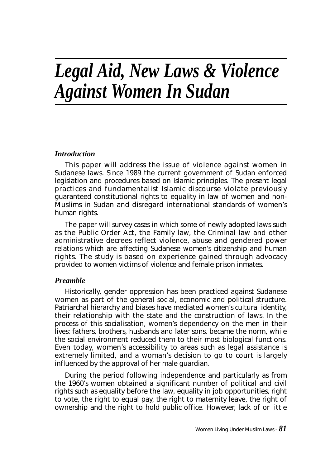## *Legal Aid, New Laws & Violence Against Women In Sudan*

### *Introduction*

This paper will address the issue of violence against women in Sudanese laws. Since 1989 the current government of Sudan enforced legislation and procedures based on Islamic principles. The present legal practices and fundamentalist Islamic discourse violate previously guaranteed constitutional rights to equality in law of women and non-Muslims in Sudan and disregard international standards of women's human rights.

The paper will survey cases in which some of newly adopted laws such as the Public Order Act, the Family law, the Criminal law and other administrative decrees reflect violence, abuse and gendered power relations which are affecting Sudanese women's citizenship and human rights. The study is based on experience gained through advocacy provided to women victims of violence and female prison inmates.

## *Preamble*

Historically, gender oppression has been practiced against Sudanese women as part of the general social, economic and political structure. Patriarchal hierarchy and biases have mediated women's cultural identity, their relationship with the state and the construction of laws. In the process of this socialisation, women's dependency on the men in their lives: fathers, brothers, husbands and later sons, became the norm, while the social environment reduced them to their most biological functions. Even today, women's accessibility to areas such as legal assistance is extremely limited, and a woman's decision to go to court is largely influenced by the approval of her male guardian.

During the period following independence and particularly as from the 1960's women obtained a significant number of political and civil rights such as equality before the law, equality in job opportunities, right to vote, the right to equal pay, the right to maternity leave, the right of ownership and the right to hold public office. However, lack of or little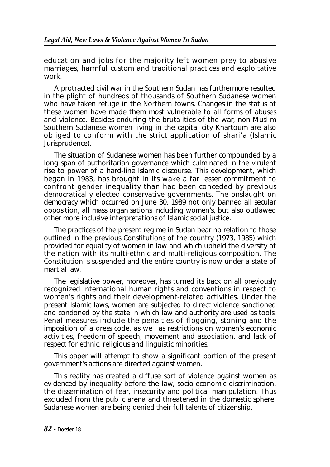education and jobs for the majority left women prey to abusive marriages, harmful custom and traditional practices and exploitative work.

A protracted civil war in the Southern Sudan has furthermore resulted in the plight of hundreds of thousands of Southern Sudanese women who have taken refuge in the Northern towns. Changes in the status of these women have made them most vulnerable to all forms of abuses and violence. Besides enduring the brutalities of the war, non-Muslim Southern Sudanese women living in the capital city Khartoum are also obliged to conform with the strict application of shari'a (Islamic Jurisprudence).

The situation of Sudanese women has been further compounded by a long span of authoritarian governance which culminated in the virulent rise to power of a hard-line Islamic discourse. This development, which began in 1983, has brought in its wake a far lesser commitment to confront gender inequality than had been conceded by previous democratically elected conservative governments. The onslaught on democracy which occurred on June 30, 1989 not only banned all secular opposition, all mass organisations including women's, but also outlawed other more inclusive interpretations of Islamic social justice.

The practices of the present regime in Sudan bear no relation to those outlined in the previous Constitutions of the country (1973, 1985) which provided for equality of women in law and which upheld the diversity of the nation with its multi-ethnic and multi-religious composition. The Constitution is suspended and the entire country is now under a state of martial law.

The legislative power, moreover, has turned its back on all previously recognized international human rights and conventions in respect to women's rights and their development-related activities. Under the present Islamic laws, women are subjected to direct violence sanctioned and condoned by the state in which law and authority are used as tools. Penal measures include the penalties of flogging, stoning and the imposition of a dress code, as well as restrictions on women's economic activities, freedom of speech, movement and association, and lack of respect for ethnic, religious and linguistic minorities.

This paper will attempt to show a significant portion of the present government's actions are directed against women.

This reality has created a diffuse sort of violence against women as evidenced by inequality before the law, socio-economic discrimination, the dissemination of fear, insecurity and political manipulation. Thus excluded from the public arena and threatened in the domestic sphere, Sudanese women are being denied their full talents of citizenship.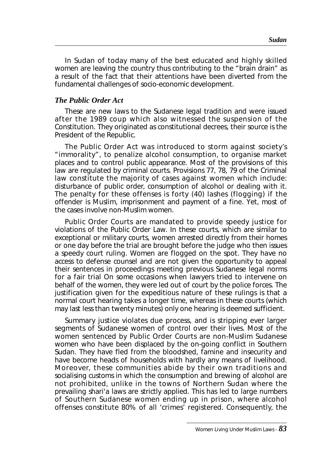In Sudan of today many of the best educated and highly skilled women are leaving the country thus contributing to the "brain drain" as a result of the fact that their attentions have been diverted from the fundamental challenges of socio-economic development.

#### *The Public Order Act*

These are new laws to the Sudanese legal tradition and were issued after the 1989 coup which also witnessed the suspension of the Constitution. They originated as constitutional decrees, their source is the President of the Republic.

The Public Order Act was introduced to storm against society's "immorality", to penalize alcohol consumption, to organise market places and to control public appearance. Most of the provisions of this law are regulated by criminal courts. Provisions 77, 78, 79 of the Criminal law constitute the majority of cases against women which include: disturbance of public order, consumption of alcohol or dealing with it. The penalty for these offenses is forty (40) lashes (flogging) if the offender is Muslim, imprisonment and payment of a fine. Yet, most of the cases involve non-Muslim women.

Public Order Courts are mandated to provide speedy justice for violations of the Public Order Law. In these courts, which are similar to exceptional or military courts, women arrested directly from their homes or one day before the trial are brought before the judge who then issues a speedy court ruling. Women are flogged on the spot. They have no access to defense counsel and are not given the opportunity to appeal their sentences in proceedings meeting previous Sudanese legal norms for a fair trial On some occasions when lawyers tried to intervene on behalf of the women, they were led out of court by the police forces. The justification given for the expeditious nature of these rulings is that a normal court hearing takes a longer time, whereas in these courts (which may last less than twenty minutes) only one hearing is deemed sufficient.

Summary justice violates due process, and is stripping ever larger segments of Sudanese women of control over their lives. Most of the women sentenced by Public Order Courts are non-Muslim Sudanese women who have been displaced by the on-going conflict in Southern Sudan. They have fled from the bloodshed, famine and insecurity and have become heads of households with hardly any means of livelihood. Moreover, these communities abide by their own traditions and socialising customs in which the consumption and brewing of alcohol are not prohibited, unlike in the towns of Northern Sudan where the prevailing shari'a laws are strictly applied. This has led to large numbers of Southern Sudanese women ending up in prison, where alcohol offenses constitute 80% of all 'crimes' registered. Consequently, the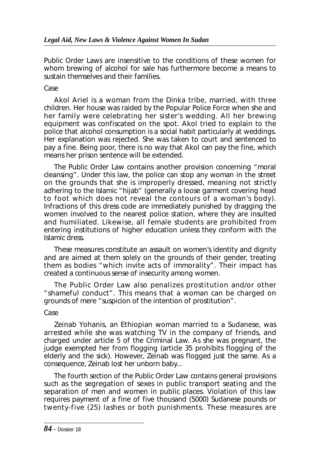Public Order Laws are insensitive to the conditions of these women for whom brewing of alcohol for sale has furthermore become a means to sustain themselves and their families.

#### Case

Akol Ariel is a woman from the Dinka tribe, married, with three children. Her house was raided by the Popular Police Force when she and her family were celebrating her sister's wedding. All her brewing equipment was confiscated on the spot. Akol tried to explain to the police that alcohol consumption is a social habit particularly at weddings. Her explanation was rejected. She was taken to court and sentenced to pay a fine. Being poor, there is no way that Akol can pay the fine, which means her prison sentence will be extended.

The Public Order Law contains another provision concerning "moral cleansing". Under this law, the police can stop any woman in the street on the grounds that she is improperly dressed, meaning not strictly adhering to the Islamic "hijab" (generally a loose garment covering head to foot which does not reveal the contours of a woman's body). Infractions of this dress code are immediately punished by dragging the women involved to the nearest police station, where they are insulted and humiliated. Likewise, all female students are prohibited from entering institutions of higher education unless they conform with the Islamic dress.

These measures constitute an assault on women's identity and dignity and are aimed at them solely on the grounds of their gender, treating them as bodies "which invite acts of immorality". Their impact has created a continuous sense of insecurity among women.

The Public Order Law also penalizes prostitution and/or other "shameful conduct". This means that a woman can be charged on grounds of mere "suspicion of the intention of prostitution".

#### Case

Zeinab Yohanis, an Ethiopian woman married to a Sudanese, was arrested while she was watching TV in the company of friends, and charged under article 5 of the Criminal Law. As she was pregnant, the judge exempted her from flogging (article 35 prohibits flogging of the elderly and the sick). However, Zeinab was flogged just the same. As a consequence, Zeinab lost her unborn baby...

The fourth section of the Public Order Law contains general provisions such as the segregation of sexes in public transport seating and the separation of men and women in public places. Violation of this law requires payment of a fine of five thousand (5000) Sudanese pounds or twenty-five (25) lashes or both punishments. These measures are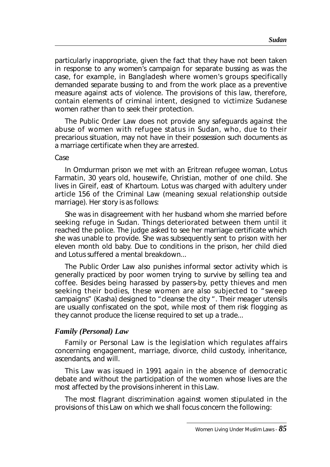particularly inappropriate, given the fact that they have not been taken in response to any women's campaign for separate bussing as was the case, for example, in Bangladesh where women's groups specifically demanded separate bussing to and from the work place as a preventive measure against acts of violence. The provisions of this law, therefore, contain elements of criminal intent, designed to victimize Sudanese women rather than to seek their protection.

The Public Order Law does not provide any safeguards against the abuse of women with refugee status in Sudan, who, due to their precarious situation, may not have in their possession such documents as a marriage certificate when they are arrested.

#### Case

In Omdurman prison we met with an Eritrean refugee woman, Lotus Farmatin, 30 years old, housewife, Christian, mother of one child. She lives in Gireif, east of Khartoum. Lotus was charged with adultery under article 156 of the Criminal Law (meaning sexual relationship outside marriage). Her story is as follows:

She was in disagreement with her husband whom she married before seeking refuge in Sudan. Things deteriorated between them until it reached the police. The judge asked to see her marriage certificate which she was unable to provide. She was subsequently sent to prison with her eleven month old baby. Due to conditions in the prison, her child died and Lotus suffered a mental breakdown...

The Public Order Law also punishes informal sector activity which is generally practiced by poor women trying to survive by selling tea and coffee. Besides being harassed by passers-by, petty thieves and men seeking their bodies, these women are also subjected to "sweep campaigns" (Kasha) designed to "cleanse the city ". Their meager utensils are usually confiscated on the spot, while most of them risk flogging as they cannot produce the license required to set up a trade...

#### *Family (Personal) Law*

Family or Personal Law is the legislation which regulates affairs concerning engagement, marriage, divorce, child custody, inheritance, ascendants, and will.

This Law was issued in 1991 again in the absence of democratic debate and without the participation of the women whose lives are the most affected by the provisions inherent in this Law.

The most flagrant discrimination against women stipulated in the provisions of this Law on which we shall focus concern the following: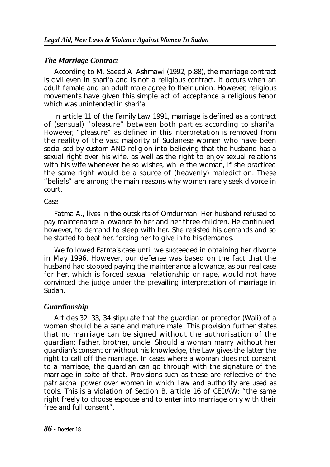## *The Marriage Contract*

According to M. Saeed Al Ashmawi (1992, p.88), the marriage contract is civil even in shari'a and is not a religious contract. It occurs when an adult female and an adult male agree to their union. However, religious movements have given this simple act of acceptance a religious tenor which was unintended in shari'a.

In article 11 of the Family Law 1991, marriage is defined as a contract of (sensual) "pleasure" between both parties according to shari'a. However, "pleasure" as defined in this interpretation is removed from the reality of the vast majority of Sudanese women who have been socialised by custom AND religion into believing that the husband has a sexual right over his wife, as well as the right to enjoy sexual relations with his wife whenever he so wishes, while the woman, if she practiced the same right would be a source of (heavenly) malediction. These "beliefs" are among the main reasons why women rarely seek divorce in court.

### Case

Fatma A., lives in the outskirts of Omdurman. Her husband refused to pay maintenance allowance to her and her three children. He continued, however, to demand to sleep with her. She resisted his demands and so he started to beat her, forcing her to give in to his demands.

We followed Fatma's case until we succeeded in obtaining her divorce in May 1996. However, our defense was based on the fact that the husband had stopped paying the maintenance allowance, as our real case for her, which is forced sexual relationship or rape, would not have convinced the judge under the prevailing interpretation of marriage in Sudan.

## *Guardianship*

Articles 32, 33, 34 stipulate that the guardian or protector (Wali) of a woman should be a sane and mature male. This provision further states that no marriage can be signed without the authorisation of the guardian: father, brother, uncle. Should a woman marry without her guardian's consent or without his knowledge, the Law gives the latter the right to call off the marriage. In cases where a woman does not consent to a marriage, the guardian can go through with the signature of the marriage in spite of that. Provisions such as these are reflective of the patriarchal power over women in which Law and authority are used as tools. This is a violation of Section B, article 16 of CEDAW: "the same right freely to choose espouse and to enter into marriage only with their free and full consent".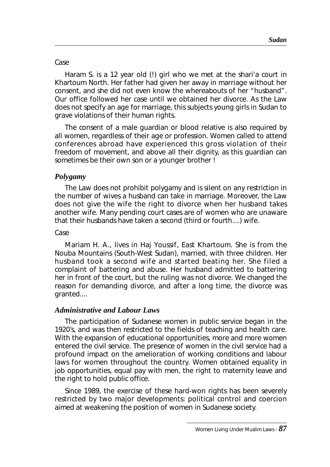#### Case

Haram S. is a 12 year old (!) girl who we met at the shari'a court in Khartoum North. Her father had given her away in marriage without her consent, and she did not even know the whereabouts of her "husband". Our office followed her case until we obtained her divorce. As the Law does not specify an age for marriage, this subjects young girls in Sudan to grave violations of their human rights.

The consent of a male guardian or blood relative is also required by all women, regardless of their age or profession. Women called to attend conferences abroad have experienced this gross violation of their freedom of movement, and above all their dignity, as this guardian can sometimes be their own son or a younger brother !

## *Polygamy*

The Law does not prohibit polygamy and is silent on any restriction in the number of wives a husband can take in marriage. Moreover, the Law does not give the wife the right to divorce when her husband takes another wife. Many pending court cases are of women who are unaware that their husbands have taken a second (third or fourth....) wife.

## Case

Mariam H. A., lives in Haj Youssif, East Khartoum. She is from the Nouba Mountains (South-West Sudan), married, with three children. Her husband took a second wife and started beating her. She filed a complaint of battering and abuse. Her husband admitted to battering her in front of the court, but the ruling was not divorce. We changed the reason for demanding divorce, and after a long time, the divorce was granted....

## *Administrative and Labour Laws*

The participation of Sudanese women in public service began in the 1920's, and was then restricted to the fields of teaching and health care. With the expansion of educational opportunities, more and more women entered the civil service. The presence of women in the civil service had a profound impact on the amelioration of working conditions and labour laws for women throughout the country. Women obtained equality in job opportunities, equal pay with men, the right to maternity leave and the right to hold public office.

Since 1989, the exercise of these hard-won rights has been severely restricted by two major developments: political control and coercion aimed at weakening the position of women in Sudanese society.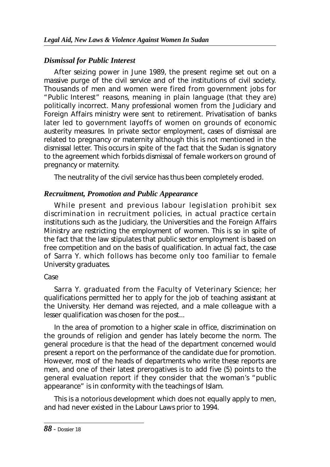## *Dismissal for Public Interest*

After seizing power in June 1989, the present regime set out on a massive purge of the civil service and of the institutions of civil society. Thousands of men and women were fired from government jobs for "Public Interest" reasons, meaning in plain language (that they are) politically incorrect. Many professional women from the Judiciary and Foreign Affairs ministry were sent to retirement. Privatisation of banks later led to government layoffs of women on grounds of economic austerity measures. In private sector employment, cases of dismissal are related to pregnancy or maternity although this is not mentioned in the dismissal letter. This occurs in spite of the fact that the Sudan is signatory to the agreement which forbids dismissal of female workers on ground of pregnancy or maternity.

The neutrality of the civil service has thus been completely eroded.

## *Recruitment, Promotion and Public Appearance*

While present and previous labour legislation prohibit sex discrimination in recruitment policies, in actual practice certain institutions such as the Judiciary, the Universities and the Foreign Affairs Ministry are restricting the employment of women. This is so in spite of the fact that the law stipulates that public sector employment is based on free competition and on the basis of qualification. In actual fact, the case of Sarra Y. which follows has become only too familiar to female University graduates.

## Case

Sarra Y. graduated from the Faculty of Veterinary Science; her qualifications permitted her to apply for the job of teaching assistant at the University. Her demand was rejected, and a male colleague with a lesser qualification was chosen for the post...

In the area of promotion to a higher scale in office, discrimination on the grounds of religion and gender has lately become the norm. The general procedure is that the head of the department concerned would present a report on the performance of the candidate due for promotion. However, most of the heads of departments who write these reports are men, and one of their latest prerogatives is to add five (5) points to the general evaluation report if they consider that the woman's "public appearance" is in conformity with the teachings of Islam.

This is a notorious development which does not equally apply to men, and had never existed in the Labour Laws prior to 1994.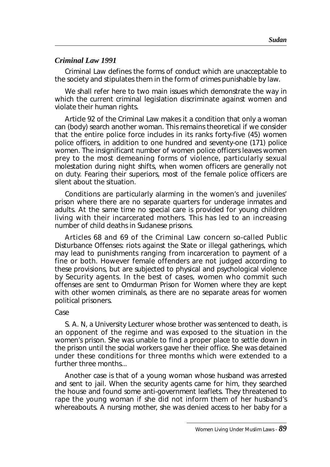#### *Criminal Law 1991*

Criminal Law defines the forms of conduct which are unacceptable to the society and stipulates them in the form of crimes punishable by law.

We shall refer here to two main issues which demonstrate the way in which the current criminal legislation discriminate against women and violate their human rights.

Article 92 of the Criminal Law makes it a condition that only a woman can (body) search another woman. This remains theoretical if we consider that the entire police force includes in its ranks forty-five (45) women police officers, in addition to one hundred and seventy-one (171) police women. The insignificant number of women police officers leaves women prey to the most demeaning forms of violence, particularly sexual molestation during night shifts, when women officers are generally not on duty. Fearing their superiors, most of the female police officers are silent about the situation.

Conditions are particularly alarming in the women's and juveniles' prison where there are no separate quarters for underage inmates and adults. At the same time no special care is provided for young children living with their incarcerated mothers. This has led to an increasing number of child deaths in Sudanese prisons.

Articles 68 and 69 of the Criminal Law concern so-called Public Disturbance Offenses: riots against the State or illegal gatherings, which may lead to punishments ranging from incarceration to payment of a fine or both. However female offenders are not judged according to these provisions, but are subjected to physical and psychological violence by Security agents. In the best of cases, women who commit such offenses are sent to Omdurman Prison for Women where they are kept with other women criminals, as there are no separate areas for women political prisoners.

#### Case

S. A. N, a University Lecturer whose brother was sentenced to death, is an opponent of the regime and was exposed to the situation in the women's prison. She was unable to find a proper place to settle down in the prison until the social workers gave her their office. She was detained under these conditions for three months which were extended to a further three months...

Another case is that of a young woman whose husband was arrested and sent to jail. When the security agents came for him, they searched the house and found some anti-government leaflets. They threatened to rape the young woman if she did not inform them of her husband's whereabouts. A nursing mother, she was denied access to her baby for a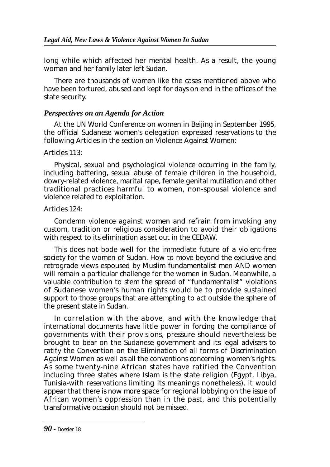long while which affected her mental health. As a result, the young woman and her family later left Sudan.

There are thousands of women like the cases mentioned above who have been tortured, abused and kept for days on end in the offices of the state security.

## *Perspectives on an Agenda for Action*

At the UN World Conference on women in Beijing in September 1995, the official Sudanese women's delegation expressed reservations to the following Articles in the section on Violence Against Women:

#### Articles 113:

Physical, sexual and psychological violence occurring in the family, including battering, sexual abuse of female children in the household, dowry-related violence, marital rape, female genital mutilation and other traditional practices harmful to women, non-spousal violence and violence related to exploitation.

#### Articles 124:

Condemn violence against women and refrain from invoking any custom, tradition or religious consideration to avoid their obligations with respect to its elimination as set out in the CEDAW.

This does not bode well for the immediate future of a violent-free society for the women of Sudan. How to move beyond the exclusive and retrograde views espoused by Muslim fundamentalist men AND women will remain a particular challenge for the women in Sudan. Meanwhile, a valuable contribution to stem the spread of "fundamentalist" violations of Sudanese women's human rights would be to provide sustained support to those groups that are attempting to act outside the sphere of the present state in Sudan.

In correlation with the above, and with the knowledge that international documents have little power in forcing the compliance of governments with their provisions, pressure should nevertheless be brought to bear on the Sudanese government and its legal advisers to ratify the Convention on the Elimination of all forms of Discrimination Against Women as well as all the conventions concerning women's rights. As some twenty-nine African states have ratified the Convention including three states where Islam is the state religion (Egypt, Libya, Tunisia-with reservations limiting its meanings nonetheless), it would appear that there is now more space for regional lobbying on the issue of African women's oppression than in the past, and this potentially transformative occasion should not be missed.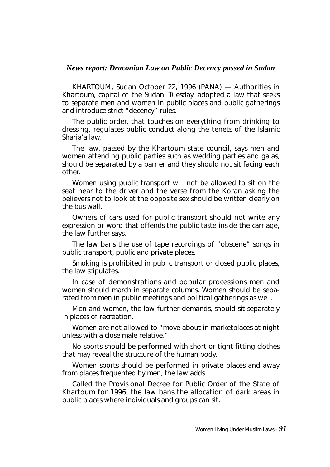## *News report: Draconian Law on Public Decency passed in Sudan*

KHARTOUM, Sudan October 22, 1996 (PANA) — Authorities in Khartoum, capital of the Sudan, Tuesday, adopted a law that seeks to separate men and women in public places and public gatherings and introduce strict "decency" rules.

The public order, that touches on everything from drinking to dressing, regulates public conduct along the tenets of the Islamic Sharia'a law.

The law, passed by the Khartoum state council, says men and women attending public parties such as wedding parties and galas, should be separated by a barrier and they should not sit facing each other.

Women using public transport will not be allowed to sit on the seat near to the driver and the verse from the Koran asking the believers not to look at the opposite sex should be written clearly on the bus wall.

Owners of cars used for public transport should not write any expression or word that offends the public taste inside the carriage, the law further says.

The law bans the use of tape recordings of "obscene" songs in public transport, public and private places.

Smoking is prohibited in public transport or closed public places, the law stipulates.

In case of demonstrations and popular processions men and women should march in separate columns. Women should be separated from men in public meetings and political gatherings as well.

Men and women, the law further demands, should sit separately in places of recreation.

Women are not allowed to "move about in marketplaces at night unless with a close male relative."

No sports should be performed with short or tight fitting clothes that may reveal the structure of the human body.

Women sports should be performed in private places and away from places frequented by men, the law adds.

Called the Provisional Decree for Public Order of the State of Khartoum for 1996, the law bans the allocation of dark areas in public places where individuals and groups can sit.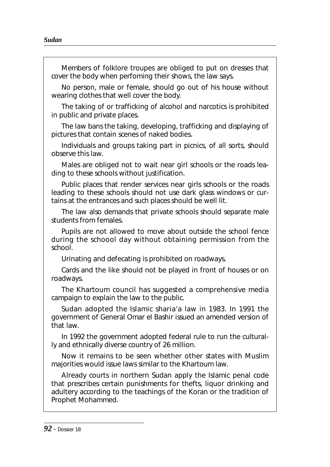Members of folklore troupes are obliged to put on dresses that cover the body when perfoming their shows, the law says.

No person, male or female, should go out of his house without wearing clothes that well cover the body.

The taking of or trafficking of alcohol and narcotics is prohibited in public and private places.

The law bans the taking, developing, trafficking and displaying of pictures that contain scenes of naked bodies.

Individuals and groups taking part in picnics, of all sorts, should observe this law.

Males are obliged not to wait near girl schools or the roads leading to these schools without justification.

Public places that render services near girls schools or the roads leading to these schools should not use dark glass windows or curtains at the entrances and such places should be well lit.

The law also demands that private schools should separate male students from females.

Pupils are not allowed to move about outside the school fence during the schoool day without obtaining permission from the school.

Urinating and defecating is prohibited on roadways.

Cards and the like should not be played in front of houses or on roadways.

The Khartoum council has suggested a comprehensive media campaign to explain the law to the public.

Sudan adopted the Islamic sharia'a law in 1983. In 1991 the government of General Omar el Bashir issued an amended version of that law.

In 1992 the government adopted federal rule to run the culturally and ethnically diverse country of 26 million.

Now it remains to be seen whether other states with Muslim majorities would issue laws similar to the Khartoum law.

Already courts in northern Sudan apply the Islamic penal code that prescribes certain punishments for thefts, liquor drinking and adultery according to the teachings of the Koran or the tradition of Prophet Mohammed.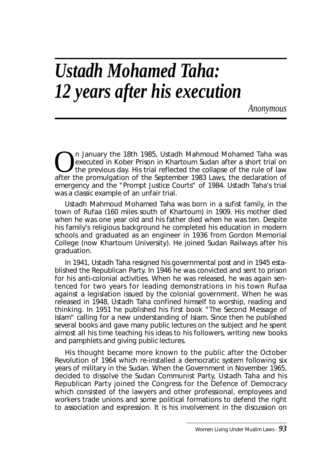## *Ustadh Mohamed Taha: 12 years after his execution*

*Anonymous*

On January the 18th 1985, Ustadh Mahmoud Mohamed Taha was<br>executed in Kober Prison in Khartoum Sudan after a short trial on<br>after the promulgation of the September 1983 Laws, the declaration of executed in Kober Prison in Khartoum Sudan after a short trial on the previous day. His trial reflected the collapse of the rule of law after the promulgation of the September 1983 Laws, the declaration of emergency and the "Prompt Justice Courts" of 1984. Ustadh Taha's trial was a classic example of an unfair trial.

Ustadh Mahmoud Mohamed Taha was born in a sufist family, in the town of Rufaa (160 miles south of Khartoum) in 1909. His mother died when he was one year old and his father died when he was ten. Despite his family's religious background he completed his education in modern schools and graduated as an engineer in 1936 from Gordon Memorial College (now Khartoum University). He joined Sudan Railways after his graduation.

In 1941, Ustadh Taha resigned his governmental post and in 1945 established the Republican Party. In 1946 he was convicted and sent to prison for his anti-colonial activities. When he was released, he was again sentenced for two years for leading demonstrations in his town Rufaa against a legislation issued by the colonial government. When he was released in 1948, Ustadh Taha confined himself to worship, reading and thinking. In 1951 he published his first book "The Second Message of Islam" calling for a new understanding of Islam. Since then he published several books and gave many public lectures on the subject and he spent almost all his time teaching his ideas to his followers, writing new books and pamphlets and giving public lectures.

His thought became more known to the public after the October Revolution of 1964 which re-installed a democratic system following six years of military in the Sudan. When the Government in November 1965, decided to dissolve the Sudan Communist Party, Ustadh Taha and his Republican Party joined the Congress for the Defence of Democracy which consisted of the lawyers and other professional, employees and workers trade unions and some political formations to defend the right to association and expression. It is his involvement in the discussion on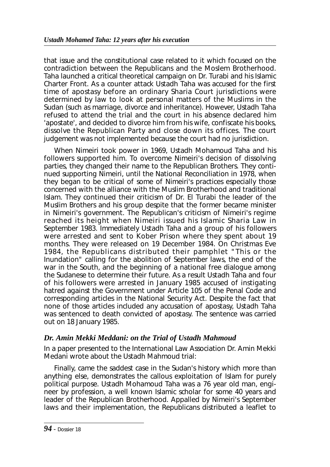that issue and the constitutional case related to it which focused on the contradiction between the Republicans and the Moslem Brotherhood. Taha launched a critical theoretical campaign on Dr. Turabi and his Islamic Charter Front. As a counter attack Ustadh Taha was accused for the first time of apostasy before an ordinary Sharia Court jurisdictions were determined by law to look at personal matters of the Muslims in the Sudan (such as marriage, divorce and inheritance). However, Ustadh Taha refused to attend the trial and the court in his absence declared him 'apostate', and decided to divorce him from his wife, confiscate his books, dissolve the Republican Party and close down its offices. The court judgement was not implemented because the court had no jurisdiction.

When Nimeiri took power in 1969, Ustadh Mohamoud Taha and his followers supported him. To overcome Nimeiri's decision of dissolving parties, they changed their name to the Republican Brothers. They continued supporting Nimeiri, until the National Reconciliation in 1978, when they began to be critical of some of Nimeiri's practices especially those concerned with the alliance with the Muslim Brotherhood and traditional Islam. They continued their criticism of Dr. El Turabi the leader of the Muslim Brothers and his group despite that the former became minister in Nimeiri's government. The Republican's criticism of Nimeiri's regime reached its height when Nimeiri issued his Islamic Sharia Law in September 1983. Immediately Ustadh Taha and a group of his followers were arrested and sent to Kober Prison where they spent about 19 months. They were released on 19 December 1984. On Christmas Eve 1984, the Republicans distributed their pamphlet "This or the Inundation" calling for the abolition of September laws, the end of the war in the South, and the beginning of a national free dialogue among the Sudanese to determine their future. As a result Ustadh Taha and four of his followers were arrested in January 1985 accused of instigating hatred against the Government under Article 105 of the Penal Code and corresponding articles in the National Security Act. Despite the fact that none of those articles included any accusation of apostasy, Ustadh Taha was sentenced to death convicted of apostasy. The sentence was carried out on 18 January 1985.

## *Dr. Amin Mekki Meddani: on the Trial of Ustadh Mahmoud*

In a paper presented to the International Law Association Dr. Amin Mekki Medani wrote about the Ustadh Mahmoud trial:

Finally, came the saddest case in the Sudan's history which more than anything else, demonstrates the callous exploitation of Islam for purely political purpose. Ustadh Mohamoud Taha was a 76 year old man, engineer by profession, a well known Islamic scholar for some 40 years and leader of the Republican Brotherhood. Appalled by Nimeiri's September laws and their implementation, the Republicans distributed a leaflet to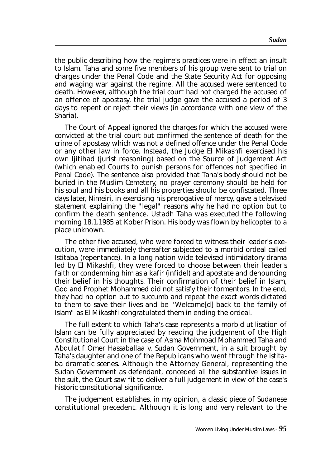the public describing how the regime's practices were in effect an insult to Islam. Taha and some five members of his group were sent to trial on charges under the Penal Code and the State Security Act for opposing and waging war against the regime. All the accused were sentenced to death. However, although the trial court had not charged the accused of an offence of apostasy, the trial judge gave the accused a period of 3 days to repent or reject their views (in accordance with one view of the Sharia).

The Court of Appeal ignored the charges for which the accused were convicted at the trial court but confirmed the sentence of death for the crime of apostasy which was not a defined offence under the Penal Code or any other law in force. Instead, the Judge El Mikashfi exercised his own Ijitihad (jurist reasoning) based on the Source of Judgement Act (which enabled Courts to punish persons for offences not specified in Penal Code). The sentence also provided that Taha's body should not be buried in the Muslim Cemetery, no prayer ceremony should be held for his soul and his books and all his properties should be confiscated. Three days later, Nimeiri, in exercising his prerogative of mercy, gave a televised statement explaining the "legal" reasons why he had no option but to confirm the death sentence. Ustadh Taha was executed the following morning 18.1.1985 at Kober Prison. His body was flown by helicopter to a place unknown.

The other five accused, who were forced to witness their leader's execution, were immediately thereafter subjected to a morbid ordeal called Istitaba (repentance). In a long nation wide televised intimidatory drama led by El Mikashfi, they were forced to choose between their leader's faith or condemning him as a kafir (infidel) and apostate and denouncing their belief in his thoughts. Their confirmation of their belief in Islam, God and Prophet Mohammed did not satisfy their tormentors. In the end, they had no option but to succumb and repeat the exact words dictated to them to save their lives and be "Welcome[d] back to the family of Islam" as El Mikashfi congratulated them in ending the ordeal.

The full extent to which Taha's case represents a morbid utilisation of Islam can be fully appreciated by reading the judgement of the High Constitutional Court in the case of Asma Mohmoad Mohammed Taha and Abdulatif Omer Hassaballaa v. Sudan Government, in a suit brought by Taha's daughter and one of the Republicans who went through the istitaba dramatic scenes. Although the Attorney General, representing the Sudan Government as defendant, conceded all the substantive issues in the suit, the Court saw fit to deliver a full judgement in view of the case's historic constitutional significance.

The judgement establishes, in my opinion, a classic piece of Sudanese constitutional precedent. Although it is long and very relevant to the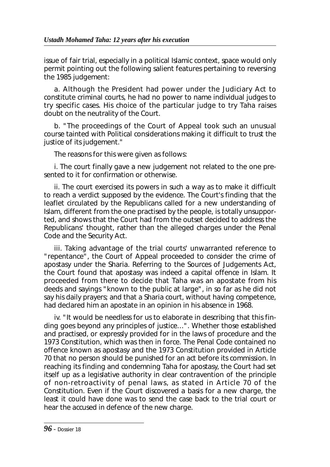issue of fair trial, especially in a political Islamic context, space would only permit pointing out the following salient features pertaining to reversing the 1985 judgement:

a. Although the President had power under the Judiciary Act to constitute criminal courts, he had no power to name individual judges to try specific cases. His choice of the particular judge to try Taha raises doubt on the neutrality of the Court.

b. "The proceedings of the Court of Appeal took such an unusual course tainted with Political considerations making it difficult to trust the justice of its judgement."

The reasons for this were given as follows:

i. The court finally gave a new judgement not related to the one presented to it for confirmation or otherwise.

ii. The court exercised its powers in such a way as to make it difficult to reach a verdict supposed by the evidence. The Court's finding that the leaflet circulated by the Republicans called for a new understanding of Islam, different from the one practised by the people, is totally unsupported, and shows that the Court had from the outset decided to address the Republicans' thought, rather than the alleged charges under the Penal Code and the Security Act.

iii. Taking advantage of the trial courts' unwarranted reference to "repentance", the Court of Appeal proceeded to consider the crime of apostasy under the Sharia. Referring to the Sources of Judgements Act, the Court found that apostasy was indeed a capital offence in Islam. It proceeded from there to decide that Taha was an apostate from his deeds and sayings "known to the public at large", in so far as he did not say his daily prayers; and that a Sharia court, without having competence, had declared him an apostate in an opinion in his absence in 1968.

iv. "It would be needless for us to elaborate in describing that this finding goes beyond any principles of justice…". Whether those established and practised, or expressly provided for in the laws of procedure and the 1973 Constitution, which was then in force. The Penal Code contained no offence known as apostasy and the 1973 Constitution provided in Article 70 that no person should be punished for an act before its commission. In reaching its finding and condemning Taha for apostasy, the Court had set itself up as a legislative authority in clear contravention of the principle of non-retroactivity of penal laws, as stated in Article 70 of the Constitution. Even if the Court discovered a basis for a new charge, the least it could have done was to send the case back to the trial court or hear the accused in defence of the new charge.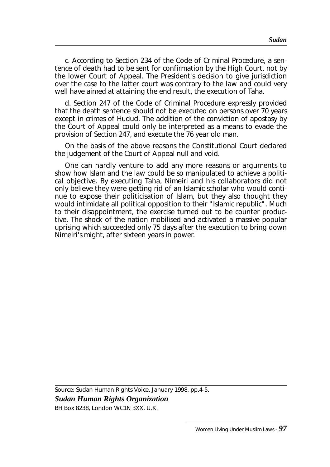c. According to Section 234 of the Code of Criminal Procedure, a sentence of death had to be sent for confirmation by the High Court, not by the lower Court of Appeal. The President's decision to give jurisdiction over the case to the latter court was contrary to the law and could very well have aimed at attaining the end result, the execution of Taha.

d. Section 247 of the Code of Criminal Procedure expressly provided that the death sentence should not be executed on persons over 70 years except in crimes of Hudud. The addition of the conviction of apostasy by the Court of Appeal could only be interpreted as a means to evade the provision of Section 247, and execute the 76 year old man.

On the basis of the above reasons the Constitutional Court declared the judgement of the Court of Appeal null and void.

One can hardly venture to add any more reasons or arguments to show how Islam and the law could be so manipulated to achieve a political objective. By executing Taha, Nimeiri and his collaborators did not only believe they were getting rid of an Islamic scholar who would continue to expose their politicisation of Islam, but they also thought they would intimidate all political opposition to their "Islamic republic". Much to their disappointment, the exercise turned out to be counter productive. The shock of the nation mobilised and activated a massive popular uprising which succeeded only 75 days after the execution to bring down Nimeiri's might, after sixteen years in power.

Source: Sudan Human Rights Voice, January 1998, pp.4-5.

*Sudan Human Rights Organization* BH Box 8238, London WC1N 3XX, U.K.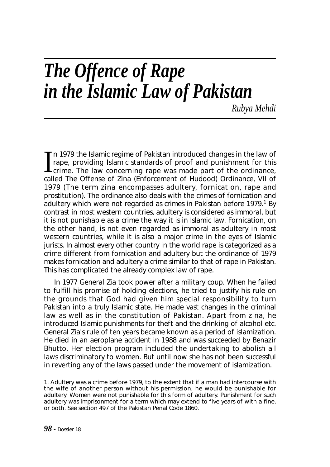# *The Offence of Rape in the Islamic Law of Pakistan*

*Rubya Mehdi*

In 1979 the Islamic regime of Pakistan introduced changes in the law of<br>rape, providing Islamic standards of proof and punishment for this<br>crime. The law concerning rape was made part of the ordinance,<br>called The Offense o n 1979 the Islamic regime of Pakistan introduced changes in the law of rape, providing Islamic standards of proof and punishment for this called The Offense of Zina (Enforcement of Hudood) Ordinance, VII of 1979 (The term zina encompasses adultery, fornication, rape and prostitution). The ordinance also deals with the crimes of fornication and adultery which were not regarded as crimes in Pakistan before 1979.<sup>1</sup> By contrast in most western countries, adultery is considered as immoral, but it is not punishable as a crime the way it is in Islamic law. Fornication, on the other hand, is not even regarded as immoral as adultery in most western countries, while it is also a major crime in the eyes of Islamic jurists. In almost every other country in the world rape is categorized as a crime different from fornication and adultery but the ordinance of 1979 makes fornication and adultery a crime similar to that of rape in Pakistan. This has complicated the already complex law of rape.

In 1977 General Zia took power after a military coup. When he failed to fulfill his promise of holding elections, he tried to justify his rule on the grounds that God had given him special responsibility to turn Pakistan into a truly Islamic state. He made vast changes in the criminal law as well as in the constitution of Pakistan. Apart from zina, he introduced Islamic punishments for theft and the drinking of alcohol etc. General Zia's rule of ten years became known as a period of islamization. He died in an aeroplane accident in 1988 and was succeeded by Benazir Bhutto. Her election program included the undertaking to abolish all laws discriminatory to women. But until now she has not been successful in reverting any of the laws passed under the movement of islamization.

<sup>1.</sup> Adultery was a crime before 1979, to the extent that if a man had intercourse with the wife of another person without his permission, he would be punishable for adultery. Women were not punishable for this form of adultery. Punishment for such adultery was imprisonment for a term which may extend to five years of with a fine, or both. See section 497 of the Pakistan Penal Code 1860.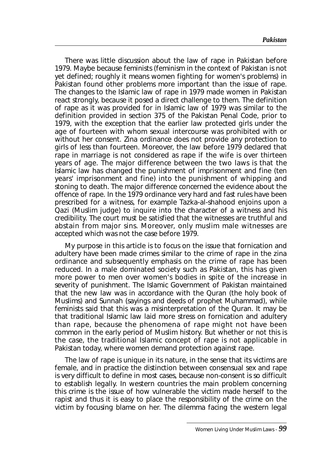There was little discussion about the law of rape in Pakistan before 1979. Maybe because feminists (feminism in the context of Pakistan is not yet defined; roughly it means women fighting for women's problems) in Pakistan found other problems more important than the issue of rape. The changes to the Islamic law of rape in 1979 made women in Pakistan react strongly, because it posed a direct challenge to them. The definition of rape as it was provided for in Islamic law of 1979 was similar to the definition provided in section 375 of the Pakistan Penal Code, prior to 1979, with the exception that the earlier law protected girls under the age of fourteen with whom sexual intercourse was prohibited with or without her consent. Zina ordinance does not provide any protection to girls of less than fourteen. Moreover, the law before 1979 declared that rape in marriage is not considered as rape if the wife is over thirteen years of age. The major difference between the two laws is that the Islamic law has changed the punishment of imprisonment and fine (ten years' imprisonment and fine) into the punishment of whipping and stoning to death. The major difference concerned the evidence about the offence of rape. In the 1979 ordinance very hard and fast rules have been prescribed for a witness, for example Tazka-al-shahood enjoins upon a Qazi (Muslim judge) to inquire into the character of a witness and his credibility. The court must be satisfied that the witnesses are truthful and abstain from major sins. Moreover, only muslim male witnesses are accepted which was not the case before 1979.

My purpose in this article is to focus on the issue that fornication and adultery have been made crimes similar to the crime of rape in the zina ordinance and subsequently emphasis on the crime of rape has been reduced. In a male dominated society such as Pakistan, this has given more power to men over women's bodies in spite of the increase in severity of punishment. The Islamic Government of Pakistan maintained that the new law was in accordance with the Quran (the holy book of Muslims) and Sunnah (sayings and deeds of prophet Muhammad), while feminists said that this was a misinterpretation of the Quran. It may be that traditional Islamic law laid more stress on fornication and adultery than rape, because the phenomena of rape might not have been common in the early period of Muslim history. But whether or not this is the case, the traditional Islamic concept of rape is not applicable in Pakistan today, where women demand protection against rape.

The law of rape is unique in its nature, in the sense that its victims are female, and in practice the distinction between consensual sex and rape is very difficult to define in most cases, because non-consent is so difficult to establish legally. In western countries the main problem concerning this crime is the issue of how vulnerable the victim made herself to the rapist and thus it is easy to place the responsibility of the crime on the victim by focusing blame on her. The dilemma facing the western legal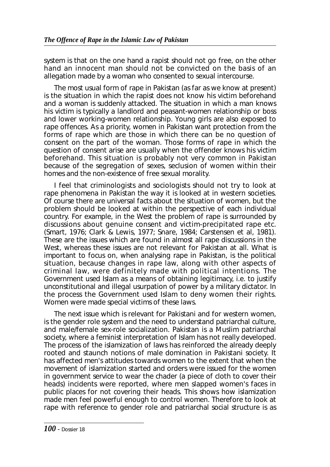system is that on the one hand a rapist should not go free, on the other hand an innocent man should not be convicted on the basis of an allegation made by a woman who consented to sexual intercourse.

The most usual form of rape in Pakistan (as far as we know at present) is the situation in which the rapist does not know his victim beforehand and a woman is suddenly attacked. The situation in which a man knows his victim is typically a landlord and peasant-women relationship or boss and lower working-women relationship. Young girls are also exposed to rape offences. As a priority, women in Pakistan want protection from the forms of rape which are those in which there can be no question of consent on the part of the woman. Those forms of rape in which the question of consent arise are usually when the offender knows his victim beforehand. This situation is probably not very common in Pakistan because of the segregation of sexes, seclusion of women within their homes and the non-existence of free sexual morality.

I feel that criminologists and sociologists should not try to look at rape phenomena in Pakistan the way it is looked at in western societies. Of course there are universal facts about the situation of women, but the problem should be looked at within the perspective of each individual country. For example, in the West the problem of rape is surrounded by discussions about genuine consent and victim-precipitated rape etc. (Smart, 1976; Clark & Lewis, 1977; Snare, 1984; Carstensen et al, 1981). These are the issues which are found in almost all rape discussions in the West, whereas these issues are not relevant for Pakistan at all. What is important to focus on, when analysing rape in Pakistan, is the political situation, because changes in rape law, along with other aspects of criminal law, were definitely made with political intentions. The Government used Islam as a means of obtaining legitimacy, i.e. to justify unconstitutional and illegal usurpation of power by a military dictator. In the process the Government used Islam to deny women their rights. Women were made special victims of these laws.

The next issue which is relevant for Pakistani and for western women, is the gender role system and the need to understand patriarchal culture, and male/female sex-role socialization. Pakistan is a Muslim patriarchal society, where a feminist interpretation of Islam has not really developed. The process of the islamization of laws has reinforced the already deeply rooted and staunch notions of male domination in Pakistani society. It has affected men's attitudes towards women to the extent that when the movement of islamization started and orders were issued for the women in government service to wear the chader (a piece of cloth to cover their heads) incidents were reported, where men slapped women's faces in public places for not covering their heads. This shows how islamization made men feel powerful enough to control women. Therefore to look at rape with reference to gender role and patriarchal social structure is as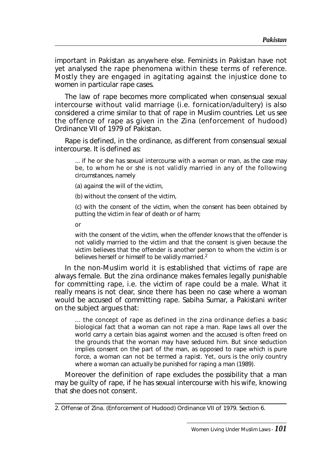important in Pakistan as anywhere else. Feminists in Pakistan have not yet analysed the rape phenomena within these terms of reference. Mostly they are engaged in agitating against the injustice done to women in particular rape cases.

The law of rape becomes more complicated when consensual sexual intercourse without valid marriage (i.e. fornication/adultery) is also considered a crime similar to that of rape in Muslim countries. Let us see the offence of rape as given in the Zina (enforcement of hudood) Ordinance VII of 1979 of Pakistan.

Rape is defined, in the ordinance, as different from consensual sexual intercourse. It is defined as:

... if he or she has sexual intercourse with a woman or man, as the case may be, to whom he or she is not validly married in any of the following circumstances, namely

- (a) against the will of the victim,
- (b) without the consent of the victim,

(c) with the consent of the victim, when the consent has been obtained by putting the victim in fear of death or of harm;

or

with the consent of the victim, when the offender knows that the offender is not validly married to the victim and that the consent is given because the victim believes that the offender is another person to whom the victim is or believes herself or himself to be validly married.<sup>2</sup>

In the non-Muslim world it is established that victims of rape are always female. But the zina ordinance makes females legally punishable for committing rape, i.e. the victim of rape could be a male. What it really means is not clear, since there has been no case where a woman would be accused of committing rape. Sabiha Sumar, a Pakistani writer on the subject argues that:

... the concept of rape as defined in the zina ordinance defies a basic biological fact that a woman can not rape a man. Rape laws all over the world carry a certain bias against women and the accused is often freed on the grounds that the woman may have seduced him. But since seduction implies consent on the part of the man, as opposed to rape which is pure force, a woman can not be termed a rapist. Yet, ours is the only country where a woman can actually be punished for raping a man (1989).

Moreover the definition of rape excludes the possibility that a man may be guilty of rape, if he has sexual intercourse with his wife, knowing that she does not consent.

<sup>2.</sup> Offense of Zina. (Enforcement of Hudood) Ordinance VII of 1979. Section 6.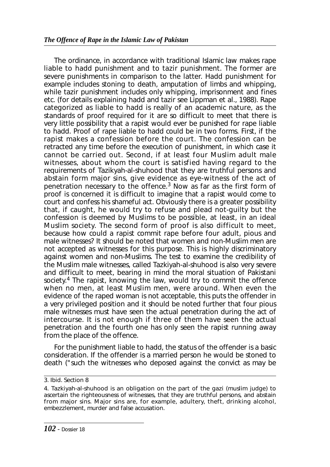The ordinance, in accordance with traditional Islamic law makes rape liable to hadd punishment and to tazir punishment. The former are severe punishments in comparison to the latter. Hadd punishment for example includes stoning to death, amputation of limbs and whipping, while tazir punishment includes only whipping, imprisonment and fines etc. (for details explaining hadd and tazir see Lippman et al., 1988). Rape categorized as liable to hadd is really of an academic nature, as the standards of proof required for it are so difficult to meet that there is very little possibility that a rapist would ever be punished for rape liable to hadd. Proof of rape liable to hadd could be in two forms. First, if the rapist makes a confession before the court. The confession can be retracted any time before the execution of punishment, in which case it cannot be carried out. Second, if at least four Muslim adult male witnesses, about whom the court is satisfied having regard to the requirements of Tazikyah-al-shuhood that they are truthful persons and abstain form major sins, give evidence as eye-witness of the act of penetration necessary to the offence.<sup>3</sup> Now as far as the first form of proof is concerned it is difficult to imagine that a rapist would come to court and confess his shameful act. Obviously there is a greater possibility that, if caught, he would try to refuse and plead not-guilty but the confession is deemed by Muslims to be possible, at least, in an ideal Muslim society. The second form of proof is also difficult to meet, because how could a rapist commit rape before four adult, pious and male witnesses? It should be noted that women and non-Muslim men are not accepted as witnesses for this purpose. This is highly discriminatory against women and non-Muslims. The test to examine the credibility of the Muslim male witnesses, called Tazkiyah-al-shuhood is also very severe and difficult to meet, bearing in mind the moral situation of Pakistani society.<sup>4</sup> The rapist, knowing the law, would try to commit the offence when no men, at least Muslim men, were around. When even the evidence of the raped woman is not acceptable, this puts the offender in a very privileged position and it should be noted further that four pious male witnesses must have seen the actual penetration during the act of intercourse. It is not enough if three of them have seen the actual penetration and the fourth one has only seen the rapist running away from the place of the offence.

For the punishment liable to hadd, the status of the offender is a basic consideration. If the offender is a married person he would be stoned to death ("such the witnesses who deposed against the convict as may be

<sup>3.</sup> Ibid. Section 8

<sup>4.</sup> Tazkiyah-al-shuhood is an obligation on the part of the gazi (muslim judge) to ascertain the righteousness of witnesses, that they are truthful persons, and abstain from major sins. Major sins are, for example, adultery, theft, drinking alcohol, embezzlement, murder and false accusation.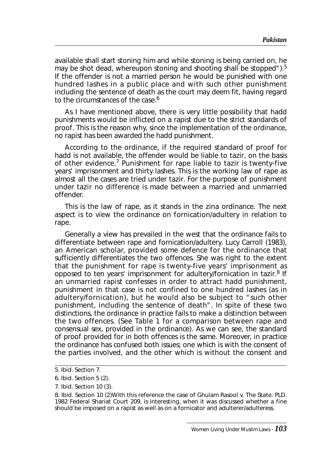available shall start stoning him and while stoning is being carried on, he may be shot dead, whereupon stoning and shooting shall be stopped").<sup>5</sup> If the offender is not a married person he would be punished with one hundred lashes in a public place and with such other punishment including the sentence of death as the court may deem fit, having regard to the circumstances of the case.<sup>6</sup>

As I have mentioned above, there is very little possibility that hadd punishments would be inflicted on a rapist due to the strict standards of proof. This is the reason why, since the implementation of the ordinance, no rapist has been awarded the hadd punishment.

According to the ordinance, if the required standard of proof for hadd is not available, the offender would be liable to tazir, on the basis of other evidence.<sup>7</sup> Punishment for rape liable to tazir is twenty-five years' imprisonment and thirty lashes. This is the working law of rape as almost all the cases are tried under tazir. For the purpose of punishment under tazir no difference is made between a married and unmarried offender.

This is the law of rape, as it stands in the zina ordinance. The next aspect is to view the ordinance on fornication/adultery in relation to rape.

Generally a view has prevailed in the west that the ordinance fails to differentiate between rape and fornication/adultery. Lucy Carroll (1983), an American scholar, provided some defence for the ordinance that sufficiently differentiates the two offences. She was right to the extent that the punishment for rape is twenty-five years' imprisonment as opposed to ten years' imprisonment for adultery/fornication in tazir.<sup>8</sup> If an unmarried rapist confesses in order to attract hadd punishment, punishment in that case is not confined to one hundred lashes (as in adultery/fornication), but he would also be subject to "such other punishment, including the sentence of death". In spite of these two distinctions, the ordinance in practice fails to make a distinction between the two offences. (See Table 1 for a comparison between rape and consensual sex, provided in the ordinance). As we can see, the standard of proof provided for in both offences is the same. Moreover, in practice the ordinance has confused both issues; one which is with the consent of the parties involved, and the other which is without the consent and

<sup>5.</sup> Ibid. Section 7.

<sup>6.</sup> Ibid. Section 5 (2).

<sup>7.</sup> Ibid. Section 10 (3).

<sup>8.</sup> Ibid. Section 10 (2)With this reference the case of Ghulam Rasool v. The State. PLD. 1982 Federal Shariat Court 209, is interesting, when it was discussed whether a fine should be imposed on a rapist as well as on a fornicator and adulterer/adulteress.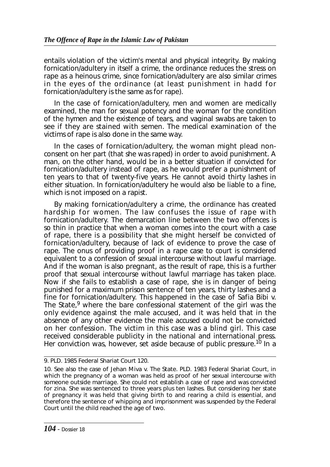entails violation of the victim's mental and physical integrity. By making fornication/adultery in itself a crime, the ordinance reduces the stress on rape as a heinous crime, since fornication/adultery are also similar crimes in the eyes of the ordinance (at least punishment in hadd for fornication/adultery is the same as for rape).

In the case of fornication/adultery, men and women are medically examined, the man for sexual potency and the woman for the condition of the hymen and the existence of tears, and vaginal swabs are taken to see if they are stained with semen. The medical examination of the victims of rape is also done in the same way.

In the cases of fornication/adultery, the woman might plead nonconsent on her part (that she was raped) in order to avoid punishment. A man, on the other hand, would be in a better situation if convicted for fornication/adultery instead of rape, as he would prefer a punishment of ten years to that of twenty-five years. He cannot avoid thirty lashes in either situation. In fornication/adultery he would also be liable to a fine, which is not imposed on a rapist.

By making fornication/adultery a crime, the ordinance has created hardship for women. The law confuses the issue of rape with fornication/adultery. The demarcation line between the two offences is so thin in practice that when a woman comes into the court with a case of rape, there is a possibility that she might herself be convicted of fornication/adultery, because of lack of evidence to prove the case of rape. The onus of providing proof in a rape case to court is considered equivalent to a confession of sexual intercourse without lawful marriage. And if the woman is also pregnant, as the result of rape, this is a further proof that sexual intercourse without lawful marriage has taken place. Now if she fails to establish a case of rape, she is in danger of being punished for a maximum prison sentence of ten years, thirty lashes and a fine for fornication/adultery. This happened in the case of Safia Bibi v. The State, $9$  where the bare confessional statement of the girl was the only evidence against the male accused, and it was held that in the absence of any other evidence the male accused could not be convicted on her confession. The victim in this case was a blind girl. This case received considerable publicity in the national and international press. Her conviction was, however, set aside because of public pressure.<sup>10</sup> In a

<sup>9.</sup> PLD. 1985 Federal Shariat Court 120.

<sup>10.</sup> See also the case of Jehan Miva v. The State. PLD. 1983 Federal Shariat Court, in which the pregnancy of a woman was held as proof of her sexual intercourse with someone outside marriage. She could not establish a case of rape and was convicted for zina. She was sentenced to three years plus ten lashes. But considering her state of pregnancy it was held that giving birth to and rearing a child is essential, and therefore the sentence of whipping and imprisonment was suspended by the Federal Court until the child reached the age of two.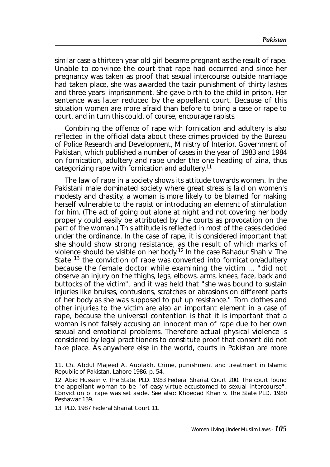similar case a thirteen year old girl became pregnant as the result of rape. Unable to convince the court that rape had occurred and since her pregnancy was taken as proof that sexual intercourse outside marriage had taken place, she was awarded the tazir punishment of thirty lashes and three years' imprisonment. She gave birth to the child in prison. Her sentence was later reduced by the appellant court. Because of this situation women are more afraid than before to bring a case or rape to court, and in turn this could, of course, encourage rapists.

Combining the offence of rape with fornication and adultery is also reflected in the official data about these crimes provided by the Bureau of Police Research and Development, Ministry of Interior, Government of Pakistan, which published a number of cases in the year of 1983 and 1984 on fornication, adultery and rape under the one heading of zina, thus categorizing rape with fornication and adultery.<sup>11</sup>

The law of rape in a society shows its attitude towards women. In the Pakistani male dominated society where great stress is laid on women's modesty and chastity, a woman is more likely to be blamed for making herself vulnerable to the rapist or introducing an element of stimulation for him. (The act of going out alone at night and not covering her body properly could easily be attributed by the courts as provocation on the part of the woman.) This attitude is reflected in most of the cases decided under the ordinance. In the case of rape, it is considered important that she should show strong resistance, as the result of which marks of violence should be visible on her body.<sup>12</sup> In the case Bahadur Shah v. The State <sup>13</sup> the conviction of rape was converted into fornication/adultery because the female doctor while examining the victim ... "did not observe an injury on the thighs, legs, elbows, arms, knees, face, back and buttocks of the victim", and it was held that "she was bound to sustain injuries like bruises, contusions, scratches or abrasions on different parts of her body as she was supposed to put up resistance." Torn clothes and other injuries to the victim are also an important element in a case of rape, because the universal contention is that it is important that a woman is not falsely accusing an innocent man of rape due to her own sexual and emotional problems. Therefore actual physical violence is considered by legal practitioners to constitute proof that consent did not take place. As anywhere else in the world, courts in Pakistan are more

13. PLD. 1987 Federal Shariat Court 11.

<sup>11.</sup> Ch. Abdul Majeed A. Auolakh. Crime, punishment and treatment in Islamic Republic of Pakistan. Lahore 1986. p. 54.

<sup>12.</sup> Abid Hussain v. The State. PLD. 1983 Federal Shariat Court 200. The court found the appellant woman to be "of easy virtue accustomed to sexual intercourse". Conviction of rape was set aside. See also: Khoedad Khan v. The State PLD. 1980 Peshawar 139.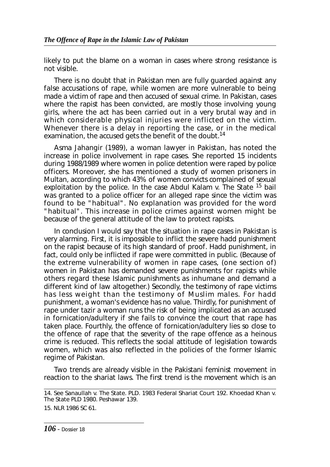likely to put the blame on a woman in cases where strong resistance is not visible.

There is no doubt that in Pakistan men are fully guarded against any false accusations of rape, while women are more vulnerable to being made a victim of rape and then accused of sexual crime. In Pakistan, cases where the rapist has been convicted, are mostly those involving young girls, where the act has been carried out in a very brutal way and in which considerable physical injuries were inflicted on the victim. Whenever there is a delay in reporting the case, or in the medical examination, the accused gets the benefit of the doubt.<sup>14</sup>

Asma Jahangir (1989), a woman lawyer in Pakistan, has noted the increase in police involvement in rape cases. She reported 15 incidents during 1988/1989 where women in police detention were raped by police officers. Moreover, she has mentioned a study of women prisoners in Multan, according to which 43% of women convicts complained of sexual exploitation by the police. In the case Abdul Kalam v. The State <sup>15</sup> bail was granted to a police officer for an alleged rape since the victim was found to be "habitual". No explanation was provided for the word "habitual". This increase in police crimes against women might be because of the general attitude of the law to protect rapists.

In conclusion I would say that the situation in rape cases in Pakistan is very alarming. First, it is impossible to inflict the severe hadd punishment on the rapist because of its high standard of proof. Hadd punishment, in fact, could only be inflicted if rape were committed in public. (Because of the extreme vulnerability of women in rape cases, (one section of) women in Pakistan has demanded severe punishments for rapists while others regard these Islamic punishments as inhumane and demand a different kind of law altogether.) Secondly, the testimony of rape victims has less weight than the testimony of Muslim males. For hadd punishment, a woman's evidence has no value. Thirdly, for punishment of rape under tazir a woman runs the risk of being implicated as an accused in fornication/adultery if she fails to convince the court that rape has taken place. Fourthly, the offence of fornication/adultery lies so close to the offence of rape that the severity of the rape offence as a heinous crime is reduced. This reflects the social attitude of legislation towards women, which was also reflected in the policies of the former Islamic regime of Pakistan.

Two trends are already visible in the Pakistani feminist movement in reaction to the shariat laws. The first trend is the movement which is an

<sup>14.</sup> See Sanaullah v. The State. PLD. 1983 Federal Shariat Court 192. Khoedad Khan v. The State PLD 1980. Peshawar 139. 15. NLR 1986 SC 61.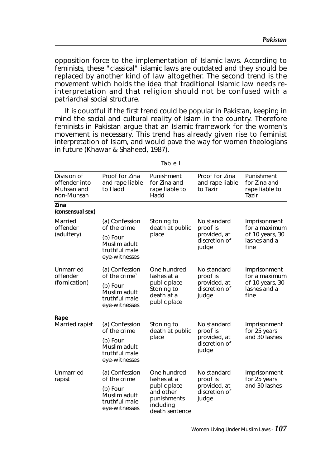opposition force to the implementation of Islamic laws. According to feminists, these "classical" islamic laws are outdated and they should be replaced by another kind of law altogether. The second trend is the movement which holds the idea that traditional Islamic law needs reinterpretation and that religion should not be confused with a patriarchal social structure.

It is doubtful if the first trend could be popular in Pakistan, keeping in mind the social and cultural reality of Islam in the country. Therefore feminists in Pakistan argue that an Islamic framework for the women's movement is necessary. This trend has already given rise to feminist interpretation of Islam, and would pave the way for women theologians in future (Khawar & Shaheed, 1987).

| Division of<br>offender into<br>Muhsan and<br>non-Muhsan | Proof for Zina<br>and rape liable<br>to Hadd                                                  | Punishment<br>for Zina and<br>rape liable to<br>Hadd                                                  | Proof for Zina<br>and rape liable<br>to Tazir                     | Punishment<br>for Zina and<br>rape liable to<br>Tazir                    |
|----------------------------------------------------------|-----------------------------------------------------------------------------------------------|-------------------------------------------------------------------------------------------------------|-------------------------------------------------------------------|--------------------------------------------------------------------------|
| Zina<br>(consensual sex)                                 |                                                                                               |                                                                                                       |                                                                   |                                                                          |
| Married<br>offender<br>(adultery)                        | (a) Confession<br>of the crime                                                                | Stoning to<br>death at public<br>place                                                                | No standard<br>proof is<br>provided, at<br>discretion of<br>judge | Imprisonment<br>for a maximum<br>of 10 years, 30<br>lashes and a<br>fine |
|                                                          | (b) Four<br>Muslim adult<br>truthful male<br>eye-witnesses                                    |                                                                                                       |                                                                   |                                                                          |
| Unmarried<br>offender<br>(fornication)                   | (a) Confession<br>of the crime`<br>(b) Four<br>Muslim adult<br>truthful male<br>eye-witnesses | One hundred<br>lashes at a<br>public place<br>Stoning to<br>death at a<br>public place                | No standard<br>proof is<br>provided, at<br>discretion of<br>judge | Imprisonment<br>for a maximum<br>of 10 years, 30<br>lashes and a<br>fine |
| Rape<br>Married rapist                                   | (a) Confession                                                                                | Stoning to                                                                                            | No standard                                                       | Imprisonment                                                             |
|                                                          | of the crime<br>(b) Four<br>Muslim adult<br>truthful male<br>eye-witnesses                    | death at public<br>place                                                                              | proof is<br>provided, at<br>discretion of<br>judge                | for 25 years<br>and 30 lashes                                            |
| Unmarried<br>rapist                                      | (a) Confession<br>of the crime                                                                | One hundred<br>lashes at a<br>public place<br>and other<br>punishments<br>including<br>death sentence | No standard<br>proof is<br>provided, at<br>discretion of<br>judge | Imprisonment<br>for 25 years<br>and 30 lashes                            |
|                                                          | (b) Four<br>Muslim adult<br>truthful male<br>eye-witnesses                                    |                                                                                                       |                                                                   |                                                                          |

Table I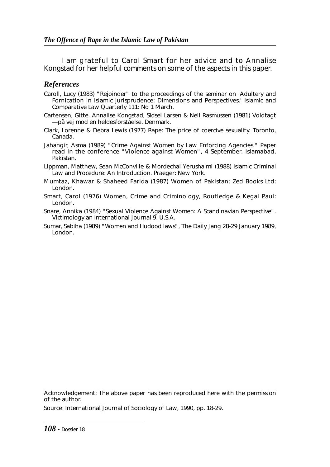I am grateful to Carol Smart for her advice and to Annalise Kongstad for her helpful comments on some of the aspects in this paper.

#### *References*

- Caroll, Lucy (1983) "Rejoinder" to the proceedings of the seminar on 'Adultery and Fornication in Islamic jurisprudence: Dimensions and Perspectives.' Islamic and Comparative Law Quarterly 111: No 1 March.
- Cartensen, Gitte. Annalise Kongstad, Sidsel Larsen & Nell Rasmussen (1981) Voldtagt —på vej mod en heldesforståelse. Denmark.
- Clark, Lorenne & Debra Lewis (1977) Rape: The price of coercive sexuality. Toronto, Canada.
- Jahangir, Asma (1989) "Crime Against Women by Law Enforcing Agencies." Paper read in the conference "Violence against Women", 4 September. Islamabad, Pakistan.
- Lippman, Matthew, Sean McConville & Mordechai Yerushalmi (1988) Islamic Criminal Law and Procedure: An Introduction. Praeger: New York.
- Mumtaz, Khawar & Shaheed Farida (1987) Women of Pakistan; Zed Books Ltd: London.
- Smart, Carol (1976) Women, Crime and Criminology, Routledge & Kegal Paul: London.
- Snare, Annika (1984) "Sexual Violence Against Women: A Scandinavian Perspective". Victimology an International Journal 9. U.S.A.
- Sumar, Sabiha (1989) "Women and Hudood laws", The Daily Jang 28-29 January 1989, London.

Acknowledgement: The above paper has been reproduced here with the permission of the author.

Source: International Journal of Sociology of Law, 1990, pp. 18-29.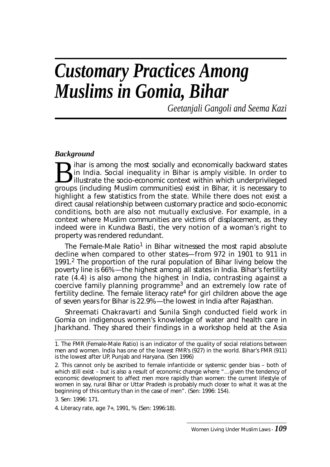## *Customary Practices Among Muslims in Gomia, Bihar*

*Geetanjali Gangoli and Seema Kazi*

#### *Background*

Bihar is among the most socially and economically backward states<br>illustrate the socio-economic context within which underprivileged<br>groups (including Muslim communities) exist in Bihar, it is necessary to in India. Social inequality in Bihar is amply visible. In order to illustrate the socio-economic context within which underprivileged groups (including Muslim communities) exist in Bihar, it is necessary to highlight a few statistics from the state. While there does not exist a direct causal relationship between customary practice and socio-economic conditions, both are also not mutually exclusive. For example, in a context where Muslim communities are victims of displacement, as they indeed were in Kundwa Basti, the very notion of a woman's right to property was rendered redundant.

The Female-Male Ratio<sup>1</sup> in Bihar witnessed the most rapid absolute decline when compared to other states—from 972 in 1901 to 911 in 1991.<sup>2</sup> The proportion of the rural population of Bihar living below the poverty line is 66%—the highest among all states in India. Bihar's fertility rate (4.4) is also among the highest in India, contrasting against a coercive family planning programme<sup>3</sup> and an extremely low rate of fertility decline. The female literacy rate<sup>4</sup> for girl children above the age of seven years for Bihar is 22.9%—the lowest in India after Rajasthan.

Shreemati Chakravarti and Sunila Singh conducted field work in Gomia on indigenous women's knowledge of water and health care in Jharkhand. They shared their findings in a workshop held at the Asia

4. Literacy rate, age 7+, 1991, % (Sen: 1996:18).

<sup>1.</sup> The FMR (Female-Male Ratio) is an indicator of the quality of social relations between men and women. India has one of the lowest FMR's (927) in the world. Bihar's FMR (911) is the lowest after UP, Punjab and Haryana. (Sen 1996)

<sup>2.</sup> This cannot only be ascribed to female infanticide or systemic gender bias – both of which still exist – but is also a result of economic change where "…given the tendency of economic development to affect men more rapidly than women: the current lifestyle of women in say, rural Bihar or Uttar Pradesh is probably much closer to what it was at the beginning of this century than in the case of men". (Sen: 1996: 154).

<sup>3.</sup> Sen: 1996: 171.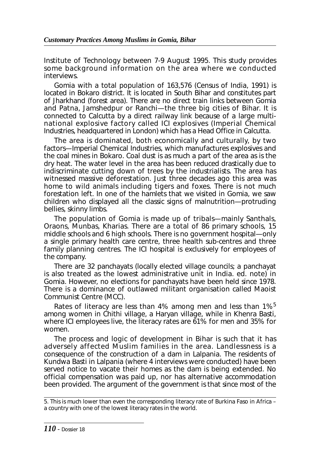Institute of Technology between 7-9 August 1995. This study provides some background information on the area where we conducted interviews.

Gomia with a total population of 163,576 (Census of India, 1991) is located in Bokaro district. It is located in South Bihar and constitutes part of Jharkhand (forest area). There are no direct train links between Gomia and Patna, Jamshedpur or Ranchi—the three big cities of Bihar. It is connected to Calcutta by a direct railway link because of a large multinational explosive factory called ICI explosives (Imperial Chemical Industries, headquartered in London) which has a Head Office in Calcutta.

The area is dominated, both economically and culturally, by two factors—Imperial Chemical Industries, which manufactures explosives and the coal mines in Bokaro. Coal dust is as much a part of the area as is the dry heat. The water level in the area has been reduced drastically due to indiscriminate cutting down of trees by the industrialists. The area has witnessed massive deforestation. Just three decades ago this area was home to wild animals including tigers and foxes. There is not much forestation left. In one of the hamlets that we visited in Gomia, we saw children who displayed all the classic signs of malnutrition—protruding bellies, skinny limbs.

The population of Gomia is made up of tribals—mainly Santhals, Oraons, Munbas, Kharias. There are a total of 86 primary schools, 15 middle schools and 6 high schools. There is no government hospital—only a single primary health care centre, three health sub-centres and three family planning centres. The ICI hospital is exclusively for employees of the company.

There are 32 panchayats (locally elected village councils; a panchayat is also treated as the lowest administrative unit in India. ed. note) in Gomia. However, no elections for panchayats have been held since 1978. There is a dominance of outlawed militant organisation called Maoist Communist Centre (MCC).

Rates of literacy are less than 4% among men and less than 1%<sup>5</sup> among women in Chithi village, a Haryan village, while in Khenra Basti, where ICI employees live, the literacy rates are 61% for men and 35% for women.

The process and logic of development in Bihar is such that it has adversely affected Muslim families in the area. Landlessness is a consequence of the construction of a dam in Lalpania. The residents of Kundwa Basti in Lalpania (where 4 interviews were conducted) have been served notice to vacate their homes as the dam is being extended. No official compensation was paid up, nor has alternative accommodation been provided. The argument of the government is that since most of the

<sup>5.</sup> This is much lower than even the corresponding literacy rate of Burkina Faso in Africa – a country with one of the lowest literacy rates in the world.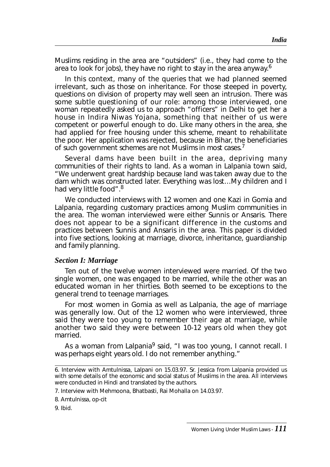Muslims residing in the area are "outsiders" (i.e., they had come to the area to look for jobs), they have no right to stay in the area anyway.<sup>6</sup>

In this context, many of the queries that we had planned seemed irrelevant, such as those on inheritance. For those steeped in poverty, questions on division of property may well seen an intrusion. There was some subtle questioning of our role: among those interviewed, one woman repeatedly asked us to approach "officers" in Delhi to get her a house in Indira Niwas Yojana, something that neither of us were competent or powerful enough to do. Like many others in the area, she had applied for free housing under this scheme, meant to rehabilitate the poor. Her application was rejected, because in Bihar, the beneficiaries of such government schemes are not Muslims in most cases.<sup>7</sup>

Several dams have been built in the area, depriving many communities of their rights to land. As a woman in Lalpania town said, "We underwent great hardship because land was taken away due to the dam which was constructed later. Everything was lost…My children and I had very little food".<sup>8</sup>

We conducted interviews with 12 women and one Kazi in Gomia and Lalpania, regarding customary practices among Muslim communities in the area. The woman interviewed were either Sunnis or Ansaris. There does not appear to be a significant difference in the customs and practices between Sunnis and Ansaris in the area. This paper is divided into five sections, looking at marriage, divorce, inheritance, guardianship and family planning.

#### *Section I: Marriage*

Ten out of the twelve women interviewed were married. Of the two single women, one was engaged to be married, while the other was an educated woman in her thirties. Both seemed to be exceptions to the general trend to teenage marriages.

For most women in Gomia as well as Lalpania, the age of marriage was generally low. Out of the 12 women who were interviewed, three said they were too young to remember their age at marriage, while another two said they were between 10-12 years old when they got married.

As a woman from Lalpania<sup>9</sup> said, "I was too young, I cannot recall. I was perhaps eight years old. I do not remember anything."

<sup>6.</sup> Interview with Amtulnissa, Lalpani on 15.03.97. Sr. Jessica from Lalpania provided us with some details of the economic and social status of Muslims in the area. All interviews were conducted in Hindi and translated by the authors.

<sup>7.</sup> Interview with Mehmoona, Bhatbasti, Rai Mohalla on 14.03.97.

<sup>8.</sup> Amtulnissa, op-cit

<sup>9.</sup> Ibid.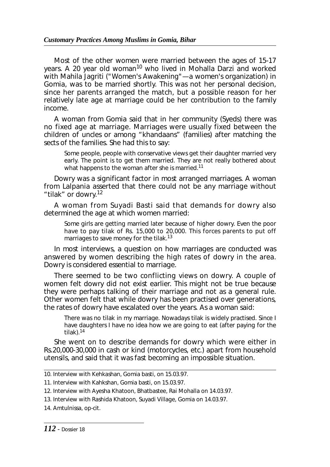Most of the other women were married between the ages of 15-17 years. A 20 year old woman<sup>10</sup> who lived in Mohalla Darzi and worked with Mahila Jagriti ("Women's Awakening"—a women's organization) in Gomia, was to be married shortly. This was not her personal decision, since her parents arranged the match, but a possible reason for her relatively late age at marriage could be her contribution to the family income.

A woman from Gomia said that in her community (Syeds) there was no fixed age at marriage. Marriages were usually fixed between the children of uncles or among "khandaans" (families) after matching the sects of the families. She had this to say:

Some people, people with conservative views get their daughter married very early. The point is to get them married. They are not really bothered about what happens to the woman after she is married.<sup>11</sup>

Dowry was a significant factor in most arranged marriages. A woman from Lalpania asserted that there could not be any marriage without "tilak" or dowry.<sup>12</sup>

A woman from Suyadi Basti said that demands for dowry also determined the age at which women married:

Some girls are getting married later because of higher dowry. Even the poor have to pay tilak of Rs. 15,000 to 20,000. This forces parents to put off marriages to save money for the tilak.<sup>13</sup>

In most interviews, a question on how marriages are conducted was answered by women describing the high rates of dowry in the area. Dowry is considered essential to marriage.

There seemed to be two conflicting views on dowry. A couple of women felt dowry did not exist earlier. This might not be true because they were perhaps talking of their marriage and not as a general rule. Other women felt that while dowry has been practised over generations, the rates of dowry have escalated over the years. As a woman said:

There was no tilak in my marriage. Nowadays tilak is widely practised. Since I have daughters I have no idea how we are going to eat (after paying for the tilak).14

She went on to describe demands for dowry which were either in Rs.20,000-30,000 in cash or kind (motorcycles, etc.) apart from household utensils, and said that it was fast becoming an impossible situation.

<sup>10.</sup> Interview with Kehkashan, Gomia basti, on 15.03.97.

<sup>11.</sup> Interview with Kahkshan, Gomia basti, on 15.03.97.

<sup>12.</sup> Interview with Ayesha Khatoon, Bhatbastee, Rai Mohalla on 14.03.97.

<sup>13.</sup> Interview with Rashida Khatoon, Suyadi Village, Gomia on 14.03.97.

<sup>14.</sup> Amtulnissa, op-cit.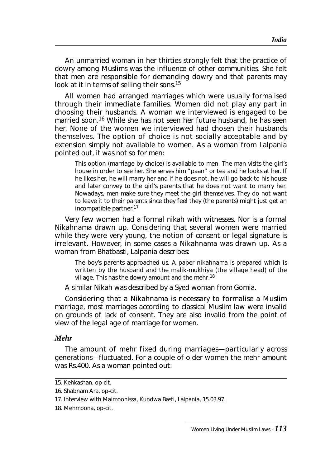An unmarried woman in her thirties strongly felt that the practice of dowry among Muslims was the influence of other communities. She felt that men are responsible for demanding dowry and that parents may look at it in terms of selling their sons.<sup>15</sup>

All women had arranged marriages which were usually formalised through their immediate families. Women did not play any part in choosing their husbands. A woman we interviewed is engaged to be married soon.<sup>16</sup> While she has not seen her future husband, he has seen her. None of the women we interviewed had chosen their husbands themselves. The option of choice is not socially acceptable and by extension simply not available to women. As a woman from Lalpania pointed out, it was not so for men:

This option (marriage by choice) is available to men. The man visits the girl's house in order to see her. She serves him "paan" or tea and he looks at her. If he likes her, he will marry her and if he does not, he will go back to his house and later convey to the girl's parents that he does not want to marry her. Nowadays, men make sure they meet the girl themselves. They do not want to leave it to their parents since they feel they (the parents) might just get an incompatible partner.<sup>17</sup>

Very few women had a formal nikah with witnesses. Nor is a formal Nikahnama drawn up. Considering that several women were married while they were very young, the notion of consent or legal signature is irrelevant. However, in some cases a Nikahnama was drawn up. As a woman from Bhatbasti, Lalpania describes:

The boy's parents approached us. A paper nikahnama is prepared which is written by the husband and the malik-mukhiya (the village head) of the village. This has the dowry amount and the mehr.<sup>18</sup>

A similar Nikah was described by a Syed woman from Gomia.

Considering that a Nikahnama is necessary to formalise a Muslim marriage, most marriages according to classical Muslim law were invalid on grounds of lack of consent. They are also invalid from the point of view of the legal age of marriage for women.

#### *Mehr*

The amount of mehr fixed during marriages—particularly across generations—fluctuated. For a couple of older women the mehr amount was Rs.400. As a woman pointed out:

<sup>15.</sup> Kehkashan, op-cit.

<sup>16.</sup> Shabnam Ara, op-cit.

<sup>17.</sup> Interview with Maimoonissa, Kundwa Basti, Lalpania, 15.03.97.

<sup>18.</sup> Mehmoona, op-cit.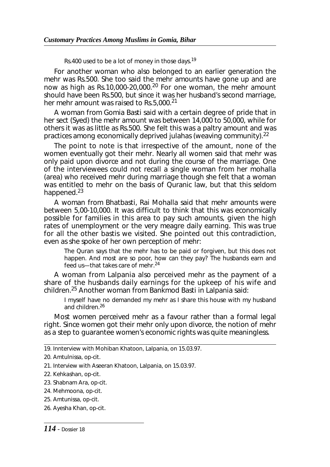Rs.400 used to be a lot of money in those days.<sup>19</sup>

For another woman who also belonged to an earlier generation the mehr was Rs.500. She too said the mehr amounts have gone up and are now as high as Rs.10,000-20,000.<sup>20</sup> For one woman, the mehr amount should have been Rs.500, but since it was her husband's second marriage, her mehr amount was raised to Rs.5,000.<sup>21</sup>

A woman from Gomia Basti said with a certain degree of pride that in her sect (Syed) the mehr amount was between 14,000 to 50,000, while for others it was as little as Rs.500. She felt this was a paltry amount and was practices among economically deprived julahas (weaving community).<sup>22</sup>

The point to note is that irrespective of the amount, none of the women eventually got their mehr. Nearly all women said that mehr was only paid upon divorce and not during the course of the marriage. One of the interviewees could not recall a single woman from her mohalla (area) who received mehr during marriage though she felt that a woman was entitled to mehr on the basis of Quranic law, but that this seldom happened.<sup>23</sup>

A woman from Bhatbasti, Rai Mohalla said that mehr amounts were between 5,00-10,000. It was difficult to think that this was economically possible for families in this area to pay such amounts, given the high rates of unemployment or the very meagre daily earning. This was true for all the other bastis we visited. She pointed out this contradiction, even as she spoke of her own perception of mehr:

The Quran says that the mehr has to be paid or forgiven, but this does not happen. And most are so poor, how can they pay? The husbands earn and feed us—that takes care of mehr.<sup>24</sup>

A woman from Lalpania also perceived mehr as the payment of a share of the husbands daily earnings for the upkeep of his wife and children.<sup>25</sup> Another woman from Bankmod Basti in Lalpania said:

I myself have no demanded my mehr as I share this house with my husband and children.26

Most women perceived mehr as a favour rather than a formal legal right. Since women got their mehr only upon divorce, the notion of mehr as a step to guarantee women's economic rights was quite meaningless.

19. Innterview with Mohiban Khatoon, Lalpania, on 15.03.97.

- 21. Interview with Aseeran Khatoon, Lalpania, on 15.03.97.
- 22. Kehkashan, op-cit.
- 23. Shabnam Ara, op-cit.
- 24. Mehmoona, op-cit.
- 25. Amtunissa, op-cit.
- 26. Ayesha Khan, op-cit.

<sup>20.</sup> Amtulnissa, op-cit.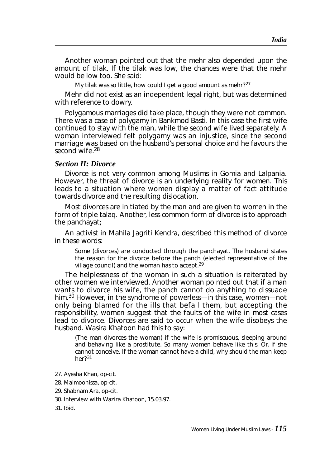Another woman pointed out that the mehr also depended upon the amount of tilak. If the tilak was low, the chances were that the mehr would be low too. She said:

My tilak was so little, how could I get a good amount as mehr?<sup>27</sup>

Mehr did not exist as an independent legal right, but was determined with reference to dowry.

Polygamous marriages did take place, though they were not common. There was a case of polygamy in Bankmod Basti. In this case the first wife continued to stay with the man, while the second wife lived separately. A woman interviewed felt polygamy was an injustice, since the second marriage was based on the husband's personal choice and he favours the second wife.<sup>28</sup>

#### *Section II: Divorce*

Divorce is not very common among Muslims in Gomia and Lalpania. However, the threat of divorce is an underlying reality for women. This leads to a situation where women display a matter of fact attitude towards divorce and the resulting dislocation.

Most divorces are initiated by the man and are given to women in the form of triple talaq. Another, less common form of divorce is to approach the panchayat;

An activist in Mahila Jagriti Kendra, described this method of divorce in these words:

Some (divorces) are conducted through the panchayat. The husband states the reason for the divorce before the panch (elected representative of the village council) and the woman has to accept.<sup>29</sup>

The helplessness of the woman in such a situation is reiterated by other women we interviewed. Another woman pointed out that if a man wants to divorce his wife, the panch cannot do anything to dissuade him.<sup>30</sup> However, in the syndrome of powerless—in this case, women—not only being blamed for the ills that befall them, but accepting the responsibility, women suggest that the faults of the wife in most cases lead to divorce. Divorces are said to occur when the wife disobeys the husband. Wasira Khatoon had this to say:

(The man divorces the woman) if the wife is promiscuous, sleeping around and behaving like a prostitute. So many women behave like this. Or, if she cannot conceive. If the woman cannot have a child, why should the man keep her?31

31. Ibid.

<sup>27.</sup> Ayesha Khan, op-cit.

<sup>28.</sup> Maimoonissa, op-cit.

<sup>29.</sup> Shabnam Ara, op-cit.

<sup>30.</sup> Interview with Wazira Khatoon, 15.03.97.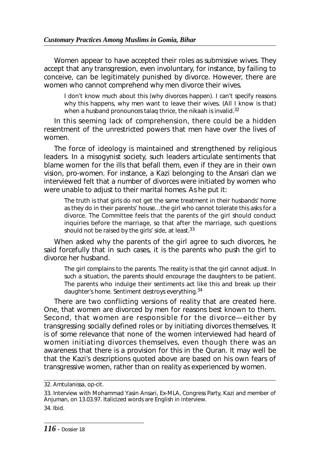Women appear to have accepted their roles as submissive wives. They accept that any transgression, even involuntary, for instance, by failing to conceive, can be legitimately punished by divorce. However, there are women who cannot comprehend why men divorce their wives.

I don't know much about this (why divorces happen). I can't specify reasons why this happens, why men want to leave their wives. (All I know is that) when a husband pronounces talaq thrice, the nikaah is invalid. $32$ 

In this seeming lack of comprehension, there could be a hidden resentment of the unrestricted powers that men have over the lives of women.

The force of ideology is maintained and strengthened by religious leaders. In a misogynist society, such leaders articulate sentiments that blame women for the ills that befall them, even if they are in their own vision, pro-women. For instance, a Kazi belonging to the Ansari clan we interviewed felt that a number of divorces were initiated by women who were unable to adjust to their marital homes. As he put it:

The truth is that girls do not get the same treatment in their husbands' home as they do in their parents' house…the girl who cannot tolerate this asks for a divorce. The Committee feels that the parents of the girl should conduct inquiries before the marriage, so that after the marriage, such questions should not be raised by the girls' side, at least. $33$ 

When asked why the parents of the girl agree to such divorces, he said forcefully that in such cases, it is the parents who push the girl to divorce her husband.

The girl complains to the parents. The reality is that the girl cannot adjust. In such a situation, the parents should encourage the daughters to be patient. The parents who indulge their sentiments act like this and break up their daughter's home. Sentiment destroys everything.<sup>34</sup>

There are two conflicting versions of reality that are created here. One, that women are divorced by men for reasons best known to them. Second, that women are responsible for the divorce—either by transgressing socially defined roles or by initiating divorces themselves. It is of some relevance that none of the women interviewed had heard of women initiating divorces themselves, even though there was an awareness that there is a provision for this in the Quran. It may well be that the Kazi's descriptions quoted above are based on his own fears of transgressive women, rather than on reality as experienced by women.

<sup>32.</sup> Amtulanissa, op-cit.

<sup>33.</sup> Interview with Mohammad Yasin Ansari, Ex-MLA, Congress Party, Kazi and member of Anjuman, on 13.03.97. Italicized words are English in interview. 34. Ibid.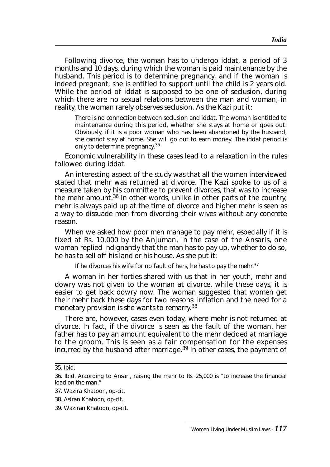Following divorce, the woman has to undergo iddat, a period of 3 months and 10 days, during which the woman is paid maintenance by the husband. This period is to determine pregnancy, and if the woman is indeed pregnant, she is entitled to support until the child is 2 years old. While the period of iddat is supposed to be one of seclusion, during which there are no sexual relations between the man and woman, in reality, the woman rarely observes seclusion. As the Kazi put it:

There is no connection between seclusion and iddat. The woman is entitled to maintenance during this period, whether she stays at home or goes out. Obviously, if it is a poor woman who has been abandoned by the husband, she cannot stay at home. She will go out to earn money. The iddat period is only to determine pregnancy.<sup>35</sup>

Economic vulnerability in these cases lead to a relaxation in the rules followed during iddat.

An interesting aspect of the study was that all the women interviewed stated that mehr was returned at divorce. The Kazi spoke to us of a measure taken by his committee to prevent divorces, that was to increase the mehr amount.<sup>36</sup> In other words, unlike in other parts of the country, mehr is always paid up at the time of divorce and higher mehr is seen as a way to dissuade men from divorcing their wives without any concrete reason.

When we asked how poor men manage to pay mehr, especially if it is fixed at Rs. 10,000 by the Anjuman, in the case of the Ansaris, one woman replied indignantly that the man has to pay up, whether to do so, he has to sell off his land or his house. As she put it:

If he divorces his wife for no fault of hers, he has to pay the mehr.  $37$ 

A woman in her forties shared with us that in her youth, mehr and dowry was not given to the woman at divorce, while these days, it is easier to get back dowry now. The woman suggested that women get their mehr back these days for two reasons: inflation and the need for a monetary provision is she wants to remarry.<sup>38</sup>

There are, however, cases even today, where mehr is not returned at divorce. In fact, if the divorce is seen as the fault of the woman, her father has to pay an amount equivalent to the mehr decided at marriage to the groom. This is seen as a fair compensation for the expenses incurred by the husband after marriage.<sup>39</sup> In other cases, the payment of

<sup>35.</sup> Ibid.

<sup>36.</sup> Ibid. According to Ansari, raising the mehr to Rs. 25,000 is "to increase the financial load on the man."

<sup>37.</sup> Wazira Khatoon, op-cit.

<sup>38.</sup> Asiran Khatoon, op-cit.

<sup>39.</sup> Waziran Khatoon, op-cit.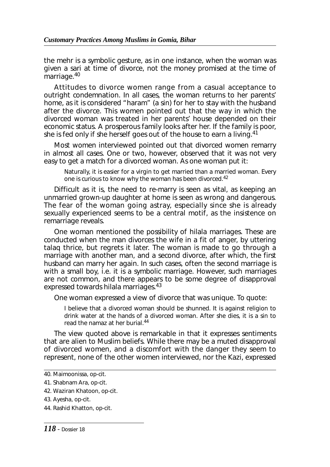the mehr is a symbolic gesture, as in one instance, when the woman was given a sari at time of divorce, not the money promised at the time of marriage.40

Attitudes to divorce women range from a casual acceptance to outright condemnation. In all cases, the woman returns to her parents' home, as it is considered "haram" (a sin) for her to stay with the husband after the divorce. This women pointed out that the way in which the divorced woman was treated in her parents' house depended on their economic status. A prosperous family looks after her. If the family is poor, she is fed only if she herself goes out of the house to earn a living.  $41$ 

Most women interviewed pointed out that divorced women remarry in almost all cases. One or two, however, observed that it was not very easy to get a match for a divorced woman. As one woman put it:

Naturally, it is easier for a virgin to get married than a married woman. Every one is curious to know why the woman has been divorced.<sup>42</sup>

Difficult as it is, the need to re-marry is seen as vital, as keeping an unmarried grown-up daughter at home is seen as wrong and dangerous. The fear of the woman going astray, especially since she is already sexually experienced seems to be a central motif, as the insistence on remarriage reveals.

One woman mentioned the possibility of hilala marriages. These are conducted when the man divorces the wife in a fit of anger, by uttering talaq thrice, but regrets it later. The woman is made to go through a marriage with another man, and a second divorce, after which, the first husband can marry her again. In such cases, often the second marriage is with a small boy, i.e. it is a symbolic marriage. However, such marriages are not common, and there appears to be some degree of disapproval expressed towards hilala marriages.<sup>43</sup>

One woman expressed a view of divorce that was unique. To quote:

I believe that a divorced woman should be shunned. It is against religion to drink water at the hands of a divorced woman. After she dies, it is a sin to read the namaz at her burial.<sup>44</sup>

The view quoted above is remarkable in that it expresses sentiments that are alien to Muslim beliefs. While there may be a muted disapproval of divorced women, and a discomfort with the danger they seem to represent, none of the other women interviewed, nor the Kazi, expressed

42. Waziran Khatoon, op-cit.

44. Rashid Khatton, op-cit.

<sup>40.</sup> Maimoonissa, op-cit.

<sup>41.</sup> Shabnam Ara, op-cit.

<sup>43.</sup> Ayesha, op-cit.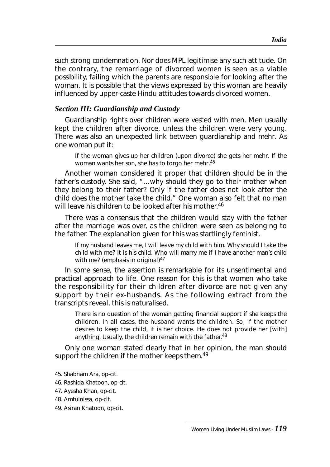such strong condemnation. Nor does MPL legitimise any such attitude. On the contrary, the remarriage of divorced women is seen as a viable possibility, failing which the parents are responsible for looking after the woman. It is possible that the views expressed by this woman are heavily influenced by upper-caste Hindu attitudes towards divorced women.

#### *Section III: Guardianship and Custody*

Guardianship rights over children were vested with men. Men usually kept the children after divorce, unless the children were very young. There was also an unexpected link between guardianship and mehr. As one woman put it:

If the woman gives up her children (upon divorce) she gets her mehr. If the woman wants her son, she has to forgo her mehr.<sup>45</sup>

Another woman considered it proper that children should be in the father's custody. She said, "...why should they go to their mother when they belong to their father? Only if the father does not look after the child does the mother take the child." One woman also felt that no man will leave his children to be looked after his mother.<sup>46</sup>

There was a consensus that the children would stay with the father after the marriage was over, as the children were seen as belonging to the father. The explanation given for this was startlingly feminist.

If my husband leaves me, I will leave my child with him. Why should I take the child with me? It is his child. Who will marry me if I have another man's child with me? (emphasis in original) $47$ 

In some sense, the assertion is remarkable for its unsentimental and practical approach to life. One reason for this is that women who take the responsibility for their children after divorce are not given any support by their ex-husbands. As the following extract from the transcripts reveal, this is naturalised.

There is no question of the woman getting financial support if she keeps the children. In all cases, the husband wants the children. So, if the mother desires to keep the child, it is her choice. He does not provide her [with] anything. Usually, the children remain with the father.<sup>48</sup>

Only one woman stated clearly that in her opinion, the man should support the children if the mother keeps them.<sup>49</sup>

<sup>45.</sup> Shabnam Ara, op-cit.

<sup>46.</sup> Rashida Khatoon, op-cit.

<sup>47.</sup> Ayesha Khan, op-cit.

<sup>48.</sup> Amtulnissa, op-cit.

<sup>49.</sup> Asiran Khatoon, op-cit.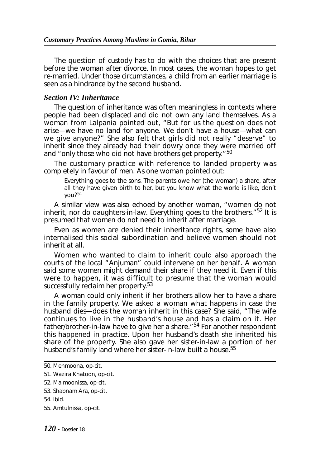The question of custody has to do with the choices that are present before the woman after divorce. In most cases, the woman hopes to get re-married. Under those circumstances, a child from an earlier marriage is seen as a hindrance by the second husband.

#### *Section IV: Inheritance*

The question of inheritance was often meaningless in contexts where people had been displaced and did not own any land themselves. As a woman from Lalpania pointed out, "But for us the question does not arise—we have no land for anyone. We don't have a house—what can we give anyone?" She also felt that girls did not really "deserve" to inherit since they already had their dowry once they were married off and "only those who did not have brothers get property."<sup>50</sup>

The customary practice with reference to landed property was completely in favour of men. As one woman pointed out:

Everything goes to the sons. The parents owe her (the woman) a share, after all they have given birth to her, but you know what the world is like, don't you?<sup>51</sup>

A similar view was also echoed by another woman, "women do not inherit, nor do daughters-in-law. Everything goes to the brothers."<sup>52</sup> It is presumed that women do not need to inherit after marriage.

Even as women are denied their inheritance rights, some have also internalised this social subordination and believe women should not inherit at all.

Women who wanted to claim to inherit could also approach the courts of the local "Anjuman" could intervene on her behalf. A woman said some women might demand their share if they need it. Even if this were to happen, it was difficult to presume that the woman would successfully reclaim her property.<sup>53</sup>

A woman could only inherit if her brothers allow her to have a share in the family property. We asked a woman what happens in case the husband dies—does the woman inherit in this case? She said, "The wife continues to live in the husband's house and has a claim on it. Her father/brother-in-law have to give her a share."<sup>54</sup> For another respondent this happened in practice. Upon her husband's death she inherited his share of the property. She also gave her sister-in-law a portion of her husband's family land where her sister-in-law built a house.<sup>55</sup>

- 51. Wazira Khatoon, op-cit.
- 52. Maimoonissa, op-cit.
- 53. Shabnam Ara, op-cit.
- 54. Ibid.
- 55. Amtulnissa, op-cit.

<sup>50.</sup> Mehmoona, op-cit.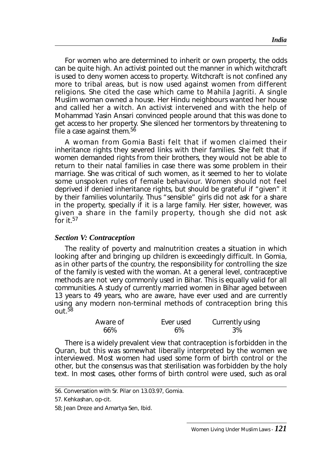For women who are determined to inherit or own property, the odds can be quite high. An activist pointed out the manner in which witchcraft is used to deny women access to property. Witchcraft is not confined any more to tribal areas, but is now used against women from different religions. She cited the case which came to Mahila Jagriti. A single Muslim woman owned a house. Her Hindu neighbours wanted her house and called her a witch. An activist intervened and with the help of Mohammad Yasin Ansari convinced people around that this was done to get access to her property. She silenced her tormentors by threatening to file a case against them.<sup>56</sup>

A woman from Gomia Basti felt that if women claimed their inheritance rights they severed links with their families. She felt that if women demanded rights from their brothers, they would not be able to return to their natal families in case there was some problem in their marriage. She was critical of such women, as it seemed to her to violate some unspoken rules of female behaviour. Women should not feel deprived if denied inheritance rights, but should be grateful if "given" it by their families voluntarily. Thus "sensible" girls did not ask for a share in the property, specially if it is a large family. Her sister, however, was given a share in the family property, though she did not ask for it. $57$ 

#### *Section V: Contraception*

The reality of poverty and malnutrition creates a situation in which looking after and bringing up children is exceedingly difficult. In Gomia, as in other parts of the country, the responsibility for controlling the size of the family is vested with the woman. At a general level, contraceptive methods are not very commonly used in Bihar. This is equally valid for all communities. A study of currently married women in Bihar aged between 13 years to 49 years, who are aware, have ever used and are currently using any modern non-terminal methods of contraception bring this out.<sup>58</sup>

| Aware of | Ever used | Currently using |
|----------|-----------|-----------------|
| 66%      | 6%        | 3%              |

There is a widely prevalent view that contraception is forbidden in the Quran, but this was somewhat liberally interpreted by the women we interviewed. Most women had used some form of birth control or the other, but the consensus was that sterilisation was forbidden by the holy text. In most cases, other forms of birth control were used, such as oral

<sup>56.</sup> Conversation with Sr. Pilar on 13.03.97, Gomia.

<sup>57.</sup> Kehkashan, op-cit.

<sup>58;</sup> Jean Dreze and Amartya Sen, Ibid.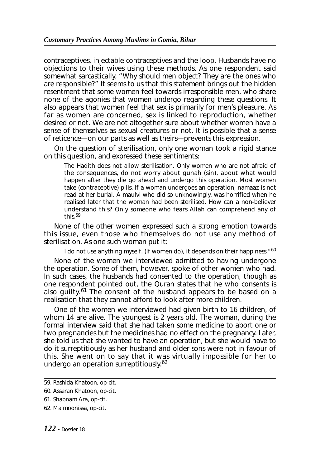contraceptives, injectable contraceptives and the loop. Husbands have no objections to their wives using these methods. As one respondent said somewhat sarcastically, "Why should men object? They are the ones who are responsible?" It seems to us that this statement brings out the hidden resentment that some women feel towards irresponsible men, who share none of the agonies that women undergo regarding these questions. It also appears that women feel that sex is primarily for men's pleasure. As far as women are concerned, sex is linked to reproduction, whether desired or not. We are not altogether sure about whether women have a sense of themselves as sexual creatures or not. It is possible that a sense of reticence—on our parts as well as theirs—prevents this expression.

On the question of sterilisation, only one woman took a rigid stance on this question, and expressed these sentiments:

The Hadith does not allow sterilisation. Only women who are not afraid of the consequences, do not worry about gunah (sin), about what would happen after they die go ahead and undergo this operation. Most women take (contraceptive) pills. If a woman undergoes an operation, namaaz is not read at her burial. A maulvi who did so unknowingly, was horrified when he realised later that the woman had been sterilised. How can a non-believer understand this? Only someone who fears Allah can comprehend any of this.59

None of the other women expressed such a strong emotion towards this issue, even those who themselves do not use any method of sterilisation. As one such woman put it:

I do not use anything myself. (If women do), it depends on their happiness."<sup>60</sup>

None of the women we interviewed admitted to having undergone the operation. Some of them, however, spoke of other women who had. In such cases, the husbands had consented to the operation, though as one respondent pointed out, the Quran states that he who consents is also quilty.<sup>61</sup> The consent of the husband appears to be based on a realisation that they cannot afford to look after more children.

One of the women we interviewed had given birth to 16 children, of whom 14 are alive. The youngest is 2 years old. The woman, during the formal interview said that she had taken some medicine to abort one or two pregnancies but the medicines had no effect on the pregnancy. Later, she told us that she wanted to have an operation, but she would have to do it surreptitiously as her husband and older sons were not in favour of this. She went on to say that it was virtually impossible for her to undergo an operation surreptitiously.<sup>62</sup>

<sup>59.</sup> Rashida Khatoon, op-cit.

<sup>60.</sup> Asseran Khatoon, op-cit.

<sup>61.</sup> Shabnam Ara, op-cit.

<sup>62.</sup> Maimoonissa, op-cit.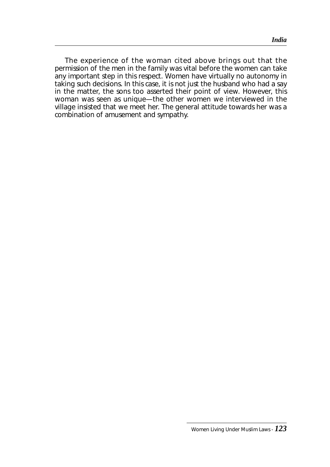The experience of the woman cited above brings out that the permission of the men in the family was vital before the women can take any important step in this respect. Women have virtually no autonomy in taking such decisions. In this case, it is not just the husband who had a say in the matter, the sons too asserted their point of view. However, this woman was seen as unique—the other women we interviewed in the village insisted that we meet her. The general attitude towards her was a combination of amusement and sympathy.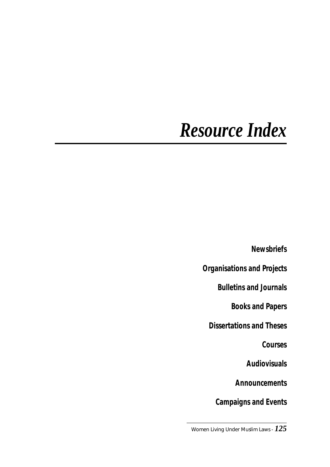# *Resource Index*

**Newsbriefs**

**Organisations and Projects**

**Bulletins and Journals**

**Books and Papers**

**Dissertations and Theses**

**Courses**

**Audiovisuals**

**Announcements**

**Campaigns and Events**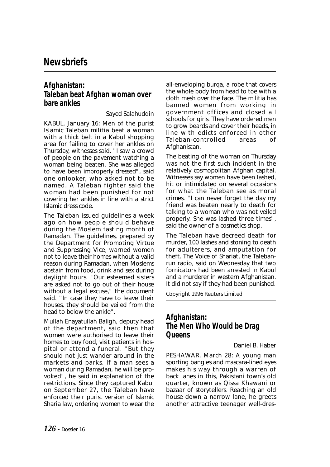## *Afghanistan:*  **Taleban beat Afghan woman over bare ankles**

Sayed Salahuddin

KABUL, January 16: Men of the purist Islamic Taleban militia beat a woman with a thick belt in a Kabul shopping area for failing to cover her ankles on Thursday, witnesses said. "I saw a crowd of people on the pavement watching a woman being beaten. She was alleged to have been improperly dressed", said one onlooker, who asked not to be named. A Taleban fighter said the woman had been punished for not covering her ankles in line with a strict Islamic dress code.

The Taleban issued guidelines a week ago on how people should behave during the Moslem fasting month of Ramadan. The guidelines, prepared by the Department for Promoting Virtue and Suppressing Vice, warned women not to leave their homes without a valid reason during Ramadan, when Moslems abstain from food, drink and sex during daylight hours. "Our esteemed sisters are asked not to go out of their house without a legal excuse," the document said. "In case they have to leave their houses, they should be veiled from the head to below the ankle".

Mullah Enayatullah Baligh, deputy head of the department, said then that women were authorised to leave their homes to buy food, visit patients in hospital or attend a funeral. "But they should not just wander around in the markets and parks. If a man sees a woman during Ramadan, he will be provoked", he said in explanation of the restrictions. Since they captured Kabul on September 27, the Taleban have enforced their purist version of Islamic Sharia law, ordering women to wear the

all-enveloping burqa, a robe that covers the whole body from head to toe with a cloth mesh over the face. The militia has banned women from working in government offices and closed all schools for girls. They have ordered men to grow beards and cover their heads, in line with edicts enforced in other Taleban-controlled areas of Afghanistan.

The beating of the woman on Thursday was not the first such incident in the relatively cosmopolitan Afghan capital. Witnesses say women have been lashed, hit or intimidated on several occasions for what the Taleban see as moral crimes. "I can never forget the day my friend was beaten nearly to death for talking to a woman who was not veiled properly. She was lashed three times", said the owner of a cosmetics shop.

The Taleban have decreed death for murder, 100 lashes and stoning to death for adulterers, and amputation for theft. The Voice of Shariat, the Talebanrun radio, said on Wednesday that two fornicators had been arrested in Kabul and a murderer in western Afghanistan. It did not say if they had been punished.

Copyright 1996 Reuters Limited

## *Afghanistan:* **The Men Who Would be Drag Queens**

Daniel B. Haber

PESHAWAR, March 28: A young man sporting bangles and mascara-lined eyes makes his way through a warren of back lanes in this, Pakistani town's old quarter, known as Qissa Khawani or bazaar of storytellers. Reaching an old house down a narrow lane, he greets another attractive teenager well-dres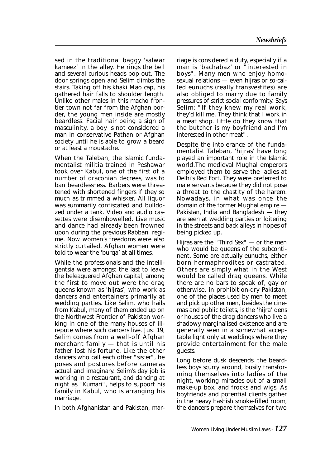sed in the traditional baggy 'salwar kameez' in the alley. He rings the bell and several curious heads pop out. The door springs open and Selim climbs the stairs. Taking off his khaki Mao cap, his gathered hair falls to shoulder length. Unlike other males in this macho frontier town not far from the Afghan border, the young men inside are mostly beardless. Facial hair being a sign of masculinity, a boy is not considered a man in conservative Pathan or Afghan society until he is able to grow a beard or at least a moustache.

When the Taleban, the Islamic fundamentalist militia trained in Peshawar took over Kabul, one of the first of a number of draconian decrees, was to ban beardlessness. Barbers were threatened with shortened fingers if they so much as trimmed a whisker. All liquor was summarily confiscated and bulldozed under a tank. Video and audio cassettes were disembowelled. Live music and dance had already been frowned upon during the previous Rabbani regime. Now women's freedoms were also strictly curtailed. Afghan women were told to wear the 'burqa' at all times.

While the professionals and the intelligentsia were amongst the last to leave the beleaguered Afghan capital, among the first to move out were the drag queens known as 'hijras', who work as dancers and entertainers primarily at wedding parties. Like Selim, who hails from Kabul, many of them ended up on the Northwest Frontier of Pakistan working in one of the many houses of illrepute where such dancers live. Just 19, Selim comes from a well-off Afghan merchant family — that is until his father lost his fortune. Like the other dancers who call each other "sister", he poses and postures before cameras actual and imaginary. Selim's day job is working in a restaurant, and dancing at night as "Kumari", helps to support his family in Kabul, who is arranging his marriage.

In both Afghanistan and Pakistan, mar-

riage is considered a duty, especially if a man is 'bachabaz' or "interested in boys". Many men who enjoy homosexual relations — even hijras or so-called eunuchs (really transvestites) are also obliged to marry due to family pressures of strict social conformity. Says Selim: "If they knew my real work, they'd kill me. They think that I work in a meat shop. Little do they know that the butcher is my boyfriend and I'm interested in other meat".

Despite the intolerance of the fundamentalist Taleban, 'hijras' have long played an important role in the Islamic world.The medieval Mughal emperors employed them to serve the ladies at Delhi's Red Fort. They were preferred to male servants because they did not pose a threat to the chastity of the harem. Nowadays, in what was once the domain of the former Mughal empire — Pakistan, India and Bangladesh — they are seen at wedding parties or loitering in the streets and back alleys in hopes of being picked up.

Hijras are the "Third Sex" — or the men who would be queens of the subcontinent. Some are actually eunuchs, either born hermaphrodites or castrated. Others are simply what in the West would be called drag queens. While there are no bars to speak of, gay or otherwise, in prohibition-dry Pakistan, one of the places used by men to meet and pick up other men, besides the cinemas and public toilets, is the 'hijra' dens or houses of the drag dancers who live a shadowy marginalised existence and are generally seen in a somewhat acceptable light only at weddings where they provide entertainment for the male guests.

Long before dusk descends, the beardless boys scurry around, busily transforming themselves into ladies of the night, working miracles out of a small make-up box, and frocks and wigs. As boyfriends and potential clients gather in the heavy hashish smoke-filled room, the dancers prepare themselves for two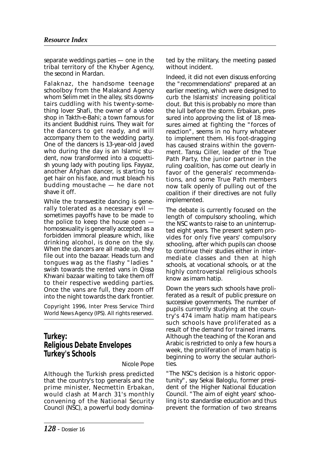separate weddings parties — one in the tribal territory of the Khyber Agency, the second in Mardan.

Falaknaz, the handsome teenage schoolboy from the Malakand Agency whom Selim met in the alley, sits downstairs cuddling with his twenty-something lover Shafi, the owner of a video shop in Takth-e-Bahi; a town famous for its ancient Buddhist ruins. They wait for the dancers to get ready, and will accompany them to the wedding party. One of the dancers is 13-year-old Javed who during the day is an Islamic student, now transformed into a coquettish young lady with pouting lips. Fayyaz, another Afghan dancer, is starting to get hair on his face, and must bleach his budding moustache — he dare not shave it off.

While the transvestite dancing is generally tolerated as a necessary evil sometimes payoffs have to be made to the police to keep the house open homosexuality is generally accepted as a forbidden immoral pleasure which, like drinking alcohol, is done on the sly. When the dancers are all made up, they file out into the bazaar. Heads turn and tongues wag as the flashy "ladies " swish towards the rented vans in Qissa Khwani bazaar waiting to take them off to their respective wedding parties. Once the vans are full, they zoom off into the night towards the dark frontier.

Copyright 1996, Inter Press Service Third World News Agency (IPS). All rights reserved.

### *Turkey:* **Religious Debate Envelopes Turkey's Schools**

#### Nicole Pope

Although the Turkish press predicted that the country's top generals and the prime minister, Necmettin Erbakan, would clash at March 31's monthly convening of the National Security Council (NSC), a powerful body dominated by the military, the meeting passed without incident.

Indeed, it did not even discuss enforcing the "recommendations" prepared at an earlier meeting, which were designed to curb the Islamists' increasing political clout. But this is probably no more than the lull before the storm. Erbakan, pressured into approving the list of 18 measures aimed at fighting the "forces of reaction", seems in no hurry whatever to implement them. His foot-dragging has caused strains within the government. Tansu Ciller, leader of the True Path Party, the junior partner in the ruling coalition, has come out clearly in favor of the generals' recommendations, and some True Path members now talk openly of pulling out of the coalition if their directives are not fully implemented.

The debate is currently focused on the length of compulsory schooling, which the NSC wants to raise to an uninterrupted eight years. The present system provides for only five years' compulsory schooling, after which pupils can choose to continue their studies either in intermediate classes and then at high schools, at vocational schools, or at the highly controversial religious schools know as imam hatip.

Down the years such schools have proliferated as a result of public pressure on successive governments. The number of pupils currently studying at the country's 474 imam hatip mam hatipears such schools have proliferated as a result of the demand for trained imams. Although the teaching of the Koran and Arabic is restricted to only a few hours a week, the proliferation of imam hatip is beginning to worry the secular authorities.

"The NSC's decision is a historic opportunity", say Sekai Baloglu, former president of the Higher National Education Council. "The aim of eight years' schooling is to standardise education and thus prevent the formation of two streams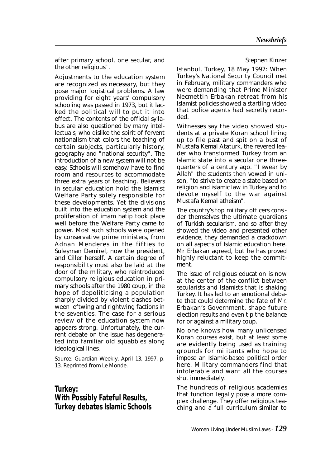after primary school, one secular, and the other religious".

Adjustments to the education system are recognized as necessary, but they pose major logistical problems. A law providing for eight years' compulsory schooling was passed in 1973, but it lacked the political will to put it into effect. The contents of the official syllabus are also questioned by many intellectuals, who dislike the spirit of fervent nationalism that colors the teaching of certain subjects, particularly history, geography and "national security". The introduction of a new system will not be easy. Schools will somehow have to find room and resources to accommodate three extra years of teaching. Believers in secular education hold the Islamist Welfare Party solely responsible for these developments. Yet the divisions built into the education system and the proliferation of imam hatip took place well before the Welfare Party came to power. Most such schools were opened by conservative prime ministers, from Adnan Menderes in the fifties to Suleyman Demirel, now the president, and Ciller herself. A certain degree of responsibility must also be laid at the door of the military, who reintroduced compulsory religious education in primary schools after the 1980 coup, in the hope of depoliticising a population sharply divided by violent clashes between leftwing and rightwing factions in the seventies. The case for a serious review of the education system now appears strong. Unfortunately, the current debate on the issue has degenerated into familiar old squabbles along ideological lines.

Source: Guardian Weekly, April 13, 1997, p. 13. Reprinted from Le Monde.

## *Turkey:*

**With Possibly Fateful Results, Turkey debates Islamic Schools**  Stephen Kinzer

Istanbul, Turkey, 18 May 1997: When Turkey's National Security Council met in February, military commanders who were demanding that Prime Minister Necmettin Erbakan retreat from his Islamist policies showed a startling video that police agents had secretly recorded.

Witnesses say the video showed students at a private Koran school lining up to file past and spit on a bust of Mustafa Kemal Ataturk, the revered leader who transformed Turkey from an Islamic state into a secular one threequarters of a century ago. "I swear by Allah" the students then vowed in unison, "to strive to create a state based on religion and islamic law in Turkey and to devote myself to the war against Mustafa Kemal atheism".

The country's top military officers consider themselves the ultimate guardians of Turkish secularism, and so after they showed the video and presented other evidence, they demanded a crackdown on all aspects of Islamic education here. Mr Erbakan agreed, but he has proved highly reluctant to keep the commitment.

The issue of religious education is now at the center of the conflict between secularists and Islamists that is shaking Turkey. It has led to an emotional debate that could determine the fate of Mr. Erbakan's Government, shape future election results and even tip the balance for or against a military coup.

No one knows how many unlicensed Koran courses exist, but at least some are evidently being used as training grounds for militants who hope to impose an Islamic-based political order here. Military commanders find that intolerable and want all the courses shut immediately.

The hundreds of religious academies that function legally pose a more complex challenge. They offer religious teaching and a full curriculum similar to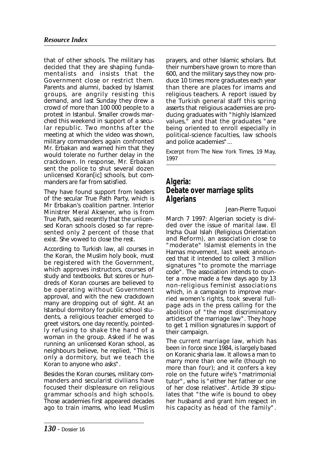that of other schools. The military has decided that they are shaping fundamentalists and insists that the Government close or restrict them. Parents and alumni, backed by Islamist groups, are angrily resisting this demand, and last Sunday they drew a crowd of more than 100 000 people to a protest in Istanbul. Smaller crowds marched this weekend in support of a secular republic. Two months after the meeting at which the video was shown, military commanders again confronted Mr. Erbakan and warned him that they would tolerate no further delay in the crackdown. In response, Mr. Erbakan sent the police to shut several dozen unlicensed Koran[ic] schools, but commanders are far from satisfied.

They have found support from leaders of the secular True Path Party, which is Mr Erbakan's coalition partner. Interior Ministrer Meral Aksener, who is from True Path, said recently that the unlicensed Koran schools closed so far represented only 2 percent of those that exist. She vowed to close the rest.

According to Turkish law, all courses in the Koran, the Muslim holy book, must be registered with the Government, which approves instructors, courses of study and textbooks. But scores or hundreds of Koran courses are believed to be operating without Government approval, and with the new crackdown many are dropping out of sight. At an Istanbul dormitory for public school students, a religious teacher emerged to greet visitors, one day recently, pointedly refusing to shake the hand of a woman in the group. Asked if he was running an unlicensed Koran school, as neighbours believe, he replied, "This is only a dormitory, but we teach the Koran to anyone who asks".

Besides the Koran courses, military commanders and secularist civilians have focused their displeasure on religious grammar schools and high schools. Those academies first appeared decades ago to train imams, who lead Muslim prayers, and other Islamic scholars. But their numbers have grown to more than 600, and the military says they now produce 10 times more graduates each year than there are places for imams and religious teachers. A report issued by the Turkish general staff this spring asserts that religious academies are producing graduates with "highly Islamized values," and that the graduates "are being oriented to enroll especially in political-science faculties, law schools and police academies"...

Excerpt from The New York Times, 19 May, 1997

## **Algeria: Debate over marriage splits Algerians**

Jean-Pierre Tuquoi

March 7 1997: Algerian society is divided over the issue of marital law. El Irscha Oual Islah (Religious Orientation and Reform), an association close to "moderate" Islamist elements in the Hamas movement, last week announced that it intended to collect 3 million signatures "to promote the marriage code". The association intends to counter a move made a few days ago by 13 non-religious feminist associations which, in a campaign to improve married women's rights, took several fullpage ads in the press calling for the abolition of "the most discriminatory articles of the marriage law". They hope to get 1 million signatures in support of their campaign.

The current marriage law, which has been in force since 1984, is largely based on Koranic sharia law. It allows a man to marry more than one wife (though no more than four); and it confers a key role on the future wife's "matrimonial tutor", who is "either her father or one of her close relatives". Article 39 stipulates that "the wife is bound to obey her husband and grant him respect in his capacity as head of the family".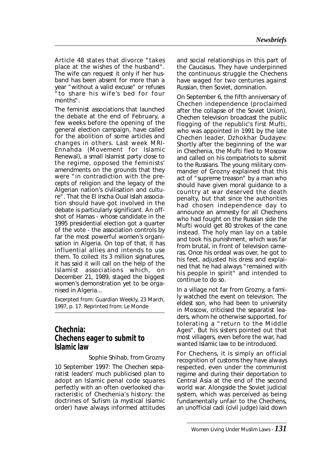Article 48 states that divorce "takes place at the wishes of the husband". The wife can request it only if her husband has been absent for more than a year "without a valid excuse" or refuses "to share his wife's bed for four months".

The feminist associations that launched the debate at the end of February, a few weeks before the opening of the general election campaign, have called for the abolition of some articles and changes in others. Last week MRI-Ennahda (Movement for Islamic Renewal), a small Islamist party close to the regime, opposed the feminists' amendments on the grounds that they were "in contradiction with the precepts of religion and the legacy of the Algerian nation's civilisation and culture". That the El Irscha Oual Islah association should have got involved in the debate is particularly significant. An offshot of Hamas - whose candidate in the 1995 presidential election got a quarter of the vote - the association controls by far the most powerful women's organisation in Algeria. On top of that, it has influential allies and intends to use them. To collect its 3 million signatures, it has said it will call on the help of the Islamist associations which, on December 21, 1989, staged the biggest women's demonstration yet to be organised in Algeria...

Excerpted from: Guardian Weekly, 23 March, 1997, p. 17. Reprinted from: Le Monde

#### *Chechnia:* **Chechens eager to submit to Islamic law**

Sophie Shihab, from Grozny 10 September 1997: The Chechen separatist leaders' much publicised plan to adopt an Islamic penal code squares perfectly with an often overlooked characteristic of Chechenia's history: the doctrines of Sufism (a mystical Islamic order) have always informed attitudes

and social relationships in this part of the Caucasus. They have underpinned the continuous struggle the Chechens have waged for two centuries against Russian, then Soviet, domination.

On September 6, the fifth anniversary of Chechen independence (proclaimed after the collapse of the Soviet Union), Chechen television broadcast the public flogging of the republic's first Mufti, who was appointed in 1991 by the late Chechen leader, Dzhokhar Dudayev. Shortly after the beginning of the war in Chechenia, the Mufti fled to Moscow and called on his compatriots to submit to the Russians. The young military commander of Grozny explained that this act of "supreme treason" by a man who should have given moral guidance to a country at war deserved the death penalty, but that since the authorities had chosen independence day to announce an amnesty for all Chechens who had fought on the Russian side the Mufti would get 80 strokes of the cane instead. The holy man lay on a table and took his punishment, which was far from brutal, in front of television cameras. Once his ordeal was over, he got to his feet, adjusted his dress and explained that he had always "remained with his people in spirit" and intended to continue to do so.

In a village not far from Grozny, a family watched the event on television. The eldest son, who had been to university in Moscow, criticised the separatist leaders, whom he otherwise supported, for tolerating a "return to the Middle Ages". But his sisters pointed out that most villagers, even before the war, had wanted Islamic law to be introduced.

For Chechens, it is simply an official recognition of customs they have always respected, even under the communist regime and during their deportation to Central Asia at the end of the second world war. Alongside the Soviet judicial system, which was perceived as being fundamentally unfair to the Chechens, an unofficial cadi (civil judge) laid down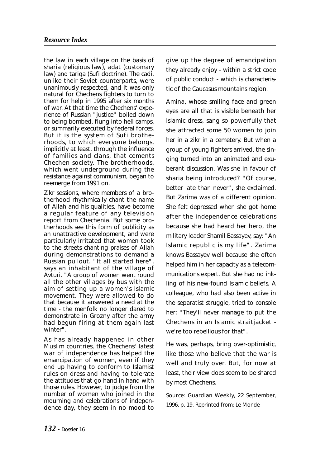the law in each village on the basis of sharia (religious law), adat (customary law) and tariqa (Sufi doctrine). The cadi, unlike their Soviet counterparts, were unanimously respected, and it was only natural for Chechens fighters to turn to them for help in 1995 after six months of war. At that time the Chechens' experience of Russian "justice" boiled down to being bombed, flung into hell camps, or summarily executed by federal forces. But it is the system of Sufi brotherhoods, to which everyone belongs, implicitly at least, through the influence of families and clans, that cements Chechen society. The brotherhoods, which went underground during the resistance against communism, began to reemerge from 1991 on.

Zikr sessions, where members of a brotherhood rhythmically chant the name of Allah and his qualities, have become a regular feature of any television report from Chechenia. But some brotherhoods see this form of publicity as an unattractive development, and were particularly irritated that women took to the streets chanting praises of Allah during demonstrations to demand a Russian pullout. "It all started here", says an inhabitant of the village of Avturi. "A group of women went round all the other villages by bus with the aim of setting up a women's Islamic movement. They were allowed to do that because it answered a need at the time - the menfolk no longer dared to demonstrate in Grozny after the army had begun firing at them again last winter".

As has already happened in other Muslim countries, the Chechens' latest war of independence has helped the emancipation of women, even if they end up having to conform to Islamist rules on dress and having to tolerate the attitudes that go hand in hand with those rules. However, to judge from the number of women who joined in the mourning and celebrations of independence day, they seem in no mood to give up the degree of emancipation they already enjoy - within a strict code of public conduct - which is characteristic of the Caucasus mountains region.

Amina, whose smiling face and green eyes are all that is visible beneath her Islamic dress, sang so powerfully that she attracted some 50 women to join her in a zikr in a cemetery. But when a group of young fighters arrived, the singing turned into an animated and exuberant discussion. Was she in favour of sharia being introduced? "Of course, better late than never", she exclaimed. But Zarima was of a different opinion. She felt depressed when she got home after the independence celebrations because she had heard her hero, the military leader Shamil Bassayev, say: "An Islamic republic is my life". Zarima knows Bassayev well because she often helped him in her capacity as a telecommunications expert. But she had no inkling of his new-found Islamic beliefs. A colleague, who had also been active in the separatist struggle, tried to console her: "They'll never manage to put the Chechens in an Islamic straitjacket we're too rebellious for that".

He was, perhaps, bring over-optimistic, like those who believe that the war is well and truly over. But, for now at least, their view does seem to be shared by most Chechens.

Source: Guardian Weekly, 22 September, 1996, p. 19. Reprinted from: Le Monde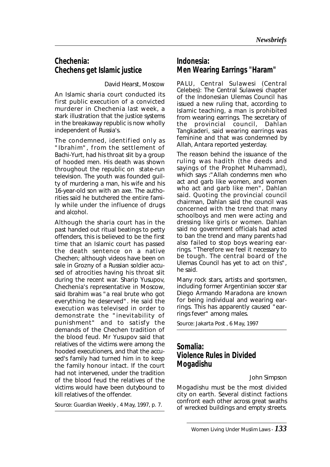## *Chechenia:*  **Chechens get Islamic justice**

David Hearst, Moscow

An Islamic sharia court conducted its first public execution of a convicted murderer in Chechenia last week, a stark illustration that the justice systems in the breakaway republic is now wholly independent of Russia's.

The condemned, identified only as "Ibrahim", from the settlement of Bachi-Yurt, had his throat slit by a group of hooded men. His death was shown throughout the republic on state-run television. The youth was founded guilty of murdering a man, his wife and his 16-year-old son with an axe. The authorities said he butchered the entire family while under the influence of drugs and alcohol.

Although the sharia court has in the past handed out ritual beatings to petty offenders, this is believed to be the first time that an Islamic court has passed the death sentence on a native Chechen; although videos have been on sale in Grozny of a Russian soldier accused of atrocities having his throat slit during the recent war. Sharip Yusupov, Chechenia's representative in Moscow, said Ibrahim was "a real brute who got everything he deserved". He said the execution was televised in order to demonstrate the "inevitability of punishment" and to satisfy the demands of the Chechen tradition of the blood feud. Mr Yusupov said that relatives of the victims were among the hooded executioners, and that the accused's family had turned him in to keep the family honour intact. If the court had not intervened, under the tradition of the blood feud the relatives of the victims would have been dutybound to kill relatives of the offender.

Source: Guardian Weekly , 4 May, 1997, p. 7.

## *Indonesia:* **Men Wearing Earrings "Haram"**

PALU, Central Sulawesi (Central Celebes): The Central Sulawesi chapter of the Indonesian Ulemas Council has issued a new ruling that, according to Islamic teaching, a man is prohibited from wearing earrings. The secretary of the provincial council, Dahlan Tangkaderi, said wearing earrings was feminine and that was condemned by Allah, Antara reported yesterday.

The reason behind the issuance of the ruling was hadith (the deeds and sayings of the Prophet Muhammad), which says :"Allah condemns men who act and garb like women, and women who act and garb like men", Dahlan said. Quoting the provincial council chairman, Dahlan said the council was concerned with the trend that many schoolboys and men were acting and dressing like girls or women. Dahlan said no government officials had acted to ban the trend and many parents had also failed to stop boys wearing earrings. "Therefore we feel it necessary to be tough. The central board of the Ulemas Council has yet to act on this", he said.

Many rock stars, artists and sportsmen, including former Argentinian soccer star Diego Armando Maradona are known for being individual and wearing earrings. This has apparently caused "earrings fever" among males.

Source: Jakarta Post , 6 May, 1997

### *Somalia:* **Violence Rules in Divided Mogadishu**

John Simpson

Mogadishu must be the most divided city on earth. Several distinct factions confront each other across great swaths of wrecked buildings and empty streets.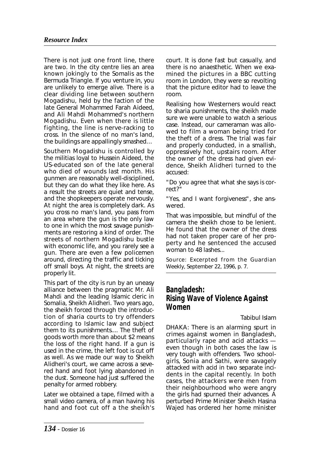There is not just one front line, there are two. In the city centre lies an area known jokingly to the Somalis as the Bermuda Triangle. If you venture in, you are unlikely to emerge alive. There is a clear dividing line between southern Mogadishu, held by the faction of the late General Mohammed Farah Aideed, and Ali Mahdi Mohammed's northern Mogadishu. Even when there is little fighting, the line is nerve-racking to cross. In the silence of no man's land, the buildings are appallingly smashed…

Southern Mogadishu is controlled by the militias loyal to Hussein Aideed, the US-educated son of the late general who died of wounds last month. His gunmen are reasonably well-disciplined, but they can do what they like here. As a result the streets are quiet and tense, and the shopkeepers operate nervously. At night the area is completely dark. As you cross no man's land, you pass from an area where the gun is the only law to one in which the most savage punishments are restoring a kind of order. The streets of northern Mogadishu bustle with economic life, and you rarely see a gun. There are even a few policemen around, directing the traffic and ticking off small boys. At night, the streets are properly lit.

This part of the city is run by an uneasy alliance between the pragmatic Mr. Ali Mahdi and the leading Islamic cleric in Somalia, Sheikh Alidheri. Two years ago, the sheikh forced through the introduction of sharia courts to try offenders according to Islamic law and subject them to its punishments.... The theft of goods worth more than about \$2 means the loss of the right hand. If a gun is used in the crime, the left foot is cut off as well. As we made our way to Sheikh Alidheri's court, we came across a severed hand and foot lying abandoned in the dust. Someone had just suffered the penalty for armed robbery.

Later we obtained a tape, filmed with a small video camera, of a man having his hand and foot cut off a the sheikh's

court. It is done fast but casually, and there is no anaesthetic. When we examined the pictures in a BBC cutting room in London, they were so revolting that the picture editor had to leave the room.

Realising how Westerners would react to sharia punishments, the sheikh made sure we were unable to watch a serious case. Instead, our cameraman was allowed to film a woman being tried for the theft of a dress. The trial was fair and properly conducted, in a smallish, oppressively hot, upstairs room. After the owner of the dress had given evidence, Sheikh Alidheri turned to the accused:

"Do you agree that what she says is correct?"

"Yes, and I want forgiveness", she answered.

That was impossible, but mindful of the camera the sheikh chose to be lenient. He found that the owner of the dress had not taken proper care of her property and he sentenced the accused woman to 48 lashes...

Source: Excerpted from the Guardian Weekly, September 22, 1996, p. 7.

## *Bangladesh:*  **Rising Wave of Violence Against Women**

#### Tabibul Islam

DHAKA: There is an alarming spurt in crimes against women in Bangladesh, particularly rape and acid attacks even though in both cases the law is very tough with offenders. Two schoolgirls, Sonia and Sathi, were savagely attacked with acid in two separate incidents in the capital recently. In both cases, the attackers were men from their neighbourhood who were angry the girls had spurned their advances. A perturbed Prime Minister Sheikh Hasina Wajed has ordered her home minister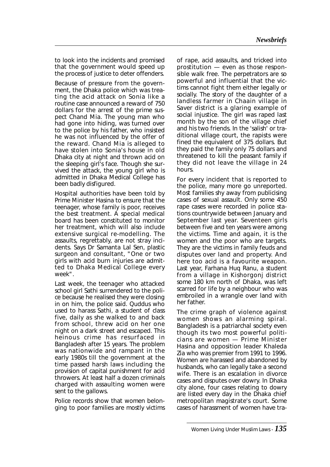to look into the incidents and promised that the government would speed up the process of justice to deter offenders.

Because of pressure from the government, the Dhaka police which was treating the acid attack on Sonia like a routine case announced a reward of 750 dollars for the arrest of the prime suspect Chand Mia. The young man who had gone into hiding, was turned over to the police by his father, who insisted he was not influenced by the offer of the reward. Chand Mia is alleged to have stolen into Sonia's house in old Dhaka city at night and thrown acid on the sleeping girl's face. Though she survived the attack, the young girl who is admitted in Dhaka Medical College has been badly disfigured.

Hospital authorities have been told by Prime Minister Hasina to ensure that the teenager, whose family is poor, receives the best treatment. A special medical board has been constituted to monitor her treatment, which will also include extensive surgical re-modelling. The assaults, regrettably, are not stray incidents. Says Dr Samanta Lal Sen, plastic surgeon and consultant, "One or two girls with acid burn injuries are admitted to Dhaka Medical College every week".

Last week, the teenager who attacked school girl Sathi surrendered to the police because he realised they were closing in on him, the police said. Quddus who used to harass Sathi, a student of class five, daily as she walked to and back from school, threw acid on her one night on a dark street and escaped. This heinous crime has resurfaced in Bangladesh after 15 years. The problem was nationwide and rampant in the early 1980s till the government at the time passed harsh laws including the provision of capital punishment for acid throwers. At least half a dozen criminals charged with assaulting women were sent to the gallows.

Police records show that women belonging to poor families are mostly victims

of rape, acid assaults, and tricked into prostitution — even as those responsible walk free. The perpetrators are so powerful and influential that the victims cannot fight them either legally or socially. The story of the daughter of a landless farmer in Chaain village in Saver district is a glaring example of social injustice. The girl was raped last month by the son of the village chief and his two friends. In the 'salish' or traditional village court, the rapists were fined the equivalent of 375 dollars. But they paid the family only 75 dollars and threatened to kill the peasant family if they did not leave the village in 24 hours.

For every incident that is reported to the police, many more go unreported. Most families shy away from publicising cases of sexual assault. Only some 450 rape cases were recorded in police stations countrywide between January and September last year. Seventeen girls between five and ten years were among the victims. Time and again, it is the women and the poor who are targets. They are the victims in family feuds and disputes over land and property. And here too acid is a favourite weapon. Last year, Farhana Huq Ranu, a student from a village in Kishorgonj district some 180 km north of Dhaka, was left scarred for life by a neighbour who was embroiled in a wrangle over land with her father.

The crime graph of violence against women shows an alarming spiral. Bangladesh is a patriarchal society even though its two most powerful politicians are women — Prime Minister Hasina and opposition leader Khaleda Zia who was premier from 1991 to 1996. Women are harassed and abandoned by husbands, who can legally take a second wife. There is an escalation in divorce cases and disputes over dowry. In Dhaka city alone, four cases relating to dowry are listed every day in the Dhaka chief metropolitan magistrate's court. Some cases of harassment of women have tra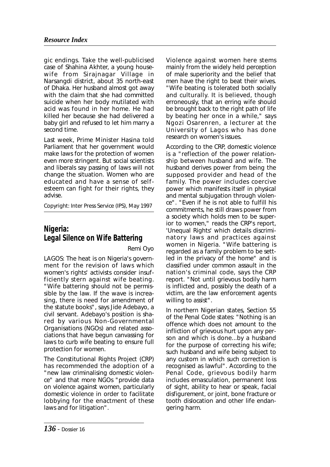gic endings. Take the well-publicised case of Shahina Akhter, a young housewife from Sirajnagar Village in Narsangdi district, about 35 north-east of Dhaka. Her husband almost got away with the claim that she had committed suicide when her body mutilated with acid was found in her home. He had killed her because she had delivered a baby girl and refused to let him marry a second time.

Last week, Prime Minister Hasina told Parliament that her government would make laws for the protection of women even more stringent. But social scientists and liberals say passing of laws will not change the situation. Women who are educated and have a sense of selfesteem can fight for their rights, they advise.

Copyright: Inter Press Service (IPS), May 1997

## *Nigeria:*  **Legal Silence on Wife Battering**

Remi Oyo

LAGOS: The heat is on Nigeria's government for the revision of laws which women's rights' activists consider insufficiently stern against wife beating. "Wife battering should not be permissible by the law. If the wave is increasing, there is need for amendment of the statute books", says Jide Adebayo, a civil servant. Adebayo's position is shared by various Non-Governmental Organisations (NGOs) and related associations that have begun canvassing for laws to curb wife beating to ensure full protection for women.

The Constitutional Rights Project (CRP) has recommended the adoption of a "new law criminalising domestic violence" and that more NGOs "provide data on violence against women, particularly domestic violence in order to facilitate lobbying for the enactment of these laws and for litigation".

Violence against women here stems mainly from the widely held perception of male superiority and the belief that men have the right to beat their wives. "Wife beating is tolerated both socially and culturally. It is believed, though erroneously, that an erring wife should be brought back to the right path of life by beating her once in a while," says Ngozi Osarenren, a lecturer at the University of Lagos who has done research on women's issues.

According to the CRP, domestic violence is a "reflection of the power relationship between husband and wife. The husband derives power from being the supposed provider and head of the family. The power includes coercive power which manifests itself in physical and mental subjugation through violence". "Even if he is not able to fulfill his commitments, he still draws power from a society which holds men to be superior to women," reads the CRP's report, 'Unequal Rights' which details discriminatory laws and practices against women in Nigeria. "Wife battering is regarded as a family problem to be settled in the privacy of the home" and is classified under common assault in the nation's criminal code, says the CRP report. "Not until grievous bodily harm is inflicted and, possibly the death of a victim, are the law enforcement agents willing to assist".

In northern Nigerian states, Section 55 of the Penal Code states: "Nothing is an offence which does not amount to the infliction of grievous hurt upon any person and which is done...by a husband for the purpose of correcting his wife; such husband and wife being subject to any custom in which such correction is recognised as lawful". According to the Penal Code, grievous bodily harm includes emasculation, permanent loss of sight, ability to hear or speak, facial disfigurement, or joint, bone fracture or tooth dislocation and other life endangering harm.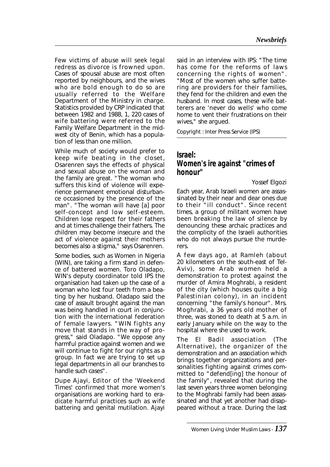Few victims of abuse will seek legal redress as divorce is frowned upon. Cases of spousal abuse are most often reported by neighbours, and the wives who are bold enough to do so are usually referred to the Welfare Department of the Ministry in charge. Statistics provided by CRP indicated that between 1982 and 1988, 1, 220 cases of wife battering were referred to the Family Welfare Department in the midwest city of Benin, which has a population of less than one million.

While much of society would prefer to keep wife beating in the closet, Osarenren says the effects of physical and sexual abuse on the woman and the family are great. "The woman who suffers this kind of violence will experience permanent emotional disturbance occasioned by the presence of the man". "The woman will have [a] poor self-concept and low self-esteem. Children lose respect for their fathers and at times challenge their fathers. The children may become insecure and the act of violence against their mothers becomes also a stigma," says Osarenren.

Some bodies, such as Women in Nigeria (WIN), are taking a firm stand in defence of battered women. Toro Oladapo, WIN's deputy coordinator told IPS the organisation had taken up the case of a woman who lost four teeth from a beating by her husband. Oladapo said the case of assault brought against the man was being handled in court in conjunction with the international federation of female lawyers. "WIN fights any move that stands in the way of progress," said Oladapo. "We oppose any harmful practice against women and we will continue to fight for our rights as a group. In fact we are trying to set up legal departments in all our branches to handle such cases".

Dupe Ajayi, Editor of the 'Weekend Times' confirmed that more women's organisations are working hard to eradicate harmful practices such as wife battering and genital mutilation. Ajayi

said in an interview with IPS: "The time has come for the reforms of laws concerning the rights of women". "Most of the women who suffer battering are providers for their families, they fend for the children and even the husband. In most cases, these wife batterers are 'never do wells' who come home to vent their frustrations on their wives," she argued.

Copyright : Inter Press Service (IPS)

#### *Israel:* **Women's ire against "crimes of honour"**

Yossef Elgozi

Each year, Arab Israeli women are assassinated by their near and dear ones due to their "ill conduct". Since recent times, a group of militant women have been breaking the law of silence by denouncing these archaic practices and the complicity of the Israeli authorities who do not always pursue the murderers.

A few days ago, at Ramleh (about 20 kilometers on the south-east of Tel-Aviv), some Arab women held a demonstration to protest against the murder of Amira Moghrabi, a resident of the city (which houses quite a big Palestinian colony), in an incident concerning "the family's honour". Mrs. Moghrabi, a 36 years old mother of three, was stoned to death at 5 a.m. in early January while on the way to the hospital where she used to work.

The El Badil association (The Alternative), the organizer of the demonstration and an association which brings together organizations and personalities fighting against crimes committed to "defend[ing] the honour of the family", revealed that during the last seven years three women belonging to the Moghrabi family had been assassinated and that yet another had disappeared without a trace. During the last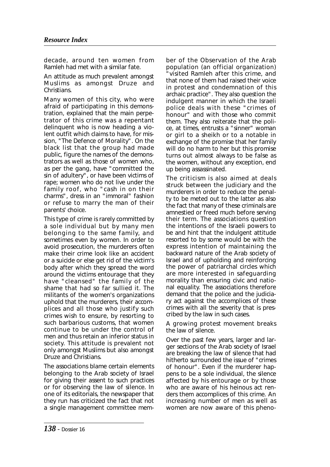decade, around ten women from Ramleh had met with a similar fate.

An attitude as much prevalent amongst Muslims as amongst Druze and Christians.

Many women of this city, who were afraid of participating in this demonstration, explained that the main perpetrator of this crime was a repentant delinquent who is now heading a violent outfit which claims to have, for mission, "The Defence of Morality". On the black list that the group had made public, figure the names of the demonstrators as well as those of women who, as per the gang, have "committed the sin of adultery", or have been victims of rape; women who do not live under the family roof, who "cash in on their charms", dress in an "immoral" fashion or refuse to marry the man of their parents' choice.

This type of crime is rarely committed by a sole individual but by many men belonging to the same family, and sometimes even by women. In order to avoid prosecution, the murderers often make their crime look like an accident or a suicide or else get rid of the victim's body after which they spread the word around the victims entourage that they have "cleansed" the family of the shame that had so far sullied it. The militants of the women's organizations uphold that the murderers, their accomplices and all those who justify such crimes wish to ensure, by resorting to such barbarious customs, that women continue to be under the control of men and thus retain an inferior status in society. This attitude is prevalent not only amongst Muslims but also amongst Druze and Christians.

The associations blame certain elements belonging to the Arab society of Israel for giving their assent to such practices or for observing the law of silence. In one of its editorials, the newspaper that they run has criticized the fact that not a single management committee member of the Observation of the Arab population (an official organization) "visited Ramleh after this crime, and that none of them had raised their voice in protest and condemnation of this archaic practice". They also question the indulgent manner in which the Israeli police deals with these "crimes of honour" and with those who commit them. They also reiterate that the police, at times, entrusts a "sinner" woman or girl to a sheikh or to a notable in exchange of the promise that her family will do no harm to her but this promise turns out almost always to be false as the women, without any exception, end up being assassinated.

The criticism is also aimed at deals struck between the judiciary and the murderers in order to reduce the penalty to be meted out to the latter as also the fact that many of these criminals are amnestied or freed much before serving their term. The associations question the intentions of the Israeli powers to be and hint that the indulgent attitude resorted to by some would be with the express intention of maintaining the backward nature of the Arab society of Israel and of upholding and reinforcing the power of patriarchal circles which are more interested in safeguarding morality than ensuring civic and national equality. The associations therefore demand that the police and the judiciary act against the accomplices of these crimes with all the severity that is prescribed by the law in such cases.

A growing protest movement breaks the law of silence.

Over the past few years, larger and larger sections of the Arab society of Israel are breaking the law of silence that had hitherto surrounded the issue of "crimes of honour". Even if the murderer happens to be a sole individual, the silence affected by his entourage or by those who are aware of his heinous act renders them accomplices of this crime. An increasing number of men as well as women are now aware of this pheno-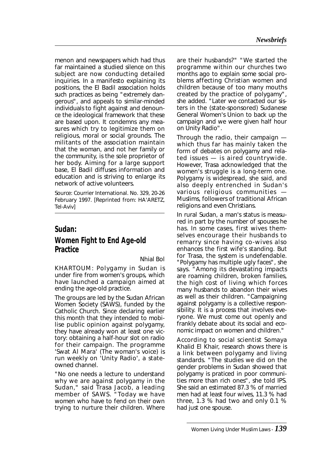menon and newspapers which had thus far maintained a studied silence on this subject are now conducting detailed inquiries. In a manifesto explaining its positions, the El Badil association holds such practices as being "extremely dangerous", and appeals to similar-minded individuals to fight against and denounce the ideological framework that these are based upon. It condemns any measures which try to legitimize them on religious, moral or social grounds. The militants of the association maintain that the woman, and not her family or the community, is the sole proprietor of her body. Aiming for a large support base, El Badil diffuses information and education and is striving to enlarge its network of active volunteers.

Source: Courrier International. No. 329, 20-26 February 1997. [Reprinted from: HA'ARETZ, Tel-Aviv]

## *Sudan:*  **Women Fight to End Age-old Practice**

Nhial Bol

KHARTOUM: Polygamy in Sudan is under fire from women's groups, which have launched a campaign aimed at ending the age-old practice.

The groups are led by the Sudan African Women Society (SAWS), funded by the Catholic Church. Since declaring earlier this month that they intended to mobilise public opinion against polygamy, they have already won at least one victory: obtaining a half-hour slot on radio for their campaign. The programme 'Swat Al Mara' (The woman's voice) is run weekly on 'Unity Radio', a stateowned channel.

"No one needs a lecture to understand why we are against polygamy in the Sudan," said Trasa Jacob, a leading member of SAWS. "Today we have women who have to fend on their own trying to nurture their children. Where

are their husbands?" "We started the programme within our churches two months ago to explain some social problems affecting Christian women and children because of too many mouths created by the practice of polygamy", she added. "Later we contacted our sisters in the (state-sponsored) Sudanese General Women's Union to back up the campaign and we were given half hour on Unity Radio".

Through the radio, their campaign which thus far has mainly taken the form of debates on polygamy and related issues — is aired countrywide. However, Trasa acknowledged that the women's struggle is a long-term one. Polygamy is widespread, she said, and also deeply entrenched in Sudan's various religious communities — Muslims, followers of traditional African religions and even Christians.

In rural Sudan, a man's status is measured in part by the number of spouses he has. In some cases, first wives themselves encourage their husbands to remarry since having co-wives also enhances the first wife's standing. But for Trasa, the system is undefendable. "Polygamy has multiple ugly faces", she says. "Among its devastating impacts are roaming children, broken families, the high cost of living which forces many husbands to abandon their wives as well as their children. "Campaigning against polygamy is a collective responsibility. It is a process that involves everyone. We must come out openly and frankly debate about its social and economic impact on women and children."

According to social scientist Somaya Khalid El Khair, research shows there is a link between polygamy and living standards. "The studies we did on the gender problems in Sudan showed that polygamy is praticed in poor communities more than rich ones", she told IPS. She said an estimated 87.3 % of married men had at least four wives, 11.3 % had three, 1.3 % had two and only 0.1 % had just one spouse.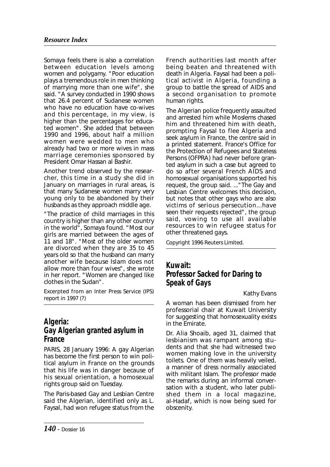Somaya feels there is also a correlation between education levels among women and polygamy. "Poor education plays a tremendous role in men thinking of marrying more than one wife", she said. "A survey conducted in 1990 shows that 26.4 percent of Sudanese women who have no education have co-wives and this percentage, in my view, is higher than the percentages for educated women". She added that between 1990 and 1996, about half a million women were wedded to men who already had two or more wives in mass marriage ceremonies sponsored by President Omar Hassan al Bashir.

Another trend observed by the researcher, this time in a study she did in January on marriages in rural areas, is that many Sudanese women marry very young only to be abandoned by their husbands as they approach middle age.

"The practice of child marriages in this country is higher than any other country in the world", Somaya found. "Most our girls are married between the ages of 11 and 18". "Most of the older women are divorced when they are 35 to 45 years old so that the husband can marry another wife because Islam does not allow more than four wives", she wrote in her report. "Women are changed like clothes in the Sudan".

Excerpted from an Inter Press Service (IPS) report in 1997 (?)

### *Algeria:* **Gay Algerian granted asylum in France**

PARIS, 28 January 1996: A gay Algerian has become the first person to win political asylum in France on the grounds that his life was in danger because of his sexual orientation, a homosexual rights group said on Tuesday.

The Paris-based Gay and Lesbian Centre said the Algerian, identified only as L. Faysal, had won refugee status from the French authorities last month after being beaten and threatened with death in Algeria. Faysal had been a political activist in Algeria, founding a group to battle the spread of AIDS and a second organisation to promote human rights.

The Algerian police frequently assaulted and arrested him while Moslems chased him and threatened him with death, prompting Faysal to flee Algeria and seek asylum in France, the centre said in a printed statement. France's Office for the Protection of Refugees and Stateless Persons (OFPRA) had never before granted asylum in such a case but agreed to do so after several French AIDS and homosexual organisations supported his request, the group said. ..."The Gay and Lesbian Centre welcomes this decision, but notes that other gays who are also victims of serious persecution...have seen their requests rejected", the group said, vowing to use all available resources to win refugee status for other threatened gays.

Copyright 1996 Reuters Limited.

## *Kuwait:* **Professor Sacked for Daring to Speak of Gays**

Kathy Evans

A woman has been dismissed from her professorial chair at Kuwait University for suggesting that homosexuality exists in the Emirate.

Dr. Alia Shoaib, aged 31, claimed that lesbianism was rampant among students and that she had witnessed two women making love in the university toilets. One of them was heavily veiled, a manner of dress normally associated with militant Islam. The professor made the remarks during an informal conversation with a student, who later published them in a local magazine, al-Hadaf, which is now being sued for obscenity.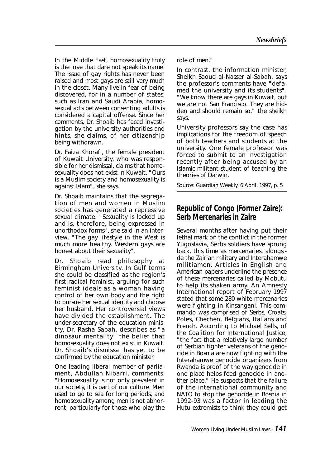In the Middle East, homosexuality truly is the love that dare not speak its name. The issue of gay rights has never been raised and most gays are still very much in the closet. Many live in fear of being discovered, for in a number of states, such as Iran and Saudi Arabia, homosexual acts between consenting adults is considered a capital offense. Since her comments, Dr. Shoaib has faced investigation by the university authorities and hints, she claims, of her citizenship being withdrawn.

Dr. Faiza Khorafi, the female president of Kuwait University, who was responsible for her dismissal, claims that homosexuality does not exist in Kuwait. "Ours is a Muslim society and homosexuality is against Islam", she says.

Dr. Shoaib maintains that the segregation of men and women in Muslim societies has generated a repressive sexual climate. "Sexuality is locked up and is, therefore, being expressed in unorthodox forms", she said in an interview. "The gay lifestyle in the West is much more healthy. Western gays are honest about their sexuality".

Dr. Shoaib read philosophy at Birmingham University. In Gulf terms she could be classified as the region's first radical feminist, arguing for such feminist ideals as a woman having control of her own body and the right to pursue her sexual identity and choose her husband. Her controversial views have divided the establishment. The under-secretary of the education ministry, Dr. Rasha Sabah, describes as "a dinosaur mentality" the belief that homosexuality does not exist in Kuwait. Dr. Shoaib's dismissal has yet to be confirmed by the education minister.

One leading liberal member of parliament, Abdullah Nibarri, comments: "Homosexuality is not only prevalent in our society, it is part of our culture. Men used to go to sea for long periods, and homosexuality among men is not abhorrent, particularly for those who play the

role of men."

In contrast, the information minister, Sheikh Saoud al-Nasser al-Sabah, says the professor's comments have "defamed the university and its students". "We know there are gays in Kuwait, but we are not San Francisco. They are hidden and should remain so," the sheikh says.

University professors say the case has implications for the freedom of speech of both teachers and students at the university. One female professor was forced to submit to an investigation recently after being accused by an Islamic militant student of teaching the theories of Darwin.

Source: Guardian Weekly, 6 April, 1997, p. 5

## *Republic of Congo (Former Zaire):* **Serb Mercenaries in Zaire**

Several months after having put their lethal mark on the conflict in the former Yugoslavia, Serbs soldiers have sprung back, this time as mercenaries, alongside the Zairian military and Interahamwe militiamen. Articles in English and American papers underline the presence of these mercenaries called by Mobutu to help its shaken army. An Amnesty International report of February 1997 stated that some 280 white mercenaries were fighting in Kinsangani. This commando was comprised of Serbs, Croats, Poles, Chechen, Belgians, Italians and French. According to Michael Sells, of the Coalition for International Justice, "the fact that a relatively large number of Serbian fighter veterans of the genocide in Bosnia are now fighting with the Interahamwe genocide organizers from Rwanda is proof of the way genocide in one place helps feed genocide in another place." He suspects that the failure of the international community and NATO to stop the genocide in Bosnia in 1992-93 was a factor in leading the Hutu extremists to think they could get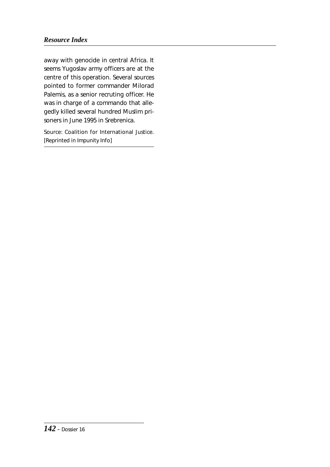away with genocide in central Africa. It seems Yugoslav army officers are at the centre of this operation. Several sources pointed to former commander Milorad Palemis, as a senior recruting officer. He was in charge of a commando that allegedly killed several hundred Muslim prisoners in June 1995 in Srebrenica.

Source: Coalition for International Justice. [Reprinted in Impunity Info]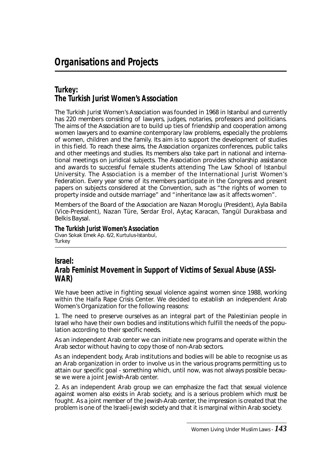## *Turkey:* **The Turkish Jurist Women's Association**

The Turkish Jurist Women's Association was founded in 1968 in Istanbul and currently has 220 members consisting of lawyers, judges, notaries, professors and politicians. The aims of the Association are to build up ties of friendship and cooperation among women lawyers and to examine contemporary law problems, especially the problems of women, children and the family. Its aim is to support the development of studies in this field. To reach these aims, the Association organizes conferences, public talks and other meetings and studies. Its members also take part in national and international meetings on juridical subjects. The Association provides scholarship assistance and awards to successful female students attending The Law School of Istanbul University. The Association is a member of the International Jurist Women's Federation. Every year some of its members participate in the Congress and present papers on subjects considered at the Convention, such as "the rights of women to property inside and outside marriage" and "inheritance law as it affects women".

Members of the Board of the Association are Nazan Moroglu (President), Ayla Babila (Vice-President), Nazan Türe, Serdar Erol, Aytaç Karacan, Tangül Durakbasa and Belkis Baysal.

#### **The Turkish Jurist Women's Association**

Civan Sokak Emek Ap. 6/2, Kurtulus-Istanbul, **Turkey** 

### *Israel:*

## **Arab Feminist Movement in Support of Victims of Sexual Abuse (ASSI-WAR)**

We have been active in fighting sexual violence against women since 1988, working within the Haifa Rape Crisis Center. We decided to establish an independent Arab Women's Organization for the following reasons:

1. The need to preserve ourselves as an integral part of the Palestinian people in Israel who have their own bodies and institutions which fulfill the needs of the population according to their specific needs.

As an independent Arab center we can initiate new programs and operate within the Arab sector without having to copy those of non-Arab sectors.

As an independent body, Arab institutions and bodies will be able to recognise us as an Arab organization in order to involve us in the various programs permitting us to attain our specific goal - something which, until now, was not always possible because we were a joint Jewish-Arab center.

2. As an independent Arab group we can emphasize the fact that sexual violence against women also exists in Arab society, and is a serious problem which must be fought. As a joint member of the Jewish-Arab center, the impression is created that the problem is one of the Israeli-Jewish society and that it is marginal within Arab society.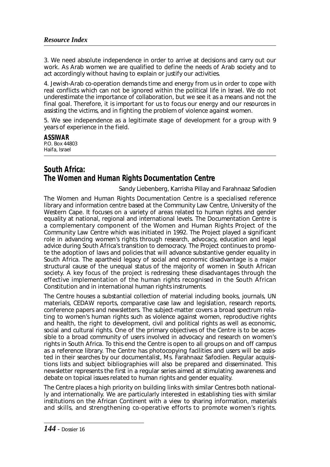3. We need absolute independence in order to arrive at decisions and carry out our work. As Arab women we are qualified to define the needs of Arab society and to act accordingly without having to explain or justify our activities.

4. Jewish-Arab co-operation demands time and energy from us in order to cope with real conflicts which can not be ignored within the political life in Israel. We do not underestimate the importance of collaboration, but we see it as a means and not the final goal. Therefore, it is important for us to focus our energy and our resources in assisting the victims, and in fighting the problem of violence against women.

5. We see independence as a legitimate stage of development for a group with 9 years of experience in the field.

**ASSIWAR** P.O. Box 44803 Haifa, Israel

### *South Africa:* **The Women and Human Rights Documentation Centre**

Sandy Liebenberg, Karrisha Pillay and Farahnaaz Safodien

The Women and Human Rights Documentation Centre is a specialised reference library and information centre based at the Community Law Centre, University of the Western Cape. It focuses on a variety of areas related to human rights and gender equality at national, regional and international levels. The Documentation Centre is a complementary component of the Women and Human Rights Project of the Community Law Centre which was initiated in 1992. The Project played a significant role in advancing women's rights through research, advocacy, education and legal advice during South Africa's transition to democracy. The Project continues to promote the adoption of laws and policies that will advance substantive gender equality in South Africa. The apartheid legacy of social and economic disadvantage is a major structural cause of the unequal status of the majority of women in South African society. A key focus of the project is redressing these disadvantages through the effective implementation of the human rights recognised in the South African Constitution and in international human rights instruments.

The Centre houses a substantial collection of material including books, journals, UN materials, CEDAW reports, comparative case law and legislation, research reports, conference papers and newsletters. The subject-matter covers a broad spectrum relating to women's human rights such as violence against women, reproductive rights and health, the right to development, civil and political rights as well as economic, social and cultural rights. One of the primary objectives of the Centre is to be accessible to a broad community of users involved in advocacy and research on women's rights in South Africa. To this end the Centre is open to all groups on and off campus as a reference library. The Centre has photocopying facilities and users will be assisted in their searches by our documentalist, Ms. Farahnaaz Safodien. Regular acquisitions lists and subject bibliographies will also be prepared and disseminated. This newsletter represents the first in a regular series aimed at stimulating awareness and debate on topical issues related to human rights and gender equality.

The Centre places a high priority on building links with similar Centres both nationally and internationally. We are particularly interested in establishing ties with similar institutions on the African Continent with a view to sharing information, materials and skills, and strengthening co-operative efforts to promote women's rights.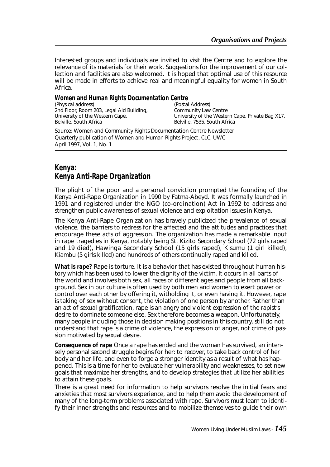Interested groups and individuals are invited to visit the Centre and to explore the relevance of its materials for their work. Suggestions for the improvement of our collection and facilities are also welcomed. It is hoped that optimal use of this resource will be made in efforts to achieve real and meaningful equality for women in South Africa.

# **Women and Human Rights Documentation Centre**

(Physical address) 2nd Floor, Room 203, Legal Aid Building, Community Law Centre

University of the Western Cape, The University of the Western Cape, Private Bag X17,<br>Belville, South Africa Belville, 7535, South Africa

Source: Women and Community Rights Documentation Centre Newsletter Quarterly publication of Women and Human Rights Project, CLC, UWC April 1997, Vol. 1, No. 1

## *Kenya:* **Kenya Anti-Rape Organization**

The plight of the poor and a personal conviction prompted the founding of the Kenya Anti-Rape Organization in 1990 by Fatma-Abeyd. It was formally launched in 1991 and registered under the NGO (co-ordination) Act in 1992 to address and strengthen public awareness of sexual violence and exploitation issues in Kenya.

The Kenya Anti-Rape Organization has bravely publicized the prevalence of sexual violence, the barriers to redress for the affected and the attitudes and practices that encourage these acts of aggression. The organization has made a remarkable input in rape tragedies in Kenya, notably being St. Kizito Secondary School (72 girls raped and 19 died), Hawinga Secondary School (15 girls raped), Kisumu (1 girl killed), Kiambu (5 girls killed) and hundreds of others continually raped and killed.

**What is rape?** Rape is torture. It is a behavior that has existed throughout human history which has been used to lower the dignity of the victim. It occurs in all parts of the world and involves both sex, all races of different ages and people from all background. Sex in our culture is often used by both men and women to exert power or control over each other by offering it, witholding it, or even having it. However, rape is taking of sex without consent, the violation of one person by another. Rather than an act of sexual gratification, rape is an angry and violent expression of the rapist's desire to dominate someone else. Sex therefore becomes a weapon. Unfortunately, many people including those in decision making positions in this country, still do not understand that rape is a crime of violence, the expression of anger, not crime of passion motivated by sexual desire.

**Consequence of rape** Once a rape has ended and the woman has survived, an intensely personal second struggle begins for her: to recover, to take back control of her body and her life, and even to forge a stronger identity as a result of what has happened. This is a time for her to evaluate her vulnerability and weaknesses, to set new goals that maximize her strengths, and to develop strategies that utilize her abilities to attain these goals.

There is a great need for information to help survivors resolve the initial fears and anxieties that most survivors experience, and to help them avoid the development of many of the long-term problems associated with rape. Survivors must learn to identify their inner strengths and resources and to mobilize themselves to guide their own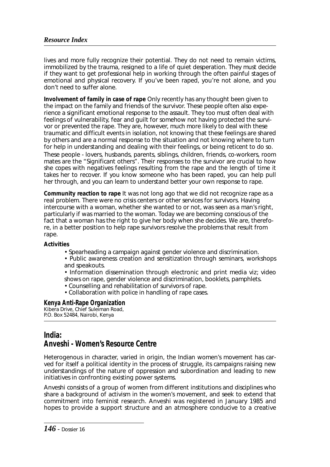### *Resource Index*

lives and more fully recognize their potential. They do not need to remain victims, immobilized by the trauma, resigned to a life of quiet desperation. They must decide if they want to get professional help in working through the often painful stages of emotional and physical recovery. If you've been raped, you're not alone, and you don't need to suffer alone.

**Involvement of family in case of rape** Only recently has any thought been given to the impact on the family and friends of the survivor. These people often also experience a significant emotional response to the assault. They too must often deal with feelings of vulnerability, fear and guilt for somehow not having protected the survivor or prevented the rape. They are, however, much more likely to deal with these traumatic and difficult events in isolation, not knowing that these feelings are shared by others and are a normal response to the situation and not knowing where to turn for help in understanding and dealing with their feelings, or being reticent to do so. These people - lovers, husbands, parents, siblings, children, friends, co-workers, room mates are the "Significant others". Their responses to the survivor are crucial to how she copes with negatives feelings resulting from the rape and the length of time it takes her to recover. If you know someone who has been raped, you can help pull her through, and you can learn to understand better your own response to rape.

**Community reaction to rape** It was not long ago that we did not recognize rape as a real problem. There were no crisis centers or other services for survivors. Having intercourse with a woman, whether she wanted to or not, was seen as a man's right, particularly if was married to the woman. Today we are becoming conscious of the fact that a woman has the right to give her body when she decides. We are, therefore, in a better position to help rape survivors resolve the problems that result from rape.

#### **Activities**

- Spearheading a campaign against gender violence and discrimination.
- Public awareness creation and sensitization through seminars, workshops and speakouts.

• Information dissemination through electronic and print media viz; video shows on rape, gender violence and discrimination, booklets, pamphlets.

- Counselling and rehabilitation of survivors of rape.
- Collaboration with police in handling of rape cases.

#### **Kenya Anti-Rape Organization**

Kibera Drive, Chief Suleiman Road, P.O. Box 52484, Nairobi, Kenya

### *India:* **Anveshi - Women's Resource Centre**

Heterogenous in character, varied in origin, the Indian women's movement has carved for itself a political identity in the process of struggle, its campaigns raising new understandings of the nature of oppression and subordination and leading to new initiatives in confronting existing power systems.

Anveshi consists of a group of women from different institutions and disciplines who share a background of activism in the women's movement, and seek to extend that commitment into feminist research. Anveshi was registered in January 1985 and hopes to provide a support structure and an atmosphere conducive to a creative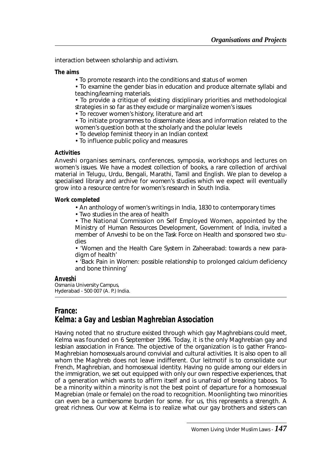interaction between scholarship and activism.

#### **The aims**

- To promote research into the conditions and status of women
- To examine the gender bias in education and produce alternate syllabi and teaching/learning materials.
- To provide a critique of existing disciplinary priorities and methodological strategies in so far as they exclude or marginalize women's issues
- To recover women's history, literature and art
- To initiate programmes to disseminate ideas and information related to the women's question both at the scholarly and the polular levels
- To develop feminist theory in an Indian context
- To influence public policy and measures

#### **Activities**

Anveshi organises seminars, conferences, symposia, workshops and lectures on women's issues. We have a modest collection of books, a rare collection of archival material in Telugu, Urdu, Bengali, Marathi, Tamil and English. We plan to develop a specialised library and archive for women's studies which we expect will eventually grow into a resource centre for women's research in South India.

#### **Work completed**

- An anthology of women's writings in India, 1830 to contemporary times
- Two studies in the area of health

• The National Commission on Self Employed Women, appointed by the Ministry of Human Resources Development, Government of India, invited a member of Anveshi to be on the Task Force on Health and sponsored two studies

• 'Women and the Health Care System in Zaheerabad: towards a new paradigm of health'

• 'Back Pain in Women: possible relationship to prolonged calcium deficiency and bone thinning'

#### **Anveshi**

Osmania University Campus, Hyderabad - 500 007 (A. P.) India.

### *France:* **Kelma: a Gay and Lesbian Maghrebian Association**

Having noted that no structure existed through which gay Maghrebians could meet, Kelma was founded on 6 September 1996. Today, it is the only Maghrebian gay and lesbian association in France. The objective of the organization is to gather Franco-Maghrebian homosexuals around convivial and cultural activities. It is also open to all whom the Maghreb does not leave indifferent. Our leitmotif is to consolidate our French, Maghrebian, and homosexual identity. Having no guide among our elders in the immigration, we set out equipped with only our own respective experiences, that of a generation which wants to affirm itself and is unafraid of breaking taboos. To be a minority within a minority is not the best point of departure for a homosexual Magrebian (male or female) on the road to recognition. Moonlighting two minorities can even be a cumbersome burden for some. For us, this represents a strength. A great richness. Our vow at Kelma is to realize what our gay brothers and sisters can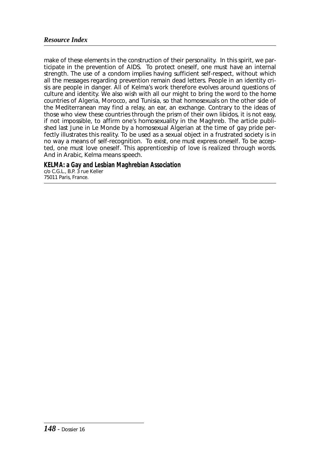make of these elements in the construction of their personality. In this spirit, we participate in the prevention of AIDS. To protect oneself, one must have an internal strength. The use of a condom implies having sufficient self-respect, without which all the messages regarding prevention remain dead letters. People in an identity crisis are people in danger. All of Kelma's work therefore evolves around questions of culture and identity. We also wish with all our might to bring the word to the home countries of Algeria, Morocco, and Tunisia, so that homosexuals on the other side of the Mediterranean may find a relay, an ear, an exchange. Contrary to the ideas of those who view these countries through the prism of their own libidos, it is not easy, if not impossible, to affirm one's homosexuality in the Maghreb. The article published last June in Le Monde by a homosexual Algerian at the time of gay pride perfectly illustrates this reality. To be used as a sexual object in a frustrated society is in no way a means of self-recognition. To exist, one must express oneself. To be accepted, one must love oneself. This apprenticeship of love is realized through words. And in Arabic, Kelma means speech.

**KELMA: a Gay and Lesbian Maghrebian Association** c/o C.G.L., B.P. 3 rue Keller

75011 Paris, France.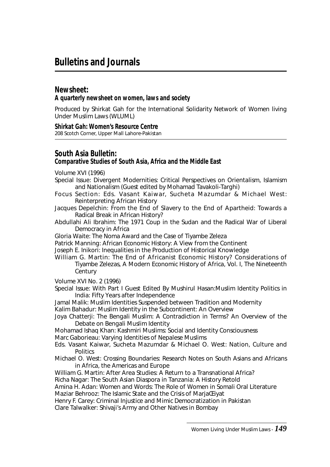# **Bulletins and Journals**

### **Newsheet:**

#### **A quarterly newsheet on women, laws and society**

Produced by Shirkat Gah for the International Solidarity Network of Women living Under Muslim Laws (WLUML)

#### **Shirkat Gah: Women's Resource Centre**

208 Scotch Corner, Upper Mall Lahore-Pakistan

### **South Asia Bulletin:**

**Comparative Studies of South Asia, Africa and the Middle East** 

Volume XVI (1996)

- Special Issue: Divergent Modernities: Critical Perspectives on Orientalism, Islamism and Nationalism (Guest edited by Mohamad Tavakoli-Targhi)
- Focus Section: Eds. Vasant Kaiwar, Sucheta Mazumdar & Michael West: Reinterpreting African History
- Jacques Depelchin: From the End of Slavery to the End of Apartheid: Towards a Radical Break in African History?
- Abdullahi Ali Ibrahim: The 1971 Coup in the Sudan and the Radical War of Liberal Democracy in Africa
- Gloria Waite: The Noma Award and the Case of Tiyambe Zeleza
- Patrick Manning: African Economic History: A View from the Continent
- Joseph E. Inikori: Inequalities in the Production of Historical Knowledge
- William G. Martin: The End of Africanist Economic History? Considerations of Tiyambe Zelezas, A Modern Economic History of Africa, Vol. I, The Nineteenth **Century**

Volume XVI No. 2 (1996)

- Special Issue: With Part I Guest Edited By Mushirul Hasan:Muslim Identity Politics in India: Fifty Years after Independence
- Jamal Malik: Muslim Identities Suspended between Tradition and Modernity

Kalim Bahadur: Muslim Identity in the Subcontinent: An Overview

Joya Chatterji: The Bengali Muslim: A Contradiction in Terms? An Overview of the Debate on Bengali Muslim Identity

Mohamad Ishaq Khan: Kashmiri Muslims: Social and Identity Consciousness Marc Gaborieau: Varying Identities of Nepalese Muslims

- Eds. Vasant Kaiwar, Sucheta Mazumdar & Michael O. West: Nation, Culture and **Politics**
- Michael O. West: Crossing Boundaries: Research Notes on South Asians and Africans in Africa, the Americas and Europe

William G. Martin: After Area Studies: A Return to a Transnational Africa?

Richa Nagar: The South Asian Diaspora in Tanzania: A History Retold

Amina H. Adan: Women and Words: The Role of Women in Somali Oral Literature Maziar Behrooz: The Islamic State and the Crisis of MarjaŒiyat

Henry F. Carey: Criminal Injustice and Mimic Democratization in Pakistan

Clare Talwalker: Shivaji's Army and Other Natives in Bombay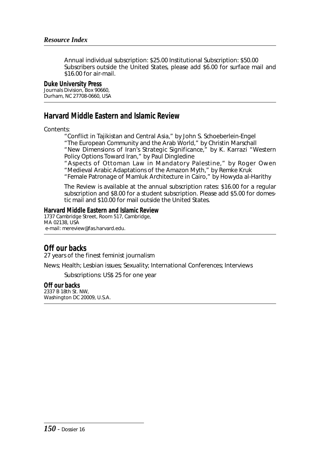Annual individual subscription: \$25.00 Institutional Subscription: \$50.00 Subscribers outside the United States, please add \$6.00 for surface mail and \$16.00 for air-mail.

#### **Duke University Press**

Journals Division, Box 90660, Durham, NC 27708-0660, USA

### **Harvard Middle Eastern and Islamic Review**

Contents:

"Conflict in Tajikistan and Central Asia," by John S. Schoeberlein-Engel

"The European Community and the Arab World," by Christin Marschall

"New Dimensions of Iran's Strategic Significance," by K. Karrazi "Western Policy Options Toward Iran," by Paul Dingledine

"Aspects of Ottoman Law in Mandatory Palestine," by Roger Owen "Medieval Arabic Adaptations of the Amazon Myth," by Remke Kruk

"Female Patronage of Mamluk Architecture in Cairo," by Howyda al-Harithy

The Review is available at the annual subscription rates: \$16.00 for a regular subscription and \$8.00 for a student subscription. Please add \$5.00 for domestic mail and \$10.00 for mail outside the United States.

#### **Harvard Middle Eastern and Islamic Review**

1737 Cambridge Street, Room 517, Cambridge, MA 02138, USA e-mail: mereview@fas.harvard.edu.

### **Off our backs**

27 years of the finest feminist journalism

News; Health; Lesbian issues; Sexuality; International Conferences; Interviews

Subscriptions: US\$ 25 for one year

#### **Off our backs**

2337 B 18th St. NW, Washington DC 20009, U.S.A.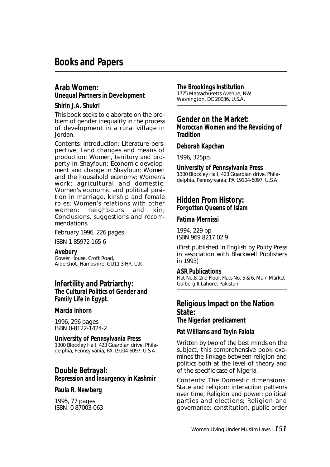# **Books and Papers**

#### **Arab Women: Unequal Partners in Development**

#### **Shirin J.A. Shukri**

This book seeks to elaborate on the problem of gender inequality in the process of development in a rural village in Jordan.

Contents: Introduction; Literature perspective; Land changes and means of production; Women, territory and property in Shayfoun; Economic development and change in Shayfoun; Women and the household economy; Women's work: agricultural and domestic; Women's economic and political position in marriage, kinship and female roles; Women's relations with other women: neighbours and kin; Conclusions, suggestions and recommendations.

February 1996, 226 pages

ISBN 1 85972 165 6

#### **Avebury**

Gower House, Croft Road, Aldershot, Hampshire, GU11 3 HR, U.K.

# **Infertility and Patriarchy:**

**The Cultural Politics of Gender and Family Life in Egypt.** 

#### **Marcia Inhorn**

1996, 296 pages ISBN 0-8122-1424-2

**University of Pennsylvania Press** 1300 Blockley Hall, 423 Guardian drive, Philadelphia, Pennsylvania, PA 19104-6097, U.S.A.

# **Double Betrayal:**

**Repression and Insurgency in Kashmir**

#### **Paula R. Newberg**

1995, 77 pages ISBN: 0 87003-063 **The Brookings Institution**

1775 Massachusetts Avenue, NW Washington, DC 20036, U.S.A.

### **Gender on the Market: Moroccan Women and the Revoicing of Tradition**

#### **Deborah Kapchan**

1996, 325pp.

**University of Pennsylvania Press** 1300 Blockley Hall, 423 Guardian drive, Philadelphia, Pennsylvania, PA 19104-6097, U.S.A.

### **Hidden From History: Forgotten Queens of Islam**

#### **Fatima Mernissi**

1994, 229 pp ISBN 969 8217 02 9

(First published in English by Polity Press in association with Blackwell Publishers in 1993)

#### **ASR Publications**

Flat No.8, 2nd Floor, Flats No. 5 & 6, Main Market Gulberg II Lahore, Pakistan

## **Religious Impact on the Nation State:**

**The Nigerian predicament**

#### **Pat Williams and Toyin Falola**

Written by two of the best minds on the subject, this comprehensive book examines the linkage between religion and politics both at the level of theory and of the specific case of Nigeria.

Contents: The Domestic dimensions: State and religion: interaction patterns over time; Religion and power: political parties and elections; Religion and governance: constitution, public order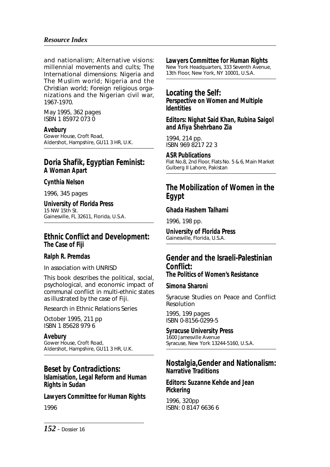and nationalism; Alternative visions: millennial movements and cults; The International dimensions: Nigeria and The Muslim world; Nigeria and the Christian world; Foreign religious organizations and the Nigerian civil war, 1967-1970.

May 1995, 362 pages ISBN 1 85972 073 0

#### **Avebury**

Gower House, Croft Road, Aldershot, Hampshire, GU11 3 HR, U.K.

### **Doria Shafik, Egyptian Feminist: A Woman Apart**

#### **Cynthia Nelson**

1996, 345 pages

**University of Florida Press** 15 NW 15th St. Gainesville, FL 32611, Florida, U.S.A.

### **Ethnic Conflict and Development: The Case of Fiji**

#### **Ralph R. Premdas**

In association with UNRISD

This book describes the political, social, psychological, and economic impact of communal conflict in multi-ethnic states as illustrated by the case of Fiji.

Research in Ethnic Relations Series

October 1995, 211 pp ISBN 1 85628 979 6

**Avebury** Gower House, Croft Road, Aldershot, Hampshire, GU11 3 HR, U.K.

### **Beset by Contradictions:**

**Islamisation, Legal Reform and Human Rights in Sudan**

**Lawyers Committee for Human Rights** 1996

### **Lawyers Committee for Human Rights**

New York Headquarters, 333 Seventh Avenue, 13th Floor, New York, NY 10001, U.S.A.

#### **Locating the Self: Perspective on Women and Multiple Identities**

**Editors: Nighat Said Khan, Rubina Saigol and Afiya Shehrbano Zia**

1994, 214 pp. ISBN 969 8217 22 3

**ASR Publications**

Flat No.8, 2nd Floor, Flats No. 5 & 6, Main Market Gulberg II Lahore, Pakistan

## **The Mobilization of Women in the Egypt**

#### **Ghada Hashem Talhami**

1996, 198 pp.

**University of Florida Press** Gainesville, Florida, U.S.A.

## **Gender and the Israeli-Palestinian Conflict:**

**The Politics of Women's Resistance**

#### **Simona Sharoni**

Syracuse Studies on Peace and Conflict Resolution

1995, 199 pages ISBN 0-8156-0299-5

#### **Syracuse University Press** 1600 Jamesville Avenue

Syracuse, New York 13244-5160, U.S.A.

### **Nostalgia,Gender and Nationalism: Narrative Traditions**

### **Editors: Suzanne Kehde and Jean Pickering**

1996, 320pp ISBN: 0 8147 6636 6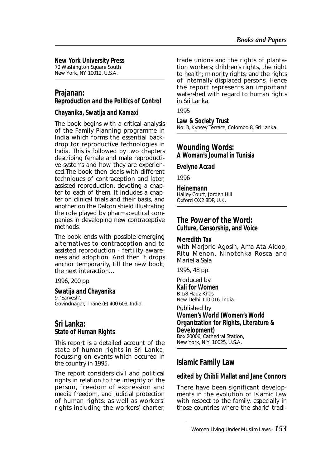#### **New York University Press**

70 Washington Square South New York, NY 10012, U.S.A.

#### **Prajanan: Reproduction and the Politics of Control**

#### **Chayanika, Swatija and Kamaxi**

The book begins with a critical analysis of the Family Planning programme in India which forms the essential backdrop for reproductive technologies in India. This is followed by two chapters describing female and male reproductive systems and how they are experienced.The book then deals with different techniques of contraception and later, assisted reproduction, devoting a chapter to each of them. It includes a chapter on clinical trials and their basis, and another on the Dalcon shield illustrating the role played by pharmaceutical companies in developing new contraceptive methods.

The book ends with possible emerging alternatives to contraception and to assisted reproduction - fertility awareness and adoption. And then it drops anchor temporarily, till the new book, the next interaction…

1996, 200 pp

**Swatija and Chayanika** 9, 'Sarvesh', Govindnagar, Thane (E) 400 603, India.

### **Sri Lanka: State of Human Rights**

This report is a detailed account of the state of human rights in Sri Lanka, focussing on events which occured in the country in 1995.

The report considers civil and political rights in relation to the integrity of the person, freedom of expression and media freedom, and judicial protection of human rights; as well as workers' rights including the workers' charter,

trade unions and the rights of plantation workers; children's rights, the right to health; minority rights; and the rights of internally displaced persons. Hence the report represents an important watershed with regard to human rights in Sri Lanka.

1995

**Law & Society Trust** No. 3, Kynsey Terrace, Colombo 8, Sri Lanka.

### **Wounding Words: A Woman's Journal in Tunisia**

**Evelyne Accad**

1996

**Heinemann** Halley Court, Jorden Hill Oxford OX2 8DP, U.K.

## **The Power of the Word:**

**Culture, Censorship, and Voice**

#### **Meredith Tax**

with Marjorie Agosin, Ama Ata Aidoo, Ritu Menon, Ninotchka Rosca and Mariella Sala

1995, 48 pp.

Produced by **Kali for Women** B 1/8 Hauz Khas, New Delhi 110 016, India.

Published by **Women's World (Women's World Organization for Rights, Literature & Development)**

Box 20006, Cathedral Station, New York, N.Y. 10025, U.S.A.

## **Islamic Family Law**

#### **edited by Chibli Mallat and Jane Connors**

There have been significant developments in the evolution of Islamic Law with respect to the family, especially in those countries where the sharic' tradi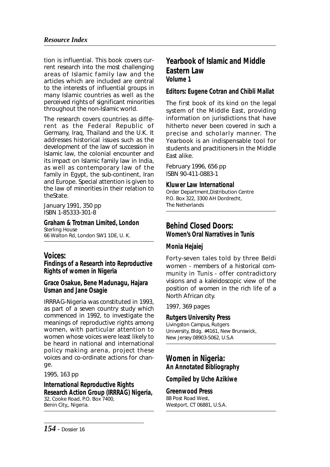tion is influential. This book covers current research into the most challenging areas of Islamic family law and the articles which are included are central to the interests of influential groups in many Islamic countries as well as the perceived rights of significant minorities throughout the non-Islamic world.

The research covers countries as different as the Federal Republic of Germany, Iraq, Thailand and the U.K. It addresses historical issues such as the development of the law of succession in Islamic law, the colonial encounter and its impact on Islamic family law in India, as well as contemporary law of the family in Egypt, the sub-continent, Iran and Europe. Special attention is given to the law of minorities in their relation to theState.

January 1991, 350 pp ISBN 1-85333-301-8

**Graham & Trotman Limited, London** Sterling House 66 Walton Rd, London SW1 1DE, U. K.

### **Voices:**

**Findings of a Research into Reproductive Rights of women in Nigeria**

#### **Grace Osakue, Bene Madunagu, Hajara Usman and Jane Osagie**

IRRRAG-Nigeria was constituted in 1993, as part of a seven country study which commenced in 1992, to investigate the meanings of reproductive rights among women, with particular attention to women whose voices were least likely to be heard in national and international policy making arena, project these voices and co-ordinate actions for change.

1995, 163 pp

#### **International Reproductive Rights Research Action Group (IRRRAG) Nigeria,** 32, Cooke Road, P.O. Box 7400, Benin City,, Nigeria.

### **Yearbook of Islamic and Middle Eastern Law Volume 1**

### **Editors: Eugene Cotran and Chibli Mallat**

The first book of its kind on the legal system of the Middle East, providing information on jurisdictions that have hitherto never been covered in such a precise and scholarly manner. The Yearbook is an indispensable tool for students and practitioners in the Middle East alike.

February 1996, 656 pp ISBN 90-411-0883-1

### **Kluwer Law International**

Order Department,Distribution Centre P.O. Box 322, 3300 AH Dordrecht, The Netherlands

### **Behind Closed Doors: Women's Oral Narratives in Tunis**

### **Monia Hejaiej**

Forty-seven tales told by three Beldi women - members of a historical community in Tunis - offer contradictory visions and a kaleidoscopic view of the position of women in the rich life of a North African city.

1997, 369 pages

#### **Rutgers University Press**

Livingston Campus, Rutgers University, Bldg. #4161, New Brunswick, New Jersey 08903-5062, U.S.A

### **Women in Nigeria: An Annotated Bibliography**

### **Compiled by Uche Azikiwe**

### **Greenwood Press**

88 Post Road West, Westport, CT 06881, U.S.A.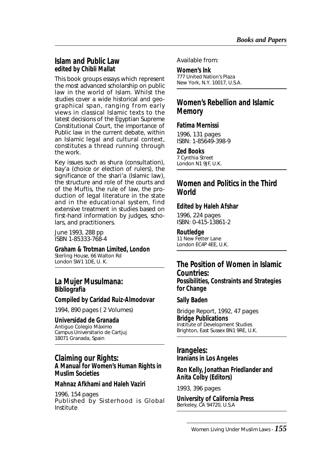### **Islam and Public Law edited by Chibli Mallat**

This book groups essays which represent the most advanced scholarship on public law in the world of Islam. Whilst the studies cover a wide historical and geographical span, ranging from early views in classical Islamic texts to the latest decisions of the Egyptian Supreme Constitutional Court, the importance of Public law in the current debate, within an Islamic legal and cultural context, constitutes a thread running through the work.

Key issues such as shura (consultation), bay'a (choice or election of rulers), the significance of the shari'a (Islamic law), the structure and role of the courts and of the Muftis, the rule of law, the production of legal literature in the state and in the educational system, find extensive treatment in studies based on first-hand information by judges, scholars, and practitioners.

June 1993, 288 pp ISBN 1-85333-768-4

**Graham & Trotman Limited, London** Sterling House, 66 Walton Rd London SW1 1DE, U. K.

### **La Mujer Musulmana: Bibliografia**

**Compiled by Caridad Ruiz-Almodovar**

1994, 890 pages ( 2 Volumes)

#### **Universidad de Granada** Antiguo Colegio Màximo Campus Universitario de Cartjuj 18071 Granada, Spain

#### **Claiming our Rights:**

**A Manual for Women's Human Rights in Muslim Societies**

#### **Mahnaz Afkhami and Haleh Vaziri**

1996, 154 pages Published by Sisterhood is Global Institute

Available from:

**Women's Ink** 777 United Nation's Plaza New York, N.Y. 10017, U.S.A.

## **Women's Rebellion and Islamic Memory**

#### **Fatima Mernissi**

1996, 131 pages ISBN: 1-85649-398-9

#### **Zed Books**

7 Cynthia Street London N1 9JF, U.K.

### **Women and Politics in the Third World**

#### **Edited by Haleh Afshar**

1996, 224 pages ISBN: 0-415-13861-2

#### **Routledge**

11 New Fetter Lane London EC4P 4EE, U.K.

### **The Position of Women in Islamic Countries:**

**Possibilities, Constraints and Strategies for Change**

#### **Sally Baden**

Bridge Report, 1992, 47 pages **Bridge Publications** Institute of Development Studies Brighton, East Sussex BN1 9RE, U.K.

**Irangeles: Iranians in Los Angeles**

#### **Ron Kelly, Jonathan Friedlander and Anita Colby (Editors)**

1993, 396 pages

**University of California Press** Berkeley, CA 94720, U.S.A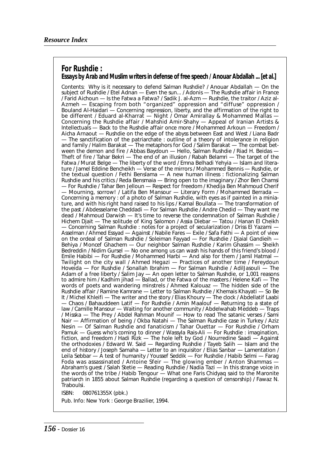#### **For Rushdie : Essays by Arab and Muslim writers in defense of free speech / Anouar Abdallah ... [et al.]**

Contents: Why is it necessary to defend Salman Rushdie? / Anouar Abdallah — On the subject of Rushdie / Etel Adnan — Even the sun... / Adonis — The Rushdie affair in France / Farid Aichoun — Is the Fatwa a Fatwa? / Sadik J. al-Azm — Rushdie, the traitor / Aziz al-Azmeh — Escaping from both "organized" oppression and "diffuse" oppression / Bouland Al-Haidari — Concerning repression, liberty, and the affirmation of the right to be different / Eduard al-Kharrat — Night / Omar Amirallay & Mohammed Mallas — Concerning the Rushdie affair / Mahshid Amir-Shahy — Appeal of Iranian Artists & Intellectuals — Back to the Rushdie affair once more / Mohammed Arkoun — Freedom / Aicha Arnaout — Rushdie on the edge of the abyss between East and West / Liana Badr — The sanctification of the patriarchate : outline of a theory of intolerance in religion and family / Halim Barakat  $\overline{-}$  The metaphors for God / Salim Barakat  $\overline{-}$  The combat between the demon and fire / Abbas Baydoun — Hello, Salman Rushdie / Riad H. Beidas — Theft of fire / Tahar Bekri — The end of an illusion / Rabah Belamri — The target of the Fatwa / Murat Belge — The liberty of the word / Emna Belhadi Yehyia — Islam and literature / Jamel Eddine Bencheikh — Verse of the mirrors / Mohammed Bennis — Rushdie, or the textual question / Fethi Benslama — A new human illness : fictionalizing Salman Rushdie and his critics / Reda Bensmaia — Bring open to the imaginary / Zhor Ben Chamsi — For Rushdie / Tahar Ben Jelloun — Respect for freedom / Khedija Ben Mahmoud Cherif — Mourning, sorrow! / Latifa Ben Mansour — Literary Form / Mohammed Berrada — Concerning a memory : of a photo of Salman Rushdie, with eyes as if painted in a miniature, and with his right hand raised to his lips / Kamal Boullata — The transformation of the past / Abdesselame Cheddadi — For Salman Rushdie / Andre Chedid — They want me dead / Mahmoud Darwish — It's time to reverse the condemnation of Salman Rushdie / Hichem Djait — The solitude of King Salomon / Assia Diebar — Tatou / Hanan El Cheikh — Concerning Salman Rushdie : notes for a project of secularization / Driss El Yazami — Asselman / Ahmed Essyad — Against / Nabile Fares — Exile / Safa Fathi — A point of view on the ordeal of Salman Rushdie / Soleiman Fayyad — For Rushdie / Djaial Gandieih — Behiya / Moncef Ghachem — Our neighbor Salman Rushdie / Karim Ghassim — Sheikh Bedreddin / Nidim Gursel — No one among us can wash his hands of this friend's blood / Emile Habibi — For Rushdie / Mohammed Harbi — And also for them / Jamil Hatmal — Twilight on the city wall / Ahmed Hegazi — Practices of another time / Fereydoun Hoveida — For Rushdie / Sonallah Ibrahim — For Salman Rushdie / AdilJasouli — The Adam of a free liberty / Salim Jay — An open letter to Salman Rushdie, or 1,001 reasons to admire him / Kadhim jihad — Ballad, or the Fatwa of the masters / Helene Kafi — The words of poets and wandering minstrels / Ahmed Kalouaz — The hidden side of the Rushdie affair / Ramine Kamrane — Letter to Salman Rushdie / Khemais Khayati — So Be It / Michel Khleifi — The writer and the story / Elias Khoury — The clock / Abdellatif Laabi — Chaos / Bahauddeen Latif — For Rushdie / Amin Maalouf — Returning to a state of law / Camille Mansour — Waiting for another community / Abdelwahab Meddeb — Traps / Misska — The Prey / Abdel Rahman Mounif — How to read The satanic verses / Sami Nair - Affirmation of being / Okba Natahi - The Salman Rushdie case in Turkey / Aziz Nesin — Of Salman Rushdie and fanaticism / Tahar Ouettar — For Rushdie / Orham Pamuk — Guess who's coming to dinner / Wassyla Rais-Ali — For Rushdie : imagination, fiction, and freedom / Hadi Rizk — The hole left by God / Nourredine Saadi — Against the orthodoxies / Edward W. Said — Regarding Rushdie / Tayeb Salih — Islam and the end of history / Joseph Samaha — Letter to an inquisitor / Elias Sanbar — Lamentation / Leila Sebbar — A test of humanity / Youssef Seddik — For Rushdie / Habib Selmi — Farag Foda was assassinated / Antoine Sfeir - The glowing ember / Anton Shammas -Abraham's guest / Salah Stetie — Reading Rushdie / Nadia Tazi — In this strange voice in the words of the tribe / Habib Tengour — What one Faris Chidyaq said to the Maronite patriarch in 1855 about Salman Rushdie (regarding a question of censorship) / Fawaz N. Traboulsi.

ISBN: 080761355X (pbk.)

Pub. Info: New York : George Brazilier, 1994.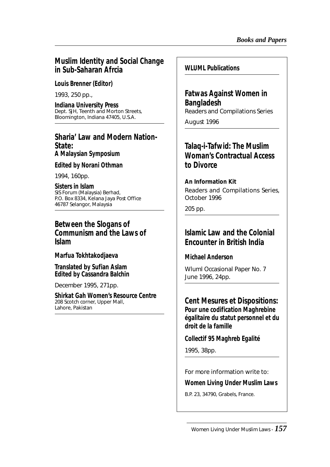## **Muslim Identity and Social Change in Sub-Saharan Afrcia**

**Louis Brenner (Editor)**

1993, 250 pp.,

**Indiana University Press** Dept. SJH, Teenth and Morton Streets, Bloomington, Indiana 47405, U.S.A.

**Sharia' Law and Modern Nation-State: A Malaysian Symposium**

**Edited by Norani Othman**

1994, 160pp.

**Sisters in Islam** SIS Forum (Malaysia) Berhad, P.O. Box 8334, Kelana Jaya Post Office 46787 Selangor, Malaysia

## **Between the Slogans of Communism and the Laws of Islam**

**Marfua Tokhtakodjaeva**

**Translated by Sufian Aslam Edited by Cassandra Balchin**

December 1995, 271pp.

**Shirkat Gah Women's Resource Centre** 208 Scotch corner, Upper Mall, Lahore, Pakistan

*WLUML Publications*

**Fatwas Against Women in Bangladesh** Readers and Compilations Series

August 1996

**Talaq-i-Tafwid: The Muslim Woman's Contractual Access to Divorce**

**An Information Kit** Readers and Compilations Series, October 1996

205 pp.

## **Islamic Law and the Colonial Encounter in British India**

**Michael Anderson**

Wluml Occasional Paper No. 7 June 1996, 24pp.

**Cent Mesures et Dispositions: Pour une codification Maghrebine égalitaire du statut personnel et du droit de la famille**

**Collectif 95 Maghreb Egalité**

1995, 38pp.

For more information write to:

**Women Living Under Muslim Laws**

B.P. 23, 34790, Grabels, France.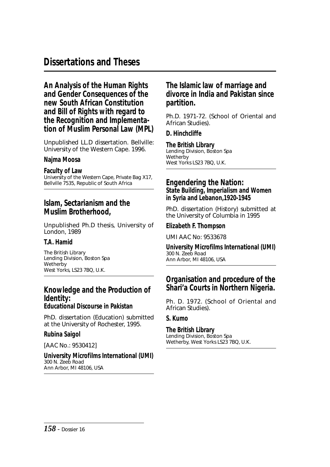# **Dissertations and Theses**

**An Analysis of the Human Rights and Gender Consequences of the new South African Constitution and Bill of Rights with regard to the Recognition and Implementation of Muslim Personal Law (MPL)**

Unpublished LL.D dissertation. Bellville: University of the Western Cape. 1996.

#### **Najma Moosa**

**Faculty of Law** University of the Western Cape, Private Bag X17, Bellville 7535, Republic of South Africa

## **Islam, Sectarianism and the Muslim Brotherhood,**

Unpublished Ph.D thesis, University of London, 1989

### **T.A. Hamid**

The British Library Lending Division, Boston Spa Wetherby West Yorks, LS23 7BQ, U.K.

### **Knowledge and the Production of Identity: Educational Discourse in Pakistan**

PhD. dissertation (Education) submitted at the University of Rochester, 1995.

#### **Rubina Saigol**

[AAC No.: 9530412]

#### **University Microfilms International (UMI)** 300 N. Zeeb Road Ann Arbor, MI 48106, USA

## **The Islamic law of marriage and divorce in India and Pakistan since partition.**

Ph.D. 1971-72. (School of Oriental and African Studies).

**D. Hinchcliffe**

**The British Library** Lending Division, Boston Spa **Wetherby** West Yorks LS23 7BQ, U.K.

### **Engendering the Nation: State Building, Imperialism and Women in Syria and Lebanon,1920-1945**

PhD. dissertation (History) submitted at the University of Columbia in 1995

#### **Elizabeth F. Thompson**

UMI AAC No: 9533678

**University Microfilms International (UMI)** 300 N. Zeeb Road Ann Arbor, MI 48106, USA

## **Organisation and procedure of the Shari'a Courts in Northern Nigeria.**

Ph. D. 1972. (School of Oriental and African Studies).

#### **S. Kumo**

#### **The British Library**

Lending Division, Boston Spa Wetherby, West Yorks LS23 7BQ, U.K.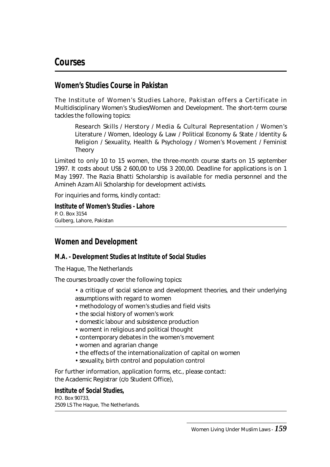## **Courses**

## **Women's Studies Course in Pakistan**

The Institute of Women's Studies Lahore, Pakistan offers a Certificate in Multidisciplinary Women's Studies/Women and Development. The short-term course tackles the following topics:

Research Skills / Herstory / Media & Cultural Representation / Women's Literature / Women, Ideology & Law / Political Economy & State / Identity & Religion / Sexuality, Health & Psychology / Women's Movement / Feminist Theory

Limited to only 10 to 15 women, the three-month course starts on 15 september 1997. It costs about US\$ 2 600,00 to US\$ 3 200,00. Deadline for applications is on 1 May 1997. The Razia Bhatti Scholarship is available for media personnel and the Amineh Azam Ali Scholarship for development activists.

For inquiries and forms, kindly contact:

**Institute of Women's Studies - Lahore** P. O. Box 3154 Gulberg, Lahore, Pakistan

## **Women and Development**

#### **M.A. - Development Studies at Institute of Social Studies**

The Hague, The Netherlands

The courses broadly cover the following topics:

- a critique of social science and development theories, and their underlying assumptions with regard to women
- methodology of women's studies and field visits
- the social history of women's work
- domestic labour and subsistence production
- woment in religious and political thought
- contemporary debates in the women's movement
- women and agrarian change
- the effects of the internationalization of capital on women
- sexuality, birth control and population control

For further information, application forms, etc., please contact: the Academic Registrar (c/o Student Office),

#### **Institute of Social Studies,**

P.O. Box 90733, 2509 LS The Hague, The Netherlands.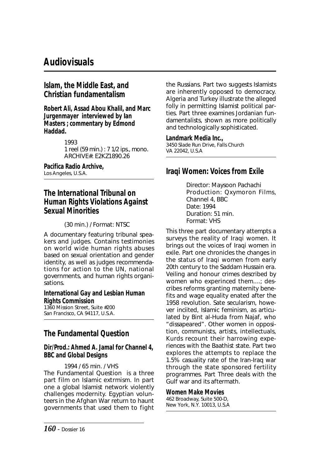# **Audiovisuals**

### **Islam, the Middle East, and Christian fundamentalism**

**Robert Ali, Assad Abou Khalil, and Marc Jurgenmayer interviewed by Ian Masters ; commentary by Edmond Haddad.**

> 1993 1 reel (59 min.) : 7 1/2 ips., mono. ARCHIVE#: E2KZ1890.26

**Pacifica Radio Archive,**  Los Angeles, U.S.A.

## **The International Tribunal on Human Rights Violations Against Sexual Minorities**

#### (30 min.) / Format: NTSC

A documentary featuring tribunal speakers and judges. Contains testimonies on world wide human rights abuses based on sexual orientation and gender identity, as well as judges recommendations for action to the UN, national governments, and human rights organisations.

#### **International Gay and Lesbian Human Rights Commission**

1360 Mission Street, Suite #200 San Francisco, CA 94117, U.S.A.

## **The Fundamental Question**

#### **Dir/Prod.: Ahmed A. Jamal for Channel 4, BBC and Global Designs**

#### 1994 / 65 min. / VHS

The Fundamental Question is a three part film on Islamic extrmism. In part one a global Islamist network violently challenges modernity. Egyptian volunteers in the Afghan War return to haunt governments that used them to fight the Russians. Part two suggests Islamists are inherently opposed to democracy. Algeria and Turkey illustrate the alleged folly in permitting Islamist political parties. Part three examines Jordanian fundamentalists, shown as more politically and technologically sophisticated.

#### **Landmark Media Inc.,**

3450 Slade Run Drive, Falls Church VA 22042, U.S.A

## **Iraqi Women: Voices from Exile**

Director: Maysoon Pachachi Production: Qxymoron Films, Channel 4, BBC Date: 1994 Duration: 51 min. Format: VHS

This three part documentary attempts a surveys the reality of Iraqi women. It brings out the voices of Iraqi women in exile. Part one chronicles the changes in the status of Iraqi women from early 20th century to the Saddam Hussain era. Veiling and honour crimes described by women who experinced them....; describes reforms granting maternity benefits and wage equality enated after the 1958 revolution. Sate secularism, however inciited, Islamic feminism, as articulated by Bint al-Huda from Najaf, who "dissapeared". Other women in opposition, communists, artists, intellectuals, Kurds recount their harrowing experiences with the Baathist state. Part two explores the attempts to replace the 1.5% casuality rate of the Iran-Iraq war through the state sponsored fertility programmes. Part Three deals with the Gulf war and its aftermath.

#### **Women Make Movies**

462 Broadway, Suite 500-D, New York, N.Y. 10013, U.S.A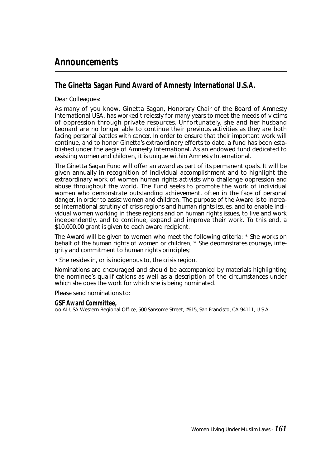## **The Ginetta Sagan Fund Award of Amnesty International U.S.A.**

Dear Colleagues:

As many of you know, Ginetta Sagan, Honorary Chair of the Board of Amnesty International USA, has worked tirelessly for many years to meet the meeds of victims of oppression through private resources. Unfortunately, she and her husband Leonard are no longer able to continue their previous activities as they are both facing personal battles with cancer. In order to ensure that their important work will continue, and to honor Ginetta's extraordinary efforts to date, a fund has been established under the aegis of Amnesty International. As an endowed fund dedicated to assisting women and children, it is unique within Amnesty International.

The Ginetta Sagan Fund will offer an award as part of its permanent goals. It will be given annually in recognition of individual accomplishment and to highlight the extraordinary work of women human rights activists who challenge oppression and abuse throughout the world. The Fund seeks to promote the work of individual women who demonstrate outstanding achievement, often in the face of personal danger, in order to assist women and children. The purpose of the Award is to increase international scrutiny of crisis regions and human rights issues, and to enable individual women working in these regions and on human rights issues, to live and work independently, and to continue, expand and improve their work. To this end, a \$10,000.00 grant is given to each award recipient.

The Award will be given to women who meet the following criteria: \* She works on behalf of the human rights of women or children; \* She deomnstrates courage, integrity and commitment to human rights principles;

• She resides in, or is indigenous to, the crisis region.

Nominations are cncouraged and should be accompanied by materials highlighting the nominee's qualifications as well as a description of the circumstances under which she does the work for which she is being nominated.

Please send nominations to:

#### **GSF Award Committee,**

c/o AI-USA Western Regional Office, 500 Sansome Street, #615, San Francisco, CA 94111, U.S.A.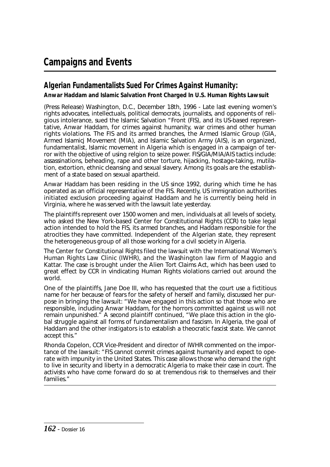### **Algerian Fundamentalists Sued For Crimes Against Humanity: Anwar Haddam and Islamic Salvation Front Charged In U.S. Human Rights Lawsuit**

(Press Release) Washington, D.C., December 18th, 1996 - Late last evening women's rights advocates, intellectuals, political democrats, journalists, and opponents of religious intolerance, sued the Islamic Salvation "Front (FIS), and its US-based representative, Anwar Haddam, for crimes against humanity, war crimes and other human rights violations. The FIS and its armed branches, the Armed Islamic Group (GIA, Armed Islamicj Movement (MIA), and Islamic Salvation Army (AIS), is an organized, fundamentalist, Islamic movement in Algeria which is engaged in a campaign of terror with the objective of using relgion to seize power. FIS/GIA/MIA/AIS tactics include: assassinations, beheading, rape and other torture, hijacking, hostage-taking, mutilation, extortion, ethnic cleansing and sexual slavery. Among its goals are the establishment of a state based on sexual apartheid.

Anwar Haddam has been residing in the US since 1992, during which time he has operated as an official representative of the FIS. Recently, US immigration authorities initiated exclusion proceeding against Haddam and he is currently being held in Virginia, where he was served with the lawsuit late yesterday.

The plaintiffs represent over 1500 women and men, individuals at all levels of society, who asked the New York-based Center for Constitutional Rights (CCR) to take legal action intended to hold the FIS, its armed branches, and Haddam responsible for the atrocities they have committed. Independent of the Algerian state, they represent the heterogeneous group of all those working for a civil society in Algeria.

The Center for Constitutional Rights filed the lawsuit with the International Women's Human Rights Law Clinic (IWHR), and the Washington law firm of Maggio and Kattar. The case is brought under the Alien Tort Claims Act, which has been used to great effect by CCR in vindicating Human Rights violations carried out around the world.

One of the plaintiffs, Jane Doe III, who has requested that the court use a fictitious name for her because of fears for the safety of herself and family, discussed her purpose in bringing the lawsuit: "We have engaged in this action so that those who are responsible, including Anwar Haddam, for the horrors committed against us will not remain unpunished." A second plaintiff continued, "We place this action in the global struggle against all forms of fundamentalism and fascism. In Algeria, the goal of Haddam and the other instigators is to establish a theocratic fascist state. We cannot accept this."

Rhonda Copelon, CCR Vice-President and director of IWHR commented on the importance of the lawsuit: "FIS cannot commit crimes against humanity and expect to operate with impunity in the United States. This case allows those who demand the right to live in security and liberty in a democratic Algeria to make their case in court. The activists who have come forward do so at tremendous risk to themselves and their families."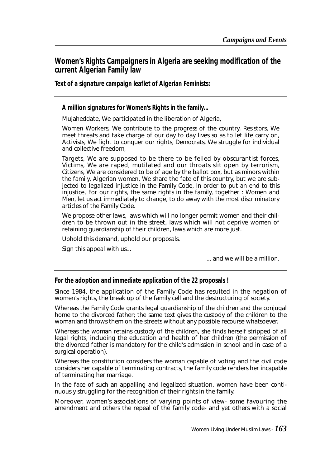## **Women's Rights Campaigners in Algeria are seeking modification of the current Algerian Family law**

### **Text of a signature campaign leaflet of Algerian Feminists:**

**A million signatures for Women's Rights in the family...**

Mujaheddate, We participated in the liberation of Algeria,

Women Workers, We contribute to the progress of the country, Resistors, We meet threats and take charge of our day to day lives so as to let life carry on, Activists, We fight to conquer our rights, Democrats, We struggle for individual and collective freedom,

Targets, We are supposed to be there to be felled by obscurantist forces, Victims, We are raped, mutilated and our throats slit open by terrorism, Citizens, We are considered to be of age by the ballot box, but as minors within the family, Algerian women, We share the fate of this country, but we are subjected to legalized injustice in the Family Code, In order to put an end to this injustice, For our rights, the same rights in the family, together : Women and Men, let us act immediately to change, to do away with the most discriminatory articles of the Family Code.

We propose other laws, laws which will no longer permit women and their children to be thrown out in the street, laws which will not deprive women of retaining guardianship of their children, laws which are more just.

Uphold this demand, uphold our proposals.

Sign this appeal with us...

... and we will be a million.

#### **For the adoption and immediate application of the 22 proposals !**

Since 1984, the application of the Family Code has resulted in the negation of women's rights, the break up of the family cell and the destructuring of society.

Whereas the Family Code grants legal guardianship of the children and the conjugal home to the divorced father; the same text gives the custody of the children to the woman and throws them on the streets without any possible recourse whatsoever.

Whereas the woman retains custody of the children, she finds herself stripped of all legal rights, including the education and health of her children (the permission of the divorced father is mandatory for the child's admission in school and in case of a surgical operation).

Whereas the constitution considers the woman capable of voting and the civil code considers her capable of terminating contracts, the family code renders her incapable of terminating her marriage.

In the face of such an appalling and legalized situation, women have been continuously struggling for the recognition of their rights in the family.

Moreover, women's associations of varying points of view- some favouring the amendment and others the repeal of the family code- and yet others with a social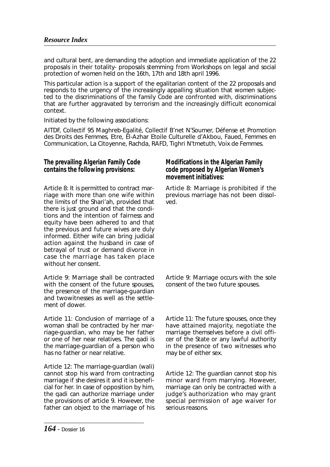and cultural bent, are demanding the adoption and immediate application of the 22 proposals in their totality- proposals stemming from Workshops on legal and social protection of women held on the 16th, 17th and 18th april 1996.

This particular action is a support of the egalitarian content of the 22 proposals and responds to the urgency of the increasingly appalling situation that women subjected to the discriminations of the family Code are confronted with, discriminations that are further aggravated by terrorism and the increasingly difficult economical context.

Initiated by the following associations:

AITDF, Collectif 95 Maghreb-Egalité, Collectif B'net N'Soumer, Défense et Promotion des Droits des Femmes, Etre, El-Azhar Etoile Culturelle d'Akbou, Faued, Femmes en Communication, La Citoyenne, Rachda, RAFD, Tighri N'tmetuth, Voix de Femmes.

### **The prevailing Algerian Family Code contains the following provisions:**

Article 8: It is permitted to contract marriage with more than one wife within the limits of the Shari'ah, provided that there is just ground and that the conditions and the intention of fairness and equity have been adhered to and that the previous and future wives are duly informed. Either wife can bring judicial action against the husband in case of betrayal of trust or demand divorce in case the marriage has taken place without her consent.

Article 9: Marriage shall be contracted with the consent of the future spouses, the presence of the marriage-guardian and twowitnesses as well as the settlement of dower.

Article 11: Conclusion of marriage of a woman shall be contracted by her marriage-guardian, who may be her father or one of her near relatives. The qadi is the marriage-guardian of a person who has no father or near relative.

Article 12: The marriage-guardian (wali) cannot stop his ward from contracting marriage if she desires it and it is beneficial for her. In case of opposition by him, the qadi can authorize marriage under the provisions of article 9. However, the father can object to the marriage of his

#### *Modifications in the Algerian Family code proposed by Algerian Women's movement initiatives:*

Article 8: Marriage is prohibited if the previous marriage has not been dissolved.

Article 9: Marriage occurs with the sole consent of the two future spouses.

Article 11: The future spouses, once they have attained majority, negotiate the marriage themselves before a civil officer of the State or any lawful authority in the presence of two witnesses who may be of either sex.

Article 12: The guardian cannot stop his minor ward from marrying. However, marriage can only be contracted with a judge's authorization who may grant special permission of age waiver for serious reasons.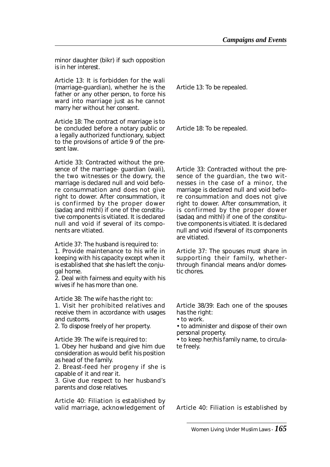minor daughter (bikr) if such opposition is in her interest.

Article 13: It is forbidden for the wali (marriage-guardian), whether he is the father or any other person, to force his ward into marriage just as he cannot marry her without her consent.

Article 18: The contract of marriage is to be concluded before a notary public or a legally authorized functionary, subject to the provisions of article 9 of the present law.

Article 33: Contracted without the presence of the marriage- guardian (wali), the two witnesses or the dowry, the marriage is declared null and void before consummation and does not give right to dower. After consummation, it is confirmed by the proper dower (sadaq and mithl) if one of the constitutive components is vitiated. It is declared null and void if several of its components are vitiated.

Article 37: The husband is required to:

1. Provide maintenance to his wife in keeping with his capacity except when it is established that she has left the conjugal home.

2. Deal with fairness and equity with his wives if he has more than one.

Article 38: The wife has the right to:

1. Visit her prohibited relatives and receive them in accordance with usages and customs.

2. To dispose freely of her property.

Article 39: The wife is required to:

1. Obey her husband and give him due consideration as would befit his position as head of the family.

2. Breast-feed her progeny if she is capable of it and rear it.

3. Give due respect to her husband's parents and close relatives.

Article 40: Filiation is established by valid marriage, acknowledgement of Article 13: To be repealed.

Article 18: To be repealed.

Article 33: Contracted without the presence of the guardian, the two witnesses in the case of a minor, the marriage is declared null and void before consummation and does not give right to dower. After consummation, it is confirmed by the proper dower (sadaq and mithl) if one of the constitutive components is vitiated. It is declared null and void ifseveral of its components are vitiated.

Article 37: The spouses must share in supporting their family, whetherthrough financial means and/or domestic chores.

Article 38/39: Each one of the spouses has the right:

• to work.

• to administer and dispose of their own personal property.

• to keep her/his family name, to circulate freely.

Article 40: Filiation is established by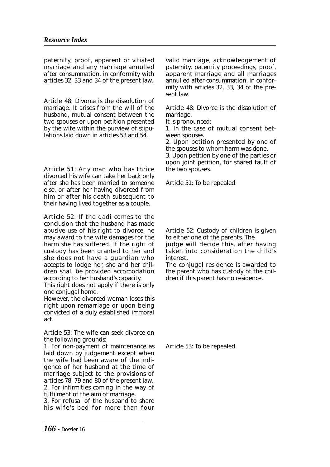paternity, proof, apparent or vitiated marriage and any marriage annulled after consummation, in conformity with articles 32, 33 and 34 of the present law.

Article 48: Divorce is the dissolution of marriage. It arises from the will of the husband, mutual consent between the two spouses or upon petition presented by the wife within the purview of stipulations laid down in articles 53 and 54.

Article 51: Any man who has thrice divorced his wife can take her back only after she has been married to someone else, or after her having divorced from him or after his death subsequent to their having lived together as a couple.

Article 52: If the qadi comes to the conclusion that the husband has made abusive use of his right to divorce, he may award to the wife damages for the harm she has suffered. If the right of custody has been granted to her and she does not have a guardian who accepts to lodge her, she and her children shall be provided accomodation according to her husband's capacity.

This right does not apply if there is only one conjugal home.

However, the divorced woman loses this right upon remarriage or upon being convicted of a duly established immoral act.

Article 53: The wife can seek divorce on the following grounds:

1. For non-payment of maintenance as laid down by judgement except when the wife had been aware of the indigence of her husband at the time of marriage subject to the provisions of articles 78, 79 and 80 of the present law. 2. For infirmities coming in the way of fulfilment of the aim of marriage.

3. For refusal of the husband to share his wife's bed for more than four valid marriage, acknowledgement of paternity, paternity proceedings, proof, apparent marriage and all marriages annulled after consummation, in conformity with articles 32, 33, 34 of the present law.

Article 48: Divorce is the dissolution of marriage.

It is pronounced:

1. In the case of mutual consent between spouses.

2. Upon petition presented by one of the spouses to whom harm was done.

3. Upon petition by one of the parties or upon joint petition, for shared fault of the two spouses.

Article 51: To be repealed.

Article 52: Custody of children is given to either one of the parents. The judge will decide this, after having taken into consideration the child's interest.

The conjugal residence is awarded to the parent who has custody of the children if this parent has no residence.

Article 53: To be repealed.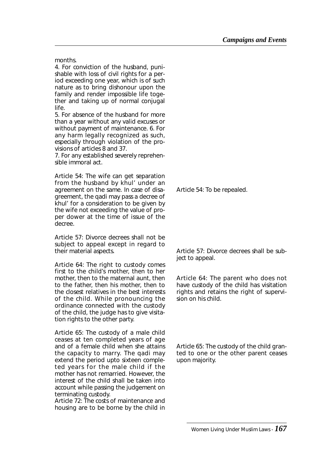months.

4. For conviction of the husband, punishable with loss of civil rights for a period exceeding one year, which is of such nature as to bring dishonour upon the family and render impossible life together and taking up of normal conjugal life.

5. For absence of the husband for more than a year without any valid excuses or without payment of maintenance. 6. For any harm legally recognized as such, especially through violation of the provisions of articles 8 and 37.

7. For any established severely reprehensible immoral act.

Article 54: The wife can get separation from the husband by khul' under an agreement on the same. In case of disagreement, the qadi may pass a decree of khul' for a consideration to be given by the wife not exceeding the value of proper dower at the time of issue of the decree.

Article 57: Divorce decrees shall not be subject to appeal except in regard to their material aspects.

Article 64: The right to custody comes first to the child's mother, then to her mother, then to the maternal aunt, then to the father, then his mother, then to the closest relatives in the best interests of the child. While pronouncing the ordinance connected with the custody of the child, the judge has to give visitation rights to the other party.

Article 65: The custody of a male child ceases at ten completed years of age and of a female child when she attains the capacity to marry. The qadi may extend the period upto sixteen completed years for the male child if the mother has not remarried. However, the interest of the child shall be taken into account while passing the judgement on terminating custody.

Article 72: The costs of maintenance and housing are to be borne by the child in

Article 54: To be repealed.

Article 57: Divorce decrees shall be subject to appeal.

Article 64: The parent who does not have custody of the child has visitation rights and retains the right of supervision on his child.

Article 65: The custody of the child granted to one or the other parent ceases upon majority.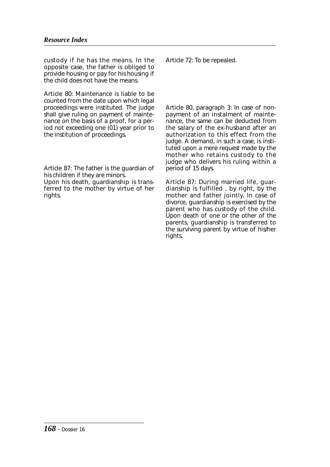custody if he has the means. In the opposite case, the father is obliged to provide housing or pay for his housing if the child does not have the means.

Article 80: Maintenance is liable to be counted from the date upon which legal proceedings were instituted. The judge shall give ruling on payment of maintenance on the basis of a proof, for a period not exceeding one (01) year prior to the institution of proceedings.

Article 87: The father is the guardian of his children if they are minors.

Upon his death, guardianship is transferred to the mother by virtue of her rights.

Article 72: To be repealed.

Article 80, paragraph 3: In case of nonpayment of an instalment of maintenance, the same can be deducted from the salary of the ex-husband after an authorization to this effect from the judge. A demand, in such a case, is instituted upon a mere request made by the mother who retains custody to the judge who delivers his ruling within a period of 15 days.

Article 87: During married life, guardianship is fulfilled , by right, by the mother and father jointly. In case of divorce, guardianship is exercised by the parent who has custody of the child. Upon death of one or the other of the parents, guardianship is transferred to the surviving parent by virtue of his/her rights.